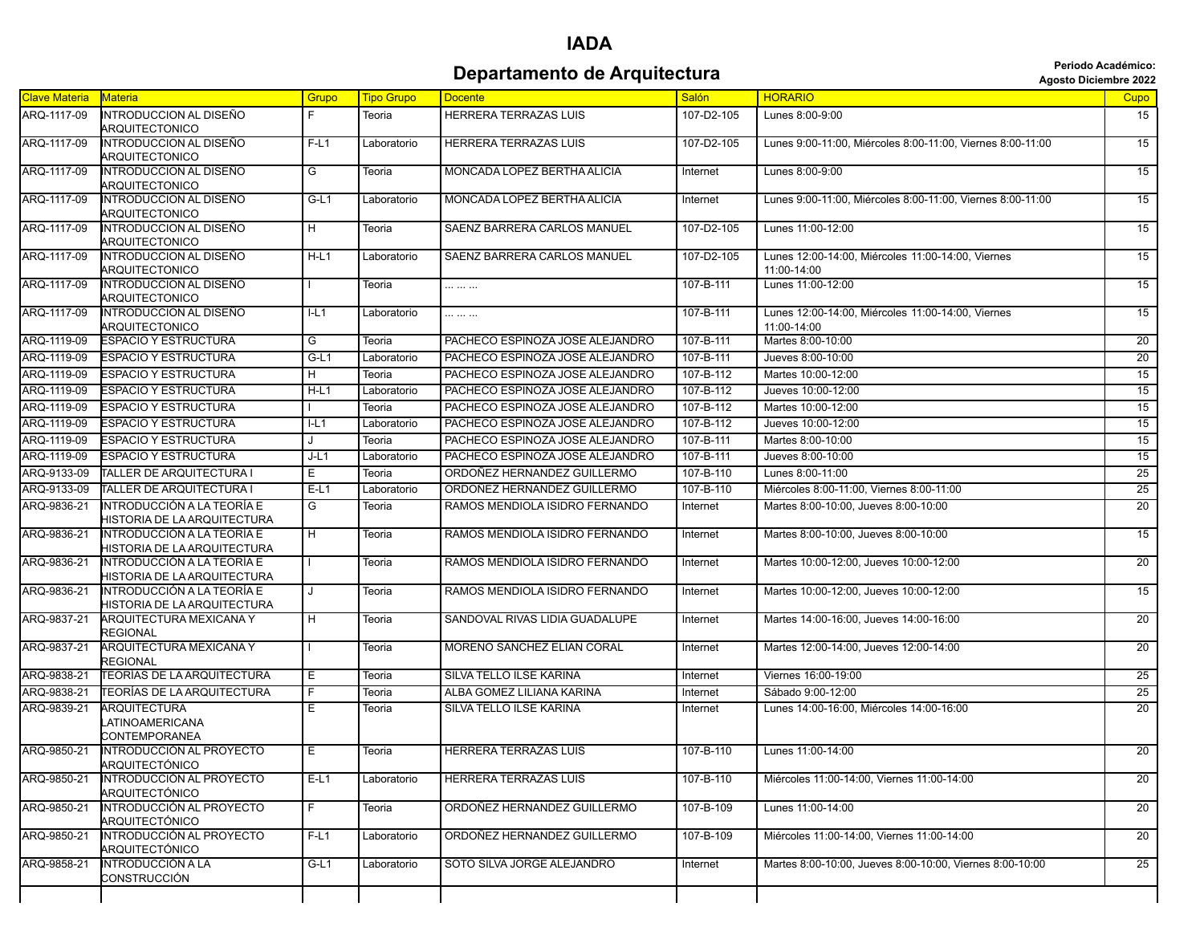|                      |                                                           |         |                   |                                 | Periodo Académico:<br><b>Agosto Diciembre 2022</b> |                                                                  |                 |
|----------------------|-----------------------------------------------------------|---------|-------------------|---------------------------------|----------------------------------------------------|------------------------------------------------------------------|-----------------|
| <b>Clave Materia</b> | Materia                                                   | Grupo   | <b>Tipo Grupo</b> | <b>Docente</b>                  | <b>Salón</b>                                       | <b>HORARIO</b>                                                   | Cupo            |
| ARQ-1117-09          | INTRODUCCION AL DISEÑO<br><b>ARQUITECTONICO</b>           | F.      | Teoria            | HERRERA TERRAZAS LUIS           | 107-D2-105                                         | Lunes 8:00-9:00                                                  | 15              |
| ARQ-1117-09          | INTRODUCCION AL DISEÑO<br><b>ARQUITECTONICO</b>           | $F-L1$  | Laboratorio       | <b>HERRERA TERRAZAS LUIS</b>    | 107-D2-105                                         | Lunes 9:00-11:00, Miércoles 8:00-11:00, Viernes 8:00-11:00       | 15              |
| ARQ-1117-09          | INTRODUCCION AL DISEÑO<br>ARQUITECTONICO                  | G       | Teoria            | MONCADA LOPEZ BERTHA ALICIA     | Internet                                           | Lunes 8:00-9:00                                                  | 15              |
| ARQ-1117-09          | <b>INTRODUCCION AL DISEÑO</b><br>ARQUITECTONICO           | $G-L1$  | Laboratorio       | MONCADA LOPEZ BERTHA ALICIA     | Internet                                           | Lunes 9:00-11:00, Miércoles 8:00-11:00, Viernes 8:00-11:00       | 15              |
| ARQ-1117-09          | INTRODUCCION AL DISEÑO<br>ARQUITECTONICO                  | H       | Teoria            | SAENZ BARRERA CARLOS MANUEL     | 107-D2-105                                         | Lunes 11:00-12:00                                                | 15              |
| ARQ-1117-09          | <b>INTRODUCCION AL DISEÑO</b><br>ARQUITECTONICO           | $H-L1$  | Laboratorio       | SAENZ BARRERA CARLOS MANUEL     | 107-D2-105                                         | Lunes 12:00-14:00, Miércoles 11:00-14:00, Viernes<br>11:00-14:00 | 15              |
| ARQ-1117-09          | <b>INTRODUCCION AL DISEÑO</b><br>ARQUITECTONICO           |         | Teoria            |                                 | 107-B-111                                          | Lunes 11:00-12:00                                                | $\overline{15}$ |
| ARQ-1117-09          | <b>INTRODUCCION AL DISEÑO</b><br>ARQUITECTONICO           | $I-L1$  | Laboratorio       |                                 | 107-B-111                                          | Lunes 12:00-14:00, Miércoles 11:00-14:00, Viernes<br>11:00-14:00 | 15              |
| ARQ-1119-09          | <b>ESPACIO Y ESTRUCTURA</b>                               | G       | Teoria            | PACHECO ESPINOZA JOSE ALEJANDRO | 107-B-111                                          | Martes 8:00-10:00                                                | $\overline{20}$ |
| ARQ-1119-09          | <b>ESPACIO Y ESTRUCTURA</b>                               | $G-L1$  | Laboratorio       | PACHECO ESPINOZA JOSE ALEJANDRO | 107-B-111                                          | Jueves 8:00-10:00                                                | $\overline{20}$ |
| ARQ-1119-09          | <b>ESPACIO Y ESTRUCTURA</b>                               | H.      | Teoria            | PACHECO ESPINOZA JOSE ALEJANDRO | 107-B-112                                          | Martes 10:00-12:00                                               | 15              |
| ARQ-1119-09          | <b>ESPACIO Y ESTRUCTURA</b>                               | $H-L1$  | Laboratorio       | PACHECO ESPINOZA JOSE ALEJANDRO | $107 - B - 112$                                    | Jueves 10:00-12:00                                               | $\overline{15}$ |
| ARQ-1119-09          | <b>ESPACIO Y ESTRUCTURA</b>                               |         | Teoria            | PACHECO ESPINOZA JOSE ALEJANDRO | 107-B-112                                          | Martes 10:00-12:00                                               | $\overline{15}$ |
| ARQ-1119-09          | <b>ESPACIO Y ESTRUCTURA</b>                               | L1      | Laboratorio       | PACHECO ESPINOZA JOSE ALEJANDRO | 107-B-112                                          | Jueves 10:00-12:00                                               | $\overline{15}$ |
| ARQ-1119-09          | <b>ESPACIO Y ESTRUCTURA</b>                               | $\cdot$ | Teoria            | PACHECO ESPINOZA JOSE ALEJANDRO | 107-B-111                                          | Martes 8:00-10:00                                                | 15              |
| ARQ-1119-09          | <b>ESPACIO Y ESTRUCTURA</b>                               | $J-L1$  | Laboratorio       | PACHECO ESPINOZA JOSE ALEJANDRO | 107-B-111                                          | Jueves 8:00-10:00                                                | 15              |
| ARQ-9133-09          | TALLER DE ARQUITECTURA I                                  | E.      | Teoria            | ORDOÑEZ HERNANDEZ GUILLERMO     | 107-B-110                                          | Lunes 8:00-11:00                                                 | 25              |
| ARQ-9133-09          | TALLER DE ARQUITECTURA I                                  | $E-L1$  | Laboratorio       | ORDOÑEZ HERNANDEZ GUILLERMO     | 107-B-110                                          | Miércoles 8:00-11:00, Viernes 8:00-11:00                         | $\overline{25}$ |
| ARQ-9836-21          | INTRODUCCIÓN A LA TEORÍA E<br>HISTORIA DE LA ARQUITECTURA | G       | Teoria            | RAMOS MENDIOLA ISIDRO FERNANDO  | Internet                                           | Martes 8:00-10:00, Jueves 8:00-10:00                             | 20              |
| ARQ-9836-21          | INTRODUCCIÓN A LA TEORÍA E<br>HISTORIA DE LA ARQUITECTURA | H       | Teoria            | RAMOS MENDIOLA ISIDRO FERNANDO  | Internet                                           | Martes 8:00-10:00, Jueves 8:00-10:00                             | $\overline{15}$ |
| ARQ-9836-21          | INTRODUCCIÓN A LA TEORÍA E<br>HISTORIA DE LA ARQUITECTURA |         | Teoria            | RAMOS MENDIOLA ISIDRO FERNANDO  | Internet                                           | Martes 10:00-12:00, Jueves 10:00-12:00                           | 20              |
| ARQ-9836-21          | INTRODUCCIÓN A LA TEORÍA E<br>HISTORIA DE LA ARQUITECTURA | $\cdot$ | Teoria            | RAMOS MENDIOLA ISIDRO FERNANDO  | Internet                                           | Martes 10:00-12:00, Jueves 10:00-12:00                           | 15              |
| ARQ-9837-21          | ARQUITECTURA MEXICANA Y<br><b>REGIONAL</b>                | H       | Teoria            | SANDOVAL RIVAS LIDIA GUADALUPE  | Internet                                           | Martes 14:00-16:00, Jueves 14:00-16:00                           | 20              |
| ARQ-9837-21          | <b>ARQUITECTURA MEXICANA Y</b><br><b>REGIONAL</b>         |         | Teoria            | MORENO SANCHEZ ELIAN CORAL      | Internet                                           | Martes 12:00-14:00, Jueves 12:00-14:00                           | 20              |
| ARQ-9838-21          | <b>TEORÍAS DE LA ARQUITECTURA</b>                         | Е       | Teoria            | SILVA TELLO ILSE KARINA         | Internet                                           | Viernes 16:00-19:00                                              | $\overline{25}$ |
| ARQ-9838-21          | TEORÍAS DE LA ARQUITECTURA                                | F.      | Teoria            | ALBA GOMEZ LILIANA KARINA       | Internet                                           | Sábado 9:00-12:00                                                | $\overline{25}$ |
| ARQ-9839-21          | <b>ARQUITECTURA</b><br>LATINOAMERICANA<br>CONTEMPORANEA   | E       | Teoria            | SILVA TELLO ILSE KARINA         | Internet                                           | Lunes 14:00-16:00. Miércoles 14:00-16:00                         | $\overline{20}$ |
| ARQ-9850-21          | INTRODUCCIÓN AL PROYECTO<br>ARQUITECTÓNICO                | Е       | Teoria            | HERRERA TERRAZAS LUIS           | 107-B-110                                          | Lunes 11:00-14:00                                                | 20              |
| ARQ-9850-21          | INTRODUCCIÓN AL PROYECTO<br>ARQUITECTÓNICO                | $E-L1$  | Laboratorio       | HERRERA TERRAZAS LUIS           | 107-B-110                                          | Miércoles 11:00-14:00. Viernes 11:00-14:00                       | 20              |
| ARQ-9850-21          | INTRODUCCIÓN AL PROYECTO<br>ARQUITECTÓNICO                | F.      | Teoria            | ORDOÑEZ HERNANDEZ GUILLERMO     | 107-B-109                                          | Lunes 11:00-14:00                                                | $\overline{20}$ |
| ARQ-9850-21          | INTRODUCCIÓN AL PROYECTO<br>ARQUITECTÓNICO                | $F-L1$  | Laboratorio       | ORDOÑEZ HERNANDEZ GUILLERMO     | 107-B-109                                          | Miércoles 11:00-14:00, Viernes 11:00-14:00                       | 20              |
| ARQ-9858-21          | <b>INTRODUCCIÓN A LA</b><br>CONSTRUCCIÓN                  | G-L1    | Laboratorio       | SOTO SILVA JORGE ALEJANDRO      | Internet                                           | Martes 8:00-10:00, Jueves 8:00-10:00, Viernes 8:00-10:00         | 25              |
|                      |                                                           |         |                   |                                 |                                                    |                                                                  |                 |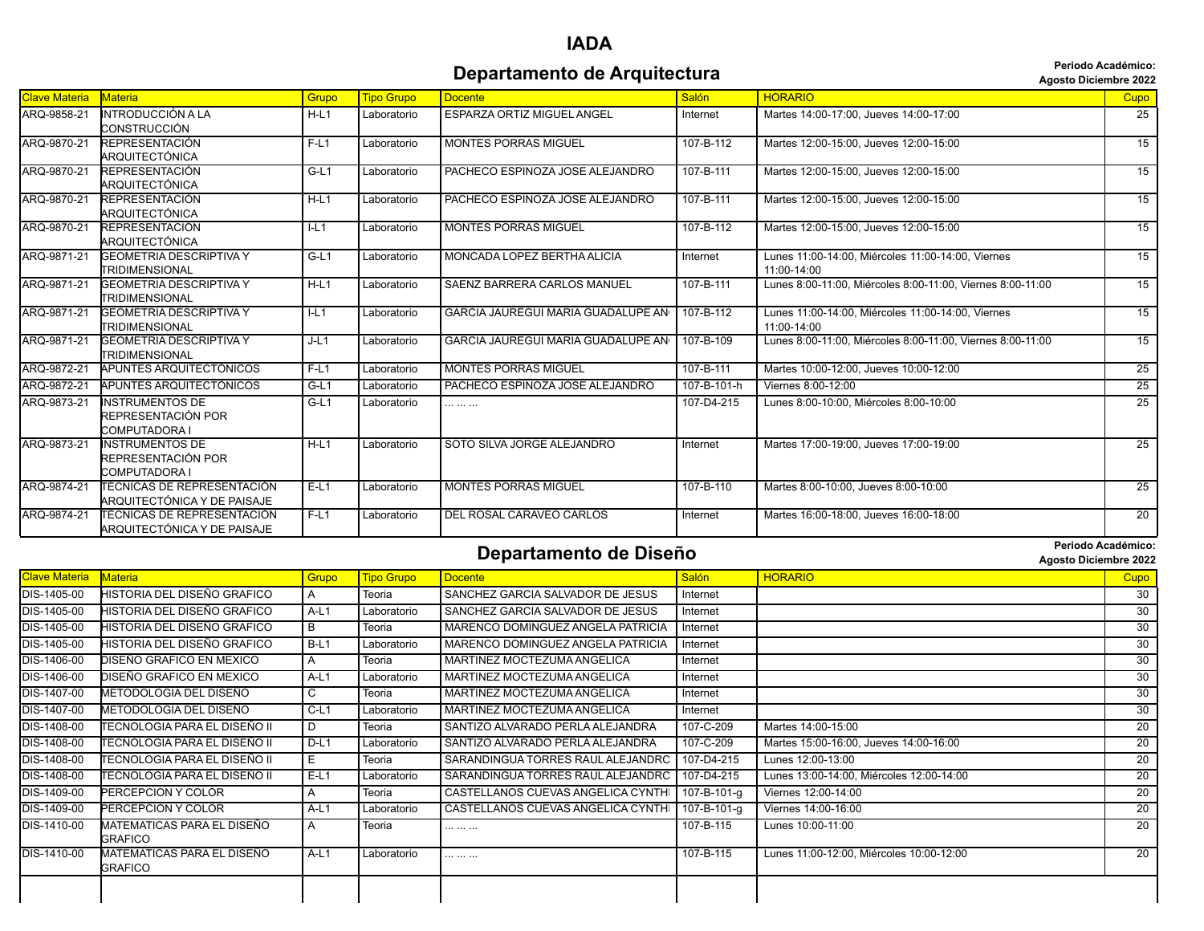#### **IADA Departamento de Arquitectura Agosto Diciembre 2022**

| Agosto Diciembre 202 |  |  |
|----------------------|--|--|
|----------------------|--|--|

|               |                                                                  |        |                   |                                                |             | ngoalo pierempre sess                                            |                 |
|---------------|------------------------------------------------------------------|--------|-------------------|------------------------------------------------|-------------|------------------------------------------------------------------|-----------------|
| Clave Materia | <b>Materia</b>                                                   | Grupo  | <b>Tipo Grupo</b> | <b>Docente</b>                                 | Salón       | <b>HORARIO</b>                                                   | <b>Cupo</b>     |
| ARQ-9858-21   | <b>INTRODUCCIÓN A LA</b><br>CONSTRUCCIÓN                         | $H-L1$ | Laboratorio       | <b>ESPARZA ORTIZ MIGUEL ANGEL</b>              | Internet    | Martes 14:00-17:00, Jueves 14:00-17:00                           | 25              |
| ARQ-9870-21   | <b>REPRESENTACIÓN</b><br>ARQUITECTÓNICA                          | $F-L1$ | Laboratorio       | <b>MONTES PORRAS MIGUEL</b>                    | 107-B-112   | Martes 12:00-15:00, Jueves 12:00-15:00                           | 15              |
| ARQ-9870-21   | <b>REPRESENTACIÓN</b><br>ARQUITECTÓNICA                          | $G-L1$ | Laboratorio       | PACHECO ESPINOZA JOSE ALEJANDRO                | 107-B-111   | Martes 12:00-15:00, Jueves 12:00-15:00                           | $\overline{15}$ |
| ARQ-9870-21   | <b>REPRESENTACIÓN</b><br>ARQUITECTÓNICA                          | $H-L1$ | Laboratorio       | PACHECO ESPINOZA JOSE ALEJANDRO                | 107-B-111   | Martes 12:00-15:00, Jueves 12:00-15:00                           | 15              |
| ARQ-9870-21   | <b>REPRESENTACIÓN</b><br>ARQUITECTÓNICA                          | L1     | Laboratorio       | <b>MONTES PORRAS MIGUEL</b>                    | 107-B-112   | Martes 12:00-15:00, Jueves 12:00-15:00                           | $\overline{15}$ |
| ARQ-9871-21   | <b>GEOMETRIA DESCRIPTIVA Y</b><br>TRIDIMENSIONAL                 | $G-L1$ | Laboratorio       | MONCADA LOPEZ BERTHA ALICIA                    | Internet    | Lunes 11:00-14:00, Miércoles 11:00-14:00, Viernes<br>11:00-14:00 | 15              |
| ARQ-9871-21   | <b>GEOMETRIA DESCRIPTIVA Y</b><br>TRIDIMENSIONAL                 | $H-L1$ | Laboratorio       | <b>SAENZ BARRERA CARLOS MANUEL</b>             | 107-B-111   | Lunes 8:00-11:00, Miércoles 8:00-11:00, Viernes 8:00-11:00       | 15              |
| ARQ-9871-21   | <b>GEOMETRIA DESCRIPTIVA Y</b><br>TRIDIMENSIONAL                 | $I-L1$ | Laboratorio       | GARCIA JAUREGUI MARIA GUADALUPE AN   107-B-112 |             | Lunes 11:00-14:00, Miércoles 11:00-14:00, Viernes<br>11:00-14:00 | 15              |
| ARQ-9871-21   | <b>GEOMETRIA DESCRIPTIVA Y</b><br>TRIDIMENSIONAL                 | $J-L1$ | Laboratorio       | GARCIA JAUREGUI MARIA GUADALUPE AN I           | 107-B-109   | Lunes 8:00-11:00, Miércoles 8:00-11:00, Viernes 8:00-11:00       | 15              |
| ARQ-9872-21   | APUNTES ARQUITECTÓNICOS                                          | $F-L1$ | Laboratorio       | <b>MONTES PORRAS MIGUEL</b>                    | 107-B-111   | Martes 10:00-12:00, Jueves 10:00-12:00                           | $\overline{25}$ |
| ARQ-9872-21   | APUNTES ARQUITECTÓNICOS                                          | $G-L1$ | Laboratorio       | PACHECO ESPINOZA JOSE ALEJANDRO                | 107-B-101-h | Viernes 8:00-12:00                                               | 25              |
| ARQ-9873-21   | <b>INSTRUMENTOS DE</b><br>REPRESENTACIÓN POR<br>COMPUTADORA I    | $G-L1$ | Laboratorio       | .                                              | 107-D4-215  | Lunes 8:00-10:00. Miércoles 8:00-10:00                           | 25              |
| ARQ-9873-21   | <b>INSTRUMENTOS DE</b><br>REPRESENTACIÓN POR<br>COMPUTADORA I    | $H-L1$ | Laboratorio       | SOTO SILVA JORGE ALEJANDRO                     | Internet    | Martes 17:00-19:00, Jueves 17:00-19:00                           | 25              |
| ARQ-9874-21   | <b>TÉCNICAS DE REPRESENTACIÓN</b><br>ARQUITECTÓNICA Y DE PAISAJE | $E-L1$ | Laboratorio       | <b>MONTES PORRAS MIGUEL</b>                    | 107-B-110   | Martes 8:00-10:00. Jueves 8:00-10:00                             | $\overline{25}$ |
| ARQ-9874-21   | ITÉCNICAS DE REPRESENTACIÓN<br>ARQUITECTÓNICA Y DE PAISAJE       | $F-L1$ | Laboratorio       | DEL ROSAL CARAVEO CARLOS                       | Internet    | Martes 16:00-18:00, Jueves 16:00-18:00                           | $\overline{20}$ |

#### **Departamento de Diseño Agosto Diciembre 2022**

| <b>Clave Materia</b> | <b>Materia</b>                               | Grupo          | <b>Tipo Grupo</b> | <b>Docente</b>                     | Salón       | <b>HORARIO</b>                           | Cupo            |
|----------------------|----------------------------------------------|----------------|-------------------|------------------------------------|-------------|------------------------------------------|-----------------|
| DIS-1405-00          | HISTORIA DEL DISEÑO GRAFICO                  | $\overline{A}$ | Teoria            | SANCHEZ GARCIA SALVADOR DE JESUS   | Internet    |                                          | 30              |
| DIS-1405-00          | <b>HISTORIA DEL DISEÑO GRAFICO</b>           | $A-L1$         | Laboratorio       | SANCHEZ GARCIA SALVADOR DE JESUS   | Internet    |                                          | 30              |
| DIS-1405-00          | HISTORIA DEL DISEÑO GRAFICO                  | B.             | Teoria            | MARENCO DOMINGUEZ ANGELA PATRICIA  | Internet    |                                          | $\overline{30}$ |
| DIS-1405-00          | HISTORIA DEL DISEÑO GRAFICO                  | $B-L1$         | Laboratorio       | MARENCO DOMINGUEZ ANGELA PATRICIA  | Internet    |                                          | $\overline{30}$ |
| DIS-1406-00          | DISEÑO GRAFICO EN MEXICO                     | A              | Teoria            | MARTINEZ MOCTEZUMA ANGELICA        | Internet    |                                          | $\overline{30}$ |
| DIS-1406-00          | DISEÑO GRAFICO EN MEXICO                     | $A-L1$         | Laboratorio       | MARTINEZ MOCTEZUMA ANGELICA        | Internet    |                                          | 30              |
| DIS-1407-00          | METODOLOGIA DEL DISEÑO                       | C              | Teoria            | MARTINEZ MOCTEZUMA ANGELICA        | Internet    |                                          | 30              |
| DIS-1407-00          | METODOLOGIA DEL DISEÑO                       | $C-L1$         | Laboratorio       | MARTINEZ MOCTEZUMA ANGELICA        | Internet    |                                          | 30              |
| DIS-1408-00          | TECNOLOGIA PARA EL DISEÑO II                 | D.             | Teoria            | SANTIZO ALVARADO PERLA ALEJANDRA   | 107-C-209   | Martes 14:00-15:00                       | 20              |
| DIS-1408-00          | TECNOLOGIA PARA EL DISEÑO II                 | $D-L1$         | Laboratorio       | SANTIZO ALVARADO PERLA ALEJANDRA   | 107-C-209   | Martes 15:00-16:00, Jueves 14:00-16:00   | $\overline{20}$ |
| DIS-1408-00          | ITECNOLOGIA PARA EL DISEÑO II                | Е              | Teoria            | SARANDINGUA TORRES RAUL ALEJANDRO  | 107-D4-215  | Lunes 12:00-13:00                        | 20              |
| DIS-1408-00          | ITECNOLOGIA PARA EL DISEÑO II                | $E-L1$         | Laboratorio       | SARANDINGUA TORRES RAUL ALEJANDRO  | 107-D4-215  | Lunes 13:00-14:00, Miércoles 12:00-14:00 | 20              |
| DIS-1409-00          | PERCEPCION Y COLOR                           | A              | Teoria            | CASTELLANOS CUEVAS ANGELICA CYNTHI | 107-B-101-g | Viernes 12:00-14:00                      | 20              |
| DIS-1409-00          | PERCEPCION Y COLOR                           | $A-L1$         | Laboratorio       | CASTELLANOS CUEVAS ANGELICA CYNTHI | 107-B-101-g | Viernes 14:00-16:00                      | $\overline{20}$ |
| DIS-1410-00          | MATEMATICAS PARA EL DISEÑO<br><b>GRAFICO</b> | A              | Teoria            |                                    | 107-B-115   | Lunes 10:00-11:00                        | $\overline{20}$ |
| DIS-1410-00          | MATEMATICAS PARA EL DISEÑO<br><b>GRAFICO</b> | $A-L1$         | Laboratorio       | .                                  | 107-B-115   | Lunes 11:00-12:00, Miércoles 10:00-12:00 | 20              |
|                      |                                              |                |                   |                                    |             |                                          |                 |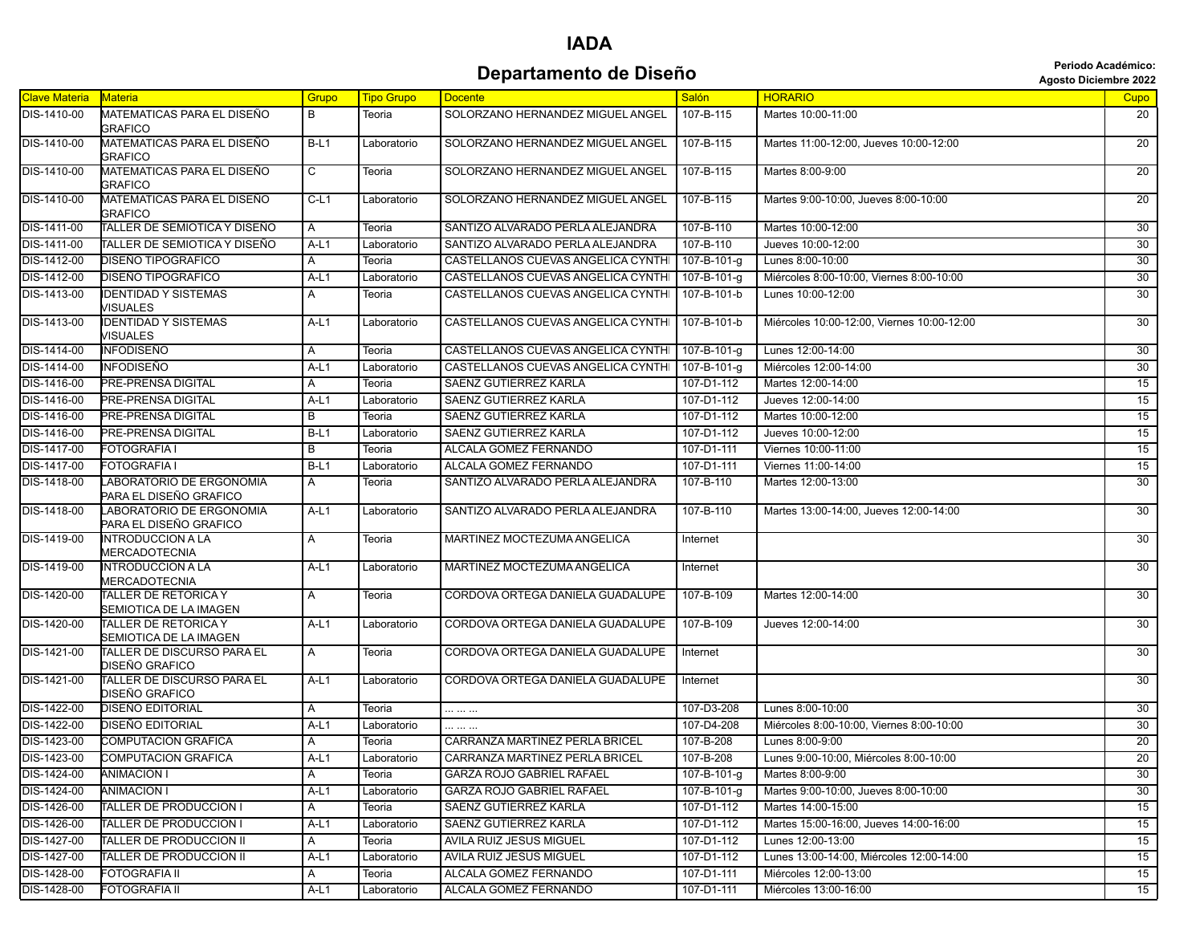## **Departamento de Diseño Agosto Diciembre 2022**<br>Agosto Diciembre 2022

|  | <b>Agosto Diciembre 202</b> |  |
|--|-----------------------------|--|
|  |                             |  |

| <b>Clave Materia</b> | Materia                                               | Grupo  | <b>Tipo Grupo</b> | <b>Docente</b>                     | <b>Salón</b>        | <b>HORARIO</b>                             | Cupo            |
|----------------------|-------------------------------------------------------|--------|-------------------|------------------------------------|---------------------|--------------------------------------------|-----------------|
| DIS-1410-00          | MATEMATICAS PARA EL DISEÑO<br><b>GRAFICO</b>          | B      | Teoria            | SOLORZANO HERNANDEZ MIGUEL ANGEL   | 107-B-115           | Martes 10:00-11:00                         | 20              |
| DIS-1410-00          | MATEMATICAS PARA EL DISEÑO<br><b>GRAFICO</b>          | $B-L1$ | Laboratorio       | SOLORZANO HERNANDEZ MIGUEL ANGEL   | 107-B-115           | Martes 11:00-12:00, Jueves 10:00-12:00     | 20              |
| DIS-1410-00          | MATEMATICAS PARA EL DISEÑO<br><b>GRAFICO</b>          | C      | Teoria            | SOLORZANO HERNANDEZ MIGUEL ANGEL   | 107-B-115           | Martes 8:00-9:00                           | $\overline{20}$ |
| DIS-1410-00          | MATEMATICAS PARA EL DISEÑO<br><b>GRAFICO</b>          | $C-L1$ | Laboratorio       | SOLORZANO HERNANDEZ MIGUEL ANGEL   | 107-B-115           | Martes 9:00-10:00, Jueves 8:00-10:00       | 20 <sup>2</sup> |
| DIS-1411-00          | TALLER DE SEMIOTICA Y DISEÑO                          | Α      | Teoria            | SANTIZO ALVARADO PERLA ALEJANDRA   | 107-B-110           | Martes 10:00-12:00                         | 30              |
| DIS-1411-00          | TALLER DE SEMIOTICA Y DISEÑO                          | $A-L1$ | Laboratorio       | SANTIZO ALVARADO PERLA ALEJANDRA   | 107-B-110           | Jueves 10:00-12:00                         | 30              |
| DIS-1412-00          | DISEÑO TIPOGRAFICO                                    | A      | Teoria            | CASTELLANOS CUEVAS ANGELICA CYNTHI | $107 - B - 101 - g$ | Lunes 8:00-10:00                           | 30              |
| DIS-1412-00          | <b>DISEÑO TIPOGRAFICO</b>                             | $A-L1$ | Laboratorio       | CASTELLANOS CUEVAS ANGELICA CYNTHI | 107-B-101-g         | Miércoles 8:00-10:00, Viernes 8:00-10:00   | 30              |
| DIS-1413-00          | <b>IDENTIDAD Y SISTEMAS</b><br>VISUALES               | A      | Teoria            | CASTELLANOS CUEVAS ANGELICA CYNTHI | 107-B-101-b         | Lunes 10:00-12:00                          | 30              |
| DIS-1413-00          | <b>DENTIDAD Y SISTEMAS</b><br>VISUALES                | $A-L1$ | Laboratorio       | CASTELLANOS CUEVAS ANGELICA CYNTHI | 107-B-101-b         | Miércoles 10:00-12:00, Viernes 10:00-12:00 | 30              |
| DIS-1414-00          | <b>INFODISEÑO</b>                                     | A      | Teoria            | CASTELLANOS CUEVAS ANGELICA CYNTHI | 107-B-101-g         | Lunes 12:00-14:00                          | 30              |
| DIS-1414-00          | <b>INFODISEÑO</b>                                     | $A-L1$ | Laboratorio       | CASTELLANOS CUEVAS ANGELICA CYNTHI | 107-B-101-g         | Miércoles 12:00-14:00                      | 30              |
| DIS-1416-00          | <b>PRE-PRENSA DIGITAL</b>                             | A      | Teoria            | SAENZ GUTIERREZ KARLA              | 107-D1-112          | Martes 12:00-14:00                         | 15              |
| DIS-1416-00          | PRE-PRENSA DIGITAL                                    | $A-L1$ | Laboratorio       | <b>SAENZ GUTIERREZ KARLA</b>       | 107-D1-112          | Jueves 12:00-14:00                         | 15              |
| DIS-1416-00          | PRE-PRENSA DIGITAL                                    | В      | Teoria            | <b>SAENZ GUTIERREZ KARLA</b>       | 107-D1-112          | Martes 10:00-12:00                         | 15              |
| DIS-1416-00          | PRE-PRENSA DIGITAL                                    | $B-L1$ | Laboratorio       | SAENZ GUTIERREZ KARLA              | 107-D1-112          | Jueves 10:00-12:00                         | 15              |
| DIS-1417-00          | <b>FOTOGRAFIA I</b>                                   | B      | Teoria            | ALCALA GOMEZ FERNANDO              | 107-D1-111          | Viernes 10:00-11:00                        | 15              |
| DIS-1417-00          | <b>FOTOGRAFIA I</b>                                   | $B-L1$ | Laboratorio       | ALCALA GOMEZ FERNANDO              | 107-D1-111          | Viernes 11:00-14:00                        | 15              |
| DIS-1418-00          | LABORATORIO DE ERGONOMIA<br>PARA EL DISEÑO GRAFICO    | A      | Teoria            | SANTIZO ALVARADO PERLA ALEJANDRA   | 107-B-110           | Martes 12:00-13:00                         | 30 <sup>7</sup> |
| DIS-1418-00          | LABORATORIO DE ERGONOMIA<br>PARA EL DISEÑO GRAFICO    | $A-L1$ | Laboratorio       | SANTIZO ALVARADO PERLA ALEJANDRA   | 107-B-110           | Martes 13:00-14:00, Jueves 12:00-14:00     | 30              |
| DIS-1419-00          | <b>INTRODUCCION A LA</b><br>MERCADOTECNIA             | Α      | Teoria            | MARTINEZ MOCTEZUMA ANGELICA        | Internet            |                                            | 30              |
| DIS-1419-00          | <b>INTRODUCCION A LA</b><br><b>MERCADOTECNIA</b>      | $A-L1$ | Laboratorio       | MARTINEZ MOCTEZUMA ANGELICA        | Internet            |                                            | 30              |
| DIS-1420-00          | TALLER DE RETORICA Y<br>SEMIOTICA DE LA IMAGEN        | Α      | Teoria            | CORDOVA ORTEGA DANIELA GUADALUPE   | 107-B-109           | Martes 12:00-14:00                         | 30              |
| DIS-1420-00          | <b>TALLER DE RETORICA Y</b><br>SEMIOTICA DE LA IMAGEN | A-L1   | Laboratorio       | CORDOVA ORTEGA DANIELA GUADALUPE   | 107-B-109           | Jueves 12:00-14:00                         | 30              |
| DIS-1421-00          | TALLER DE DISCURSO PARA EL<br>DISEÑO GRAFICO          | Α      | Teoria            | CORDOVA ORTEGA DANIELA GUADALUPE   | Internet            |                                            | 30              |
| DIS-1421-00          | TALLER DE DISCURSO PARA EL<br>DISEÑO GRAFICO          | $A-L1$ | Laboratorio       | CORDOVA ORTEGA DANIELA GUADALUPE   | Internet            |                                            | 30              |
| DIS-1422-00          | DISEÑO EDITORIAL                                      | A      | Teoria            |                                    | 107-D3-208          | Lunes 8:00-10:00                           | 30              |
| DIS-1422-00          | <b>DISEÑO EDITORIAL</b>                               | $A-L1$ | Laboratorio       |                                    | 107-D4-208          | Miércoles 8:00-10:00. Viernes 8:00-10:00   | 30              |
| DIS-1423-00          | <b>COMPUTACION GRAFICA</b>                            | Α      | Teoria            | CARRANZA MARTINEZ PERLA BRICEL     | 107-B-208           | Lunes 8:00-9:00                            | 20              |
| DIS-1423-00          | <b>COMPUTACION GRAFICA</b>                            | A-L1   | Laboratorio       | CARRANZA MARTINEZ PERLA BRICEL     | 107-B-208           | Lunes 9:00-10:00, Miércoles 8:00-10:00     | 20              |
| DIS-1424-00          | <b>ANIMACION I</b>                                    | Α      | Teoria            | <b>GARZA ROJO GABRIEL RAFAEL</b>   | 107-B-101-g         | Martes 8:00-9:00                           | 30              |
| DIS-1424-00          | <b>ANIMACION I</b>                                    | $A-L1$ | Laboratorio       | <b>GARZA ROJO GABRIEL RAFAEL</b>   | 107-B-101-g         | Martes 9:00-10:00, Jueves 8:00-10:00       | 30              |
| DIS-1426-00          | TALLER DE PRODUCCION I                                | A      | Teoria            | SAENZ GUTIERREZ KARLA              | 107-D1-112          | Martes 14:00-15:00                         | 15              |
| DIS-1426-00          | TALLER DE PRODUCCION I                                | $A-L1$ | Laboratorio       | SAENZ GUTIERREZ KARLA              | 107-D1-112          | Martes 15:00-16:00, Jueves 14:00-16:00     | 15              |
| DIS-1427-00          | <b>TALLER DE PRODUCCION II</b>                        | A      | Teoria            | AVILA RUIZ JESUS MIGUEL            | 107-D1-112          | Lunes 12:00-13:00                          | 15              |
| DIS-1427-00          | TALLER DE PRODUCCION II                               | $A-L1$ | Laboratorio       | AVILA RUIZ JESUS MIGUEL            | 107-D1-112          | Lunes 13:00-14:00, Miércoles 12:00-14:00   | 15              |
| DIS-1428-00          | FOTOGRAFIA II                                         | A      | Teoria            | ALCALA GOMEZ FERNANDO              | 107-D1-111          | Miércoles 12:00-13:00                      | 15              |
| DIS-1428-00          | FOTOGRAFIA II                                         | $A-L1$ | Laboratorio       | ALCALA GOMEZ FERNANDO              | 107-D1-111          | Miércoles 13:00-16:00                      | 15              |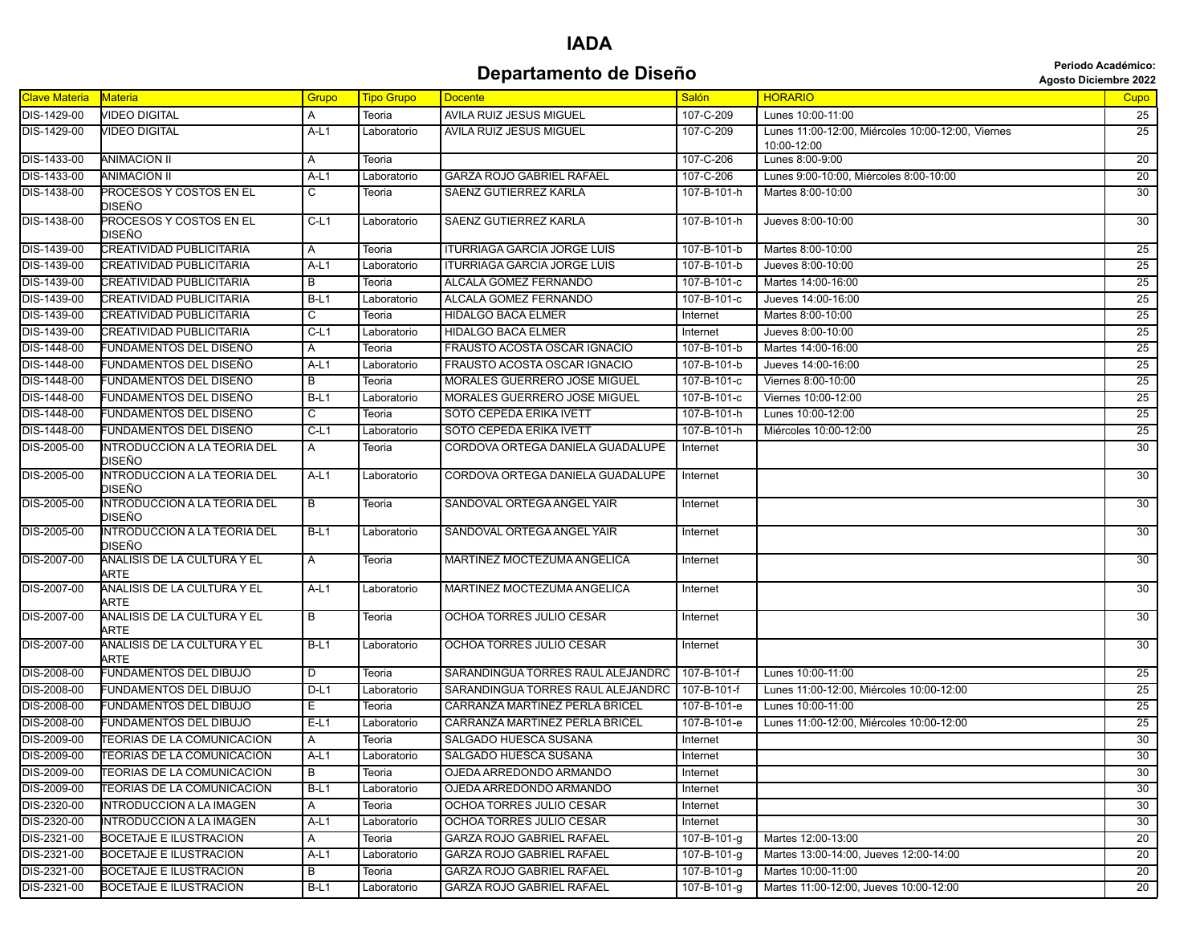#### **Departamento de Diseño Agosto Diciembre 2022**<br>Agosto Diciembre 2022

| <b>Clave Materia</b> | <b>Materia</b>                                | Grupo  | <b>Tipo Grupo</b> | <b>Docente</b>                     | <b>Salón</b> | <b>HORARIO</b>                                                   | <b>Cupo</b>     |
|----------------------|-----------------------------------------------|--------|-------------------|------------------------------------|--------------|------------------------------------------------------------------|-----------------|
| DIS-1429-00          | <b>VIDEO DIGITAL</b>                          | Α      | Teoria            | AVILA RUIZ JESUS MIGUEL            | 107-C-209    | Lunes 10:00-11:00                                                | 25              |
| DIS-1429-00          | <b>VIDEO DIGITAL</b>                          | $A-L1$ | Laboratorio       | AVILA RUIZ JESUS MIGUEL            | 107-C-209    | Lunes 11:00-12:00, Miércoles 10:00-12:00, Viernes<br>10:00-12:00 | $\overline{25}$ |
| DIS-1433-00          | <b>ANIMACION II</b>                           | Α      | Teoria            |                                    | 107-C-206    | Lunes 8:00-9:00                                                  | 20              |
| DIS-1433-00          | <b>ANIMACION II</b>                           | A-L1   | Laboratorio       | <b>GARZA ROJO GABRIEL RAFAEL</b>   | 107-C-206    | Lunes 9:00-10:00, Miércoles 8:00-10:00                           | 20              |
| DIS-1438-00          | PROCESOS Y COSTOS EN EL<br>DISEÑO             | C      | Teoria            | SAENZ GUTIERREZ KARLA              | 107-B-101-h  | Martes 8:00-10:00                                                | 30              |
| DIS-1438-00          | PROCESOS Y COSTOS EN EL<br>DISEÑO             | $C-L1$ | Laboratorio       | SAENZ GUTIERREZ KARLA              | 107-B-101-h  | Jueves 8:00-10:00                                                | 30              |
| DIS-1439-00          | <b>CREATIVIDAD PUBLICITARIA</b>               | A      | Teoria            | <b>ITURRIAGA GARCIA JORGE LUIS</b> | 107-B-101-b  | Martes 8:00-10:00                                                | 25              |
| DIS-1439-00          | <b>CREATIVIDAD PUBLICITARIA</b>               | $A-L1$ | Laboratorio       | <b>ITURRIAGA GARCIA JORGE LUIS</b> | 107-B-101-b  | Jueves 8:00-10:00                                                | 25              |
| DIS-1439-00          | CREATIVIDAD PUBLICITARIA                      | B      | Teoria            | ALCALA GOMEZ FERNANDO              | 107-B-101-c  | Martes 14:00-16:00                                               | 25              |
| DIS-1439-00          | <b>CREATIVIDAD PUBLICITARIA</b>               | $B-L1$ | Laboratorio       | ALCALA GOMEZ FERNANDO              | 107-B-101-c  | Jueves 14:00-16:00                                               | 25              |
| DIS-1439-00          | CREATIVIDAD PUBLICITARIA                      | C      | Teoria            | <b>HIDALGO BACA ELMER</b>          | Internet     | Martes 8:00-10:00                                                | 25              |
| DIS-1439-00          | CREATIVIDAD PUBLICITARIA                      | $C-L1$ | Laboratorio       | <b>HIDALGO BACA ELMER</b>          | Internet     | Jueves 8:00-10:00                                                | 25              |
| DIS-1448-00          | FUNDAMENTOS DEL DISEÑO                        | A      | Teoria            | FRAUSTO ACOSTA OSCAR IGNACIO       | 107-B-101-b  | Martes 14:00-16:00                                               | 25              |
| DIS-1448-00          | FUNDAMENTOS DEL DISEÑO                        | A-L1   | Laboratorio       | FRAUSTO ACOSTA OSCAR IGNACIO       | 107-B-101-b  | Jueves 14:00-16:00                                               | 25              |
| DIS-1448-00          | FUNDAMENTOS DEL DISEÑO                        | B      | Teoria            | MORALES GUERRERO JOSE MIGUEL       | 107-B-101-c  | Viernes 8:00-10:00                                               | 25              |
| DIS-1448-00          | FUNDAMENTOS DEL DISEÑO                        | $B-L1$ | Laboratorio       | MORALES GUERRERO JOSE MIGUEL       | 107-B-101-c  | Viernes 10:00-12:00                                              | 25              |
| DIS-1448-00          | FUNDAMENTOS DEL DISEÑO                        | С      | Teoria            | SOTO CEPEDA ERIKA IVETT            | 107-B-101-h  | Lunes 10:00-12:00                                                | 25              |
| DIS-1448-00          | FUNDAMENTOS DEL DISEÑO                        | $C-L1$ | Laboratorio       | SOTO CEPEDA ERIKA IVETT            | 107-B-101-h  | Miércoles 10:00-12:00                                            | 25              |
| DIS-2005-00          | INTRODUCCION A LA TEORIA DEL<br>DISEÑO        | A      | Teoria            | CORDOVA ORTEGA DANIELA GUADALUPE   | Internet     |                                                                  | 30              |
| DIS-2005-00          | <b>INTRODUCCION A LA TEORIA DEL</b><br>DISEÑO | A-L1   | Laboratorio       | CORDOVA ORTEGA DANIELA GUADALUPE   | Internet     |                                                                  | 30              |
| DIS-2005-00          | INTRODUCCION A LA TEORIA DEL<br>DISEÑO        | B      | Teoria            | SANDOVAL ORTEGA ANGEL YAIR         | Internet     |                                                                  | 30              |
| DIS-2005-00          | INTRODUCCION A LA TEORIA DEL<br>DISEÑO        | B-L1   | Laboratorio       | SANDOVAL ORTEGA ANGEL YAIR         | Internet     |                                                                  | 30              |
| DIS-2007-00          | ANALISIS DE LA CULTURA Y EL<br>ARTE           | A      | Teoria            | MARTINEZ MOCTEZUMA ANGELICA        | Internet     |                                                                  | 30              |
| DIS-2007-00          | ANALISIS DE LA CULTURA Y EL<br>ARTE           | A-L1   | Laboratorio       | MARTINEZ MOCTEZUMA ANGELICA        | Internet     |                                                                  | 30              |
| DIS-2007-00          | ANALISIS DE LA CULTURA Y EL<br>ARTE           | В      | Teoria            | OCHOA TORRES JULIO CESAR           | Internet     |                                                                  | 30              |
| DIS-2007-00          | ANALISIS DE LA CULTURA Y EL<br>ARTE           | $B-L1$ | Laboratorio       | OCHOA TORRES JULIO CESAR           | Internet     |                                                                  | 30              |
| DIS-2008-00          | FUNDAMENTOS DEL DIBUJO                        | D      | Teoria            | SARANDINGUA TORRES RAUL ALEJANDRO  | 107-B-101-f  | Lunes 10:00-11:00                                                | 25              |
| DIS-2008-00          | FUNDAMENTOS DEL DIBUJO                        | $D-L1$ | Laboratorio       | SARANDINGUA TORRES RAUL ALEJANDRO  | 107-B-101-f  | Lunes 11:00-12:00, Miércoles 10:00-12:00                         | 25              |
| DIS-2008-00          | FUNDAMENTOS DEL DIBUJO                        | Е.     | Teoria            | CARRANZA MARTINEZ PERLA BRICEL     | 107-B-101-e  | Lunes 10:00-11:00                                                | 25              |
| DIS-2008-00          | FUNDAMENTOS DEL DIBUJO                        | $E-L1$ | Laboratorio       | CARRANZA MARTINEZ PERLA BRICEL     | 107-B-101-e  | Lunes 11:00-12:00, Miércoles 10:00-12:00                         | 25              |
| DIS-2009-00          | TEORIAS DE LA COMUNICACION                    | A      | Teoria            | SALGADO HUESCA SUSANA              | Internet     |                                                                  | 30              |
| DIS-2009-00          | <b>TEORIAS DE LA COMUNICACION</b>             | $A-L1$ | Laboratorio       | SALGADO HUESCA SUSANA              | Internet     |                                                                  | 30              |
| DIS-2009-00          | <b>TEORIAS DE LA COMUNICACION</b>             | B      | Teoria            | OJEDA ARREDONDO ARMANDO            | Internet     |                                                                  | 30              |
| DIS-2009-00          | TEORIAS DE LA COMUNICACION                    | B-L1   | Laboratorio       | OJEDA ARREDONDO ARMANDO            | Internet     |                                                                  | $\overline{30}$ |
| DIS-2320-00          | INTRODUCCION A LA IMAGEN                      | A      | Teoria            | OCHOA TORRES JULIO CESAR           | Internet     |                                                                  | 30              |
| DIS-2320-00          | INTRODUCCION A LA IMAGEN                      | A-L1   | Laboratorio       | OCHOA TORRES JULIO CESAR           | Internet     |                                                                  | 30              |
| DIS-2321-00          | BOCETAJE E ILUSTRACION                        | A      | Teoria            | GARZA ROJO GABRIEL RAFAEL          | 107-B-101-g  | Martes 12:00-13:00                                               | 20              |
| DIS-2321-00          | <b>BOCETAJE E ILUSTRACION</b>                 | A-L1   | Laboratorio       | GARZA ROJO GABRIEL RAFAEL          | 107-B-101-g  | Martes 13:00-14:00, Jueves 12:00-14:00                           | 20              |
| DIS-2321-00          | BOCETAJE E ILUSTRACION                        | В      | Teoria            | GARZA ROJO GABRIEL RAFAEL          | 107-B-101-g  | Martes 10:00-11:00                                               | 20              |
| DIS-2321-00          | BOCETAJE E ILUSTRACION                        | $B-L1$ | Laboratorio       | <b>GARZA ROJO GABRIEL RAFAEL</b>   | 107-B-101-g  | Martes 11:00-12:00, Jueves 10:00-12:00                           | 20              |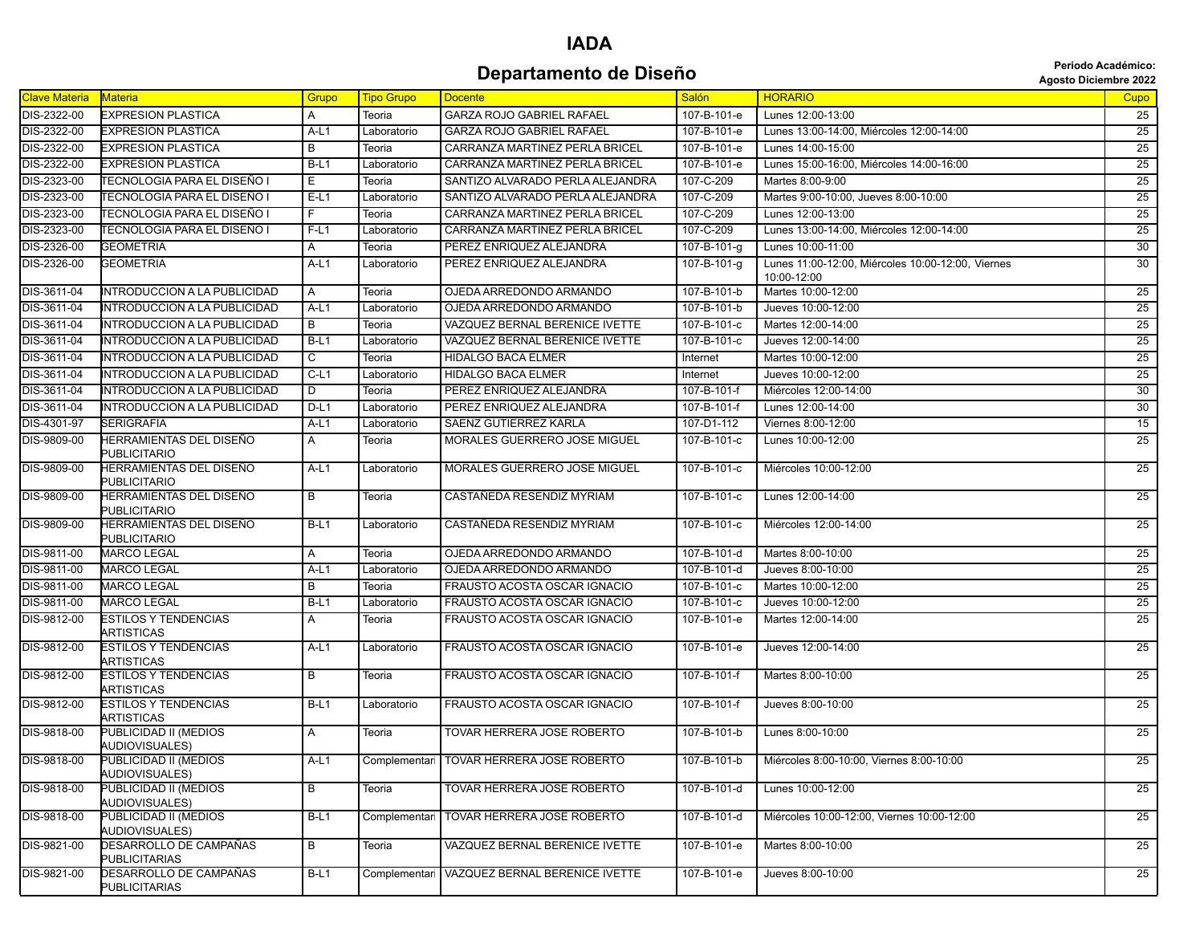#### **Departamento de Diseño Agosto Diciembre 2022**<br>Agosto Diciembre 2022

| Clave Materia | Materia                                        | Grupo          | <b>Tipo Grupo</b> | <b>Docente</b>                             | <b>Salón</b>        | <b>HORARIO</b>                                    | Cupo            |
|---------------|------------------------------------------------|----------------|-------------------|--------------------------------------------|---------------------|---------------------------------------------------|-----------------|
| DIS-2322-00   | <b>EXPRESION PLASTICA</b>                      | A              | Teoria            | <b>GARZA ROJO GABRIEL RAFAEL</b>           | 107-B-101-e         | Lunes 12:00-13:00                                 | 25              |
| DIS-2322-00   | <b>EXPRESION PLASTICA</b>                      | $A-L1$         | Laboratorio       | <b>GARZA ROJO GABRIEL RAFAEL</b>           | 107-B-101-e         | Lunes 13:00-14:00, Miércoles 12:00-14:00          | 25              |
| DIS-2322-00   | <b>EXPRESION PLASTICA</b>                      | $\overline{B}$ | Teoria            | CARRANZA MARTINEZ PERLA BRICEL             | 107-B-101-e         | Lunes 14:00-15:00                                 | 25              |
| DIS-2322-00   | <b>EXPRESION PLASTICA</b>                      | $B-L1$         | Laboratorio       | CARRANZA MARTINEZ PERLA BRICEL             | 107-B-101-e         | Lunes 15:00-16:00, Miércoles 14:00-16:00          | 25              |
| DIS-2323-00   | <b>TECNOLOGIA PARA EL DISEÑO I</b>             | Е              | Teoria            | SANTIZO ALVARADO PERLA ALEJANDRA           | 107-C-209           | Martes 8:00-9:00                                  | 25              |
| DIS-2323-00   | ÍTECNOLOGIA PARA EL DISEÑO I                   | $E-L1$         | Laboratorio       | SANTIZO ALVARADO PERLA ALEJANDRA           | 107-C-209           | Martes 9:00-10:00, Jueves 8:00-10:00              | 25              |
| DIS-2323-00   | TECNOLOGIA PARA EL DISEÑO I                    | F              | Teoria            | CARRANZA MARTINEZ PERLA BRICEL             | 107-C-209           | Lunes 12:00-13:00                                 | 25              |
| DIS-2323-00   | TECNOLOGIA PARA EL DISEÑO I                    | F-L1           | Laboratorio       | CARRANZA MARTINEZ PERLA BRICEL             | 107-C-209           | Lunes 13:00-14:00, Miércoles 12:00-14:00          | 25              |
| DIS-2326-00   | <b>GEOMETRIA</b>                               | A              | Teoria            | PEREZ ENRIQUEZ ALEJANDRA                   | 107-B-101-g         | Lunes 10:00-11:00                                 | 30              |
| DIS-2326-00   | <b>GEOMETRIA</b>                               | $A-L1$         | Laboratorio       | PEREZ ENRIQUEZ ALEJANDRA                   | $107 - B - 101 - g$ | Lunes 11:00-12:00, Miércoles 10:00-12:00, Viernes | 30              |
|               |                                                |                |                   |                                            |                     | 10:00-12:00                                       |                 |
| DIS-3611-04   | INTRODUCCION A LA PUBLICIDAD                   | A              | Teoria            | OJEDA ARREDONDO ARMANDO                    | 107-B-101-b         | Martes 10:00-12:00                                | 25              |
| DIS-3611-04   | INTRODUCCION A LA PUBLICIDAD                   | A-L1           | Laboratorio       | OJEDA ARREDONDO ARMANDO                    | 107-B-101-b         | Jueves 10:00-12:00                                | 25              |
| DIS-3611-04   | INTRODUCCION A LA PUBLICIDAD                   | В              | Teoria            | VAZQUEZ BERNAL BERENICE IVETTE             | 107-B-101-c         | Martes 12:00-14:00                                | 25              |
| DIS-3611-04   | INTRODUCCION A LA PUBLICIDAD                   | $B-L1$         | Laboratorio       | VAZQUEZ BERNAL BERENICE IVETTE             | 107-B-101-c         | Jueves 12:00-14:00                                | 25              |
| DIS-3611-04   | <b>INTRODUCCION A LA PUBLICIDAD</b>            | $\overline{c}$ | Teoria            | <b>HIDALGO BACA ELMER</b>                  | Internet            | Martes 10:00-12:00                                | 25              |
| DIS-3611-04   | <b>INTRODUCCION A LA PUBLICIDAD</b>            | $C-L1$         | Laboratorio       | <b>HIDALGO BACA ELMER</b>                  | Internet            | Jueves 10:00-12:00                                | 25              |
| DIS-3611-04   | INTRODUCCION A LA PUBLICIDAD                   | D              | Teoria            | PEREZ ENRIQUEZ ALEJANDRA                   | 107-B-101-f         | Miércoles 12:00-14:00                             | 30              |
| DIS-3611-04   | <b>INTRODUCCION A LA PUBLICIDAD</b>            | $D-L1$         | Laboratorio       | PEREZ ENRIQUEZ ALEJANDRA                   | 107-B-101-f         | Lunes 12:00-14:00                                 | 30              |
| DIS-4301-97   | <b>SERIGRAFIA</b>                              | $A-L1$         | Laboratorio       | <b>SAENZ GUTIERREZ KARLA</b>               | 107-D1-112          | Viernes 8:00-12:00                                | 15              |
| DIS-9809-00   | HERRAMIENTAS DEL DISEÑO<br><b>PUBLICITARIO</b> | A              | Teoria            | MORALES GUERRERO JOSE MIGUEL               | 107-B-101-c         | Lunes 10:00-12:00                                 | 25              |
| DIS-9809-00   | HERRAMIENTAS DEL DISEÑO<br><b>PUBLICITARIO</b> | $A-L1$         | Laboratorio       | MORALES GUERRERO JOSE MIGUEL               | 107-B-101-c         | Miércoles 10:00-12:00                             | 25              |
| DIS-9809-00   | HERRAMIENTAS DEL DISEÑO<br><b>PUBLICITARIO</b> | $\overline{B}$ | Teoria            | CASTAÑEDA RESENDIZ MYRIAM                  | 107-B-101-c         | Lunes 12:00-14:00                                 | 25              |
| DIS-9809-00   | HERRAMIENTAS DEL DISEÑO<br><b>PUBLICITARIO</b> | B-L1           | Laboratorio       | CASTAÑEDA RESENDIZ MYRIAM                  | 107-B-101-c         | Miércoles 12:00-14:00                             | $\overline{25}$ |
| DIS-9811-00   | <b>MARCO LEGAL</b>                             | A              | Teoria            | OJEDA ARREDONDO ARMANDO                    | 107-B-101-d         | Martes 8:00-10:00                                 | 25              |
| DIS-9811-00   | <b>MARCO LEGAL</b>                             | $A-L1$         | Laboratorio       | OJEDA ARREDONDO ARMANDO                    | 107-B-101-d         | Jueves 8:00-10:00                                 | 25              |
| DIS-9811-00   | <b>MARCO LEGAL</b>                             | В              | Teoria            | FRAUSTO ACOSTA OSCAR IGNACIO               | 107-B-101-c         | Martes 10:00-12:00                                | 25              |
| DIS-9811-00   | <b>MARCO LEGAL</b>                             | $B-L1$         | Laboratorio       | FRAUSTO ACOSTA OSCAR IGNACIO               | 107-B-101-c         | Jueves 10:00-12:00                                | 25              |
| DIS-9812-00   | <b>ESTILOS Y TENDENCIAS</b>                    | Α              | Teoria            | FRAUSTO ACOSTA OSCAR IGNACIO               | 107-B-101-e         | Martes 12:00-14:00                                | 25              |
|               | ARTISTICAS                                     |                |                   |                                            |                     |                                                   |                 |
| DIS-9812-00   | <b>ESTILOS Y TENDENCIAS</b><br>ARTISTICAS      | $A-L1$         | Laboratorio       | FRAUSTO ACOSTA OSCAR IGNACIO               | 107-B-101-e         | Jueves 12:00-14:00                                | 25              |
| DIS-9812-00   | <b>ESTILOS Y TENDENCIAS</b><br>ARTISTICAS      | В              | Teoria            | FRAUSTO ACOSTA OSCAR IGNACIO               | $107 - B - 101 - f$ | Martes 8:00-10:00                                 | 25              |
| DIS-9812-00   | <b>ESTILOS Y TENDENCIAS</b><br>ARTISTICAS      | $B-L1$         | Laboratorio       | FRAUSTO ACOSTA OSCAR IGNACIO               | 107-B-101-f         | Jueves 8:00-10:00                                 | 25              |
| DIS-9818-00   | PUBLICIDAD II (MEDIOS<br>AUDIOVISUALES)        | A              | Teoria            | TOVAR HERRERA JOSE ROBERTO                 | 107-B-101-b         | Lunes 8:00-10:00                                  | 25              |
| DIS-9818-00   | PUBLICIDAD II (MEDIOS<br>AUDIOVISUALES)        | A-L1           |                   | Complementari   TOVAR HERRERA JOSE ROBERTO | 107-B-101-b         | Miércoles 8:00-10:00. Viernes 8:00-10:00          | 25              |
| DIS-9818-00   | PUBLICIDAD II (MEDIOS<br>AUDIOVISUALES)        | $\overline{B}$ | Teoria            | TOVAR HERRERA JOSE ROBERTO                 | 107-B-101-d         | Lunes 10:00-12:00                                 | 25              |
| DIS-9818-00   | PUBLICIDAD II (MEDIOS<br>AUDIOVISUALES)        | B-L1           | Complementari     | TOVAR HERRERA JOSE ROBERTO                 | 107-B-101-d         | Miércoles 10:00-12:00, Viernes 10:00-12:00        | 25              |
| DIS-9821-00   | DESARROLLO DE CAMPAÑAS<br><b>PUBLICITARIAS</b> | B              | Teoria            | VAZQUEZ BERNAL BERENICE IVETTE             | 107-B-101-e         | Martes 8:00-10:00                                 | 25              |
| DIS-9821-00   | DESARROLLO DE CAMPAÑAS<br><b>PUBLICITARIAS</b> | B-L1           | Complementari     | VAZQUEZ BERNAL BERENICE IVETTE             | 107-B-101-e         | Jueves 8:00-10:00                                 | 25              |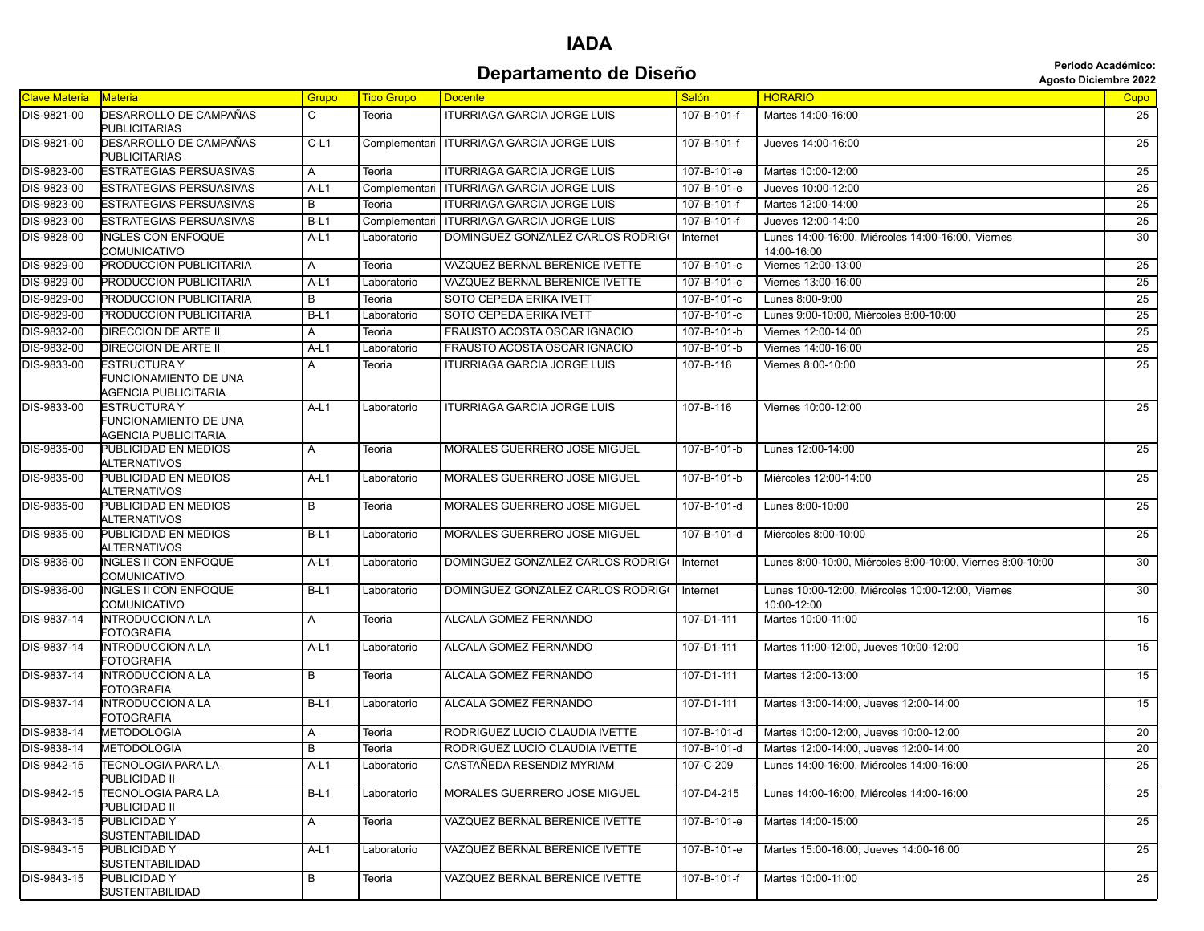**Departamento de Diseño Agosto Diseño** *Diseño* **<b>Agosto Diciembre 2022 Periodo Académico:**

|                      |                                                               |        |                   |                                              |              | <b>AYOU DIGIGING LULA</b>                                        |                 |
|----------------------|---------------------------------------------------------------|--------|-------------------|----------------------------------------------|--------------|------------------------------------------------------------------|-----------------|
| <b>Clave Materia</b> | <b>Materia</b>                                                | Grupo  | <b>Tipo Grupo</b> | <b>Docente</b>                               | <b>Salón</b> | <b>HORARIO</b>                                                   | Cupo            |
| DIS-9821-00          | DESARROLLO DE CAMPAÑAS<br><b>PUBLICITARIAS</b>                | C      | Teoria            | <b>ITURRIAGA GARCIA JORGE LUIS</b>           | 107-B-101-f  | Martes 14:00-16:00                                               | 25              |
| DIS-9821-00          | DESARROLLO DE CAMPAÑAS<br><b>PUBLICITARIAS</b>                | $C-L1$ | Complementari     | <b>ITURRIAGA GARCIA JORGE LUIS</b>           | 107-B-101-f  | Jueves 14:00-16:00                                               | $\overline{25}$ |
| DIS-9823-00          | <b>ESTRATEGIAS PERSUASIVAS</b>                                | A      | Teoria            | <b>ITURRIAGA GARCIA JORGE LUIS</b>           | 107-B-101-e  | Martes 10:00-12:00                                               | 25              |
| DIS-9823-00          | <b>ESTRATEGIAS PERSUASIVAS</b>                                | $A-L1$ | Complementari     | <b>ITURRIAGA GARCIA JORGE LUIS</b>           | 107-B-101-e  | Jueves 10:00-12:00                                               | $\overline{25}$ |
| DIS-9823-00          | <b>ESTRATEGIAS PERSUASIVAS</b>                                | В      | Teoria            | <b>ITURRIAGA GARCIA JORGE LUIS</b>           | 107-B-101-f  | Martes 12:00-14:00                                               | 25              |
| DIS-9823-00          | ESTRATEGIAS PERSUASIVAS                                       | $B-L1$ | Complementar      | <b>ITURRIAGA GARCIA JORGE LUIS</b>           | 107-B-101-f  | Jueves 12:00-14:00                                               | 25              |
| DIS-9828-00          | <b>INGLES CON ENFOQUE</b><br>COMUNICATIVO                     | A-L1   | Laboratorio       | DOMINGUEZ GONZALEZ CARLOS RODRIG(   Internet |              | Lunes 14:00-16:00, Miércoles 14:00-16:00, Viernes<br>14:00-16:00 | 30              |
| DIS-9829-00          | PRODUCCION PUBLICITARIA                                       | A      | Teoria            | VAZQUEZ BERNAL BERENICE IVETTE               | 107-B-101-c  | Viernes 12:00-13:00                                              | 25              |
| DIS-9829-00          | PRODUCCION PUBLICITARIA                                       | $A-L1$ | Laboratorio       | VAZQUEZ BERNAL BERENICE IVETTE               | 107-B-101-c  | Viernes 13:00-16:00                                              | $\overline{25}$ |
| DIS-9829-00          | PRODUCCION PUBLICITARIA                                       | B      | Teoria            | SOTO CEPEDA ERIKA IVETT                      | 107-B-101-c  | Lunes 8:00-9:00                                                  | 25              |
| DIS-9829-00          | PRODUCCION PUBLICITARIA                                       | $B-L1$ | Laboratorio       | SOTO CEPEDA ERIKA IVETT                      | 107-B-101-c  | Lunes 9:00-10:00, Miércoles 8:00-10:00                           | 25              |
| DIS-9832-00          | DIRECCION DE ARTE II                                          | Α      | Teoria            | FRAUSTO ACOSTA OSCAR IGNACIO                 | 107-B-101-b  | Viernes 12:00-14:00                                              | 25              |
| DIS-9832-00          | DIRECCION DE ARTE II                                          | $A-L1$ | Laboratorio       | FRAUSTO ACOSTA OSCAR IGNACIO                 | 107-B-101-b  | Viernes 14:00-16:00                                              | 25              |
| DIS-9833-00          | ESTRUCTURA Y<br>FUNCIONAMIENTO DE UNA<br>AGENCIA PUBLICITARIA | Α      | Teoria            | <b>ITURRIAGA GARCIA JORGE LUIS</b>           | 107-B-116    | Viernes 8:00-10:00                                               | 25              |
| DIS-9833-00          | ESTRUCTURA Y<br>FUNCIONAMIENTO DE UNA<br>AGENCIA PUBLICITARIA | A-L1   | Laboratorio       | <b>ITURRIAGA GARCIA JORGE LUIS</b>           | 107-B-116    | Viernes 10:00-12:00                                              | 25              |
| DIS-9835-00          | PUBLICIDAD EN MEDIOS<br>ALTERNATIVOS                          | A      | Teoria            | <b>MORALES GUERRERO JOSE MIGUEL</b>          | 107-B-101-b  | Lunes 12:00-14:00                                                | 25              |
| DIS-9835-00          | PUBLICIDAD EN MEDIOS<br>ALTERNATIVOS                          | A-L1   | Laboratorio       | MORALES GUERRERO JOSE MIGUEL                 | 107-B-101-b  | Miércoles 12:00-14:00                                            | 25              |
| DIS-9835-00          | PUBLICIDAD EN MEDIOS<br>ALTERNATIVOS                          | В      | Teoria            | MORALES GUERRERO JOSE MIGUEL                 | 107-B-101-d  | Lunes 8:00-10:00                                                 | $\overline{25}$ |
| DIS-9835-00          | PUBLICIDAD EN MEDIOS<br>ALTERNATIVOS                          | $B-L1$ | Laboratorio       | MORALES GUERRERO JOSE MIGUEL                 | 107-B-101-d  | Miércoles 8:00-10:00                                             | 25              |
| DIS-9836-00          | <b>NGLES II CON ENFOQUE</b><br>COMUNICATIVO                   | $A-L1$ | Laboratorio       | DOMINGUEZ GONZALEZ CARLOS RODRIG(            | Internet     | Lunes 8:00-10:00, Miércoles 8:00-10:00, Viernes 8:00-10:00       | 30              |
| DIS-9836-00          | <b>INGLES II CON ENFOQUE</b><br>COMUNICATIVO                  | $B-L1$ | Laboratorio       | DOMINGUEZ GONZALEZ CARLOS RODRIG(            | Internet     | Lunes 10:00-12:00, Miércoles 10:00-12:00, Viernes<br>10:00-12:00 | 30              |
| <b>DIS-9837-14</b>   | <b>INTRODUCCION A LA</b><br>FOTOGRAFIA                        | Α      | Teoria            | ALCALA GOMEZ FERNANDO                        | 107-D1-111   | Martes 10:00-11:00                                               | 15              |
| DIS-9837-14          | INTRODUCCION A LA<br>FOTOGRAFIA                               | $A-L1$ | Laboratorio       | ALCALA GOMEZ FERNANDO                        | 107-D1-111   | Martes 11:00-12:00, Jueves 10:00-12:00                           | 15              |
| DIS-9837-14          | <b>INTRODUCCION A LA</b><br><b>FOTOGRAFIA</b>                 | B      | Teoria            | ALCALA GOMEZ FERNANDO                        | 107-D1-111   | Martes 12:00-13:00                                               | 15              |
| DIS-9837-14          | INTRODUCCION A LA<br>FOTOGRAFIA                               | $B-L1$ | Laboratorio       | ALCALA GOMEZ FERNANDO                        | 107-D1-111   | Martes 13:00-14:00, Jueves 12:00-14:00                           | 15              |
| DIS-9838-14          | <b>METODOLOGIA</b>                                            | Α      | Teoria            | RODRIGUEZ LUCIO CLAUDIA IVETTE               | 107-B-101-d  | Martes 10:00-12:00, Jueves 10:00-12:00                           | 20              |
| DIS-9838-14          | <b>METODOLOGIA</b>                                            | B      | Teoria            | RODRIGUEZ LUCIO CLAUDIA IVETTE               | 107-B-101-d  | Martes 12:00-14:00, Jueves 12:00-14:00                           | 20              |
| DIS-9842-15          | <b>TECNOLOGIA PARA LA</b><br>PUBLICIDAD II                    | $A-L1$ | Laboratorio       | CASTAÑEDA RESENDIZ MYRIAM                    | 107-C-209    | Lunes 14:00-16:00, Miércoles 14:00-16:00                         | 25              |
| DIS-9842-15          | TECNOLOGIA PARA LA<br>PUBLICIDAD II                           | $B-L1$ | Laboratorio       | MORALES GUERRERO JOSE MIGUEL                 | 107-D4-215   | Lunes 14:00-16:00, Miércoles 14:00-16:00                         | 25              |
| DIS-9843-15          | PUBLICIDAD Y<br>SUSTENTABILIDAD                               | A      | Teoria            | VAZQUEZ BERNAL BERENICE IVETTE               | 107-B-101-e  | Martes 14:00-15:00                                               | 25              |
| DIS-9843-15          | PUBLICIDAD Y<br>SUSTENTABILIDAD                               | A-L1   | Laboratorio       | VAZQUEZ BERNAL BERENICE IVETTE               | 107-B-101-e  | Martes 15:00-16:00, Jueves 14:00-16:00                           | 25              |
| DIS-9843-15          | PUBLICIDAD Y<br><b>SUSTENTABILIDAD</b>                        | В      | Teoria            | VAZQUEZ BERNAL BERENICE IVETTE               | 107-B-101-f  | Martes 10:00-11:00                                               | 25              |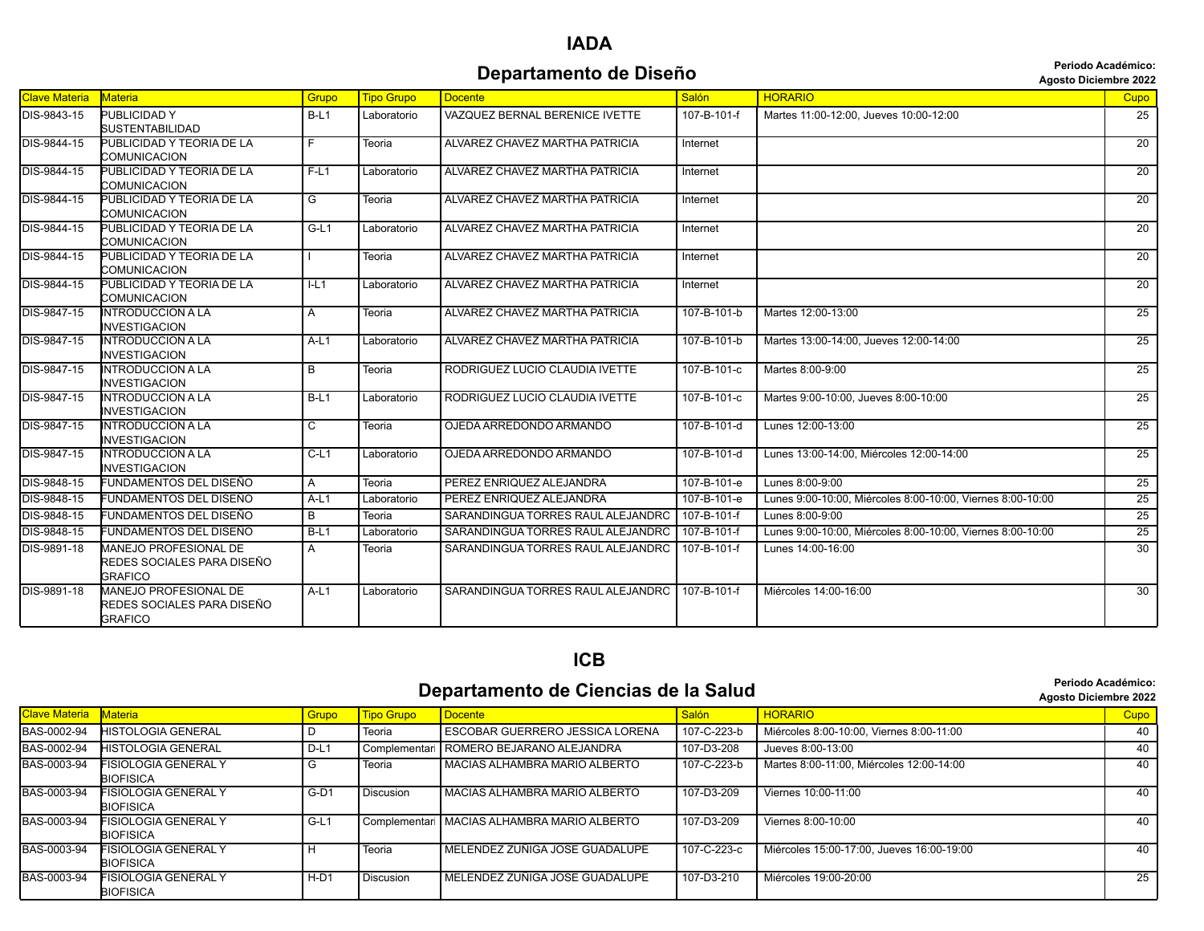**Periodo Académico:**

|                      |                                                                       |                |                   | Departamento de Diseño                          |                     |                                                            |                 |  |
|----------------------|-----------------------------------------------------------------------|----------------|-------------------|-------------------------------------------------|---------------------|------------------------------------------------------------|-----------------|--|
| <b>Clave Materia</b> | Materia                                                               | Grupo          | <b>Tipo Grupo</b> | <b>Docente</b>                                  | Salón               | <b>HORARIO</b>                                             | <b>Cupo</b>     |  |
| DIS-9843-15          | PUBLICIDAD Y<br><b>SUSTENTABILIDAD</b>                                | $B-L1$         | Laboratorio       | VAZQUEZ BERNAL BERENICE IVETTE                  | 107-B-101-f         | Martes 11:00-12:00. Jueves 10:00-12:00                     | 25              |  |
| DIS-9844-15          | PUBLICIDAD Y TEORIA DE LA<br>COMUNICACION                             | F              | Teoria            | ALVAREZ CHAVEZ MARTHA PATRICIA                  | Internet            |                                                            | $\overline{20}$ |  |
| DIS-9844-15          | PUBLICIDAD Y TEORIA DE LA<br>COMUNICACION                             | $F-L1$         | Laboratorio       | ALVAREZ CHAVEZ MARTHA PATRICIA                  | Internet            |                                                            | $\overline{20}$ |  |
| DIS-9844-15          | PUBLICIDAD Y TEORIA DE LA<br>COMUNICACION                             | G              | Teoria            | ALVAREZ CHAVEZ MARTHA PATRICIA                  | Internet            |                                                            | $\overline{20}$ |  |
| DIS-9844-15          | PUBLICIDAD Y TEORIA DE LA<br>COMUNICACION                             | $G-L1$         | Laboratorio       | ALVAREZ CHAVEZ MARTHA PATRICIA                  | Internet            |                                                            | $\overline{20}$ |  |
| DIS-9844-15          | PUBLICIDAD Y TEORIA DE LA<br>COMUNICACION                             |                | Teoria            | ALVAREZ CHAVEZ MARTHA PATRICIA                  | Internet            |                                                            | $\overline{20}$ |  |
| DIS-9844-15          | PUBLICIDAD Y TEORIA DE LA<br>COMUNICACION                             | L <sub>1</sub> | Laboratorio       | ALVAREZ CHAVEZ MARTHA PATRICIA                  | Internet            |                                                            | $\overline{20}$ |  |
| DIS-9847-15          | <b>INTRODUCCION A LA</b><br><b>INVESTIGACION</b>                      | A              | Teoria            | ALVAREZ CHAVEZ MARTHA PATRICIA                  | 107-B-101-b         | Martes 12:00-13:00                                         | 25              |  |
| DIS-9847-15          | <b>INTRODUCCION A LA</b><br><b>INVESTIGACION</b>                      | $A-L1$         | Laboratorio       | ALVAREZ CHAVEZ MARTHA PATRICIA                  | 107-B-101-b         | Martes 13:00-14:00, Jueves 12:00-14:00                     | 25              |  |
| DIS-9847-15          | <b>INTRODUCCION A LA</b><br><b>INVESTIGACION</b>                      | B              | Teoria            | RODRIGUEZ LUCIO CLAUDIA IVETTE                  | 107-B-101-c         | Martes 8:00-9:00                                           | $\overline{25}$ |  |
| DIS-9847-15          | <b>INTRODUCCION A LA</b><br><b>INVESTIGACION</b>                      | $B-L1$         | Laboratorio       | RODRIGUEZ LUCIO CLAUDIA IVETTE                  | 107-B-101-c         | Martes 9:00-10:00. Jueves 8:00-10:00                       | 25              |  |
| DIS-9847-15          | <b>INTRODUCCION A LA</b><br><b>INVESTIGACION</b>                      | C              | Teoria            | OJEDA ARREDONDO ARMANDO                         | 107-B-101-d         | Lunes 12:00-13:00                                          | $\overline{25}$ |  |
| DIS-9847-15          | <b>INTRODUCCION A LA</b><br><b>INVESTIGACION</b>                      | $C-L1$         | Laboratorio       | OJEDA ARREDONDO ARMANDO                         | $107 - B - 101 - d$ | Lunes 13:00-14:00, Miércoles 12:00-14:00                   | 25              |  |
| DIS-9848-15          | FUNDAMENTOS DEL DISEÑO                                                | A              | Teoria            | PEREZ ENRIQUEZ ALEJANDRA                        | 107-B-101-e         | Lunes 8:00-9:00                                            | $\overline{25}$ |  |
| DIS-9848-15          | FUNDAMENTOS DEL DISEÑO                                                | $A-L1$         | Laboratorio       | PEREZ ENRIQUEZ ALEJANDRA                        | 107-B-101-e         | Lunes 9:00-10:00. Miércoles 8:00-10:00. Viernes 8:00-10:00 | 25              |  |
| DIS-9848-15          | FUNDAMENTOS DEL DISEÑO                                                | $\overline{B}$ | Teoria            | SARANDINGUA TORRES RAUL ALEJANDRO               | 107-B-101-f         | Lunes 8:00-9:00                                            | 25              |  |
| DIS-9848-15          | FUNDAMENTOS DEL DISEÑO                                                | $B-L1$         | Laboratorio       | SARANDINGUA TORRES RAUL ALEJANDRO               | 107-B-101-f         | Lunes 9:00-10:00, Miércoles 8:00-10:00, Viernes 8:00-10:00 | 25              |  |
| DIS-9891-18          | MANEJO PROFESIONAL DE<br>REDES SOCIALES PARA DISEÑO<br><b>GRAFICO</b> | A              | Teoria            | SARANDINGUA TORRES RAUL ALEJANDRO   107-B-101-F |                     | Lunes 14:00-16:00                                          | $\overline{30}$ |  |
| DIS-9891-18          | MANEJO PROFESIONAL DE<br>REDES SOCIALES PARA DISEÑO<br><b>GRAFICO</b> | $A-L1$         | Laboratorio       | SARANDINGUA TORRES RAUL ALEJANDRO               | 107-B-101-f         | Miércoles 14:00-16:00                                      | 30              |  |

#### **ICB**

#### **Departamento de Ciencias de la Salud Calicate de la Salud Calicaté de la Salud Agosto Diciembre 2022**

|               |                                                 |        |                   |                                               |             | <b>ANDOUG DIGITIONS LUL</b>               |      |
|---------------|-------------------------------------------------|--------|-------------------|-----------------------------------------------|-------------|-------------------------------------------|------|
| Clave Materia | <b>Materia</b>                                  | Grupo  | <b>Tipo Grupo</b> | Docente                                       | Salón       | <b>HORARIO</b>                            | Cupo |
| BAS-0002-94   | HISTOLOGIA GENERAL                              |        | Teoria            | I ESCOBAR GUERRERO JESSICA LORENA             | 107-C-223-b | Miércoles 8:00-10:00, Viernes 8:00-11:00  | 40   |
| BAS-0002-94   | HISTOLOGIA GENERAL                              | $D-L1$ | Complementari     | ROMERO BEJARANO ALEJANDRA                     | 107-D3-208  | Jueves 8:00-13:00                         | 40   |
| BAS-0003-94   | FISIOLOGIA GENERAL Y<br><b>BIOFISICA</b>        | G      | Teoria            | I MACIAS ALHAMBRA MARIO ALBERTO               | 107-C-223-b | Martes 8:00-11:00, Miércoles 12:00-14:00  | 40   |
| BAS-0003-94   | <b>FISIOLOGIA GENERAL Y</b><br><b>BIOFISICA</b> | $G-D1$ | <b>Discusion</b>  | MACIAS ALHAMBRA MARIO ALBERTO                 | 107-D3-209  | Viernes 10:00-11:00                       | 40   |
| BAS-0003-94   | FISIOLOGIA GENERAL Y<br>BIOFISICA               | $G-L1$ |                   | Complementari   MACIAS ALHAMBRA MARIO ALBERTO | 107-D3-209  | Viernes 8:00-10:00                        | 40   |
| BAS-0003-94   | FISIOLOGIA GENERAL Y<br><b>BIOFISICA</b>        |        | Teoria            | MELENDEZ ZUÑIGA JOSE GUADALUPE                | 107-C-223-c | Miércoles 15:00-17:00. Jueves 16:00-19:00 | 40   |
| BAS-0003-94   | FISIOLOGIA GENERAL Y<br><b>BIOFISICA</b>        | $H-D1$ | <b>Discusion</b>  | MELENDEZ ZUÑIGA JOSE GUADALUPE                | 107-D3-210  | Miércoles 19:00-20:00                     | 25   |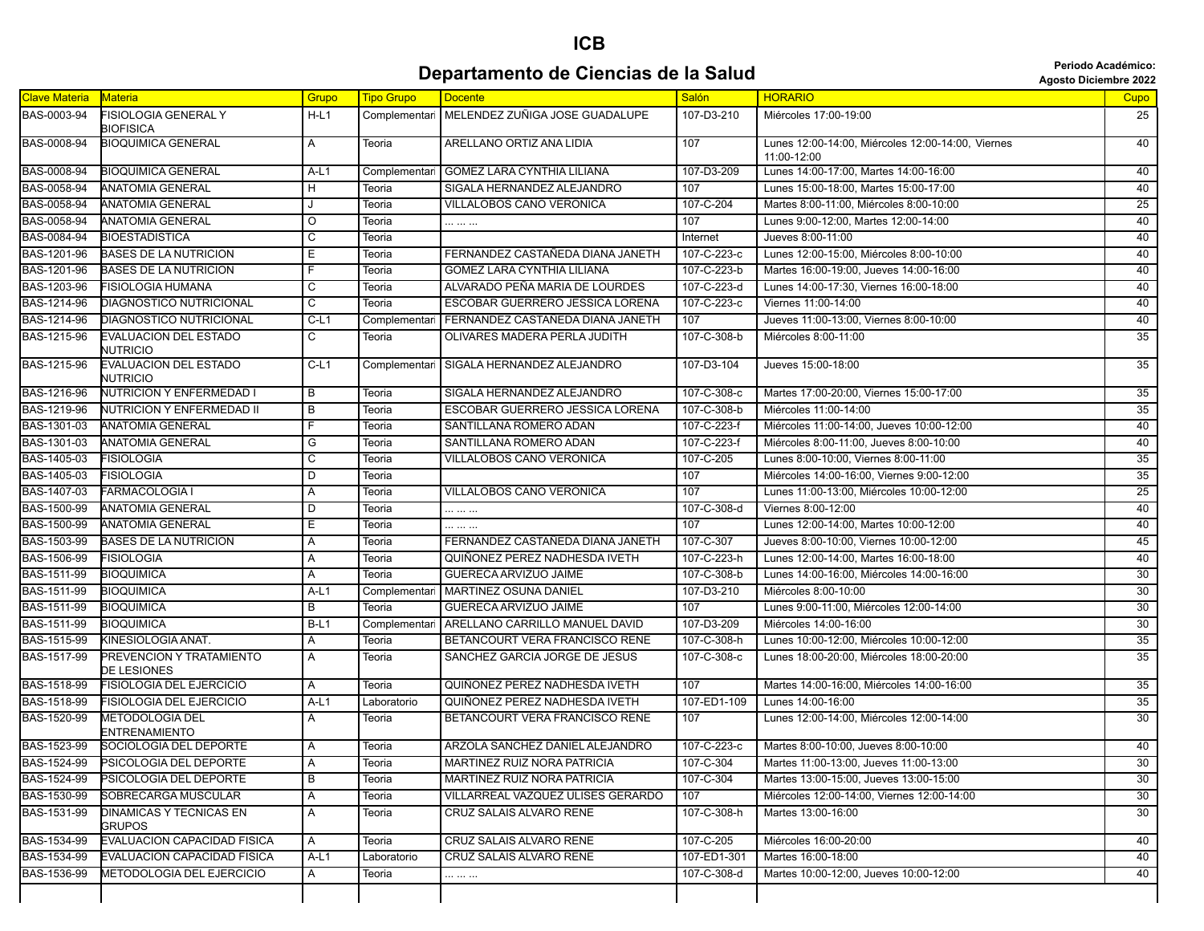## **ICB Departamento de Ciencias de la Salud Calica de la Salud Calica de la Salud Agosto Diciembre 2022**

| <b>Agosto Diciembre 202</b> |  |  |  |
|-----------------------------|--|--|--|
|-----------------------------|--|--|--|

| <b>Clave Materia</b> | <b>Materia</b>                                  | Grupo          | <b>Tipo Grupo</b> | <b>Docente</b>                                 | Salón       | <b>HORARIO</b>                                                   | Cupo            |
|----------------------|-------------------------------------------------|----------------|-------------------|------------------------------------------------|-------------|------------------------------------------------------------------|-----------------|
| BAS-0003-94          | <b>FISIOLOGIA GENERAL Y</b><br><b>BIOFISICA</b> | $H-L1$         |                   | Complementari   MELENDEZ ZUÑIGA JOSE GUADALUPE | 107-D3-210  | Miércoles 17:00-19:00                                            | 25              |
| BAS-0008-94          | <b>BIOQUIMICA GENERAL</b>                       | $\overline{A}$ | Teoria            | ARELLANO ORTIZ ANA LIDIA                       | 107         | Lunes 12:00-14:00, Miércoles 12:00-14:00, Viernes<br>11:00-12:00 | 40              |
| <b>BAS-0008-94</b>   | <b>BIOQUIMICA GENERAL</b>                       | $A-L1$         | Complementar      | GOMEZ LARA CYNTHIA LILIANA                     | 107-D3-209  | Lunes 14:00-17:00, Martes 14:00-16:00                            | 40              |
| BAS-0058-94          | <b>ANATOMIA GENERAL</b>                         | H              | Teoria            | SIGALA HERNANDEZ ALEJANDRO                     | 107         | Lunes 15:00-18:00, Martes 15:00-17:00                            | 40              |
| BAS-0058-94          | <b>ANATOMIA GENERAL</b>                         |                | Teoria            | VILLALOBOS CANO VERONICA                       | 107-C-204   | Martes 8:00-11:00, Miércoles 8:00-10:00                          | 25              |
| <b>BAS-0058-94</b>   | <b>ANATOMIA GENERAL</b>                         | $\circ$        | Teoria            |                                                | 107         | Lunes 9:00-12:00, Martes 12:00-14:00                             | 40              |
| BAS-0084-94          | <b>BIOESTADISTICA</b>                           | C              | Teoria            |                                                | Internet    | Jueves 8:00-11:00                                                | 40              |
| BAS-1201-96          | <b>BASES DE LA NUTRICION</b>                    | Е              | Teoria            | FERNANDEZ CASTAÑEDA DIANA JANETH               | 107-C-223-c | Lunes 12:00-15:00. Miércoles 8:00-10:00                          | 40              |
| BAS-1201-96          | <b>BASES DE LA NUTRICION</b>                    | F              | Teoria            | <b>GOMEZ LARA CYNTHIA LILIANA</b>              | 107-C-223-b | Martes 16:00-19:00, Jueves 14:00-16:00                           | 40              |
| BAS-1203-96          | <b>FISIOLOGIA HUMANA</b>                        | C              | Teoria            | ALVARADO PEÑA MARIA DE LOURDES                 | 107-C-223-d | Lunes 14:00-17:30, Viernes 16:00-18:00                           | 40              |
| BAS-1214-96          | <b>DIAGNOSTICO NUTRICIONAL</b>                  | $\overline{c}$ | Teoria            | ESCOBAR GUERRERO JESSICA LORENA                | 107-C-223-c | Viernes 11:00-14:00                                              | 40              |
| BAS-1214-96          | DIAGNOSTICO NUTRICIONAL                         | $C-L1$         | Complementa       | FERNANDEZ CASTAÑEDA DIANA JANETH               | 107         | Jueves 11:00-13:00, Viernes 8:00-10:00                           | 40              |
| BAS-1215-96          | <b>EVALUACION DEL ESTADO</b><br><b>NUTRICIO</b> | C              | Teoria            | OLIVARES MADERA PERLA JUDITH                   | 107-C-308-b | Miércoles 8:00-11:00                                             | 35              |
| BAS-1215-96          | <b>EVALUACION DEL ESTADO</b><br><b>NUTRICIO</b> | $C-L1$         | Complementar      | SIGALA HERNANDEZ ALEJANDRO                     | 107-D3-104  | Jueves 15:00-18:00                                               | 35              |
| BAS-1216-96          | <b>NUTRICION Y ENFERMEDAD I</b>                 | $\overline{B}$ | Teoria            | SIGALA HERNANDEZ ALEJANDRO                     | 107-C-308-c | Martes 17:00-20:00, Viernes 15:00-17:00                          | 35              |
| BAS-1219-96          | <b>NUTRICION Y ENFERMEDAD II</b>                | $\overline{B}$ | Teoria            | ESCOBAR GUERRERO JESSICA LORENA                | 107-C-308-b | Miércoles 11:00-14:00                                            | 35              |
| BAS-1301-03          | <b>ANATOMIA GENERAL</b>                         | F              | Teoria            | SANTILLANA ROMERO ADAN                         | 107-C-223-f | Miércoles 11:00-14:00, Jueves 10:00-12:00                        | 40              |
| BAS-1301-03          | <b>ANATOMIA GENERAL</b>                         | G              | Teoria            | SANTILLANA ROMERO ADAN                         | 107-C-223-f | Miércoles 8:00-11:00, Jueves 8:00-10:00                          | 40              |
| BAS-1405-03          | <b>FISIOLOGIA</b>                               | C              | Teoria            | VILLALOBOS CANO VERONICA                       | 107-C-205   | Lunes 8:00-10:00, Viernes 8:00-11:00                             | 35              |
| BAS-1405-03          | <b>FISIOLOGIA</b>                               | D              | Teoria            |                                                | 107         | Miércoles 14:00-16:00, Viernes 9:00-12:00                        | 35              |
| BAS-1407-03          | <b>FARMACOLOGIA I</b>                           | Α              | Teoria            | VILLALOBOS CANO VERONICA                       | 107         | Lunes 11:00-13:00, Miércoles 10:00-12:00                         | 25              |
| BAS-1500-99          | <b>ANATOMIA GENERAL</b>                         | D              | Teoria            |                                                | 107-C-308-d | Viernes 8:00-12:00                                               | 40              |
| BAS-1500-99          | <b>ANATOMIA GENERAL</b>                         | Е              | Teoria            |                                                | 107         | Lunes 12:00-14:00, Martes 10:00-12:00                            | 40              |
| BAS-1503-99          | <b>BASES DE LA NUTRICION</b>                    | Α              | Teoria            | FERNANDEZ CASTAÑEDA DIANA JANETH               | 107-C-307   | Jueves 8:00-10:00, Viernes 10:00-12:00                           | 45              |
| BAS-1506-99          | <b>FISIOLOGIA</b>                               | Α              | Teoria            | QUIÑONEZ PEREZ NADHESDA IVETH                  | 107-C-223-h | Lunes 12:00-14:00, Martes 16:00-18:00                            | 40              |
| BAS-1511-99          | <b>BIOQUIMICA</b>                               | A              | Teoria            | GUERECA ARVIZUO JAIME                          | 107-C-308-b | Lunes 14:00-16:00, Miércoles 14:00-16:00                         | 30              |
| BAS-1511-99          | <b>BIOQUIMICA</b>                               | $A-L1$         | Complementar      | MARTINEZ OSUNA DANIEL                          | 107-D3-210  | Miércoles 8:00-10:00                                             | 30              |
| BAS-1511-99          | <b>BIOQUIMICA</b>                               | В              | Teoria            | GUERECA ARVIZUO JAIME                          | 107         | Lunes 9:00-11:00, Miércoles 12:00-14:00                          | 30              |
| BAS-1511-99          | <b>BIOQUIMICA</b>                               | $B-L1$         | Complementar      | ARELLANO CARRILLO MANUEL DAVID                 | 107-D3-209  | Miércoles 14:00-16:00                                            | 30              |
| BAS-1515-99          | KINESIOLOGIA ANAT.                              | A              | Teoria            | BETANCOURT VERA FRANCISCO RENE                 | 107-C-308-h | Lunes 10:00-12:00, Miércoles 10:00-12:00                         | 35              |
| BAS-1517-99          | PREVENCION Y TRATAMIENTO<br>DE LESIONES         | A              | Teoria            | SANCHEZ GARCIA JORGE DE JESUS                  | 107-C-308-c | Lunes 18:00-20:00, Miércoles 18:00-20:00                         | $\overline{35}$ |
| BAS-1518-99          | <b>FISIOLOGIA DEL EJERCICIO</b>                 | A              | Teoria            | QUIÑONEZ PEREZ NADHESDA IVETH                  | 107         | Martes 14:00-16:00, Miércoles 14:00-16:00                        | 35              |
| BAS-1518-99          | <b>FISIOLOGIA DEL EJERCICIO</b>                 | $A-L1$         | Laboratorio       | QUIÑONEZ PEREZ NADHESDA IVETH                  | 107-ED1-109 | Lunes 14:00-16:00                                                | 35              |
| BAS-1520-99          | <b>METODOLOGIA DEL</b><br><b>ENTRENAMIENTO</b>  | $\mathsf{A}$   | Teoria            | BETANCOURT VERA FRANCISCO RENE                 | 107         | Lunes 12:00-14:00, Miércoles 12:00-14:00                         | 30              |
| BAS-1523-99          | SOCIOLOGIA DEL DEPORTE                          | A              | Teoria            | ARZOLA SANCHEZ DANIEL ALEJANDRO                | 107-C-223-c | Martes 8:00-10:00, Jueves 8:00-10:00                             | 40              |
| BAS-1524-99          | PSICOLOGIA DEL DEPORTE                          | Α              | Teoria            | <b>MARTINEZ RUIZ NORA PATRICIA</b>             | 107-C-304   | Martes 11:00-13:00, Jueves 11:00-13:00                           | $\overline{30}$ |
| BAS-1524-99          | PSICOLOGIA DEL DEPORTE                          | В              | Teoria            | MARTINEZ RUIZ NORA PATRICIA                    | 107-C-304   | Martes 13:00-15:00, Jueves 13:00-15:00                           | 30              |
| BAS-1530-99          | SOBRECARGA MUSCULAR                             | Α              | Teoria            | VILLARREAL VAZQUEZ ULISES GERARDO              | 107         | Miércoles 12:00-14:00, Viernes 12:00-14:00                       | 30              |
| BAS-1531-99          | <b>DINAMICAS Y TECNICAS EN</b><br><b>GRUPOS</b> | Α              | Teoria            | CRUZ SALAIS ALVARO RENE                        | 107-C-308-h | Martes 13:00-16:00                                               | 30              |
| BAS-1534-99          | EVALUACION CAPACIDAD FISICA                     | A              | Teoria            | CRUZ SALAIS ALVARO RENE                        | 107-C-205   | Miércoles 16:00-20:00                                            | 40              |
| BAS-1534-99          | EVALUACION CAPACIDAD FISICA                     | A-L1           | Laboratorio       | CRUZ SALAIS ALVARO RENE                        | 107-ED1-301 | Martes 16:00-18:00                                               | 40              |
| BAS-1536-99          | METODOLOGIA DEL EJERCICIO                       | A              | Teoria            |                                                | 107-C-308-d | Martes 10:00-12:00, Jueves 10:00-12:00                           | 40              |
|                      |                                                 |                |                   |                                                |             |                                                                  |                 |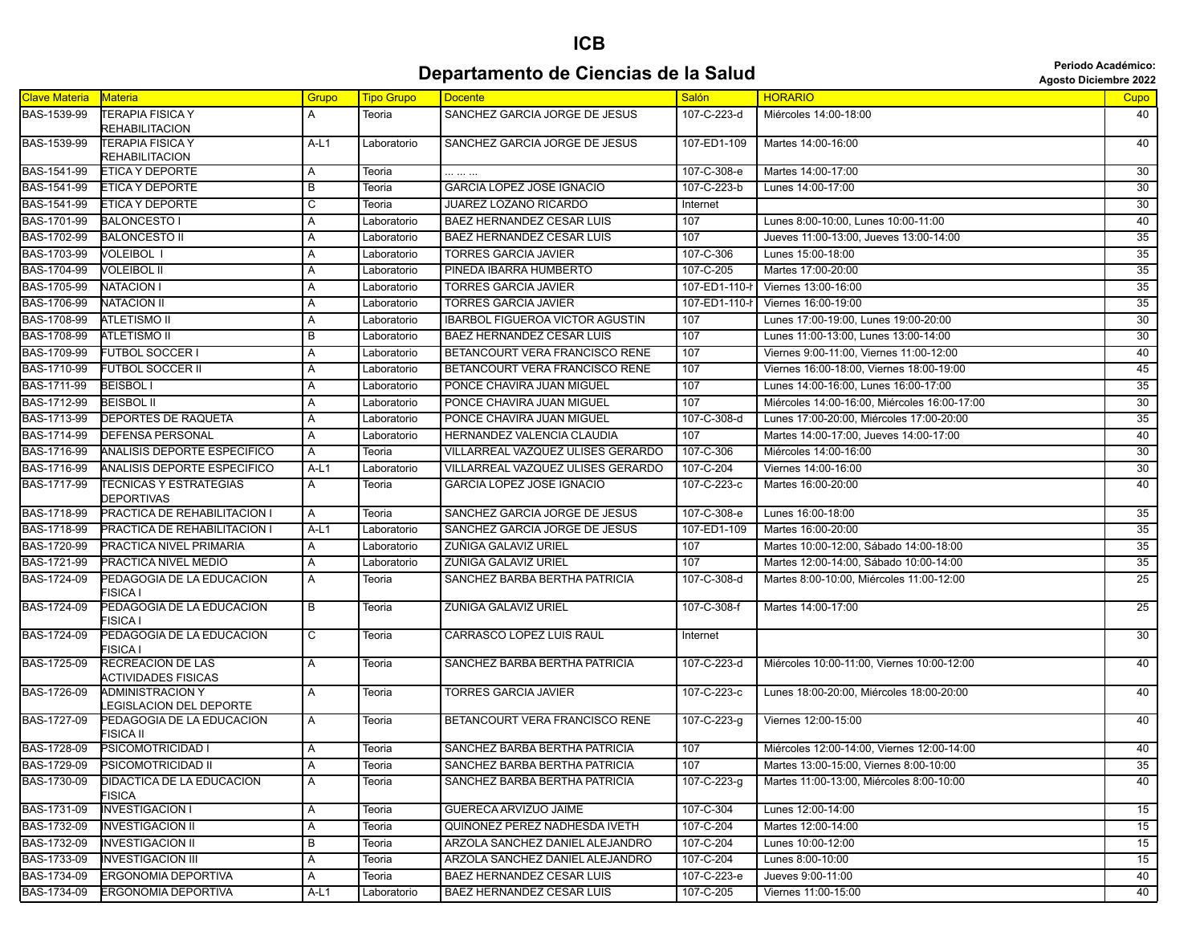## **ICB Departamento de Ciencias de la Salud Constitution de Ciencias de la Salud Agosto Diciembre 2022**

| <b>Agosto Diciembre 202</b> |  |  |
|-----------------------------|--|--|
|-----------------------------|--|--|

| <b>Clave Materia</b> | <b>Materia</b>                                           | Grupo          | <b>Tipo Grupo</b> | <b>Docente</b>                           | <b>Salón</b>  | <b>HORARIO</b>                               | Cupo            |
|----------------------|----------------------------------------------------------|----------------|-------------------|------------------------------------------|---------------|----------------------------------------------|-----------------|
| BAS-1539-99          | <b>TERAPIA FISICA Y</b>                                  | A              | Teoria            | SANCHEZ GARCIA JORGE DE JESUS            | 107-C-223-d   | Miércoles 14:00-18:00                        | 40              |
|                      | REHABILITACION                                           |                |                   |                                          |               |                                              |                 |
| BAS-1539-99          | <b>TERAPIA FISICA Y</b>                                  | $A-L1$         | Laboratorio       | SANCHEZ GARCIA JORGE DE JESUS            | 107-ED1-109   | Martes 14:00-16:00                           | 40              |
| BAS-1541-99          | REHABILITACION<br>ETICA Y DEPORTE                        | Α              | Teoria            |                                          | 107-C-308-e   | Martes 14:00-17:00                           | 30              |
| BAS-1541-99          | ETICA Y DEPORTE                                          | B              | Teoria            | GARCIA LOPEZ JOSE IGNACIO                | 107-C-223-b   | Lunes 14:00-17:00                            | 30              |
| BAS-1541-99          | ETICA Y DEPORTE                                          | C              | Teoria            | JUAREZ LOZANO RICARDO                    | Internet      |                                              | 30              |
| BAS-1701-99          | <b>BALONCESTO I</b>                                      | Α              | Laboratorio       | <b>BAEZ HERNANDEZ CESAR LUIS</b>         | 107           | Lunes 8:00-10:00, Lunes 10:00-11:00          | 40              |
| BAS-1702-99          | <b>BALONCESTO II</b>                                     | Α              | Laboratorio       | <b>BAEZ HERNANDEZ CESAR LUIS</b>         | 107           | Jueves 11:00-13:00, Jueves 13:00-14:00       | 35              |
| BAS-1703-99          | VOLEIBOL I                                               | A              | Laboratorio       | <b>TORRES GARCIA JAVIER</b>              | 107-C-306     | Lunes 15:00-18:00                            | 35              |
| BAS-1704-99          | <b>VOLEIBOL II</b>                                       | A              | Laboratorio       | PINEDA IBARRA HUMBERTO                   | 107-C-205     | Martes 17:00-20:00                           | 35              |
| BAS-1705-99          | <b>NATACION I</b>                                        | Α              | Laboratorio       | <b>TORRES GARCIA JAVIER</b>              | 107-ED1-110-h | Viernes 13:00-16:00                          | 35              |
| BAS-1706-99          | <b>NATACION II</b>                                       | Α              | Laboratorio       | <b>TORRES GARCIA JAVIER</b>              | 107-ED1-110-  | Viernes 16:00-19:00                          | 35              |
| BAS-1708-99          | <b>ATLETISMO II</b>                                      | A              | Laboratorio       | <b>IBARBOL FIGUEROA VICTOR AGUSTIN</b>   | 107           | Lunes 17:00-19:00, Lunes 19:00-20:00         | 30              |
| BAS-1708-99          | ATLETISMO II                                             | B              | Laboratorio       | <b>BAEZ HERNANDEZ CESAR LUIS</b>         | 107           | Lunes 11:00-13:00, Lunes 13:00-14:00         | 30              |
| BAS-1709-99          | <b>FUTBOL SOCCER I</b>                                   | Α              | Laboratorio       | BETANCOURT VERA FRANCISCO RENE           | 107           | Viernes 9:00-11:00, Viernes 11:00-12:00      | 40              |
| BAS-1710-99          | FUTBOL SOCCER II                                         | A              | Laboratorio       | BETANCOURT VERA FRANCISCO RENE           | 107           | Viernes 16:00-18:00, Viernes 18:00-19:00     | 45              |
| BAS-1711-99          | <b>BEISBOLI</b>                                          | Α              | Laboratorio       | PONCE CHAVIRA JUAN MIGUEL                | 107           | Lunes 14:00-16:00, Lunes 16:00-17:00         | 35              |
| BAS-1712-99          | <b>BEISBOL II</b>                                        | Α              | Laboratorio       | PONCE CHAVIRA JUAN MIGUEL                | 107           | Miércoles 14:00-16:00, Miércoles 16:00-17:00 | $\overline{30}$ |
| BAS-1713-99          | DEPORTES DE RAQUETA                                      | Α              | Laboratorio       | PONCE CHAVIRA JUAN MIGUEL                | 107-C-308-d   | Lunes 17:00-20:00, Miércoles 17:00-20:00     | 35              |
| BAS-1714-99          | DEFENSA PERSONAL                                         | A              | Laboratorio       | HERNANDEZ VALENCIA CLAUDIA               | 107           | Martes 14:00-17:00, Jueves 14:00-17:00       | 40              |
| BAS-1716-99          | ANALISIS DEPORTE ESPECIFICO                              | A              | Teoria            | VILLARREAL VAZQUEZ ULISES GERARDO        | 107-C-306     | Miércoles 14:00-16:00                        | 30              |
| BAS-1716-99          | ANALISIS DEPORTE ESPECIFICO                              | $A-L1$         | Laboratorio       | <b>VILLARREAL VAZQUEZ ULISES GERARDO</b> | 107-C-204     | Viernes 14:00-16:00                          | 30              |
| BAS-1717-99          | <b>TECNICAS Y ESTRATEGIAS</b>                            | Α              | Teoria            | <b>GARCIA LOPEZ JOSE IGNACIO</b>         | 107-C-223-c   | Martes 16:00-20:00                           | 40              |
|                      | DEPORTIVAS                                               |                |                   |                                          |               |                                              |                 |
| BAS-1718-99          | PRACTICA DE REHABILITACION I                             | A              | Teoria            | SANCHEZ GARCIA JORGE DE JESUS            | 107-C-308-e   | Lunes 16:00-18:00                            | 35              |
| BAS-1718-99          | PRACTICA DE REHABILITACION I                             | A-L1           | Laboratorio       | SANCHEZ GARCIA JORGE DE JESUS            | 107-ED1-109   | Martes 16:00-20:00                           | 35              |
| BAS-1720-99          | PRACTICA NIVEL PRIMARIA                                  | A              | Laboratorio       | ZUÑIGA GALAVIZ URIEL                     | 107           | Martes 10:00-12:00, Sábado 14:00-18:00       | 35              |
| BAS-1721-99          | PRACTICA NIVEL MEDIO                                     | Α              | Laboratorio       | ZUÑIGA GALAVIZ URIEL                     | 107           | Martes 12:00-14:00, Sábado 10:00-14:00       | 35              |
| BAS-1724-09          | PEDAGOGIA DE LA EDUCACION<br><b>FISICA I</b>             | A              | Teoria            | SANCHEZ BARBA BERTHA PATRICIA            | 107-C-308-d   | Martes 8:00-10:00, Miércoles 11:00-12:00     | $\overline{25}$ |
| BAS-1724-09          | PEDAGOGIA DE LA EDUCACION<br>FISICA I                    | B              | Teoria            | ZUÑIGA GALAVIZ URIEL                     | 107-C-308-f   | Martes 14:00-17:00                           | 25              |
| BAS-1724-09          | PEDAGOGIA DE LA EDUCACION<br>FISICA I                    | C              | Teoria            | CARRASCO LOPEZ LUIS RAUL                 | Internet      |                                              | 30              |
| BAS-1725-09          | RECREACION DE LAS<br><b>ACTIVIDADES FISICAS</b>          | A              | Teoria            | SANCHEZ BARBA BERTHA PATRICIA            | 107-C-223-d   | Miércoles 10:00-11:00, Viernes 10:00-12:00   | 40              |
| BAS-1726-09          | <b>ADMINISTRACION Y</b><br><b>EGISLACION DEL DEPORTE</b> | Α              | Teoria            | <b>TORRES GARCIA JAVIER</b>              | 107-C-223-c   | Lunes 18:00-20:00, Miércoles 18:00-20:00     | 40              |
| BAS-1727-09          | PEDAGOGIA DE LA EDUCACION<br>FISICA II                   | Α              | Teoria            | BETANCOURT VERA FRANCISCO RENE           | 107-C-223-g   | Viernes 12:00-15:00                          | 40              |
| BAS-1728-09          | <b>PSICOMOTRICIDAD I</b>                                 | A              | Teoria            | SANCHEZ BARBA BERTHA PATRICIA            | 107           | Miércoles 12:00-14:00, Viernes 12:00-14:00   | 40              |
|                      | BAS-1729-09 PSICOMOTRICIDAD II                           | $\overline{A}$ | Teoria            | SANCHEZ BARBA BERTHA PATRICIA            | 107           | Martes 13:00-15:00, Viernes 8:00-10:00       | 35              |
| BAS-1730-09          | DIDACTICA DE LA EDUCACION<br>FISICA                      | Α              | Teoria            | SANCHEZ BARBA BERTHA PATRICIA            | 107-C-223-g   | Martes 11:00-13:00, Miércoles 8:00-10:00     | 40              |
| BAS-1731-09          | <b>INVESTIGACION I</b>                                   | A              | Teoria            | GUERECA ARVIZUO JAIME                    | 107-C-304     | Lunes 12:00-14:00                            | 15              |
| BAS-1732-09          | <b>INVESTIGACION II</b>                                  | A              | Teoria            | QUIÑONEZ PEREZ NADHESDA IVETH            | 107-C-204     | Martes 12:00-14:00                           | 15              |
| BAS-1732-09          | <b>INVESTIGACION II</b>                                  | В              | Teoria            | ARZOLA SANCHEZ DANIEL ALEJANDRO          | 107-C-204     | Lunes 10:00-12:00                            | 15              |
| BAS-1733-09          | <b>INVESTIGACION III</b>                                 | A              | Teoria            | ARZOLA SANCHEZ DANIEL ALEJANDRO          | 107-C-204     | Lunes 8:00-10:00                             | 15              |
| BAS-1734-09          | ERGONOMIA DEPORTIVA                                      | A              | Teoria            | BAEZ HERNANDEZ CESAR LUIS                | 107-C-223-e   | Jueves 9:00-11:00                            | 40              |
| BAS-1734-09          | <b>ERGONOMIA DEPORTIVA</b>                               | A-L1           | Laboratorio       | <b>BAEZ HERNANDEZ CESAR LUIS</b>         | 107-C-205     | Viernes 11:00-15:00                          | 40              |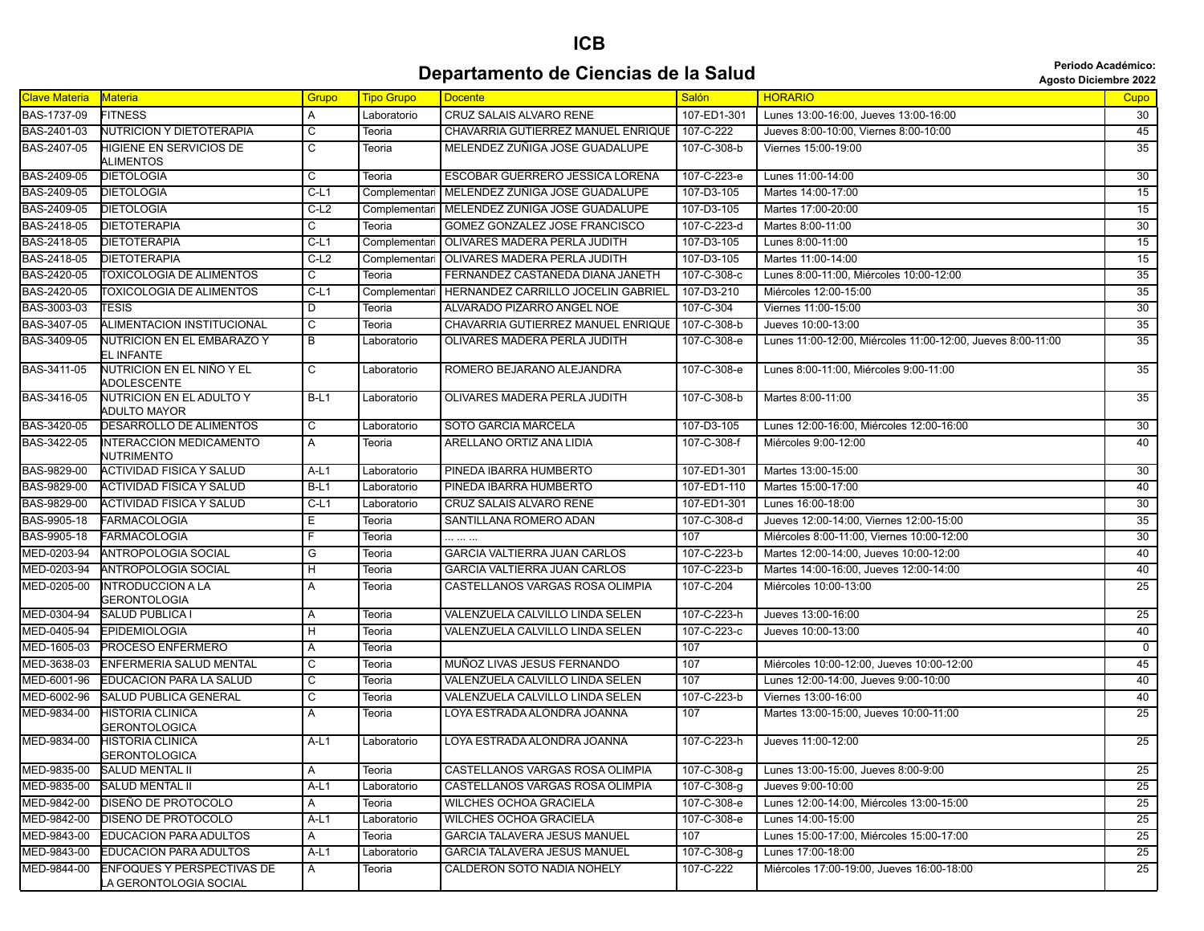## **ICB Departamento de Ciencias de la Salud California de la Salud Agosto Diciembre 2022**

| <b>Clave Materia</b> | Materia                                                     | Grupo                   | <b>Tipo Grupo</b> | <b>Docente</b>                      | <b>Salón</b> | <b>HORARIO</b>                                              | Cupo            |
|----------------------|-------------------------------------------------------------|-------------------------|-------------------|-------------------------------------|--------------|-------------------------------------------------------------|-----------------|
| BAS-1737-09          | <b>FITNESS</b>                                              | A                       | Laboratorio       | CRUZ SALAIS ALVARO RENE             | 107-ED1-301  | Lunes 13:00-16:00, Jueves 13:00-16:00                       | 30              |
| BAS-2401-03          | <b>NUTRICION Y DIETOTERAPIA</b>                             | С                       | Teoria            | CHAVARRIA GUTIERREZ MANUEL ENRIQUE  | 107-C-222    | Jueves 8:00-10:00, Viernes 8:00-10:00                       | 45              |
| BAS-2407-05          | <b>HIGIENE EN SERVICIOS DE</b>                              | $\overline{\mathsf{c}}$ | Teoria            | MELENDEZ ZUÑIGA JOSE GUADALUPE      | 107-C-308-b  | Viernes 15:00-19:00                                         | $\overline{35}$ |
|                      | <b>ALIMENTOS</b>                                            |                         |                   |                                     |              |                                                             |                 |
| BAS-2409-05          | <b>DIETOLOGIA</b>                                           | $\overline{C}$          | Teoria            | ESCOBAR GUERRERO JESSICA LORENA     | 107-C-223-e  | Lunes 11:00-14:00                                           | 30              |
| BAS-2409-05          | <b>DIETOLOGIA</b>                                           | $C-L1$                  | Complementar      | MELENDEZ ZUÑIGA JOSE GUADALUPE      | 107-D3-105   | Martes 14:00-17:00                                          | 15              |
| BAS-2409-05          | <b>DIETOLOGIA</b>                                           | $C-L2$                  | Complementari     | MELENDEZ ZUÑIGA JOSE GUADALUPE      | 107-D3-105   | Martes 17:00-20:00                                          | 15              |
| BAS-2418-05          | DIETOTERAPIA                                                | $\overline{c}$          | Teoria            | GOMEZ GONZALEZ JOSE FRANCISCO       | 107-C-223-d  | Martes 8:00-11:00                                           | 30              |
| BAS-2418-05          | DIETOTERAPIA                                                | $C-L1$                  | Complementar      | <b>OLIVARES MADERA PERLA JUDITH</b> | 107-D3-105   | Lunes 8:00-11:00                                            | 15              |
| BAS-2418-05          | <b>DIETOTERAPIA</b>                                         | $C-L2$                  | Complementar      | OLIVARES MADERA PERLA JUDITH        | 107-D3-105   | Martes 11:00-14:00                                          | $\overline{15}$ |
| BAS-2420-05          | <b>TOXICOLOGIA DE ALIMENTOS</b>                             | C                       | Teoria            | FERNANDEZ CASTAÑEDA DIANA JANETH    | 107-C-308-c  | Lunes 8:00-11:00, Miércoles 10:00-12:00                     | 35              |
| BAS-2420-05          | <b>TOXICOLOGIA DE ALIMENTOS</b>                             | $C-L1$                  | Complementar      | HERNANDEZ CARRILLO JOCELIN GABRIEL  | 107-D3-210   | Miércoles 12:00-15:00                                       | $\overline{35}$ |
| BAS-3003-03          | <b>TESIS</b>                                                | $\overline{D}$          | Teoria            | ALVARADO PIZARRO ANGEL NOE          | 107-C-304    | Viernes 11:00-15:00                                         | $\overline{30}$ |
| BAS-3407-05          | ALIMENTACION INSTITUCIONAL                                  | $\overline{\mathsf{c}}$ | Teoria            | CHAVARRIA GUTIERREZ MANUEL ENRIQUE  | 107-C-308-b  | Jueves 10:00-13:00                                          | $\overline{35}$ |
| BAS-3409-05          | NUTRICION EN EL EMBARAZO Y<br>EL INFANTE                    | $\overline{B}$          | Laboratorio       | OLIVARES MADERA PERLA JUDITH        | 107-С-308-е  | Lunes 11:00-12:00, Miércoles 11:00-12:00, Jueves 8:00-11:00 | 35              |
| BAS-3411-05          | NUTRICION EN EL NIÑO Y EL<br><b>ADOLESCENTE</b>             | $\mathsf{C}$            | Laboratorio       | ROMERO BEJARANO ALEJANDRA           | 107-C-308-e  | Lunes 8:00-11:00, Miércoles 9:00-11:00                      | 35              |
| BAS-3416-05          | NUTRICION EN EL ADULTO Y<br>ADULTO MAYOR                    | $B-L1$                  | Laboratorio       | OLIVARES MADERA PERLA JUDITH        | 107-C-308-b  | Martes 8:00-11:00                                           | $\overline{35}$ |
| BAS-3420-05          | DESARROLLO DE ALIMENTOS                                     | C                       | Laboratorio       | SOTO GARCIA MARCELA                 | 107-D3-105   | Lunes 12:00-16:00, Miércoles 12:00-16:00                    | 30              |
| BAS-3422-05          | <b>INTERACCION MEDICAMENTO</b><br>NUTRIMENTO                | A                       | Teoria            | ARELLANO ORTIZ ANA LIDIA            | 107-C-308-f  | Miércoles 9:00-12:00                                        | 40              |
| BAS-9829-00          | ACTIVIDAD FISICA Y SALUD                                    | $A-L1$                  | Laboratorio       | PINEDA IBARRA HUMBERTO              | 107-ED1-301  | Martes 13:00-15:00                                          | 30              |
| BAS-9829-00          | ACTIVIDAD FISICA Y SALUD                                    | $B-L1$                  | Laboratorio       | PINEDA IBARRA HUMBERTO              | 107-ED1-110  | Martes 15:00-17:00                                          | 40              |
| BAS-9829-00          | <b>ACTIVIDAD FISICA Y SALUD</b>                             | $C-L1$                  | Laboratorio       | CRUZ SALAIS ALVARO RENE             | 107-ED1-301  | Lunes 16:00-18:00                                           | $\overline{30}$ |
| BAS-9905-18          | <b>FARMACOLOGIA</b>                                         | Ε                       | Teoria            | SANTILLANA ROMERO ADAN              | 107-C-308-d  | Jueves 12:00-14:00, Viernes 12:00-15:00                     | 35              |
| BAS-9905-18          | <b>FARMACOLOGIA</b>                                         | F                       | Teoria            | .                                   | 107          | Miércoles 8:00-11:00, Viernes 10:00-12:00                   | $\overline{30}$ |
| MED-0203-94          | <b>ANTROPOLOGIA SOCIAL</b>                                  | $\overline{G}$          | Teoria            | <b>GARCIA VALTIERRA JUAN CARLOS</b> | 107-C-223-b  | Martes 12:00-14:00, Jueves 10:00-12:00                      | 40              |
| MED-0203-94          | <b>ANTROPOLOGIA SOCIAL</b>                                  | H                       | Teoria            | <b>GARCIA VALTIERRA JUAN CARLOS</b> | 107-C-223-b  | Martes 14:00-16:00, Jueves 12:00-14:00                      | 40              |
| MED-0205-00          | <b>INTRODUCCION A LA</b><br><b>GERONTOLOGIA</b>             | Α                       | Teoria            | CASTELLANOS VARGAS ROSA OLIMPIA     | 107-C-204    | Miércoles 10:00-13:00                                       | 25              |
| MED-0304-94          | <b>SALUD PUBLICA I</b>                                      | A                       | Teoria            | VALENZUELA CALVILLO LINDA SELEN     | 107-C-223-h  | Jueves 13:00-16:00                                          | 25              |
| MED-0405-94          | <b>EPIDEMIOLOGIA</b>                                        | Н                       | Teoria            | VALENZUELA CALVILLO LINDA SELEN     | 107-C-223-c  | Jueves 10:00-13:00                                          | 40              |
| MED-1605-03          | PROCESO ENFERMERO                                           | A                       | Teoria            |                                     | 107          |                                                             | $\mathbf 0$     |
| MED-3638-03          | ENFERMERIA SALUD MENTAL                                     | C                       | Teoria            | MUÑOZ LIVAS JESUS FERNANDO          | 107          | Miércoles 10:00-12:00, Jueves 10:00-12:00                   | 45              |
| MED-6001-96          | EDUCACION PARA LA SALUD                                     | $\overline{\mathsf{c}}$ | Teoria            | VALENZUELA CALVILLO LINDA SELEN     | 107          | Lunes 12:00-14:00, Jueves 9:00-10:00                        | 40              |
| MED-6002-96          | <b>SALUD PUBLICA GENERAL</b>                                | $\overline{\mathsf{c}}$ | Teoria            | VALENZUELA CALVILLO LINDA SELEN     | 107-C-223-b  | Viernes 13:00-16:00                                         | 40              |
| MED-9834-00          | <b>HISTORIA CLINICA</b><br><b>GERONTOLOGICA</b>             | A                       | Teoria            | LOYA ESTRADA ALONDRA JOANNA         | 107          | Martes 13:00-15:00, Jueves 10:00-11:00                      | 25              |
| MED-9834-00          | HISTORIA CLINICA<br><b>GERONTOLOGICA</b>                    | $A-L1$                  | Laboratorio       | LOYA ESTRADA ALONDRA JOANNA         | 107-C-223-h  | Jueves 11:00-12:00                                          | 25              |
| MED-9835-00          | <b>SALUD MENTAL II</b>                                      | A                       | Teoria            | CASTELLANOS VARGAS ROSA OLIMPIA     | 107-C-308-g  | Lunes 13:00-15:00, Jueves 8:00-9:00                         | 25              |
| MED-9835-00          | SALUD MENTAL II                                             | $A-L1$                  | Laboratorio       | CASTELLANOS VARGAS ROSA OLIMPIA     | 107-C-308-g  | Jueves 9:00-10:00                                           | 25              |
| MED-9842-00          | DISEÑO DE PROTOCOLO                                         | A                       | Teoria            | <b>WILCHES OCHOA GRACIELA</b>       | 107-C-308-e  | Lunes 12:00-14:00, Miércoles 13:00-15:00                    | $\overline{25}$ |
| MED-9842-00          | DISEÑO DE PROTOCOLO                                         | $A-L1$                  | Laboratorio       | <b>WILCHES OCHOA GRACIELA</b>       | 107-C-308-e  | Lunes 14:00-15:00                                           | $\overline{25}$ |
| MED-9843-00          | EDUCACION PARA ADULTOS                                      | Α                       | Teoria            | <b>GARCIA TALAVERA JESUS MANUEL</b> | 107          | Lunes 15:00-17:00, Miércoles 15:00-17:00                    | $\overline{25}$ |
| MED-9843-00          | <b>EDUCACION PARA ADULTOS</b>                               | $A-L1$                  | Laboratorio       | <b>GARCIA TALAVERA JESUS MANUEL</b> | 107-C-308-g  | Lunes 17:00-18:00                                           | 25              |
| MED-9844-00          | <b>ENFOQUES Y PERSPECTIVAS DE</b><br>LA GERONTOLOGIA SOCIAL | $\mathsf{A}$            | Teoria            | <b>CALDERON SOTO NADIA NOHELY</b>   | 107-C-222    | Miércoles 17:00-19:00, Jueves 16:00-18:00                   | $\overline{25}$ |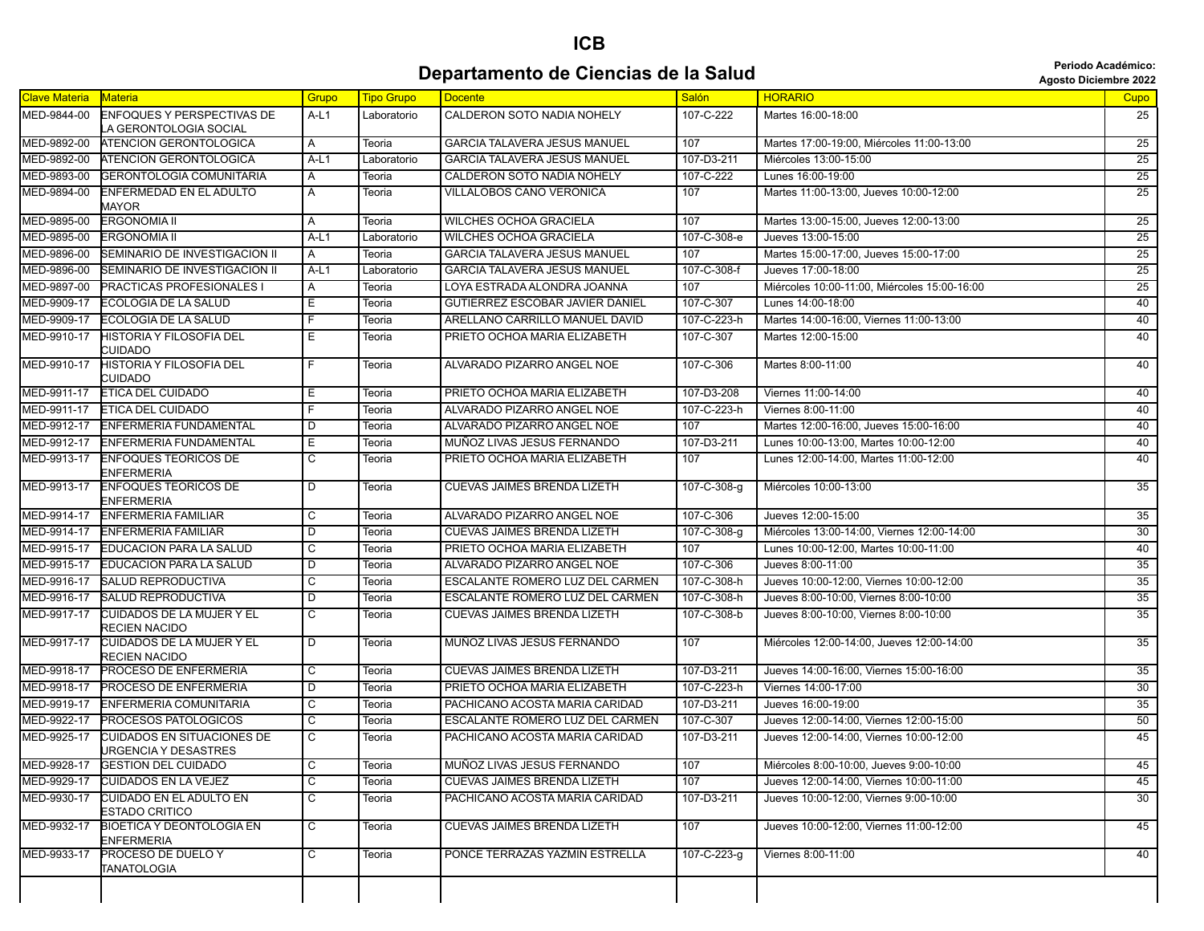## **ICB Departamento de Ciencias de la Salud Agosto Diciembre 2022**<br>Agosto Diciembre 2022

| <b>Clave Materia</b> | Materia                                                   | Grupo                   | <b>Tipo Grupo</b> | <b>Docente</b>                         | Salón       | <b>HORARIO</b>                               | Cupo            |
|----------------------|-----------------------------------------------------------|-------------------------|-------------------|----------------------------------------|-------------|----------------------------------------------|-----------------|
| MED-9844-00          | ENFOQUES Y PERSPECTIVAS DE<br>LA GERONTOLOGIA SOCIAL      | A-L1                    | Laboratorio       | CALDERON SOTO NADIA NOHELY             | 107-C-222   | Martes 16:00-18:00                           | 25              |
| MED-9892-00          | <b>ATENCION GERONTOLOGICA</b>                             | A                       | Teoria            | <b>GARCIA TALAVERA JESUS MANUEL</b>    | 107         | Martes 17:00-19:00, Miércoles 11:00-13:00    | 25              |
| MED-9892-00          | <b>ATENCION GERONTOLOGICA</b>                             | $A-L1$                  | Laboratorio       | GARCIA TALAVERA JESUS MANUEL           | 107-D3-211  | Miércoles 13:00-15:00                        | 25              |
| MED-9893-00          | <b>GERONTOLOGIA COMUNITARIA</b>                           | A                       | Teoria            | CALDERON SOTO NADIA NOHELY             | 107-C-222   | Lunes 16:00-19:00                            | 25              |
| MED-9894-00          | ENFERMEDAD EN EL ADULTO<br>MAYOR                          | A                       | Teoria            | VILLALOBOS CANO VERONICA               | 107         | Martes 11:00-13:00, Jueves 10:00-12:00       | 25              |
| MED-9895-00          | <b>ERGONOMIA II</b>                                       | Α                       | Teoria            | <b>WILCHES OCHOA GRACIELA</b>          | 107         | Martes 13:00-15:00, Jueves 12:00-13:00       | 25              |
| MED-9895-00          | <b>ERGONOMIA II</b>                                       | $A-L1$                  | Laboratorio       | <b>WILCHES OCHOA GRACIELA</b>          | 107-C-308-e | Jueves 13:00-15:00                           | $\overline{25}$ |
| MED-9896-00          | SEMINARIO DE INVESTIGACION II                             | A                       | Teoria            | <b>GARCIA TALAVERA JESUS MANUEL</b>    | 107         | Martes 15:00-17:00, Jueves 15:00-17:00       | 25              |
| MED-9896-00          | SEMINARIO DE INVESTIGACION II                             | $A-L1$                  | Laboratorio       | <b>GARCIA TALAVERA JESUS MANUEL</b>    | 107-C-308-f | Jueves 17:00-18:00                           | 25              |
| MED-9897-00          | PRACTICAS PROFESIONALES I                                 | A                       | Teoria            | LOYA ESTRADA ALONDRA JOANNA            | 107         | Miércoles 10:00-11:00, Miércoles 15:00-16:00 | 25              |
| MED-9909-17          | <b>ECOLOGIA DE LA SALUD</b>                               | Е                       | Teoria            | <b>GUTIERREZ ESCOBAR JAVIER DANIEL</b> | 107-C-307   | Lunes 14:00-18:00                            | 40              |
| MED-9909-17          | ECOLOGIA DE LA SALUD                                      | F                       | Teoria            | ARELLANO CARRILLO MANUEL DAVID         | 107-C-223-h | Martes 14:00-16:00, Viernes 11:00-13:00      | 40              |
| MED-9910-17          | <b>HISTORIA Y FILOSOFIA DEL</b><br><b>CUIDADO</b>         | Е                       | Teoria            | PRIETO OCHOA MARIA ELIZABETH           | 107-C-307   | Martes 12:00-15:00                           | 40              |
| MED-9910-17          | <b>HISTORIA Y FILOSOFIA DEL</b><br>CUIDADO                | F.                      | Teoria            | ALVARADO PIZARRO ANGEL NOE             | 107-C-306   | Martes 8:00-11:00                            | 40              |
| MED-9911-17          | <b>ETICA DEL CUIDADO</b>                                  | Ε                       | Teoria            | PRIETO OCHOA MARIA ELIZABETH           | 107-D3-208  | Viernes 11:00-14:00                          | 40              |
| MED-9911-17          | <b>ETICA DEL CUIDADO</b>                                  | F                       | Teoria            | ALVARADO PIZARRO ANGEL NOE             | 107-C-223-h | Viernes 8:00-11:00                           | 40              |
| MED-9912-17          | ENFERMERIA FUNDAMENTAL                                    | D                       | Teoria            | ALVARADO PIZARRO ANGEL NOE             | 107         | Martes 12:00-16:00, Jueves 15:00-16:00       | 40              |
| MED-9912-17          | ENFERMERIA FUNDAMENTAL                                    | Е                       | Teoria            | MUÑOZ LIVAS JESUS FERNANDO             | 107-D3-211  | Lunes 10:00-13:00. Martes 10:00-12:00        | 40              |
| MED-9913-17          | <b>ENFOQUES TEORICOS DE</b><br><b>ENFERMERIA</b>          | $\overline{C}$          | Teoria            | PRIETO OCHOA MARIA ELIZABETH           | 107         | Lunes 12:00-14:00, Martes 11:00-12:00        | 40              |
| MED-9913-17          | <b>ENFOQUES TEORICOS DE</b><br><b>ENFERMERIA</b>          | D                       | Teoria            | <b>CUEVAS JAIMES BRENDA LIZETH</b>     | 107-C-308-g | Miércoles 10:00-13:00                        | 35              |
| MED-9914-17          | <b>ENFERMERIA FAMILIAR</b>                                | С                       | Teoria            | ALVARADO PIZARRO ANGEL NOE             | 107-C-306   | Jueves 12:00-15:00                           | 35              |
| MED-9914-17          | <b>ENFERMERIA FAMILIAR</b>                                | D                       | Teoria            | <b>CUEVAS JAIMES BRENDA LIZETH</b>     | 107-C-308-g | Miércoles 13:00-14:00, Viernes 12:00-14:00   | 30              |
| MED-9915-17          | <b>EDUCACION PARA LA SALUD</b>                            | $\overline{c}$          | Teoria            | PRIETO OCHOA MARIA ELIZABETH           | 107         | Lunes 10:00-12:00, Martes 10:00-11:00        | 40              |
| MED-9915-17          | <b>EDUCACION PARA LA SALUD</b>                            | D                       | Teoria            | ALVARADO PIZARRO ANGEL NOE             | 107-C-306   | Jueves 8:00-11:00                            | 35              |
| MED-9916-17          | <b>SALUD REPRODUCTIVA</b>                                 | С                       | Teoria            | ESCALANTE ROMERO LUZ DEL CARMEN        | 107-C-308-h | Jueves 10:00-12:00, Viernes 10:00-12:00      | 35              |
| MED-9916-17          | <b>SALUD REPRODUCTIVA</b>                                 | D                       | Teoria            | ESCALANTE ROMERO LUZ DEL CARMEN        | 107-C-308-h | Jueves 8:00-10:00, Viernes 8:00-10:00        | 35              |
| MED-9917-17          | CUIDADOS DE LA MUJER Y EL<br>RECIEN NACIDO                | C                       | Teoria            | CUEVAS JAIMES BRENDA LIZETH            | 107-C-308-b | Jueves 8:00-10:00, Viernes 8:00-10:00        | 35              |
| MED-9917-17          | <b>CUIDADOS DE LA MUJER Y EL</b><br>RECIEN NACIDO         | D                       | Teoria            | MUÑOZ LIVAS JESUS FERNANDO             | 107         | Miércoles 12:00-14:00, Jueves 12:00-14:00    | 35              |
| MED-9918-17          | PROCESO DE ENFERMERIA                                     | C                       | Teoria            | CUEVAS JAIMES BRENDA LIZETH            | 107-D3-211  | Jueves 14:00-16:00, Viernes 15:00-16:00      | 35              |
| MED-9918-17          | PROCESO DE ENFERMERIA                                     | D                       | Teoria            | PRIETO OCHOA MARIA ELIZABETH           | 107-C-223-h | Viernes 14:00-17:00                          | 30              |
| MED-9919-17          | ENFERMERIA COMUNITARIA                                    | C                       | Teoria            | PACHICANO ACOSTA MARIA CARIDAD         | 107-D3-211  | Jueves 16:00-19:00                           | 35              |
| MED-9922-17          | PROCESOS PATOLOGICOS                                      | С                       | Teoria            | ESCALANTE ROMERO LUZ DEL CARMEN        | 107-C-307   | Jueves 12:00-14:00, Viernes 12:00-15:00      | 50              |
| MED-9925-17          | <b>CUIDADOS EN SITUACIONES DE</b><br>URGENCIA Y DESASTRES | C                       | Teoria            | PACHICANO ACOSTA MARIA CARIDAD         | 107-D3-211  | Jueves 12:00-14:00, Viernes 10:00-12:00      | 45              |
|                      | MED-9928-17 GESTION DEL CUIDADO                           | C                       | Teoria            | MUÑOZ LIVAS JESUS FERNANDO             | 107         | Miércoles 8:00-10:00, Jueves 9:00-10:00      | 45              |
| MED-9929-17          | <b>CUIDADOS EN LA VEJEZ</b>                               | $\overline{c}$          | Teoria            | CUEVAS JAIMES BRENDA LIZETH            | 107         | Jueves 12:00-14:00, Viernes 10:00-11:00      | 45              |
| MED-9930-17          | <b>CUIDADO EN EL ADULTO EN</b><br><b>ESTADO CRITICO</b>   | $\overline{c}$          | Teoria            | PACHICANO ACOSTA MARIA CARIDAD         | 107-D3-211  | Jueves 10:00-12:00, Viernes 9:00-10:00       | 30              |
| MED-9932-17          | <b>BIOETICA Y DEONTOLOGIA EN</b><br><b>ENFERMERIA</b>     | $\overline{c}$          | Teoria            | CUEVAS JAIMES BRENDA LIZETH            | 107         | Jueves 10:00-12:00. Viernes 11:00-12:00      | 45              |
| MED-9933-17          | PROCESO DE DUELO Y<br><b>TANATOLOGIA</b>                  | $\overline{\mathsf{c}}$ | Teoria            | PONCE TERRAZAS YAZMIN ESTRELLA         | 107-C-223-g | Viernes 8:00-11:00                           | 40              |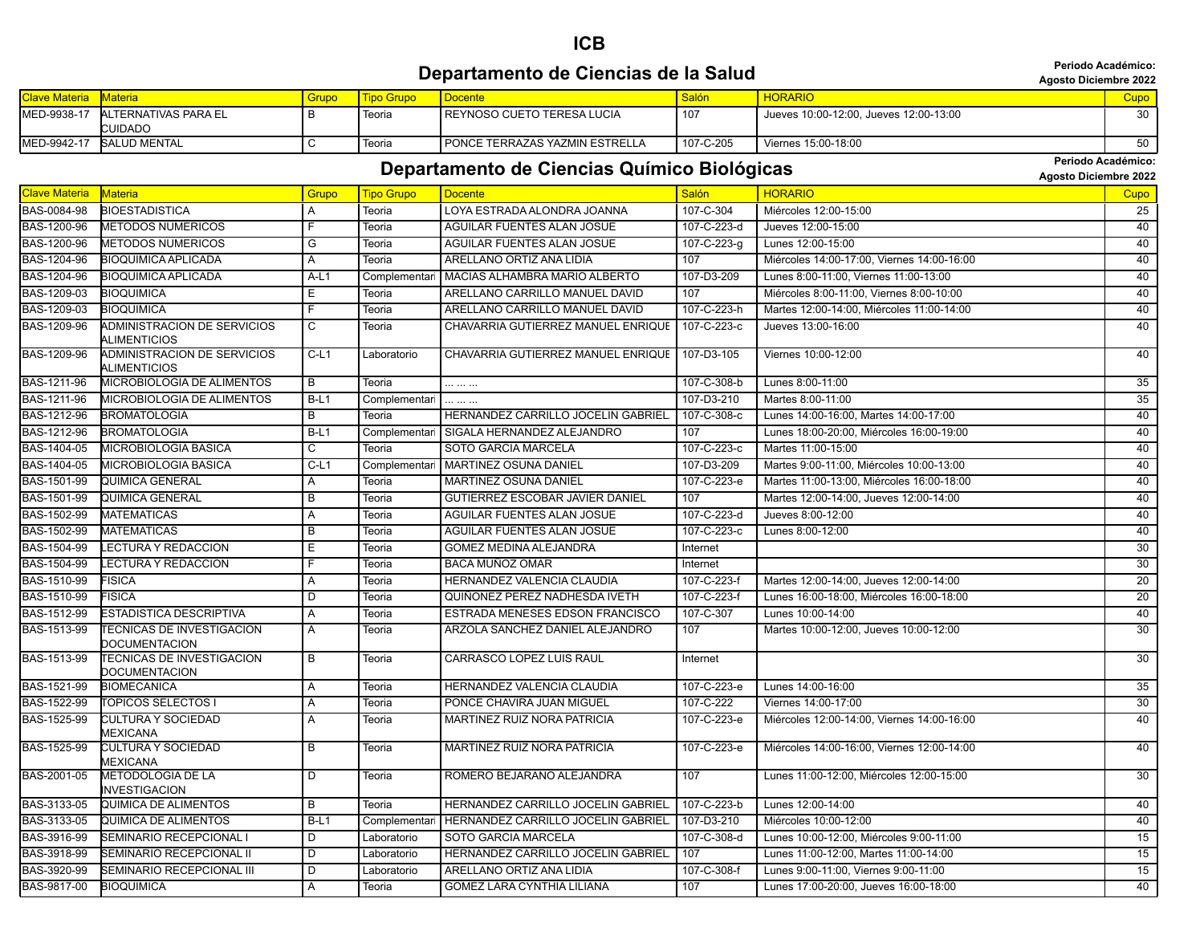|                      |                                                          |                |                   | Departamento de Ciencias de la Salud        |              |                                            | Periodo Académico:<br><b>Agosto Diciembre 2022</b> |  |
|----------------------|----------------------------------------------------------|----------------|-------------------|---------------------------------------------|--------------|--------------------------------------------|----------------------------------------------------|--|
| <b>Clave Materia</b> | <b>Materia</b>                                           | Grupo          | <b>Tipo Grupo</b> | <b>Docente</b>                              | <b>Salón</b> | <b>HORARIO</b>                             | Cupo                                               |  |
| MED-9938-17          | ALTERNATIVAS PARA EL<br><b>CUIDADO</b>                   | B              | Teoria            | REYNOSO CUETO TERESA LUCIA                  | 107          | Jueves 10:00-12:00. Jueves 12:00-13:00     | 30                                                 |  |
| MED-9942-17          | <b>SALUD MENTAL</b>                                      | $\overline{c}$ | Teoria            | PONCE TERRAZAS YAZMIN ESTRELLA              | 107-C-205    | Viernes 15:00-18:00                        | 50                                                 |  |
|                      |                                                          |                |                   |                                             |              |                                            | Periodo Académico:                                 |  |
|                      |                                                          |                |                   | Departamento de Ciencias Químico Biológicas |              |                                            | <b>Agosto Diciembre 2022</b>                       |  |
| <b>Clave Materia</b> | Materia                                                  | Grupo          | <b>Tipo Grupo</b> | <b>Docente</b>                              | <b>Salón</b> | <b>HORARIO</b>                             | Cupo                                               |  |
| BAS-0084-98          | <b>BIOESTADISTICA</b>                                    | A              | Teoria            | LOYA ESTRADA ALONDRA JOANNA                 | 107-C-304    | Miércoles 12:00-15:00                      | 25                                                 |  |
| BAS-1200-96          | <b>METODOS NUMERICOS</b>                                 | F.             | Teoria            | <b>AGUILAR FUENTES ALAN JOSUE</b>           | 107-C-223-d  | Jueves 12:00-15:00                         | 40                                                 |  |
| BAS-1200-96          | <b>METODOS NUMERICOS</b>                                 | $\overline{G}$ | Teoria            | AGUILAR FUENTES ALAN JOSUE                  | 107-C-223-g  | Lunes 12:00-15:00                          | 40                                                 |  |
| BAS-1204-96          | <b>BIOQUIMICA APLICADA</b>                               | $\overline{A}$ | Teoria            | ARELLANO ORTIZ ANA LIDIA                    | 107          | Miércoles 14:00-17:00, Viernes 14:00-16:00 | 40                                                 |  |
| BAS-1204-96          | <b>BIOQUIMICA APLICADA</b>                               | $A-L1$         | Complementari     | MACIAS ALHAMBRA MARIO ALBERTO               | 107-D3-209   | Lunes 8:00-11:00, Viernes 11:00-13:00      | 40                                                 |  |
| BAS-1209-03          | <b>BIOQUIMICA</b>                                        | E.             | Teoria            | ARELLANO CARRILLO MANUEL DAVID              | 107          | Miércoles 8:00-11:00, Viernes 8:00-10:00   | 40                                                 |  |
| BAS-1209-03          | <b>BIOQUIMICA</b>                                        | F              | Teoria            | ARELLANO CARRILLO MANUEL DAVID              | 107-C-223-h  | Martes 12:00-14:00, Miércoles 11:00-14:00  | 40                                                 |  |
| BAS-1209-96          | ADMINISTRACION DE SERVICIOS<br><b>ALIMENTICIOS</b>       | C              | Teoria            | CHAVARRIA GUTIERREZ MANUEL ENRIQUE          | 107-C-223-c  | Jueves 13:00-16:00                         | 40                                                 |  |
| BAS-1209-96          | ADMINISTRACION DE SERVICIOS<br>ALIMENTICIOS              | $C-L1$         | Laboratorio       | CHAVARRIA GUTIERREZ MANUEL ENRIQUE          | 107-D3-105   | Viernes 10:00-12:00                        | 40                                                 |  |
| BAS-1211-96          | MICROBIOLOGIA DE ALIMENTOS                               | $\overline{B}$ | Teoria            |                                             | 107-C-308-b  | Lunes 8:00-11:00                           | 35                                                 |  |
| BAS-1211-96          | MICROBIOLOGIA DE ALIMENTOS                               | $B-L1$         | Complementari     | .                                           | 107-D3-210   | Martes 8:00-11:00                          | 35                                                 |  |
| BAS-1212-96          | <b>BROMATOLOGIA</b>                                      | B              | Teoria            | HERNANDEZ CARRILLO JOCELIN GABRIEL          | 107-C-308-c  | Lunes 14:00-16:00, Martes 14:00-17:00      | 40                                                 |  |
| BAS-1212-96          | <b>BROMATOLOGIA</b>                                      | $B-L1$         | Complementari     | SIGALA HERNANDEZ ALEJANDRO                  | 107          | Lunes 18:00-20:00, Miércoles 16:00-19:00   | 40                                                 |  |
| BAS-1404-05          | <b>MICROBIOLOGIA BASICA</b>                              | С              | Teoria            | <b>SOTO GARCIA MARCELA</b>                  | 107-C-223-c  | Martes 11:00-15:00                         | 40                                                 |  |
| BAS-1404-05          | <b>MICROBIOLOGIA BASICA</b>                              | $C-L1$         | Complementari     | <b>MARTINEZ OSUNA DANIEL</b>                | 107-D3-209   | Martes 9:00-11:00, Miércoles 10:00-13:00   | 40                                                 |  |
| BAS-1501-99          | QUIMICA GENERAL                                          | A              | Teoria            | MARTINEZ OSUNA DANIEL                       | 107-C-223-e  | Martes 11:00-13:00, Miércoles 16:00-18:00  | 40                                                 |  |
| BAS-1501-99          | QUIMICA GENERAL                                          | B              | Teoria            | GUTIERREZ ESCOBAR JAVIER DANIEL             | 107          | Martes 12:00-14:00, Jueves 12:00-14:00     | 40                                                 |  |
| BAS-1502-99          | <b>MATEMATICAS</b>                                       | A              | Teoria            | AGUILAR FUENTES ALAN JOSUE                  | 107-C-223-d  | Jueves 8:00-12:00                          | 40                                                 |  |
| BAS-1502-99          | <b>MATEMATICAS</b>                                       | B              | Teoria            | AGUILAR FUENTES ALAN JOSUE                  | 107-C-223-c  | Lunes 8:00-12:00                           | 40                                                 |  |
| BAS-1504-99          | <b>LECTURA Y REDACCION</b>                               | E              | Teoria            | <b>GOMEZ MEDINA ALEJANDRA</b>               | Internet     |                                            | 30                                                 |  |
| BAS-1504-99          | LECTURA Y REDACCION                                      | F              | Teoria            | <b>BACA MUÑOZ OMAR</b>                      | Internet     |                                            | $\overline{30}$                                    |  |
| BAS-1510-99          | <b>FISICA</b>                                            | $\overline{A}$ | Teoria            | HERNANDEZ VALENCIA CLAUDIA                  | 107-C-223-f  | Martes 12:00-14:00, Jueves 12:00-14:00     | $\overline{20}$                                    |  |
| BAS-1510-99          | <b>FISICA</b>                                            | $\overline{D}$ | Teoria            | QUIÑONEZ PEREZ NADHESDA IVETH               | 107-C-223-f  | Lunes 16:00-18:00, Miércoles 16:00-18:00   | $\overline{20}$                                    |  |
| BAS-1512-99          | ESTADISTICA DESCRIPTIVA                                  | A              | Teoria            | <b>ESTRADA MENESES EDSON FRANCISCO</b>      | 107-C-307    | Lunes 10:00-14:00                          | 40                                                 |  |
| BAS-1513-99          | <b>TECNICAS DE INVESTIGACION</b><br><b>DOCUMENTACION</b> | Α              | Teoria            | ARZOLA SANCHEZ DANIEL ALEJANDRO             | 107          | Martes 10:00-12:00, Jueves 10:00-12:00     | $\overline{30}$                                    |  |
| BAS-1513-99          | <b>TECNICAS DE INVESTIGACION</b><br>DOCUMENTACION        | $\overline{B}$ | Teoria            | <b>CARRASCO LOPEZ LUIS RAUL</b>             | Internet     |                                            | $\overline{30}$                                    |  |
| BAS-1521-99          | <b>BIOMECANICA</b>                                       | A              | Teoria            | <b>HERNANDEZ VALENCIA CLAUDIA</b>           | 107-С-223-е  | Lunes 14:00-16:00                          | 35                                                 |  |
| BAS-1522-99          | <b>TOPICOS SELECTOS I</b>                                | A              | Teoria            | PONCE CHAVIRA JUAN MIGUEL                   | 107-C-222    | Viernes 14:00-17:00                        | 30                                                 |  |
| BAS-1525-99          | <b>CULTURA Y SOCIEDAD</b><br><b>MEXICANA</b>             | A              | Teoria            | <b>MARTINEZ RUIZ NORA PATRICIA</b>          | 107-C-223-e  | Miércoles 12:00-14:00, Viernes 14:00-16:00 | 40                                                 |  |
| BAS-1525-99          | <b>CULTURA Y SOCIEDAD</b><br>MEXICANA                    | B              | Teoria            | <b>MARTINEZ RUIZ NORA PATRICIA</b>          | 107-C-223-e  | Miércoles 14:00-16:00, Viernes 12:00-14:00 | 40                                                 |  |
| BAS-2001-05          | <b>METODOLOGIA DE LA</b>                                 | D              | Teoria            | ROMERO BEJARANO ALEJANDRA                   | 107          | Lunes 11:00-12:00, Miércoles 12:00-15:00   | 30                                                 |  |

BAS-3133-05 QUIMICA DE ALIMENTOS B Teoria HERNANDEZ CARRILLO JOCELIN GABRIEL 107-C-223-b Lunes 12:00-14:00 40 40 BAS-3133-05 QUIMICA DE ALIMENTOS B-L1 Complementari HERNANDEZ CARRILLO JOCELIN GABRIEL 107-D3-210 Miércoles 10:00-12:00 40 40 BAS-3916-99 SEMINARIO RECEPCIONAL I D Laboratorio SOTO GARCIA MARCELA 107-C-308-d Lunes 10:00-12:00, Miércoles 9:00-11:00 15 BAS-3918-99 SEMINARIO RECEPCIONAL II D Laboratorio HERNANDEZ CARRILLO JOCELIN GABRIEL 107 Lunes 11:00-12:00, Martes 11:00-14:00 15 15 BAS-3920-99 SEMINARIO RECEPCIONAL III D Laboratorio ARELLANO ORTIZ ANA LIDIA 107-C-308-f Lunes 9:00-11:00, Viernes 9:00-11:00 BAS-9817-00 BIOQUIMICA A Teoria GOMEZ LARA CYNTHIA LILIANA 107 Lunes 17:00-20:00, Jueves 16:00-18:00 40

INVESTIGACION

**ICB**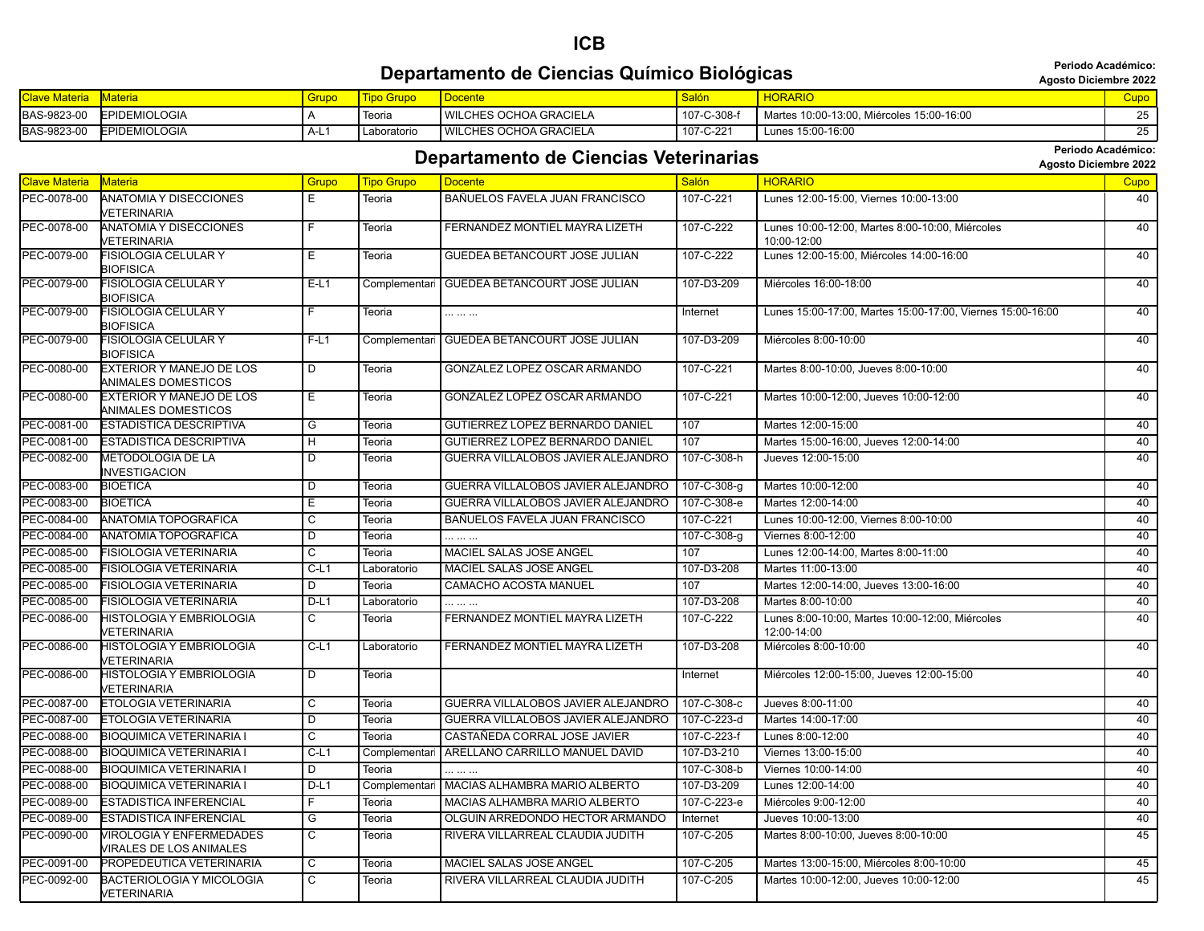#### **ICB Departamento de Ciencias Químico Biológicas adequartamento de Ciencias Químico Biológicas Agosto Diciembre 2022**

**Periodo Académico:**

| <b>Clave Materia</b> | <b>Materia</b>       | Grupo | <b>Tipo Grupo</b> | <b>Docente</b>                  | <sup>I</sup> Salón | <b>HORARIO</b>                            |    |
|----------------------|----------------------|-------|-------------------|---------------------------------|--------------------|-------------------------------------------|----|
| <b>BAS-9823-00</b>   | <b>EPIDEMIOLOGIA</b> |       | leoria            | <b>I WILCHES OCHOA GRACIELA</b> | I 107-C-308-f      | Martes 10:00-13:00, Miércoles 15:00-16:00 |    |
| BAS-9823-00          | <b>EPIDEMIOLOGIA</b> | A-L.  | Laboratoric       | WILCHES OCHOA GRACIELA          | 107-C-221          | Lunes 15:00-16:00                         | _u |

#### **Departamento de Ciencias Veterinarias Agosto Diciembre 2022 Cepartamento de Ciencias Veterinarias**

| <b>Clave Materia</b> | <b>Materia</b>                                  | Grupo          | <b>Tipo Grupo</b> | <b>Docente</b>                         | Salón       | <b>HORARIO</b>                                             | Cupo |
|----------------------|-------------------------------------------------|----------------|-------------------|----------------------------------------|-------------|------------------------------------------------------------|------|
| PEC-0078-00          | ANATOMIA Y DISECCIONES                          | E.             | Teoria            | BAÑUELOS FAVELA JUAN FRANCISCO         | 107-C-221   | Lunes 12:00-15:00, Viernes 10:00-13:00                     | 40   |
|                      | VETERINARIA                                     |                |                   |                                        |             |                                                            |      |
| PEC-0078-00          | ANATOMIA Y DISECCIONES                          | F              | Teoria            | FERNANDEZ MONTIEL MAYRA LIZETH         | 107-C-222   | Lunes 10:00-12:00, Martes 8:00-10:00, Miércoles            | 40   |
|                      | <b>VETERINARIA</b>                              |                |                   |                                        |             | 10:00-12:00                                                |      |
| PEC-0079-00          | FISIOLOGIA CELULAR Y                            | Ε              | Teoria            | <b>GUEDEA BETANCOURT JOSE JULIAN</b>   | 107-C-222   | Lunes 12:00-15:00, Miércoles 14:00-16:00                   | 40   |
|                      | <b>BIOFISICA</b><br><b>FISIOLOGIA CELULAR Y</b> | $E-L1$         |                   |                                        |             |                                                            | 40   |
| PEC-0079-00          | BIOFISICA                                       |                | Complementari     | <b>GUEDEA BETANCOURT JOSE JULIAN</b>   | 107-D3-209  | Miércoles 16:00-18:00                                      |      |
| PEC-0079-00          | <b>FISIOLOGIA CELULAR Y</b>                     | F              | <b>Teoria</b>     |                                        | Internet    | Lunes 15:00-17:00, Martes 15:00-17:00, Viernes 15:00-16:00 | 40   |
|                      | <b>BIOFISICA</b>                                |                |                   |                                        |             |                                                            |      |
| PEC-0079-00          | <b>FISIOLOGIA CELULAR Y</b>                     | $F-L1$         | Complementari     | <b>GUEDEA BETANCOURT JOSE JULIAN</b>   | 107-D3-209  | Miércoles 8:00-10:00                                       | 40   |
|                      | BIOFISICA                                       |                |                   |                                        |             |                                                            |      |
| PEC-0080-00          | <b>EXTERIOR Y MANEJO DE LOS</b>                 | D              | Teoria            | GONZALEZ LOPEZ OSCAR ARMANDO           | 107-C-221   | Martes 8:00-10:00, Jueves 8:00-10:00                       | 40   |
| PEC-0080-00          | ANIMALES DOMESTICOS                             |                |                   | GONZALEZ LOPEZ OSCAR ARMANDO           | 107-C-221   | Martes 10:00-12:00, Jueves 10:00-12:00                     | 40   |
|                      | EXTERIOR Y MANEJO DE LOS<br>ANIMALES DOMESTICOS | Е              | Teoria            |                                        |             |                                                            |      |
| PEC-0081-00          | <b>ESTADISTICA DESCRIPTIVA</b>                  | G              | Teoria            | GUTIERREZ LOPEZ BERNARDO DANIEL        | 107         | Martes 12:00-15:00                                         | 40   |
| PEC-0081-00          | <b>ESTADISTICA DESCRIPTIVA</b>                  | H              | Teoria            | <b>GUTIERREZ LOPEZ BERNARDO DANIEL</b> | 107         | Martes 15:00-16:00, Jueves 12:00-14:00                     | 40   |
| PEC-0082-00          | <b>METODOLOGIA DE LA</b>                        | D              | Teoria            | GUERRA VILLALOBOS JAVIER ALEJANDRO     | 107-C-308-h | Jueves 12:00-15:00                                         | 40   |
|                      | INVESTIGACION                                   |                |                   |                                        |             |                                                            |      |
| PEC-0083-00          | <b>BIOETICA</b>                                 | D              | Teoria            | GUERRA VILLALOBOS JAVIER ALEJANDRO     | 107-C-308-g | Martes 10:00-12:00                                         | 40   |
| PEC-0083-00          | <b>BIOETICA</b>                                 | Е              | Teoria            | GUERRA VILLALOBOS JAVIER ALEJANDRO     | 107-C-308-e | Martes 12:00-14:00                                         | 40   |
| PEC-0084-00          | <b>ANATOMIA TOPOGRAFICA</b>                     | C              | Teoria            | BAÑUELOS FAVELA JUAN FRANCISCO         | 107-C-221   | Lunes 10:00-12:00, Viernes 8:00-10:00                      | 40   |
| PEC-0084-00          | ANATOMIA TOPOGRAFICA                            | D              | Teoria            |                                        | 107-C-308-g | Viernes 8:00-12:00                                         | 40   |
| PEC-0085-00          | FISIOLOGIA VETERINARIA                          | С              | Teoria            | MACIEL SALAS JOSE ANGEL                | 107         | Lunes 12:00-14:00, Martes 8:00-11:00                       | 40   |
| PEC-0085-00          | FISIOLOGIA VETERINARIA                          | $C-L1$         | Laboratorio       | MACIEL SALAS JOSE ANGEL                | 107-D3-208  | Martes 11:00-13:00                                         | 40   |
| PEC-0085-00          | FISIOLOGIA VETERINARIA                          | D              | Teoria            | <b>CAMACHO ACOSTA MANUEL</b>           | 107         | Martes 12:00-14:00, Jueves 13:00-16:00                     | 40   |
| PEC-0085-00          | FISIOLOGIA VETERINARIA                          | $D-L1$         | Laboratorio       |                                        | 107-D3-208  | Martes 8:00-10:00                                          | 40   |
| PEC-0086-00          | HISTOLOGIA Y EMBRIOLOGIA                        | $\overline{c}$ | Teoria            | FERNANDEZ MONTIEL MAYRA LIZETH         | 107-C-222   | Lunes 8:00-10:00, Martes 10:00-12:00, Miércoles            | 40   |
|                      | <b>VETERINARIA</b>                              |                |                   |                                        |             | 12:00-14:00                                                |      |
| PEC-0086-00          | HISTOLOGIA Y EMBRIOLOGIA                        | $C-L1$         | Laboratorio       | FERNANDEZ MONTIEL MAYRA LIZETH         | 107-D3-208  | Miércoles 8:00-10:00                                       | 40   |
|                      | <b>VETERINARIA</b>                              |                |                   |                                        |             |                                                            |      |
| PEC-0086-00          | <b>HISTOLOGIA Y EMBRIOLOGIA</b>                 | D              | Teoria            |                                        | Internet    | Miércoles 12:00-15:00, Jueves 12:00-15:00                  | 40   |
| PEC-0087-00          | <b>VETERINARIA</b><br>ETOLOGIA VETERINARIA      | C              | Teoria            | GUERRA VILLALOBOS JAVIER ALEJANDRO     | 107-C-308-c | Jueves 8:00-11:00                                          | 40   |
| PEC-0087-00          | ETOLOGIA VETERINARIA                            | D              | Teoria            | GUERRA VILLALOBOS JAVIER ALEJANDRO     | 107-C-223-d | Martes 14:00-17:00                                         | 40   |
| PEC-0088-00          | <b>BIOQUIMICA VETERINARIA I</b>                 | С              | Teoria            | CASTAÑEDA CORRAL JOSE JAVIER           | 107-C-223-f | Lunes 8:00-12:00                                           | 40   |
| PEC-0088-00          | <b>BIOQUIMICA VETERINARIA I</b>                 | $C-L1$         | Complementar      | ARELLANO CARRILLO MANUEL DAVID         | 107-D3-210  | Viernes 13:00-15:00                                        | 40   |
| PEC-0088-00          | <b>BIOQUIMICA VETERINARIA I</b>                 | D              | Teoria            |                                        | 107-C-308-b | Viernes 10:00-14:00                                        | 40   |
| PEC-0088-00          | <b>BIOQUIMICA VETERINARIA I</b>                 | $D-L1$         | Complementar      | MACIAS ALHAMBRA MARIO ALBERTO          | 107-D3-209  | Lunes 12:00-14:00                                          | 40   |
| PEC-0089-00          | <b>ESTADISTICA INFERENCIAL</b>                  | F              | Teoria            | MACIAS ALHAMBRA MARIO ALBERTO          | 107-C-223-e | Miércoles 9:00-12:00                                       | 40   |
| PEC-0089-00          | ESTADISTICA INFERENCIAL                         | G              | Teoria            | OLGUIN ARREDONDO HECTOR ARMANDO        | Internet    | Jueves 10:00-13:00                                         | 40   |
| PEC-0090-00          | <b>VIROLOGIA Y ENFERMEDADES</b>                 | C              | Teoria            | RIVERA VILLARREAL CLAUDIA JUDITH       | 107-C-205   | Martes 8:00-10:00, Jueves 8:00-10:00                       | 45   |
|                      | VIRALES DE LOS ANIMALES                         |                |                   |                                        |             |                                                            |      |
| PEC-0091-00          | PROPEDEUTICA VETERINARIA                        | С              | Teoria            | MACIEL SALAS JOSE ANGEL                | 107-C-205   | Martes 13:00-15:00, Miércoles 8:00-10:00                   | 45   |
| PEC-0092-00          | BACTERIOLOGIA Y MICOLOGIA                       | C.             | Teoria            | RIVERA VILLARREAL CLAUDIA JUDITH       | 107-C-205   | Martes 10:00-12:00. Jueves 10:00-12:00                     | 45   |
|                      | VETERINARIA                                     |                |                   |                                        |             |                                                            |      |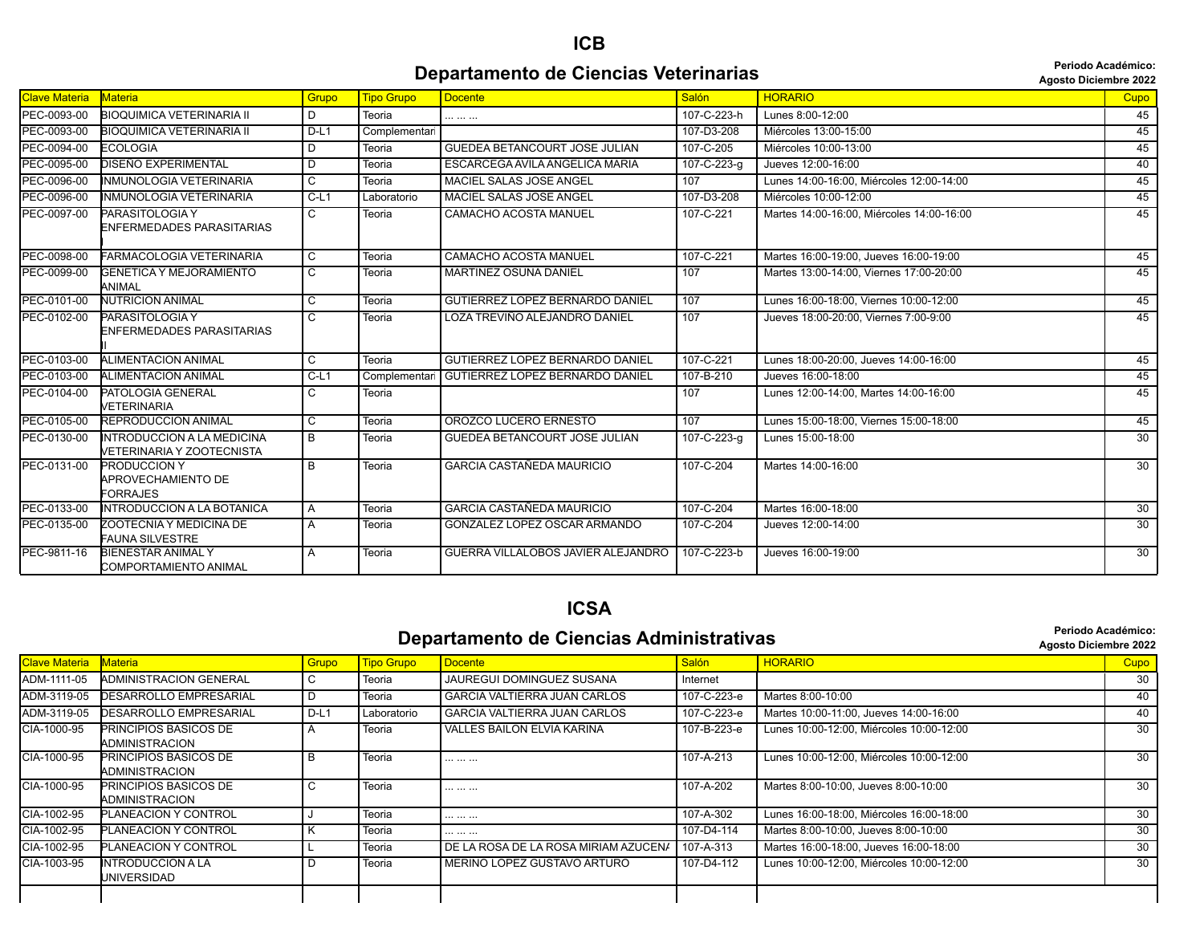#### **Departamento de Ciencias Veterinarias Agosto Diciembre 2023**

**Periodo Académico:**

| <b>Agosto Diciembre 202</b> |  |
|-----------------------------|--|
|                             |  |

|                      |                                                                |                |                   |                                        |             | AYOSIO DICIBIIIDI E ZUZZ                  |                 |
|----------------------|----------------------------------------------------------------|----------------|-------------------|----------------------------------------|-------------|-------------------------------------------|-----------------|
| <b>Clave Materia</b> | <b>Materia</b>                                                 | Grupo          | <b>Tipo Grupo</b> | <b>Docente</b>                         | Salón       | <b>HORARIO</b>                            | Cupo            |
| PEC-0093-00          | <b>BIOQUIMICA VETERINARIA II</b>                               | D              | Teoria            | .                                      | 107-C-223-h | Lunes 8:00-12:00                          | 45              |
| PEC-0093-00          | <b>BIOQUIMICA VETERINARIA II</b>                               | $D-L1$         | Complementari     |                                        | 107-D3-208  | Miércoles 13:00-15:00                     | 45              |
| PEC-0094-00          | <b>ECOLOGIA</b>                                                | D              | Teoria            | <b>GUEDEA BETANCOURT JOSE JULIAN</b>   | 107-C-205   | Miércoles 10:00-13:00                     | 45              |
| PEC-0095-00          | DISEÑO EXPERIMENTAL                                            | D              | Teoria            | ESCARCEGA AVILA ANGELICA MARIA         | 107-C-223-g | Jueves 12:00-16:00                        | 40              |
| PEC-0096-00          | <b>INMUNOLOGIA VETERINARIA</b>                                 | C              | Teoria            | <b>MACIEL SALAS JOSE ANGEL</b>         | 107         | Lunes 14:00-16:00. Miércoles 12:00-14:00  | 45              |
| PEC-0096-00          | INMUNOLOGIA VETERINARIA                                        | $C-L1$         | Laboratorio       | MACIEL SALAS JOSE ANGEL                | 107-D3-208  | Miércoles 10:00-12:00                     | 45              |
| PEC-0097-00          | PARASITOLOGIA Y<br>ENFERMEDADES PARASITARIAS                   | C              | Teoria            | <b>CAMACHO ACOSTA MANUEL</b>           | 107-C-221   | Martes 14:00-16:00. Miércoles 14:00-16:00 | 45              |
| PEC-0098-00          | FARMACOLOGIA VETERINARIA                                       | C              | Teoria            | <b>CAMACHO ACOSTA MANUEL</b>           | 107-C-221   | Martes 16:00-19:00. Jueves 16:00-19:00    | 45              |
| PEC-0099-00          | <b>GENETICA Y MEJORAMIENTO</b><br>ANIMAL                       | C              | Teoria            | <b>MARTINEZ OSUNA DANIEL</b>           | 107         | Martes 13:00-14:00. Viernes 17:00-20:00   | 45              |
| PEC-0101-00          | <b>NUTRICION ANIMAL</b>                                        | C              | Teoria            | GUTIERREZ LOPEZ BERNARDO DANIEL        | 107         | Lunes 16:00-18:00, Viernes 10:00-12:00    | 45              |
| PEC-0102-00          | PARASITOLOGIA Y<br>ENFERMEDADES PARASITARIAS                   | C              | Teoria            | LOZA TREVIÑO ALEJANDRO DANIEL          | 107         | Jueves 18:00-20:00, Viernes 7:00-9:00     | 45              |
| PEC-0103-00          | <b>ALIMENTACION ANIMAL</b>                                     | $\overline{C}$ | Teoria            | <b>GUTIERREZ LOPEZ BERNARDO DANIEL</b> | 107-C-221   | Lunes 18:00-20:00. Jueves 14:00-16:00     | 45              |
| PEC-0103-00          | <b>ALIMENTACION ANIMAL</b>                                     | $C-L1$         | Complementar      | <b>GUTIERREZ LOPEZ BERNARDO DANIEL</b> | 107-B-210   | Jueves 16:00-18:00                        | 45              |
| PEC-0104-00          | PATOLOGIA GENERAL<br>VETERINARIA                               | C              | Teoria            |                                        | 107         | Lunes 12:00-14:00, Martes 14:00-16:00     | 45              |
| PEC-0105-00          | <b>REPRODUCCION ANIMAL</b>                                     | C              | Teoria            | OROZCO LUCERO ERNESTO                  | 107         | Lunes 15:00-18:00, Viernes 15:00-18:00    | 45              |
| PEC-0130-00          | <b>INTRODUCCION A LA MEDICINA</b><br>VETERINARIA Y ZOOTECNISTA | B              | Teoria            | GUEDEA BETANCOURT JOSE JULIAN          | 107-C-223-g | Lunes 15:00-18:00                         | $\overline{30}$ |
| PEC-0131-00          | <b>PRODUCCION Y</b><br>APROVECHAMIENTO DE<br><b>FORRAJES</b>   | B              | Teoria            | <b>GARCIA CASTAÑEDA MAURICIO</b>       | 107-C-204   | Martes 14:00-16:00                        | 30              |
| PEC-0133-00          | <b>INTRODUCCION A LA BOTANICA</b>                              | A              | <b>Teoria</b>     | <b>GARCIA CASTAÑEDA MAURICIO</b>       | 107-C-204   | Martes 16:00-18:00                        | 30              |
| PEC-0135-00          | ZOOTECNIA Y MEDICINA DE<br><b>FAUNA SILVESTRE</b>              | A              | Teoria            | GONZALEZ LOPEZ OSCAR ARMANDO           | 107-C-204   | Jueves 12:00-14:00                        | 30              |
| PEC-9811-16          | <b>BIENESTAR ANIMALY</b><br>COMPORTAMIENTO ANIMAL              | A              | Teoria            | GUERRA VILLALOBOS JAVIER ALEJANDRO     | 107-C-223-b | Jueves 16:00-19:00                        | 30              |

#### **ICSA**

#### **Departamento de Ciencias Administrativas agosto Diciembre 2022** Agosto Diciembre 2022

| <b>Clave Materia</b> | <b>Materia</b>                                 | Grupo  | <b>Tipo Grupo</b> | Docente                                | Salón       | <b>HORARIO</b>                           | Cupo            |
|----------------------|------------------------------------------------|--------|-------------------|----------------------------------------|-------------|------------------------------------------|-----------------|
| ADM-1111-05          | ADMINISTRACION GENERAL                         | ◡      | Teoria            | <b>JAUREGUI DOMINGUEZ SUSANA</b>       | Internet    |                                          | 30              |
| ADM-3119-05          | <b>DESARROLLO EMPRESARIAL</b>                  | D      | Teoria            | <b>GARCIA VALTIERRA JUAN CARLOS</b>    | 107-C-223-e | Martes 8:00-10:00                        | 40              |
| ADM-3119-05          | <b>DESARROLLO EMPRESARIAL</b>                  | $D-L1$ | Laboratorio       | <b>GARCIA VALTIERRA JUAN CARLOS</b>    | 107-C-223-e | Martes 10:00-11:00, Jueves 14:00-16:00   | 40              |
| CIA-1000-95          | PRINCIPIOS BASICOS DE<br>ADMINISTRACION        |        | Teoria            | <b>VALLES BAILON ELVIA KARINA</b>      | 107-B-223-e | Lunes 10:00-12:00, Miércoles 10:00-12:00 | $\overline{30}$ |
| CIA-1000-95          | <b>PRINCIPIOS BASICOS DE</b><br>ADMINISTRACION |        | Teoria            |                                        | 107-A-213   | Lunes 10:00-12:00, Miércoles 10:00-12:00 | 30              |
| CIA-1000-95          | <b>PRINCIPIOS BASICOS DE</b><br>ADMINISTRACION |        | Teoria            |                                        | 107-A-202   | Martes 8:00-10:00, Jueves 8:00-10:00     | 30              |
| CIA-1002-95          | PLANEACION Y CONTROL                           |        | Teoria            |                                        | 107-A-302   | Lunes 16:00-18:00, Miércoles 16:00-18:00 | 30              |
| CIA-1002-95          | <b>PLANEACION Y CONTROL</b>                    |        | Teoria            |                                        | 107-D4-114  | Martes 8:00-10:00, Jueves 8:00-10:00     | 30              |
| CIA-1002-95          | <b>PLANEACION Y CONTROL</b>                    |        | Teoria            | I DE LA ROSA DE LA ROSA MIRIAM AZUCENA | 107-A-313   | Martes 16:00-18:00, Jueves 16:00-18:00   | 30              |
| CIA-1003-95          | <b>INTRODUCCION A LA</b><br>UNIVERSIDAD        |        | Teoria            | MERINO LOPEZ GUSTAVO ARTURO            | 107-D4-112  | Lunes 10:00-12:00. Miércoles 10:00-12:00 | 30              |
|                      |                                                |        |                   |                                        |             |                                          |                 |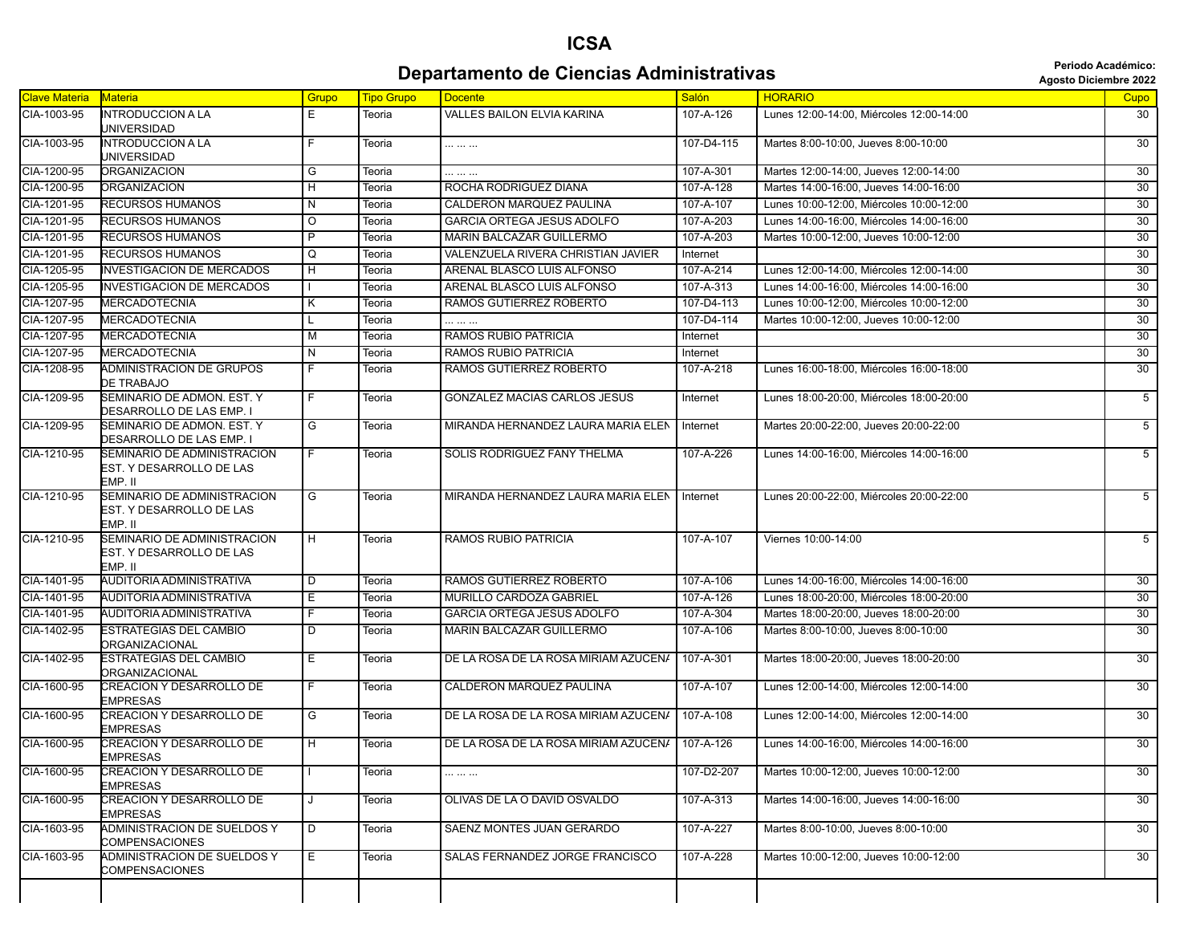## **Departamento de Ciencias Administrativas and** *Periodo Académico***: Agosto Diciembre 2022**

|  | <b>Agosto Diciembre 202</b> |  |
|--|-----------------------------|--|
|--|-----------------------------|--|

| <b>Clave Materia</b> | Materia                                                            | Grupo              | <b>Tipo Grupo</b> | <b>Docente</b>                                | Salón           | <b>HORARIO</b>                           | Cupo            |
|----------------------|--------------------------------------------------------------------|--------------------|-------------------|-----------------------------------------------|-----------------|------------------------------------------|-----------------|
| CIA-1003-95          | <b>INTRODUCCION A LA</b><br>UNIVERSIDAD                            | Е                  | Teoria            | <b>VALLES BAILON ELVIA KARINA</b>             | 107-A-126       | Lunes 12:00-14:00, Miércoles 12:00-14:00 | 30              |
| CIA-1003-95          | <b>INTRODUCCION A LA</b><br>UNIVERSIDAD                            | F                  | Teoria            |                                               | 107-D4-115      | Martes 8:00-10:00, Jueves 8:00-10:00     | 30              |
| CIA-1200-95          | <b>ORGANIZACION</b>                                                | G                  | Teoria            |                                               | 107-A-301       | Martes 12:00-14:00, Jueves 12:00-14:00   | 30              |
| CIA-1200-95          | <b>ORGANIZACION</b>                                                | H                  | Teoria            | ROCHA RODRIGUEZ DIANA                         | 107-A-128       | Martes 14:00-16:00, Jueves 14:00-16:00   | 30              |
| CIA-1201-95          | RECURSOS HUMANOS                                                   | $\overline{N}$     | Teoria            | CALDERON MARQUEZ PAULINA                      | 107-A-107       | Lunes 10:00-12:00, Miércoles 10:00-12:00 | 30              |
| CIA-1201-95          | RECURSOS HUMANOS                                                   | $\overline{\circ}$ | Teoria            | <b>GARCIA ORTEGA JESUS ADOLFO</b>             | 107-A-203       | Lunes 14:00-16:00, Miércoles 14:00-16:00 | 30              |
| CIA-1201-95          | RECURSOS HUMANOS                                                   | P                  | Teoria            | MARIN BALCAZAR GUILLERMO                      | 107-A-203       | Martes 10:00-12:00, Jueves 10:00-12:00   | $\overline{30}$ |
| CIA-1201-95          | RECURSOS HUMANOS                                                   | Q                  | Teoria            | VALENZUELA RIVERA CHRISTIAN JAVIER            | Internet        |                                          | $\overline{30}$ |
| CIA-1205-95          | <b>INVESTIGACION DE MERCADOS</b>                                   | н                  | Teoria            | ARENAL BLASCO LUIS ALFONSO                    | 107-A-214       | Lunes 12:00-14:00, Miércoles 12:00-14:00 | $\overline{30}$ |
| CIA-1205-95          | <b>INVESTIGACION DE MERCADOS</b>                                   |                    | Teoria            | ARENAL BLASCO LUIS ALFONSO                    | 107-A-313       | Lunes 14:00-16:00. Miércoles 14:00-16:00 | 30              |
| CIA-1207-95          | <b>MERCADOTECNIA</b>                                               | Κ                  | Teoria            | RAMOS GUTIERREZ ROBERTO                       | 107-D4-113      | Lunes 10:00-12:00, Miércoles 10:00-12:00 | 30              |
| CIA-1207-95          | <b>MERCADOTECNIA</b>                                               | L                  | Teoria            |                                               | 107-D4-114      | Martes 10:00-12:00, Jueves 10:00-12:00   | 30              |
| CIA-1207-95          | MERCADOTECNIA                                                      | M                  | Teoria            | RAMOS RUBIO PATRICIA                          | Internet        |                                          | 30              |
| CIA-1207-95          | <b>MERCADOTECNIA</b>                                               | N                  | Teoria            | RAMOS RUBIO PATRICIA                          | Internet        |                                          | 30              |
| CIA-1208-95          | ADMINISTRACION DE GRUPOS<br>DE TRABAJO                             | F.                 | Teoria            | RAMOS GUTIERREZ ROBERTO                       | 107-A-218       | Lunes 16:00-18:00, Miércoles 16:00-18:00 | 30              |
| CIA-1209-95          | SEMINARIO DE ADMON, EST. Y<br>DESARROLLO DE LAS EMP. I             | F.                 | Teoria            | <b>GONZALEZ MACIAS CARLOS JESUS</b>           | Internet        | Lunes 18:00-20:00. Miércoles 18:00-20:00 | $\overline{5}$  |
| CIA-1209-95          | SEMINARIO DE ADMON. EST. Y<br>DESARROLLO DE LAS EMP. I             | G                  | Teoria            | MIRANDA HERNANDEZ LAURA MARIA ELEN            | Internet        | Martes 20:00-22:00, Jueves 20:00-22:00   | $\overline{5}$  |
| CIA-1210-95          | SEMINARIO DE ADMINISTRACION<br>EST. Y DESARROLLO DE LAS<br>EMP. II | F.                 | Teoria            | SOLIS RODRIGUEZ FANY THELMA                   | 107-A-226       | Lunes 14:00-16:00, Miércoles 14:00-16:00 | $\overline{5}$  |
| CIA-1210-95          | SEMINARIO DE ADMINISTRACION<br>EST. Y DESARROLLO DE LAS<br>EMP. II | G                  | Teoria            | MIRANDA HERNANDEZ LAURA MARIA ELEN   Internet |                 | Lunes 20:00-22:00, Miércoles 20:00-22:00 | $\overline{5}$  |
| CIA-1210-95          | SEMINARIO DE ADMINISTRACION<br>EST. Y DESARROLLO DE LAS<br>emp. II | H                  | Teoria            | <b>RAMOS RUBIO PATRICIA</b>                   | $107 - A - 107$ | Viernes 10:00-14:00                      | $5\overline{)}$ |
| CIA-1401-95          | AUDITORIA ADMINISTRATIVA                                           | $\overline{D}$     | Teoria            | RAMOS GUTIERREZ ROBERTO                       | 107-A-106       | Lunes 14:00-16:00, Miércoles 14:00-16:00 | 30              |
| CIA-1401-95          | AUDITORIA ADMINISTRATIVA                                           | Е                  | Teoria            | MURILLO CARDOZA GABRIEL                       | 107-A-126       | Lunes 18:00-20:00, Miércoles 18:00-20:00 | 30              |
| CIA-1401-95          | AUDITORIA ADMINISTRATIVA                                           | F                  | Teoria            | <b>GARCIA ORTEGA JESUS ADOLFO</b>             | 107-A-304       | Martes 18:00-20:00, Jueves 18:00-20:00   | 30              |
| CIA-1402-95          | ESTRATEGIAS DEL CAMBIO<br>ORGANIZACIONAL                           | D                  | Teoria            | MARIN BALCAZAR GUILLERMO                      | 107-A-106       | Martes 8:00-10:00, Jueves 8:00-10:00     | 30              |
| CIA-1402-95          | ESTRATEGIAS DEL CAMBIO<br>ORGANIZACIONAL                           | Е                  | Teoria            | DE LA ROSA DE LA ROSA MIRIAM AZUCENA          | 107-A-301       | Martes 18:00-20:00, Jueves 18:00-20:00   | $\overline{30}$ |
| CIA-1600-95          | <b>CREACION Y DESARROLLO DE</b><br>EMPRESAS                        | F                  | Teoria            | CALDERON MARQUEZ PAULINA                      | 107-A-107       | Lunes 12:00-14:00. Miércoles 12:00-14:00 | $\overline{30}$ |
| CIA-1600-95          | <b>CREACION Y DESARROLLO DE</b><br><b>EMPRESAS</b>                 | G                  | Teoria            | DE LA ROSA DE LA ROSA MIRIAM AZUCENA          | 107-A-108       | Lunes 12:00-14:00, Miércoles 12:00-14:00 | 30              |
| CIA-1600-95          | <b>CREACION Y DESARROLLO DE</b><br><b>EMPRESAS</b>                 | H                  | Teoria            | DE LA ROSA DE LA ROSA MIRIAM AZUCENA          | 107-A-126       | Lunes 14:00-16:00, Miércoles 14:00-16:00 | $\overline{30}$ |
| CIA-1600-95          | CREACION Y DESARROLLO DE<br><b>EMPRESAS</b>                        |                    | Teoria            |                                               | 107-D2-207      | Martes 10:00-12:00, Jueves 10:00-12:00   | 30              |
| CIA-1600-95          | CREACION Y DESARROLLO DE<br><b>EMPRESAS</b>                        | J                  | Teoria            | OLIVAS DE LA O DAVID OSVALDO                  | 107-A-313       | Martes 14:00-16:00. Jueves 14:00-16:00   | 30              |
| CIA-1603-95          | <b>ADMINISTRACION DE SUELDOS Y</b><br>COMPENSACIONES               | D                  | Teoria            | SAENZ MONTES JUAN GERARDO                     | 107-A-227       | Martes 8:00-10:00, Jueves 8:00-10:00     | 30              |
| CIA-1603-95          | ADMINISTRACION DE SUELDOS Y<br><b>COMPENSACIONES</b>               | Е                  | Teoria            | SALAS FERNANDEZ JORGE FRANCISCO               | 107-A-228       | Martes 10:00-12:00, Jueves 10:00-12:00   | 30              |
|                      |                                                                    |                    |                   |                                               |                 |                                          |                 |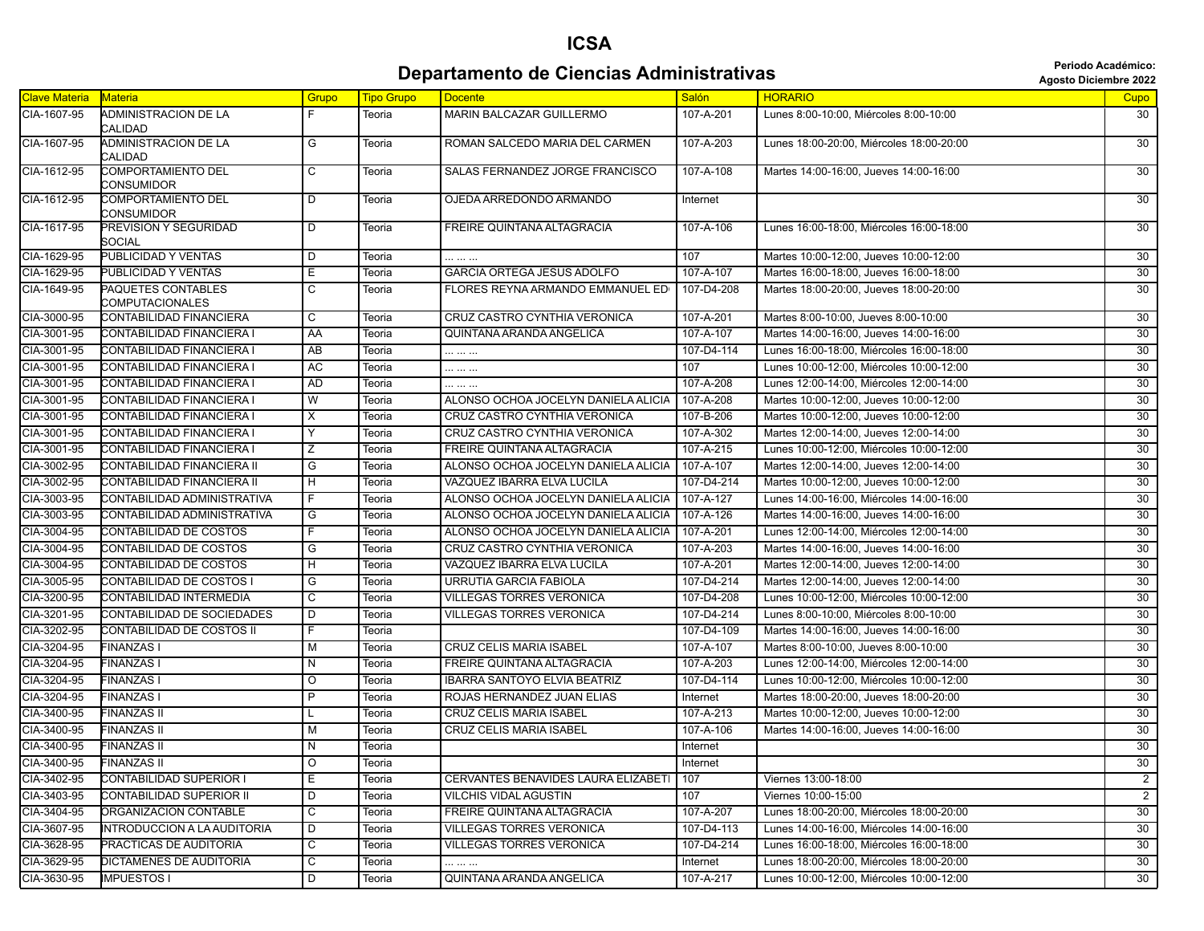#### **Departamento de Ciencias Administrativas administrativas Agosto Diciembre 2022**

|               |                                              |                |                   |                                     |              |                                          | <b>Agosto Diciembre 202</b> |
|---------------|----------------------------------------------|----------------|-------------------|-------------------------------------|--------------|------------------------------------------|-----------------------------|
| Clave Materia | <b>Materia</b>                               | Grupo          | <b>Tipo Grupo</b> | <b>Docente</b>                      | <b>Salón</b> | <b>HORARIO</b>                           | Cupo                        |
| CIA-1607-95   | ADMINISTRACION DE LA<br>CALIDAD              | F              | Teoria            | MARIN BALCAZAR GUILLERMO            | 107-A-201    | Lunes 8:00-10:00, Miércoles 8:00-10:00   | 30                          |
| CIA-1607-95   | ADMINISTRACION DE LA<br>CALIDAD              | G              | Teoria            | ROMAN SALCEDO MARIA DEL CARMEN      | 107-A-203    | Lunes 18:00-20:00, Miércoles 18:00-20:00 | 30                          |
| CIA-1612-95   | <b>COMPORTAMIENTO DEL</b><br>CONSUMIDOR      | C              | Teoria            | SALAS FERNANDEZ JORGE FRANCISCO     | 107-A-108    | Martes 14:00-16:00, Jueves 14:00-16:00   | 30                          |
| CIA-1612-95   | COMPORTAMIENTO DEL<br>CONSUMIDOR             | D              | Teoria            | OJEDA ARREDONDO ARMANDO             | Internet     |                                          | 30                          |
| CIA-1617-95   | PREVISION Y SEGURIDAD<br>SOCIAL              | D              | Teoria            | FREIRE QUINTANA ALTAGRACIA          | 107-A-106    | Lunes 16:00-18:00, Miércoles 16:00-18:00 | 30                          |
| CIA-1629-95   | PUBLICIDAD Y VENTAS                          | D              | Teoria            |                                     | 107          | Martes 10:00-12:00, Jueves 10:00-12:00   | $\overline{30}$             |
| CIA-1629-95   | PUBLICIDAD Y VENTAS                          | Ε              | Teoria            | <b>GARCIA ORTEGA JESUS ADOLFO</b>   | 107-A-107    | Martes 16:00-18:00, Jueves 16:00-18:00   | 30                          |
| CIA-1649-95   | PAQUETES CONTABLES<br><b>COMPUTACIONALES</b> | C              | Teoria            | FLORES REYNA ARMANDO EMMANUEL ED    | 107-D4-208   | Martes 18:00-20:00, Jueves 18:00-20:00   | 30                          |
| CIA-3000-95   | CONTABILIDAD FINANCIERA                      | C              | Teoria            | CRUZ CASTRO CYNTHIA VERONICA        | 107-A-201    | Martes 8:00-10:00, Jueves 8:00-10:00     | 30                          |
| CIA-3001-95   | CONTABILIDAD FINANCIERA I                    | AA             | Teoria            | QUINTANA ARANDA ANGELICA            | 107-A-107    | Martes 14:00-16:00, Jueves 14:00-16:00   | 30                          |
| CIA-3001-95   | CONTABILIDAD FINANCIERA I                    | AB             | Teoria            |                                     | 107-D4-114   | Lunes 16:00-18:00, Miércoles 16:00-18:00 | 30                          |
| CIA-3001-95   | CONTABILIDAD FINANCIERA I                    | AC             | Teoria            |                                     | 107          | Lunes 10:00-12:00, Miércoles 10:00-12:00 | 30                          |
| CIA-3001-95   | CONTABILIDAD FINANCIERA I                    | <b>AD</b>      | Teoria            |                                     | 107-A-208    | Lunes 12:00-14:00, Miércoles 12:00-14:00 | 30                          |
| CIA-3001-95   | CONTABILIDAD FINANCIERA I                    | W              | Teoria            | ALONSO OCHOA JOCELYN DANIELA ALICIA | 107-A-208    | Martes 10:00-12:00, Jueves 10:00-12:00   | $\overline{30}$             |
| CIA-3001-95   | CONTABILIDAD FINANCIERA I                    | X              | Teoria            | CRUZ CASTRO CYNTHIA VERONICA        | 107-B-206    | Martes 10:00-12:00, Jueves 10:00-12:00   | $\overline{30}$             |
| CIA-3001-95   | CONTABILIDAD FINANCIERA I                    | Y              | Teoria            | CRUZ CASTRO CYNTHIA VERONICA        | 107-A-302    | Martes 12:00-14:00, Jueves 12:00-14:00   | $\overline{30}$             |
| CIA-3001-95   | CONTABILIDAD FINANCIERA I                    | Ζ              | Teoria            | FREIRE QUINTANA ALTAGRACIA          | 107-A-215    | Lunes 10:00-12:00, Miércoles 10:00-12:00 | 30                          |
| CIA-3002-95   | CONTABILIDAD FINANCIERA II                   | G              | Teoria            | ALONSO OCHOA JOCELYN DANIELA ALICIA | 107-A-107    | Martes 12:00-14:00, Jueves 12:00-14:00   | 30                          |
| CIA-3002-95   | CONTABILIDAD FINANCIERA II                   | H              | Teoria            | VAZQUEZ IBARRA ELVA LUCILA          | 107-D4-214   | Martes 10:00-12:00. Jueves 10:00-12:00   | 30                          |
| CIA-3003-95   | CONTABILIDAD ADMINISTRATIVA                  | F              | Teoria            | ALONSO OCHOA JOCELYN DANIELA ALICIA | 107-A-127    | Lunes 14:00-16:00, Miércoles 14:00-16:00 | 30                          |
| CIA-3003-95   | CONTABILIDAD ADMINISTRATIVA                  | G              | Teoria            | ALONSO OCHOA JOCELYN DANIELA ALICIA | 107-A-126    | Martes 14:00-16:00, Jueves 14:00-16:00   | 30                          |
| CIA-3004-95   | CONTABILIDAD DE COSTOS                       | F              | Teoria            | ALONSO OCHOA JOCELYN DANIELA ALICIA | 107-A-201    | Lunes 12:00-14:00, Miércoles 12:00-14:00 | 30                          |
| CIA-3004-95   | CONTABILIDAD DE COSTOS                       | G              | Teoria            | CRUZ CASTRO CYNTHIA VERONICA        | 107-A-203    | Martes 14:00-16:00, Jueves 14:00-16:00   | 30                          |
| CIA-3004-95   | CONTABILIDAD DE COSTOS                       | H              | Teoria            | VAZQUEZ IBARRA ELVA LUCILA          | 107-A-201    | Martes 12:00-14:00, Jueves 12:00-14:00   | 30                          |
| CIA-3005-95   | CONTABILIDAD DE COSTOS I                     | G              | Teoria            | URRUTIA GARCIA FABIOLA              | 107-D4-214   | Martes 12:00-14:00, Jueves 12:00-14:00   | 30                          |
| CIA-3200-95   | CONTABILIDAD INTERMEDIA                      | C              | Teoria            | <b>VILLEGAS TORRES VERONICA</b>     | 107-D4-208   | Lunes 10:00-12:00, Miércoles 10:00-12:00 | 30                          |
| CIA-3201-95   | CONTABILIDAD DE SOCIEDADES                   | D              | Teoria            | <b>VILLEGAS TORRES VERONICA</b>     | 107-D4-214   | Lunes 8:00-10:00, Miércoles 8:00-10:00   | 30                          |
| CIA-3202-95   | <b>CONTABILIDAD DE COSTOS II</b>             | F              | Teoria            |                                     | 107-D4-109   | Martes 14:00-16:00, Jueves 14:00-16:00   | 30                          |
| CIA-3204-95   | <b>FINANZAS I</b>                            | м              | Teoria            | <b>CRUZ CELIS MARIA ISABEL</b>      | 107-A-107    | Martes 8:00-10:00, Jueves 8:00-10:00     | 30                          |
| CIA-3204-95   | FINANZAS I                                   | N              | Teoria            | FREIRE QUINTANA ALTAGRACIA          | 107-A-203    | Lunes 12:00-14:00, Miércoles 12:00-14:00 | 30                          |
| CIA-3204-95   | <b>FINANZAS I</b>                            | O              | Teoria            | <b>IBARRA SANTOYO ELVIA BEATRIZ</b> | 107-D4-114   | Lunes 10:00-12:00, Miércoles 10:00-12:00 | $\overline{30}$             |
| CIA-3204-95   | <b>FINANZAS I</b>                            | P              | Teoria            | ROJAS HERNANDEZ JUAN ELIAS          | Internet     | Martes 18:00-20:00, Jueves 18:00-20:00   | 30                          |
| CIA-3400-95   | <b>FINANZAS II</b>                           |                | Teoria            | <b>CRUZ CELIS MARIA ISABEL</b>      | 107-A-213    | Martes 10:00-12:00, Jueves 10:00-12:00   | 30                          |
| CIA-3400-95   | <b>FINANZAS II</b>                           | М              | Teoria            | <b>CRUZ CELIS MARIA ISABEL</b>      | 107-A-106    | Martes 14:00-16:00. Jueves 14:00-16:00   | 30                          |
| CIA-3400-95   | <b>FINANZAS II</b>                           | N              | Teoria            |                                     | Internet     |                                          | 30                          |
| CIA-3400-95   | FINANZAS II                                  | O              | leoria            |                                     | Internet     |                                          | 30                          |
| CIA-3402-95   | CONTABILIDAD SUPERIOR I                      | Ε              | Teoria            | CERVANTES BENAVIDES LAURA ELIZABETI | 107          | Viernes 13:00-18:00                      | $\overline{2}$              |
| CIA-3403-95   | CONTABILIDAD SUPERIOR II                     | D              | Teoria            | <b>VILCHIS VIDAL AGUSTIN</b>        | 107          | Viernes 10:00-15:00                      | $\overline{2}$              |
| CIA-3404-95   | <b>DRGANIZACION CONTABLE</b>                 | C              | Teoria            | FREIRE QUINTANA ALTAGRACIA          | 107-A-207    | Lunes 18:00-20:00, Miércoles 18:00-20:00 | 30                          |
| CIA-3607-95   | INTRODUCCION A LA AUDITORIA                  | D              | Teoria            | <b>VILLEGAS TORRES VERONICA</b>     | 107-D4-113   | Lunes 14:00-16:00, Miércoles 14:00-16:00 | 30                          |
| CIA-3628-95   | PRACTICAS DE AUDITORIA                       | С              | Teoria            | <b>VILLEGAS TORRES VERONICA</b>     | 107-D4-214   | Lunes 16:00-18:00, Miércoles 16:00-18:00 | 30                          |
| CIA-3629-95   | DICTAMENES DE AUDITORIA                      | C              | Teoria            |                                     | Internet     | Lunes 18:00-20:00, Miércoles 18:00-20:00 | $\overline{30}$             |
| CIA-3630-95   | <b>IMPUESTOS I</b>                           | $\overline{D}$ | Teoria            | QUINTANA ARANDA ANGELICA            | 107-A-217    | Lunes 10:00-12:00, Miércoles 10:00-12:00 | 30                          |
|               |                                              |                |                   |                                     |              |                                          |                             |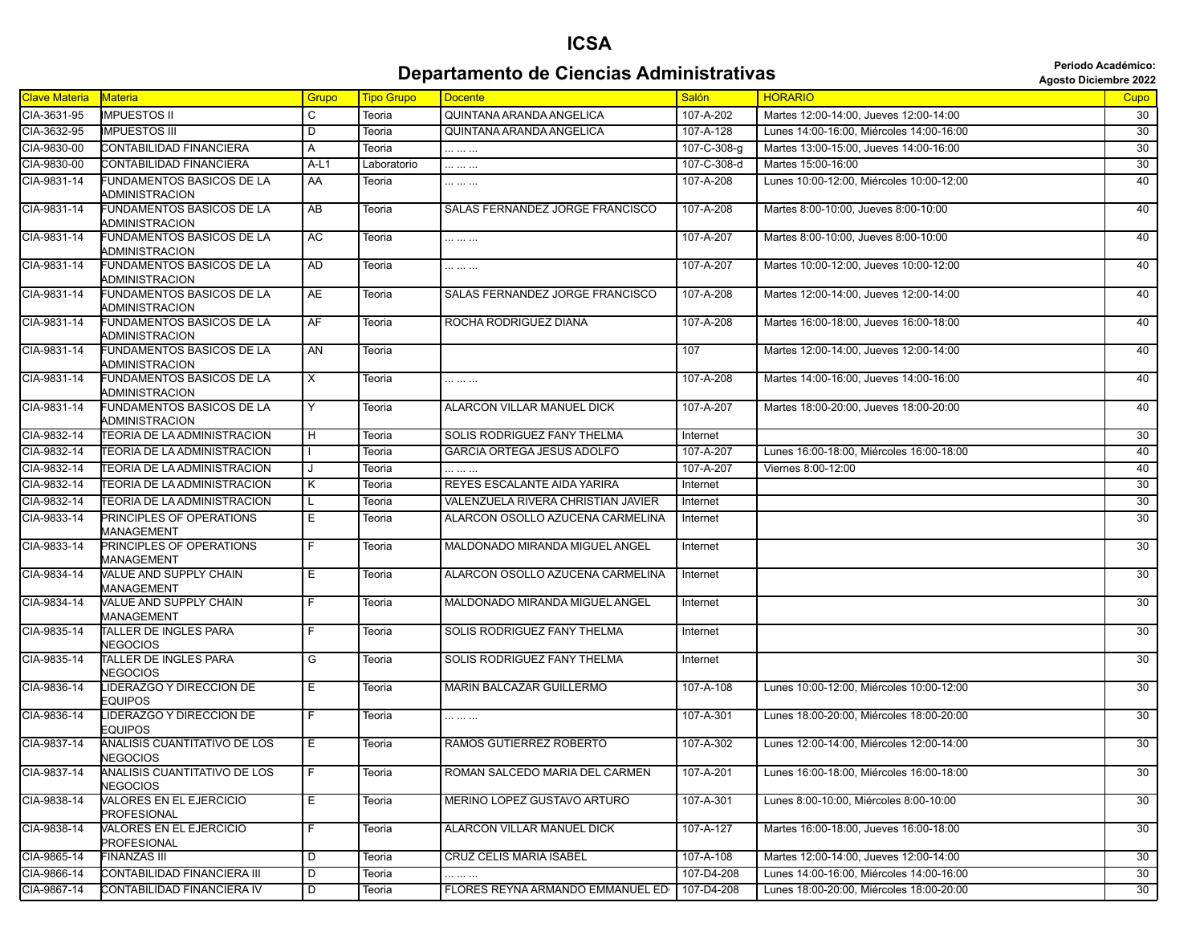#### **Departamento de Ciencias Administrativas administrativas Agosto Diciembre 2022**

| <b>Clave Materia</b> | <b>Materia</b>                                     | Grupo                   | <b>Tipo Grupo</b> | <b>Docente</b>                     | <b>Salón</b> | <b>HORARIO</b>                           | Cupo            |
|----------------------|----------------------------------------------------|-------------------------|-------------------|------------------------------------|--------------|------------------------------------------|-----------------|
| CIA-3631-95          | <b>IMPUESTOS II</b>                                | C                       | Teoria            | QUINTANA ARANDA ANGELICA           | 107-A-202    | Martes 12:00-14:00, Jueves 12:00-14:00   | 30              |
| CIA-3632-95          | <b>IMPUESTOS III</b>                               | D                       | Teoria            | QUINTANA ARANDA ANGELICA           | 107-A-128    | Lunes 14:00-16:00. Miércoles 14:00-16:00 | 30              |
| CIA-9830-00          | CONTABILIDAD FINANCIERA                            | Α                       | Teoria            |                                    | 107-C-308-g  | Martes 13:00-15:00, Jueves 14:00-16:00   | 30              |
| CIA-9830-00          | CONTABILIDAD FINANCIERA                            | $A-L1$                  | Laboratorio       | .                                  | 107-C-308-d  | Martes 15:00-16:00                       | 30              |
| CIA-9831-14          | <b>FUNDAMENTOS BASICOS DE LA</b><br>ADMINISTRACION | AA                      | Teoria            |                                    | 107-A-208    | Lunes 10:00-12:00, Miércoles 10:00-12:00 | 40              |
| CIA-9831-14          | FUNDAMENTOS BASICOS DE LA<br>ADMINISTRACION        | AB                      | Teoria            | SALAS FERNANDEZ JORGE FRANCISCO    | 107-A-208    | Martes 8:00-10:00, Jueves 8:00-10:00     | 40              |
| CIA-9831-14          | FUNDAMENTOS BASICOS DE LA<br>ADMINISTRACION        | AC                      | Teoria            |                                    | 107-A-207    | Martes 8:00-10:00, Jueves 8:00-10:00     | 40              |
| CIA-9831-14          | FUNDAMENTOS BASICOS DE LA<br>ADMINISTRACION        | <b>AD</b>               | Teoria            |                                    | 107-A-207    | Martes 10:00-12:00, Jueves 10:00-12:00   | 40              |
| CIA-9831-14          | FUNDAMENTOS BASICOS DE LA<br>ADMINISTRACION        | AE                      | Teoria            | SALAS FERNANDEZ JORGE FRANCISCO    | 107-A-208    | Martes 12:00-14:00, Jueves 12:00-14:00   | 40              |
| CIA-9831-14          | FUNDAMENTOS BASICOS DE LA<br>ADMINISTRACION        | AF                      | Teoria            | ROCHA RODRIGUEZ DIANA              | 107-A-208    | Martes 16:00-18:00, Jueves 16:00-18:00   | 40              |
| CIA-9831-14          | FUNDAMENTOS BASICOS DE LA<br>ADMINISTRACION        | AN                      | Teoria            |                                    | 107          | Martes 12:00-14:00, Jueves 12:00-14:00   | 40              |
| CIA-9831-14          | FUNDAMENTOS BASICOS DE LA<br>ADMINISTRACION        | X                       | Teoria            |                                    | 107-A-208    | Martes 14:00-16:00, Jueves 14:00-16:00   | 40              |
| CIA-9831-14          | FUNDAMENTOS BASICOS DE LA<br><b>ADMINISTRACION</b> | Y                       | Teoria            | ALARCON VILLAR MANUEL DICK         | 107-A-207    | Martes 18:00-20:00, Jueves 18:00-20:00   | 40              |
| CIA-9832-14          | <b>TEORIA DE LA ADMINISTRACION</b>                 | н                       | Teoria            | SOLIS RODRIGUEZ FANY THELMA        | Internet     |                                          | 30              |
| CIA-9832-14          | TEORIA DE LA ADMINISTRACION                        |                         | Teoria            | GARCIA ORTEGA JESUS ADOLFO         | 107-A-207    | Lunes 16:00-18:00. Miércoles 16:00-18:00 | 40              |
| CIA-9832-14          | <b>TEORIA DE LA ADMINISTRACION</b>                 |                         | Teoria            | .                                  | 107-A-207    | Viernes 8:00-12:00                       | 40              |
| CIA-9832-14          | TEORIA DE LA ADMINISTRACION                        | Κ                       | Teoria            | REYES ESCALANTE AIDA YARIRA        | Internet     |                                          | 30              |
| CIA-9832-14          | <b>TEORIA DE LA ADMINISTRACION</b>                 |                         | Teoria            | VALENZUELA RIVERA CHRISTIAN JAVIER | Internet     |                                          | 30              |
| CIA-9833-14          | PRINCIPLES OF OPERATIONS<br>MANAGEMENT             | Е                       | Teoria            | ALARCON OSOLLO AZUCENA CARMELINA   | Internet     |                                          | 30              |
| CIA-9833-14          | PRINCIPLES OF OPERATIONS<br>MANAGEMENT             | F.                      | Teoria            | MALDONADO MIRANDA MIGUEL ANGEL     | Internet     |                                          | 30              |
| CIA-9834-14          | VALUE AND SUPPLY CHAIN<br>MANAGEMENT               | Е                       | Teoria            | ALARCON OSOLLO AZUCENA CARMELINA   | Internet     |                                          | 30              |
| CIA-9834-14          | VALUE AND SUPPLY CHAIN<br>MANAGEMENT               | F                       | Teoria            | MALDONADO MIRANDA MIGUEL ANGEL     | Internet     |                                          | 30              |
| CIA-9835-14          | TALLER DE INGLES PARA<br>NEGOCIOS                  | F                       | Teoria            | SOLIS RODRIGUEZ FANY THELMA        | Internet     |                                          | 30              |
| CIA-9835-14          | TALLER DE INGLES PARA<br><b>NEGOCIOS</b>           | G                       | Teoria            | SOLIS RODRIGUEZ FANY THELMA        | Internet     |                                          | 30              |
| CIA-9836-14          | LIDERAZGO Y DIRECCION DE<br>EQUIPOS                | Е                       | Teoria            | MARIN BALCAZAR GUILLERMO           | 107-A-108    | Lunes 10:00-12:00, Miércoles 10:00-12:00 | 30              |
| CIA-9836-14          | LIDERAZGO Y DIRECCION DE<br>EQUIPOS                | F.                      | Teoria            |                                    | 107-A-301    | Lunes 18:00-20:00, Miércoles 18:00-20:00 | 30              |
| CIA-9837-14          | ANALISIS CUANTITATIVO DE LOS<br>NEGOCIOS           | Е                       | Teoria            | RAMOS GUTIERREZ ROBERTO            | 107-A-302    | Lunes 12:00-14:00, Miércoles 12:00-14:00 | 30              |
| CIA-9837-14          | ANALISIS CUANTITATIVO DE LOS<br><b>NEGOCIOS</b>    | F                       | Teoria            | ROMAN SALCEDO MARIA DEL CARMEN     | 107-A-201    | Lunes 16:00-18:00, Miércoles 16:00-18:00 | 30              |
| CIA-9838-14          | VALORES EN EL EJERCICIO<br>PROFESIONAL             | E                       | Teoria            | MERINO LOPEZ GUSTAVO ARTURO        | 107-A-301    | Lunes 8:00-10:00, Miércoles 8:00-10:00   | $\overline{30}$ |
| CIA-9838-14          | VALORES EN EL EJERCICIO<br>PROFESIONAL             | F                       | Teoria            | ALARCON VILLAR MANUEL DICK         | 107-A-127    | Martes 16:00-18:00. Jueves 16:00-18:00   | 30              |
| CIA-9865-14          | <b>FINANZAS III</b>                                | D                       | Teoria            | <b>CRUZ CELIS MARIA ISABEL</b>     | 107-A-108    | Martes 12:00-14:00, Jueves 12:00-14:00   | $\overline{30}$ |
| CIA-9866-14          | CONTABILIDAD FINANCIERA III                        | $\overline{\mathsf{D}}$ | Teoria            |                                    | 107-D4-208   | Lunes 14:00-16:00, Miércoles 14:00-16:00 | 30              |
| CIA-9867-14          | CONTABILIDAD FINANCIERA IV                         | D                       | Teoria            | FLORES REYNA ARMANDO EMMANUEL ED   | 107-D4-208   | Lunes 18:00-20:00, Miércoles 18:00-20:00 | 30              |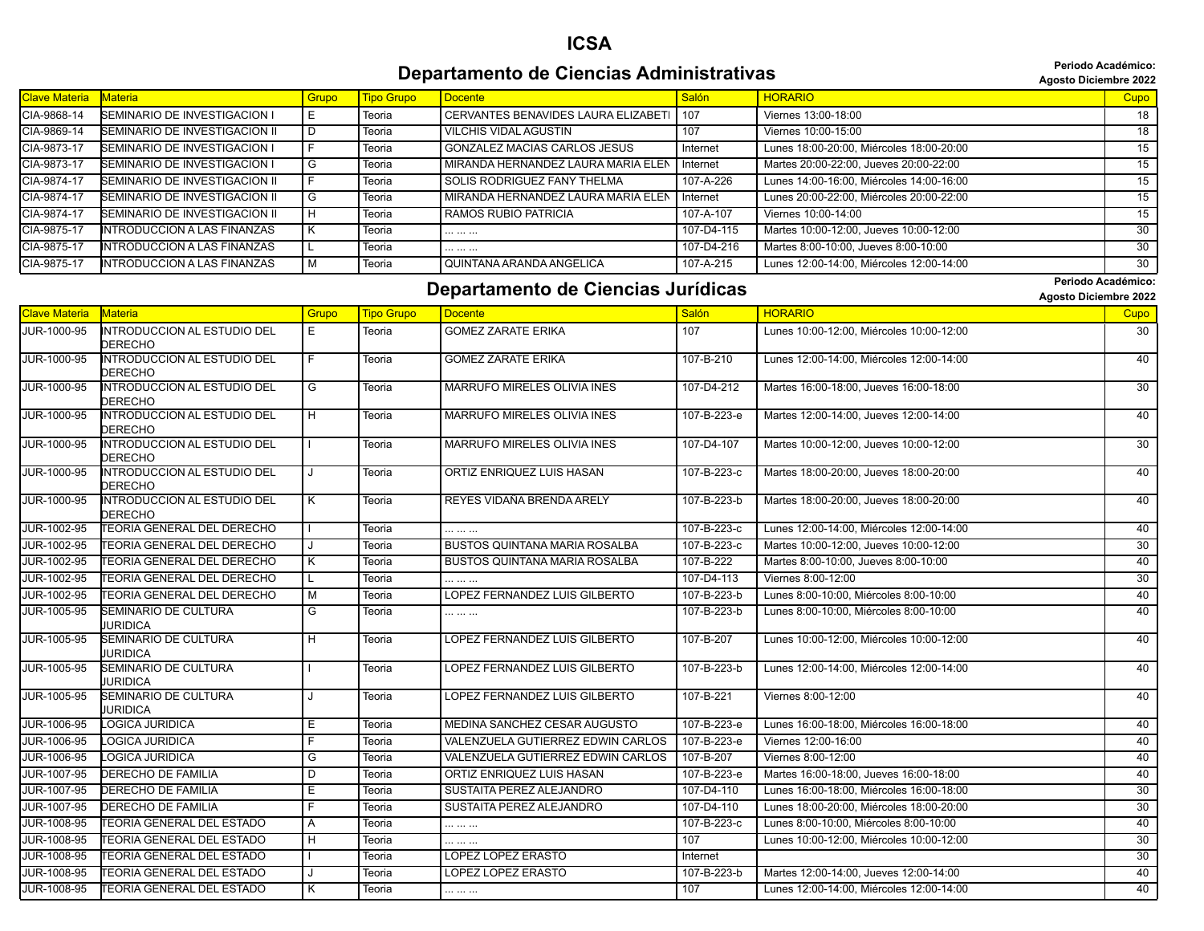#### **Departamento de Ciencias Administrativas agosto Diciembre 2022** *Periodo Académico*:

**Periodo Académico:**

|  | <b>Agosto Diciembre 202</b> |  |
|--|-----------------------------|--|
|--|-----------------------------|--|

| <b>Clave Materia</b> | <b>Materia</b>                       | Grupo | <b>Tipo Grupo</b> | <b>Docente</b>                          | Salón      | <b>HORARIO</b>                           | Cupo |
|----------------------|--------------------------------------|-------|-------------------|-----------------------------------------|------------|------------------------------------------|------|
| CIA-9868-14          | <b>SEMINARIO DE INVESTIGACION I</b>  |       | Teoria            | CERVANTES BENAVIDES LAURA ELIZABETI 107 |            | Viernes 13:00-18:00                      | 18   |
| CIA-9869-14          | <b>SEMINARIO DE INVESTIGACION II</b> |       | Teoria            | <b>VILCHIS VIDAL AGUSTIN</b>            | 107        | Viernes 10:00-15:00                      | 18   |
| CIA-9873-17          | <b>SEMINARIO DE INVESTIGACION I</b>  |       | Teoria            | <b>GONZALEZ MACIAS CARLOS JESUS</b>     | Internet   | Lunes 18:00-20:00, Miércoles 18:00-20:00 | 15   |
| CIA-9873-17          | <b>SEMINARIO DE INVESTIGACION I</b>  |       | Teoria            | MIRANDA HERNANDEZ LAURA MARIA ELEN      | Internet   | Martes 20:00-22:00, Jueves 20:00-22:00   | 15   |
| CIA-9874-17          | SEMINARIO DE INVESTIGACION II        |       | Teoria            | SOLIS RODRIGUEZ FANY THELMA             | 107-A-226  | Lunes 14:00-16:00, Miércoles 14:00-16:00 | 15   |
| CIA-9874-17          | <b>SEMINARIO DE INVESTIGACION II</b> |       | Teoria            | MIRANDA HERNANDEZ LAURA MARIA ELEN      | Internet   | Lunes 20:00-22:00. Miércoles 20:00-22:00 | 15   |
| CIA-9874-17          | SEMINARIO DE INVESTIGACION II        |       | Teoria            | <b>RAMOS RUBIO PATRICIA</b>             | 107-A-107  | Viernes 10:00-14:00                      | 15   |
| CIA-9875-17          | INTRODUCCION A LAS FINANZAS          |       | Teoria            |                                         | 107-D4-115 | Martes 10:00-12:00, Jueves 10:00-12:00   | 30   |
| CIA-9875-17          | INTRODUCCION A LAS FINANZAS          |       | Teoria            |                                         | 107-D4-216 | Martes 8:00-10:00, Jueves 8:00-10:00     | 30   |
| CIA-9875-17          | INTRODUCCION A LAS FINANZAS          |       | Teoria            | QUINTANA ARANDA ANGELICA                | 107-A-215  | Lunes 12:00-14:00, Miércoles 12:00-14:00 | 30   |

#### **Departamento de Ciencias Jurídicas Agosto Diciembre 2022** *Periodo Académico:*

**Periodo Académico:**

|                      |                                                      |                         |                   |                                      |             |                                          | Agosto Diciembre 2022 |
|----------------------|------------------------------------------------------|-------------------------|-------------------|--------------------------------------|-------------|------------------------------------------|-----------------------|
| <b>Clave Materia</b> | Materia                                              | Grupo                   | <b>Tipo Grupo</b> | <b>Docente</b>                       | Salón       | <b>HORARIO</b>                           | Cupo                  |
| JUR-1000-95          | <b>INTRODUCCION AL ESTUDIO DEL</b><br><b>DERECHO</b> | E                       | Teoria            | <b>GOMEZ ZARATE ERIKA</b>            | 107         | Lunes 10:00-12:00, Miércoles 10:00-12:00 | 30                    |
| <b>JUR-1000-95</b>   | <b>INTRODUCCION AL ESTUDIO DEL</b><br><b>DERECHO</b> | F                       | Teoria            | <b>GOMEZ ZARATE ERIKA</b>            | 107-B-210   | Lunes 12:00-14:00, Miércoles 12:00-14:00 | 40                    |
| JUR-1000-95          | INTRODUCCION AL ESTUDIO DEL<br><b>DERECHO</b>        | G                       | Teoria            | MARRUFO MIRELES OLIVIA INES          | 107-D4-212  | Martes 16:00-18:00, Jueves 16:00-18:00   | 30                    |
| JUR-1000-95          | <b>INTRODUCCION AL ESTUDIO DEL</b><br><b>DERECHO</b> | $\overline{H}$          | Teoria            | <b>MARRUFO MIRELES OLIVIA INES</b>   | 107-B-223-e | Martes 12:00-14:00, Jueves 12:00-14:00   | 40                    |
| JUR-1000-95          | INTRODUCCION AL ESTUDIO DEL<br><b>DERECHO</b>        |                         | Teoria            | MARRUFO MIRELES OLIVIA INES          | 107-D4-107  | Martes 10:00-12:00, Jueves 10:00-12:00   | 30                    |
| JUR-1000-95          | <b>INTRODUCCION AL ESTUDIO DEL</b><br>DERECHO        | J                       | Teoria            | ORTIZ ENRIQUEZ LUIS HASAN            | 107-B-223-c | Martes 18:00-20:00, Jueves 18:00-20:00   | 40                    |
| JUR-1000-95          | <b>INTRODUCCION AL ESTUDIO DEL</b><br><b>DERECHO</b> | $\overline{\mathsf{K}}$ | Teoria            | REYES VIDAÑA BRENDA ARELY            | 107-B-223-b | Martes 18:00-20:00, Jueves 18:00-20:00   | 40                    |
| JUR-1002-95          | <b>TEORIA GENERAL DEL DERECHO</b>                    |                         | Teoria            |                                      | 107-B-223-c | Lunes 12:00-14:00, Miércoles 12:00-14:00 | 40                    |
| JUR-1002-95          | TEORIA GENERAL DEL DERECHO                           | J                       | Teoria            | <b>BUSTOS QUINTANA MARIA ROSALBA</b> | 107-B-223-c | Martes 10:00-12:00, Jueves 10:00-12:00   | 30                    |
| JUR-1002-95          | TEORIA GENERAL DEL DERECHO                           | K                       | Teoria            | <b>BUSTOS QUINTANA MARIA ROSALBA</b> | 107-B-222   | Martes 8:00-10:00, Jueves 8:00-10:00     | 40                    |
| JUR-1002-95          | TEORIA GENERAL DEL DERECHO                           | L.                      | Teoria            |                                      | 107-D4-113  | Viernes 8:00-12:00                       | 30                    |
| JUR-1002-95          | TEORIA GENERAL DEL DERECHO                           | $\overline{M}$          | Teoria            | LOPEZ FERNANDEZ LUIS GILBERTO        | 107-B-223-b | Lunes 8:00-10:00. Miércoles 8:00-10:00   | 40                    |
| JUR-1005-95          | <b>SEMINARIO DE CULTURA</b><br>JURIDICA              | G                       | Teoria            | .                                    | 107-B-223-b | Lunes 8:00-10:00, Miércoles 8:00-10:00   | 40                    |
| JUR-1005-95          | <b>SEMINARIO DE CULTURA</b><br>JURIDICA              | H                       | Teoria            | LOPEZ FERNANDEZ LUIS GILBERTO        | 107-B-207   | Lunes 10:00-12:00, Miércoles 10:00-12:00 | 40                    |
| <b>JUR-1005-95</b>   | SEMINARIO DE CULTURA<br><b>JURIDICA</b>              |                         | Teoria            | LOPEZ FERNANDEZ LUIS GILBERTO        | 107-B-223-b | Lunes 12:00-14:00, Miércoles 12:00-14:00 | 40                    |
| JUR-1005-95          | <b>SEMINARIO DE CULTURA</b><br>UURIDICA              | $\cdot$                 | Teoria            | LOPEZ FERNANDEZ LUIS GILBERTO        | 107-B-221   | Viernes 8:00-12:00                       | 40                    |
| JUR-1006-95          | <b>LOGICA JURIDICA</b>                               | E                       | Teoria            | MEDINA SANCHEZ CESAR AUGUSTO         | 107-B-223-e | Lunes 16:00-18:00, Miércoles 16:00-18:00 | 40                    |
| JUR-1006-95          | LOGICA JURIDICA                                      | F                       | Teoria            | VALENZUELA GUTIERREZ EDWIN CARLOS    | 107-B-223-e | Viernes 12:00-16:00                      | 40                    |
| JUR-1006-95          | LOGICA JURIDICA                                      | G                       | Teoria            | VALENZUELA GUTIERREZ EDWIN CARLOS    | 107-B-207   | Viernes 8:00-12:00                       | 40                    |
| JUR-1007-95          | <b>DERECHO DE FAMILIA</b>                            | D                       | Teoria            | ORTIZ ENRIQUEZ LUIS HASAN            | 107-B-223-e | Martes 16:00-18:00, Jueves 16:00-18:00   | 40                    |
| JUR-1007-95          | <b>DERECHO DE FAMILIA</b>                            | Е                       | Teoria            | SUSTAITA PEREZ ALEJANDRO             | 107-D4-110  | Lunes 16:00-18:00, Miércoles 16:00-18:00 | 30                    |
| JUR-1007-95          | <b>DERECHO DE FAMILIA</b>                            | F                       | Teoria            | SUSTAITA PEREZ ALEJANDRO             | 107-D4-110  | Lunes 18:00-20:00, Miércoles 18:00-20:00 | 30                    |
| JUR-1008-95          | <b>TEORIA GENERAL DEL ESTADO</b>                     | A                       | Teoria            |                                      | 107-B-223-c | Lunes 8:00-10:00, Miércoles 8:00-10:00   | 40                    |
| JUR-1008-95          | <b>TEORIA GENERAL DEL ESTADO</b>                     | H                       | Teoria            | .                                    | 107         | Lunes 10:00-12:00, Miércoles 10:00-12:00 | $\overline{30}$       |
| JUR-1008-95          | TEORIA GENERAL DEL ESTADO                            |                         | Teoria            | <b>LOPEZ LOPEZ ERASTO</b>            | Internet    |                                          | 30                    |
| JUR-1008-95          | TEORIA GENERAL DEL ESTADO                            | J                       | Teoria            | <b>LOPEZ LOPEZ ERASTO</b>            | 107-B-223-b | Martes 12:00-14:00, Jueves 12:00-14:00   | 40                    |
| JUR-1008-95          | <b>TEORIA GENERAL DEL ESTADO</b>                     | $\overline{\mathsf{K}}$ | Teoria            |                                      | 107         | Lunes 12:00-14:00. Miércoles 12:00-14:00 | 40                    |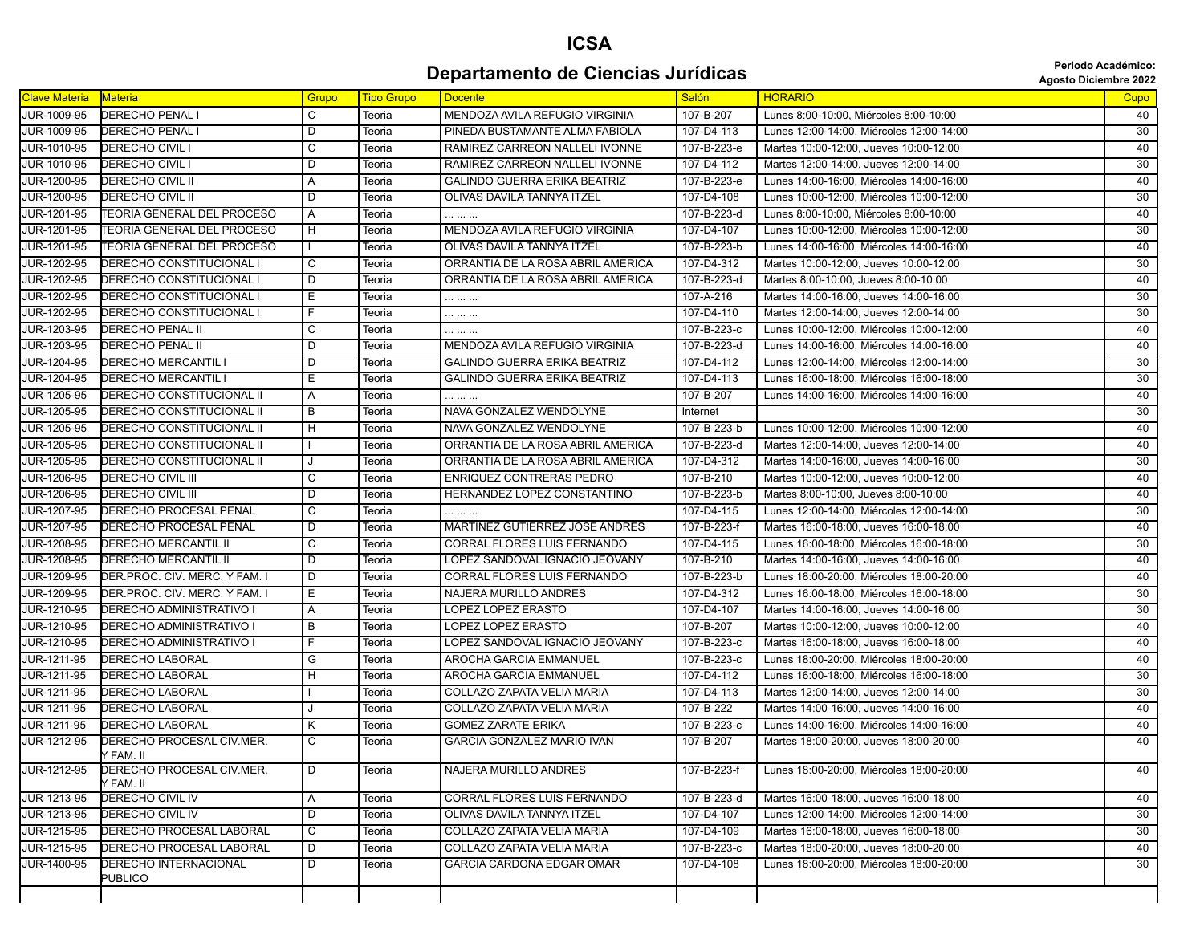## **ICSA Departamento de Ciencias Jurídicas Agosto Diciembre 2022** *Periodo Académico:*

|  | <b>Agosto Diciembre 202</b> |  |  |  |
|--|-----------------------------|--|--|--|
|--|-----------------------------|--|--|--|

| <b>Clave Materia</b> | Materia                                 | Grupo          | <b>Tipo Grupo</b> | <b>Docente</b>                      | Salón       | <b>HORARIO</b>                           | Cupo            |
|----------------------|-----------------------------------------|----------------|-------------------|-------------------------------------|-------------|------------------------------------------|-----------------|
| JUR-1009-95          | <b>DERECHO PENALI</b>                   | C              | Teoria            | MENDOZA AVILA REFUGIO VIRGINIA      | 107-B-207   | Lunes 8:00-10:00, Miércoles 8:00-10:00   | 40              |
| JUR-1009-95          | <b>DERECHO PENAL I</b>                  | $\overline{D}$ | Teoria            | PINEDA BUSTAMANTE ALMA FABIOLA      | 107-D4-113  | Lunes 12:00-14:00, Miércoles 12:00-14:00 | 30              |
| JUR-1010-95          | DERECHO CIVIL I                         | С              | Teoria            | RAMIREZ CARREON NALLELI IVONNE      | 107-B-223-e | Martes 10:00-12:00, Jueves 10:00-12:00   | 40              |
| JUR-1010-95          | DERECHO CIVIL I                         | D              | Teoria            | RAMIREZ CARREON NALLELI IVONNE      | 107-D4-112  | Martes 12:00-14:00, Jueves 12:00-14:00   | 30              |
| JUR-1200-95          | <b>DERECHO CIVIL II</b>                 | A              | Teoria            | <b>GALINDO GUERRA ERIKA BEATRIZ</b> | 107-B-223-e | Lunes 14:00-16:00, Miércoles 14:00-16:00 | 40              |
| JUR-1200-95          | DERECHO CIVIL II                        | D              | Teoria            | OLIVAS DAVILA TANNYA ITZEL          | 107-D4-108  | Lunes 10:00-12:00, Miércoles 10:00-12:00 | 30              |
| JUR-1201-95          | TEORIA GENERAL DEL PROCESO              | Α              | Teoria            | .                                   | 107-B-223-d | Lunes 8:00-10:00, Miércoles 8:00-10:00   | 40              |
| JUR-1201-95          | TEORIA GENERAL DEL PROCESO              | H              | Teoria            | MENDOZA AVILA REFUGIO VIRGINIA      | 107-D4-107  | Lunes 10:00-12:00, Miércoles 10:00-12:00 | 30              |
| <b>JUR-1201-95</b>   | TEORIA GENERAL DEL PROCESO              | $\mathbf{I}$   | Teoria            | OLIVAS DAVILA TANNYA ITZEL          | 107-B-223-b | Lunes 14:00-16:00. Miércoles 14:00-16:00 | 40              |
| <b>JUR-1202-95</b>   | DERECHO CONSTITUCIONAL I                | C              | Teoria            | ORRANTIA DE LA ROSA ABRIL AMERICA   | 107-D4-312  | Martes 10:00-12:00, Jueves 10:00-12:00   | 30              |
| JUR-1202-95          | DERECHO CONSTITUCIONAL I                | D              | Teoria            | ORRANTIA DE LA ROSA ABRIL AMERICA   | 107-B-223-d | Martes 8:00-10:00, Jueves 8:00-10:00     | 40              |
| JUR-1202-95          | DERECHO CONSTITUCIONAL I                | Е              | Teoria            |                                     | 107-A-216   | Martes 14:00-16:00, Jueves 14:00-16:00   | 30              |
| JUR-1202-95          | DERECHO CONSTITUCIONAL I                | F              | Teoria            |                                     | 107-D4-110  | Martes 12:00-14:00, Jueves 12:00-14:00   | 30              |
| JUR-1203-95          | DERECHO PENAL II                        | С              | Teoria            |                                     | 107-B-223-c | Lunes 10:00-12:00, Miércoles 10:00-12:00 | 40              |
| JUR-1203-95          | <b>DERECHO PENAL II</b>                 | D              | Teoria            | MENDOZA AVILA REFUGIO VIRGINIA      | 107-B-223-d | Lunes 14:00-16:00, Miércoles 14:00-16:00 | 40              |
| JUR-1204-95          | <b>DERECHO MERCANTIL I</b>              | D              | Teoria            | <b>GALINDO GUERRA ERIKA BEATRIZ</b> | 107-D4-112  | Lunes 12:00-14:00, Miércoles 12:00-14:00 | 30              |
| JUR-1204-95          | DERECHO MERCANTIL I                     | Е              | Teoria            | <b>GALINDO GUERRA ERIKA BEATRIZ</b> | 107-D4-113  | Lunes 16:00-18:00, Miércoles 16:00-18:00 | 30              |
| JUR-1205-95          | DERECHO CONSTITUCIONAL II               | Α              | Teoria            |                                     | 107-B-207   | Lunes 14:00-16:00, Miércoles 14:00-16:00 | 40              |
| JUR-1205-95          | DERECHO CONSTITUCIONAL II               | $\overline{B}$ | Teoria            | NAVA GONZALEZ WENDOLYNE             | Internet    |                                          | 30              |
| JUR-1205-95          | DERECHO CONSTITUCIONAL II               | H              | Teoria            | NAVA GONZALEZ WENDOLYNE             | 107-B-223-b | Lunes 10:00-12:00, Miércoles 10:00-12:00 | 40              |
| JUR-1205-95          | DERECHO CONSTITUCIONAL II               |                | Teoria            | ORRANTIA DE LA ROSA ABRIL AMERICA   | 107-B-223-d | Martes 12:00-14:00, Jueves 12:00-14:00   | 40              |
| JUR-1205-95          | DERECHO CONSTITUCIONAL II               | J              | Teoria            | ORRANTIA DE LA ROSA ABRIL AMERICA   | 107-D4-312  | Martes 14:00-16:00, Jueves 14:00-16:00   | $\overline{30}$ |
| JUR-1206-95          | DERECHO CIVIL III                       | C              | Teoria            | <b>ENRIQUEZ CONTRERAS PEDRO</b>     | 107-B-210   | Martes 10:00-12:00, Jueves 10:00-12:00   | 40              |
| JUR-1206-95          | <b>DERECHO CIVIL III</b>                | D              | Teoria            | HERNANDEZ LOPEZ CONSTANTINO         | 107-B-223-b | Martes 8:00-10:00, Jueves 8:00-10:00     | 40              |
| JUR-1207-95          | <b>DERECHO PROCESAL PENAL</b>           | C              | Teoria            | .                                   | 107-D4-115  | Lunes 12:00-14:00, Miércoles 12:00-14:00 | 30              |
| JUR-1207-95          | <b>DERECHO PROCESAL PENAL</b>           | D              | Teoria            | MARTINEZ GUTIERREZ JOSE ANDRES      | 107-B-223-f | Martes 16:00-18:00, Jueves 16:00-18:00   | 40              |
| JUR-1208-95          | DERECHO MERCANTIL II                    | С              | Teoria            | CORRAL FLORES LUIS FERNANDO         | 107-D4-115  | Lunes 16:00-18:00, Miércoles 16:00-18:00 | 30              |
| JUR-1208-95          | <b>DERECHO MERCANTIL II</b>             | D              | Teoria            | LOPEZ SANDOVAL IGNACIO JEOVANY      | 107-B-210   | Martes 14:00-16:00, Jueves 14:00-16:00   | 40              |
| JUR-1209-95          | DER.PROC. CIV. MERC. Y FAM. I           | D              | Teoria            | CORRAL FLORES LUIS FERNANDO         | 107-B-223-b | Lunes 18:00-20:00, Miércoles 18:00-20:00 | 40              |
| JUR-1209-95          | DER.PROC. CIV. MERC. Y FAM. I           | Е              | Teoria            | NAJERA MURILLO ANDRES               | 107-D4-312  | Lunes 16:00-18:00, Miércoles 16:00-18:00 | 30              |
| JUR-1210-95          | DERECHO ADMINISTRATIVO I                | Α              | Teoria            | LOPEZ LOPEZ ERASTO                  | 107-D4-107  | Martes 14:00-16:00, Jueves 14:00-16:00   | 30              |
| JUR-1210-95          | DERECHO ADMINISTRATIVO I                | $\overline{B}$ | Teoria            | LOPEZ LOPEZ ERASTO                  | 107-B-207   | Martes 10:00-12:00, Jueves 10:00-12:00   | 40              |
| JUR-1210-95          | DERECHO ADMINISTRATIVO I                | F              | Teoria            | LOPEZ SANDOVAL IGNACIO JEOVANY      | 107-B-223-c | Martes 16:00-18:00, Jueves 16:00-18:00   | 40              |
| JUR-1211-95          | <b>DERECHO LABORAL</b>                  | G              | Teoria            | AROCHA GARCIA EMMANUEL              | 107-B-223-c | Lunes 18:00-20:00, Miércoles 18:00-20:00 | 40              |
| JUR-1211-95          | <b>DERECHO LABORAL</b>                  | $\overline{H}$ | Teoria            | AROCHA GARCIA EMMANUEL              | 107-D4-112  | Lunes 16:00-18:00, Miércoles 16:00-18:00 | $\overline{30}$ |
| JUR-1211-95          | DERECHO LABORAL                         |                | Teoria            | COLLAZO ZAPATA VELIA MARIA          | 107-D4-113  | Martes 12:00-14:00, Jueves 12:00-14:00   | 30              |
| <b>JUR-1211-95</b>   | <b>DERECHO LABORAL</b>                  |                | Teoria            | COLLAZO ZAPATA VELIA MARIA          | 107-B-222   | Martes 14:00-16:00, Jueves 14:00-16:00   | 40              |
| JUR-1211-95          | DERECHO LABORAL                         | Κ              | Teoria            | <b>GOMEZ ZARATE ERIKA</b>           | 107-B-223-c | Lunes 14:00-16:00, Miércoles 14:00-16:00 | 40              |
| JUR-1212-95          | DERECHO PROCESAL CIV.MER.<br>Y FAM. II  | С              | Teoria            | GARCIA GONZALEZ MARIO IVAN          | 107-B-207   | Martes 18:00-20:00. Jueves 18:00-20:00   | 40              |
| JUR-1212-95          | DERECHO PROCESAL CIV.MER.<br>Y FAM. II  | I D            | Teoria            | NAJERA MURILLO ANDRES               | 107-B-223-f | Lunes 18:00-20:00, Miércoles 18:00-20:00 | 40              |
| JUR-1213-95          | DERECHO CIVIL IV                        | A              | Teoria            | CORRAL FLORES LUIS FERNANDO         | 107-B-223-d | Martes 16:00-18:00, Jueves 16:00-18:00   | 40              |
| JUR-1213-95          | DERECHO CIVIL IV                        | D              | Teoria            | OLIVAS DAVILA TANNYA ITZEL          | 107-D4-107  | Lunes 12:00-14:00, Miércoles 12:00-14:00 | $\overline{30}$ |
| JUR-1215-95          | DERECHO PROCESAL LABORAL                | $\overline{C}$ | Teoria            | COLLAZO ZAPATA VELIA MARIA          | 107-D4-109  | Martes 16:00-18:00, Jueves 16:00-18:00   | 30              |
| JUR-1215-95          | DERECHO PROCESAL LABORAL                | D              | Teoria            | COLLAZO ZAPATA VELIA MARIA          | 107-B-223-c | Martes 18:00-20:00, Jueves 18:00-20:00   | 40              |
| JUR-1400-95          | DERECHO INTERNACIONAL<br><b>PUBLICO</b> | D              | Teoria            | <b>GARCIA CARDONA EDGAR OMAR</b>    | 107-D4-108  | Lunes 18:00-20:00, Miércoles 18:00-20:00 | 30              |
|                      |                                         |                |                   |                                     |             |                                          |                 |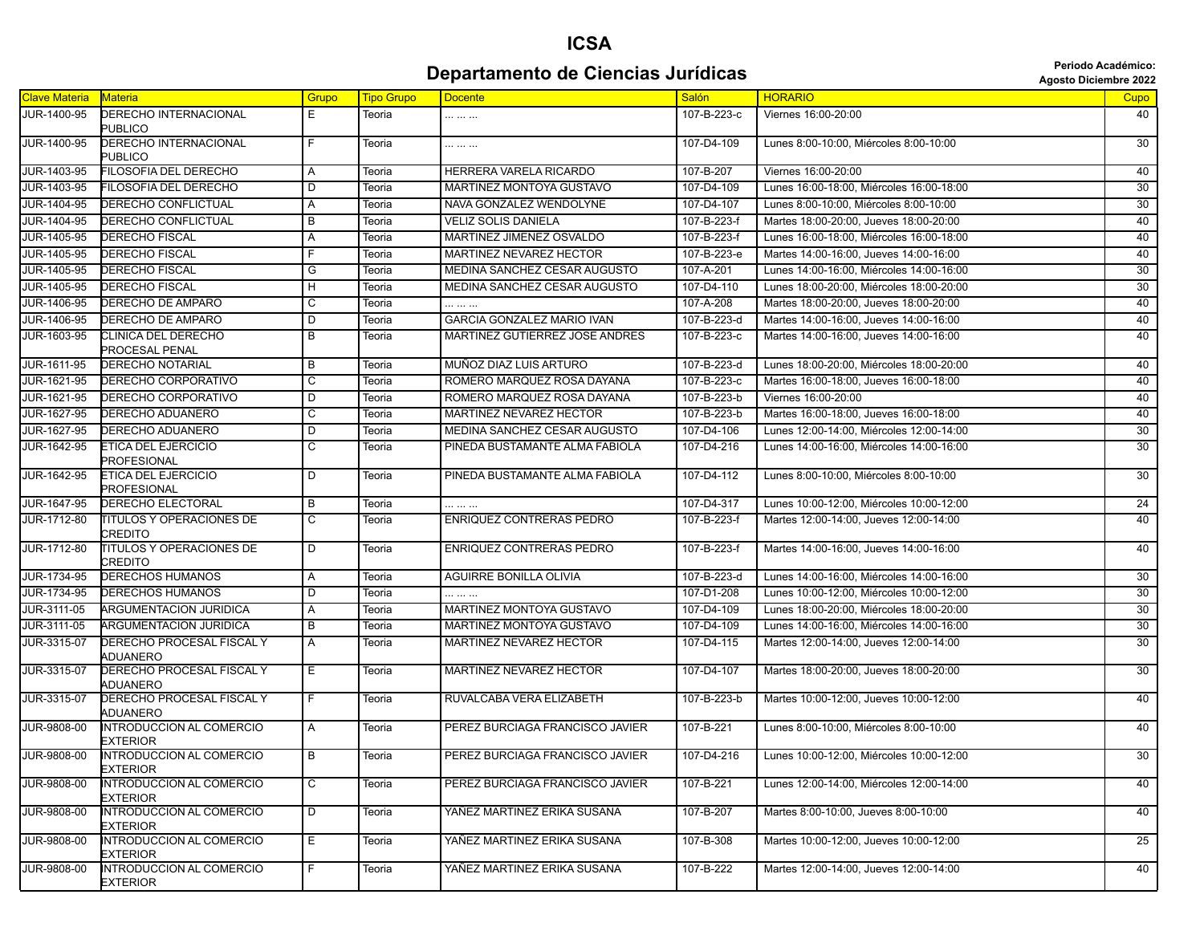#### **Departamento de Ciencias Jurídicas Agosto Diciembre 2022 Departamento de Ciencias Jurídicas**

| <b>Clave Materia</b> | <b>Materia</b>                                     | Grupo                   | <b>Tipo Grupo</b> | <b>Docente</b>                      | <b>Salón</b> | <b>HORARIO</b>                           | Cupo |
|----------------------|----------------------------------------------------|-------------------------|-------------------|-------------------------------------|--------------|------------------------------------------|------|
| JUR-1400-95          | <b>DERECHO INTERNACIONAL</b><br><b>PUBLICO</b>     | E.                      | Teoria            |                                     | 107-B-223-c  | Viernes 16:00-20:00                      | 40   |
| JUR-1400-95          | DERECHO INTERNACIONAL<br><b>PUBLICO</b>            | F.                      | Teoria            |                                     | 107-D4-109   | Lunes 8:00-10:00, Miércoles 8:00-10:00   | 30   |
| JUR-1403-95          | FILOSOFIA DEL DERECHO                              | Α                       | Teoria            | HERRERA VARELA RICARDO              | 107-B-207    | Viernes 16:00-20:00                      | 40   |
| JUR-1403-95          | FILOSOFIA DEL DERECHO                              | D                       | Teoria            | <b>MARTINEZ MONTOYA GUSTAVO</b>     | 107-D4-109   | Lunes 16:00-18:00. Miércoles 16:00-18:00 | 30   |
| JUR-1404-95          | <b>DERECHO CONFLICTUAL</b>                         | A                       | Teoria            | NAVA GONZALEZ WENDOLYNE             | 107-D4-107   | Lunes 8:00-10:00, Miércoles 8:00-10:00   | 30   |
| JUR-1404-95          | DERECHO CONFLICTUAL                                | В                       | Teoria            | <b>VELIZ SOLIS DANIELA</b>          | 107-B-223-f  | Martes 18:00-20:00, Jueves 18:00-20:00   | 40   |
| JUR-1405-95          | <b>DERECHO FISCAL</b>                              | A                       | Teoria            | MARTINEZ JIMENEZ OSVALDO            | 107-B-223-f  | Lunes 16:00-18:00, Miércoles 16:00-18:00 | 40   |
| JUR-1405-95          | DERECHO FISCAL                                     | F                       | Teoria            | MARTINEZ NEVAREZ HECTOR             | 107-B-223-e  | Martes 14:00-16:00, Jueves 14:00-16:00   | 40   |
| <b>JUR-1405-95</b>   | <b>DERECHO FISCAL</b>                              | G                       | Teoria            | MEDINA SANCHEZ CESAR AUGUSTO        | 107-A-201    | Lunes 14:00-16:00, Miércoles 14:00-16:00 | 30   |
| JUR-1405-95          | <b>DERECHO FISCAL</b>                              | H                       | Teoria            | MEDINA SANCHEZ CESAR AUGUSTO        | 107-D4-110   | Lunes 18:00-20:00, Miércoles 18:00-20:00 | 30   |
| JUR-1406-95          | DERECHO DE AMPARO                                  | С                       | Teoria            |                                     | 107-A-208    | Martes 18:00-20:00, Jueves 18:00-20:00   | 40   |
| JUR-1406-95          | DERECHO DE AMPARO                                  | D                       | Teoria            | GARCIA GONZALEZ MARIO IVAN          | 107-B-223-d  | Martes 14:00-16:00, Jueves 14:00-16:00   | 40   |
| JUR-1603-95          | CLINICA DEL DERECHO<br>PROCESAL PENAL              | В                       | Teoria            | MARTINEZ GUTIERREZ JOSE ANDRES      | 107-B-223-c  | Martes 14:00-16:00, Jueves 14:00-16:00   | 40   |
| JUR-1611-95          | <b>DERECHO NOTARIAL</b>                            | В                       | Teoria            | MUÑOZ DIAZ LUIS ARTURO              | 107-B-223-d  | Lunes 18:00-20:00, Miércoles 18:00-20:00 | 40   |
| JUR-1621-95          | DERECHO CORPORATIVO                                | $\overline{\mathsf{c}}$ | Teoria            | ROMERO MARQUEZ ROSA DAYANA          | 107-B-223-c  | Martes 16:00-18:00, Jueves 16:00-18:00   | 40   |
| JUR-1621-95          | DERECHO CORPORATIVO                                | D                       | Teoria            | ROMERO MARQUEZ ROSA DAYANA          | 107-B-223-b  | Viernes 16:00-20:00                      | 40   |
| JUR-1627-95          | <b>DERECHO ADUANERO</b>                            | $\overline{c}$          | Teoria            | <b>MARTINEZ NEVAREZ HECTOR</b>      | 107-B-223-b  | Martes 16:00-18:00, Jueves 16:00-18:00   | 40   |
| JUR-1627-95          | DERECHO ADUANERO                                   | D                       | Teoria            | <b>MEDINA SANCHEZ CESAR AUGUSTO</b> | 107-D4-106   | Lunes 12:00-14:00. Miércoles 12:00-14:00 | 30   |
| JUR-1642-95          | ETICA DEL EJERCICIO<br>PROFESIONAL                 | C                       | Teoria            | PINEDA BUSTAMANTE ALMA FABIOLA      | 107-D4-216   | Lunes 14:00-16:00, Miércoles 14:00-16:00 | 30   |
| JUR-1642-95          | <b>ETICA DEL EJERCICIO</b><br>PROFESIONAL          | D                       | Teoria            | PINEDA BUSTAMANTE ALMA FABIOLA      | 107-D4-112   | Lunes 8:00-10:00, Miércoles 8:00-10:00   | 30   |
| JUR-1647-95          | <b>DERECHO ELECTORAL</b>                           | В                       | Teoria            |                                     | 107-D4-317   | Lunes 10:00-12:00, Miércoles 10:00-12:00 | 24   |
| JUR-1712-80          | <b>TITULOS Y OPERACIONES DE</b><br>CREDITO         | C                       | Teoria            | <b>ENRIQUEZ CONTRERAS PEDRO</b>     | 107-B-223-f  | Martes 12:00-14:00, Jueves 12:00-14:00   | 40   |
| JUR-1712-80          | <b>TITULOS Y OPERACIONES DE</b><br>CREDITO         | D                       | Teoria            | ENRIQUEZ CONTRERAS PEDRO            | 107-B-223-f  | Martes 14:00-16:00, Jueves 14:00-16:00   | 40   |
| JUR-1734-95          | DERECHOS HUMANOS                                   | Α                       | Teoria            | AGUIRRE BONILLA OLIVIA              | 107-B-223-d  | Lunes 14:00-16:00, Miércoles 14:00-16:00 | 30   |
| JUR-1734-95          | DERECHOS HUMANOS                                   | D                       | Teoria            |                                     | 107-D1-208   | Lunes 10:00-12:00, Miércoles 10:00-12:00 | 30   |
| JUR-3111-05          | <b>ARGUMENTACION JURIDICA</b>                      | Α                       | Teoria            | MARTINEZ MONTOYA GUSTAVO            | 107-D4-109   | Lunes 18:00-20:00, Miércoles 18:00-20:00 | 30   |
| JUR-3111-05          | ARGUMENTACION JURIDICA                             | В                       | Teoria            | MARTINEZ MONTOYA GUSTAVO            | 107-D4-109   | Lunes 14:00-16:00, Miércoles 14:00-16:00 | 30   |
| JUR-3315-07          | DERECHO PROCESAL FISCAL Y<br>ADUANERO              | A                       | Teoria            | MARTINEZ NEVAREZ HECTOR             | 107-D4-115   | Martes 12:00-14:00, Jueves 12:00-14:00   | 30   |
| JUR-3315-07          | DERECHO PROCESAL FISCAL Y<br>ADUANERO              | E.                      | Teoria            | MARTINEZ NEVAREZ HECTOR             | 107-D4-107   | Martes 18:00-20:00, Jueves 18:00-20:00   | 30   |
| JUR-3315-07          | DERECHO PROCESAL FISCAL Y<br>ADUANERO              | F.                      | Teoria            | RUVALCABA VERA ELIZABETH            | 107-B-223-b  | Martes 10:00-12:00, Jueves 10:00-12:00   | 40   |
| JUR-9808-00          | <b>INTRODUCCION AL COMERCIO</b><br><b>EXTERIOR</b> | Α                       | Teoria            | PEREZ BURCIAGA FRANCISCO JAVIER     | 107-B-221    | Lunes 8:00-10:00. Miércoles 8:00-10:00   | 40   |
| <b>JUR-9808-00</b>   | <b>INTRODUCCION AL COMERCIO</b><br><b>EXTERIOR</b> | B                       | Teoria            | PEREZ BURCIAGA FRANCISCO JAVIER     | 107-D4-216   | Lunes 10:00-12:00, Miércoles 10:00-12:00 | 30   |
| JUR-9808-00          | <b>INTRODUCCION AL COMERCIO</b><br><b>EXTERIOR</b> | C                       | Teoria            | PEREZ BURCIAGA FRANCISCO JAVIER     | 107-B-221    | Lunes 12:00-14:00, Miércoles 12:00-14:00 | 40   |
| JUR-9808-00          | <b>INTRODUCCION AL COMERCIO</b><br>EXTERIOR        | D                       | Teoria            | YAÑEZ MARTINEZ ERIKA SUSANA         | 107-B-207    | Martes 8:00-10:00, Jueves 8:00-10:00     | 40   |
| JUR-9808-00          | <b>INTRODUCCION AL COMERCIO</b><br>EXTERIOR        | Ε                       | Teoria            | YAÑEZ MARTINEZ ERIKA SUSANA         | 107-B-308    | Martes 10:00-12:00, Jueves 10:00-12:00   | 25   |
| JUR-9808-00          | <b>INTRODUCCION AL COMERCIO</b><br><b>EXTERIOR</b> | F                       | Teoria            | YAÑEZ MARTINEZ ERIKA SUSANA         | 107-B-222    | Martes 12:00-14:00. Jueves 12:00-14:00   | 40   |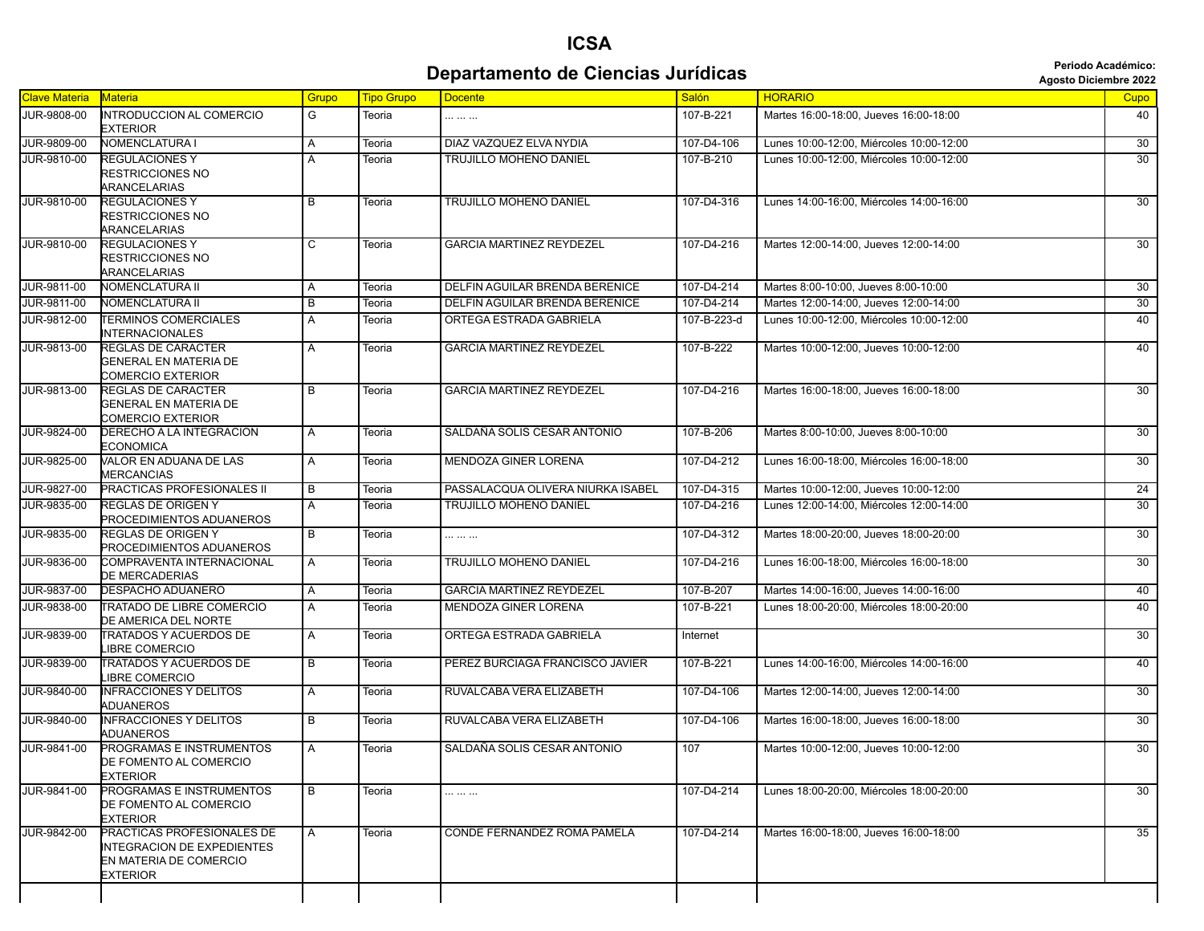## **ICSA Departamento de Ciencias Jurídicas Agosto Diciembre 2022 Periodo Académico:**

|  | <b>Agosto Diciembre 202</b> |  |
|--|-----------------------------|--|
|--|-----------------------------|--|

| <b>Clave Materia</b> | <b>Materia</b>                                                                                               | Grupo        | <b>Tipo Grupo</b> | <b>Docente</b>                    | <b>Salón</b> | <b>HORARIO</b>                           | Cupo            |
|----------------------|--------------------------------------------------------------------------------------------------------------|--------------|-------------------|-----------------------------------|--------------|------------------------------------------|-----------------|
| JUR-9808-00          | INTRODUCCION AL COMERCIO<br><b>EXTERIOR</b>                                                                  | G            | Teoria            |                                   | 107-B-221    | Martes 16:00-18:00, Jueves 16:00-18:00   | 40              |
| <b>JUR-9809-00</b>   | <b>NOMENCLATURA I</b>                                                                                        | Α            | Teoria            | DIAZ VAZQUEZ ELVA NYDIA           | 107-D4-106   | Lunes 10:00-12:00, Miércoles 10:00-12:00 | 30              |
| JUR-9810-00          | <b>REGULACIONES Y</b><br>RESTRICCIONES NO<br><b>ARANCELARIAS</b>                                             | A            | Teoria            | TRUJILLO MOHENO DANIEL            | 107-B-210    | Lunes 10:00-12:00, Miércoles 10:00-12:00 | $\overline{30}$ |
| JUR-9810-00          | <b>REGULACIONES Y</b><br>RESTRICCIONES NO<br><b>ARANCELARIAS</b>                                             | B            | Teoria            | <b>TRUJILLO MOHENO DANIEL</b>     | 107-D4-316   | Lunes 14:00-16:00, Miércoles 14:00-16:00 | $\overline{30}$ |
| JUR-9810-00          | <b>REGULACIONES Y</b><br>RESTRICCIONES NO<br><b>ARANCELARIAS</b>                                             | C            | Teoria            | <b>GARCIA MARTINEZ REYDEZEL</b>   | 107-D4-216   | Martes 12:00-14:00, Jueves 12:00-14:00   | $\overline{30}$ |
| JUR-9811-00          | NOMENCLATURA II                                                                                              | A            | Teoria            | DELFIN AGUILAR BRENDA BERENICE    | 107-D4-214   | Martes 8:00-10:00, Jueves 8:00-10:00     | 30              |
| JUR-9811-00          | <b>NOMENCLATURA II</b>                                                                                       | B            | Teoria            | DELFIN AGUILAR BRENDA BERENICE    | 107-D4-214   | Martes 12:00-14:00, Jueves 12:00-14:00   | 30              |
| JUR-9812-00          | <b>TERMINOS COMERCIALES</b><br><b>INTERNACIONALES</b>                                                        | A            | Teoria            | ORTEGA ESTRADA GABRIELA           | 107-B-223-d  | Lunes 10:00-12:00, Miércoles 10:00-12:00 | 40              |
| JUR-9813-00          | <b>REGLAS DE CARACTER</b><br>GENERAL EN MATERIA DE<br><b>COMERCIO EXTERIOR</b>                               | A            | Teoria            | <b>GARCIA MARTINEZ REYDEZEL</b>   | 107-B-222    | Martes 10:00-12:00, Jueves 10:00-12:00   | 40              |
| JUR-9813-00          | REGLAS DE CARACTER<br><b>GENERAL EN MATERIA DE</b><br>COMERCIO EXTERIOR                                      | B            | Teoria            | <b>GARCIA MARTINEZ REYDEZEL</b>   | 107-D4-216   | Martes 16:00-18:00, Jueves 16:00-18:00   | $\overline{30}$ |
| JUR-9824-00          | DERECHO A LA INTEGRACION<br><b>ECONOMICA</b>                                                                 | A            | Teoria            | SALDAÑA SOLIS CESAR ANTONIO       | 107-B-206    | Martes 8:00-10:00. Jueves 8:00-10:00     | 30              |
| JUR-9825-00          | VALOR EN ADUANA DE LAS<br><b>MERCANCIAS</b>                                                                  | A            | Teoria            | <b>MENDOZA GINER LORENA</b>       | 107-D4-212   | Lunes 16:00-18:00, Miércoles 16:00-18:00 | $\overline{30}$ |
| JUR-9827-00          | PRACTICAS PROFESIONALES II                                                                                   | B            | Teoria            | PASSALACQUA OLIVERA NIURKA ISABEL | 107-D4-315   | Martes 10:00-12:00, Jueves 10:00-12:00   | 24              |
| JUR-9835-00          | <b>REGLAS DE ORIGEN Y</b><br><b>PROCEDIMIENTOS ADUANEROS</b>                                                 | A            | Teoria            | <b>TRUJILLO MOHENO DANIEL</b>     | 107-D4-216   | Lunes 12:00-14:00, Miércoles 12:00-14:00 | $\overline{30}$ |
| JUR-9835-00          | REGLAS DE ORIGEN Y<br>PROCEDIMIENTOS ADUANEROS                                                               | B            | Teoria            |                                   | 107-D4-312   | Martes 18:00-20:00, Jueves 18:00-20:00   | 30              |
| JUR-9836-00          | COMPRAVENTA INTERNACIONAL<br>DE MERCADERIAS                                                                  | A            | Teoria            | TRUJILLO MOHENO DANIEL            | 107-D4-216   | Lunes 16:00-18:00, Miércoles 16:00-18:00 | 30              |
| JUR-9837-00          | <b>DESPACHO ADUANERO</b>                                                                                     | A            | Teoria            | <b>GARCIA MARTINEZ REYDEZEL</b>   | 107-B-207    | Martes 14:00-16:00, Jueves 14:00-16:00   | 40              |
| JUR-9838-00          | TRATADO DE LIBRE COMERCIO<br>DE AMERICA DEL NORTE                                                            | A            | Teoria            | MENDOZA GINER LORENA              | 107-B-221    | Lunes 18:00-20:00, Miércoles 18:00-20:00 | 40              |
| JUR-9839-00          | <b>TRATADOS Y ACUERDOS DE</b><br><b>IBRE COMERCIO</b>                                                        | A            | Teoria            | ORTEGA ESTRADA GABRIELA           | Internet     |                                          | 30              |
| JUR-9839-00          | <b>TRATADOS Y ACUERDOS DE</b><br><b>IBRE COMERCIO</b>                                                        | B            | Teoria            | PEREZ BURCIAGA FRANCISCO JAVIER   | 107-B-221    | Lunes 14:00-16:00, Miércoles 14:00-16:00 | 40              |
| JUR-9840-00          | <b>INFRACCIONES Y DELITOS</b><br><b>ADUANEROS</b>                                                            | $\mathsf{A}$ | Teoria            | RUVALCABA VERA ELIZABETH          | 107-D4-106   | Martes 12:00-14:00, Jueves 12:00-14:00   | 30              |
| JUR-9840-00          | <b>INFRACCIONES Y DELITOS</b><br>ADUANEROS                                                                   | B            | Teoria            | RUVALCABA VERA ELIZABETH          | 107-D4-106   | Martes 16:00-18:00, Jueves 16:00-18:00   | $\overline{30}$ |
| JUR-9841-00          | PROGRAMAS E INSTRUMENTOS<br>DE FOMENTO AL COMERCIO<br><b>EXTERIOR</b>                                        | A            | Teoria            | SALDAÑA SOLIS CESAR ANTONIO       | 107          | Martes 10:00-12:00, Jueves 10:00-12:00   | 30              |
| JUR-9841-00          | PROGRAMAS E INSTRUMENTOS<br>DE FOMENTO AL COMERCIO<br><b>EXTERIOR</b>                                        | B            | Teoria            |                                   | 107-D4-214   | Lunes 18:00-20:00, Miércoles 18:00-20:00 | 30              |
| JUR-9842-00          | PRACTICAS PROFESIONALES DE<br><b>INTEGRACION DE EXPEDIENTES</b><br>EN MATERIA DE COMERCIO<br><b>EXTERIOR</b> | A            | Teoria            | CONDE FERNANDEZ ROMA PAMELA       | 107-D4-214   | Martes 16:00-18:00, Jueves 16:00-18:00   | 35              |
|                      |                                                                                                              |              |                   |                                   |              |                                          |                 |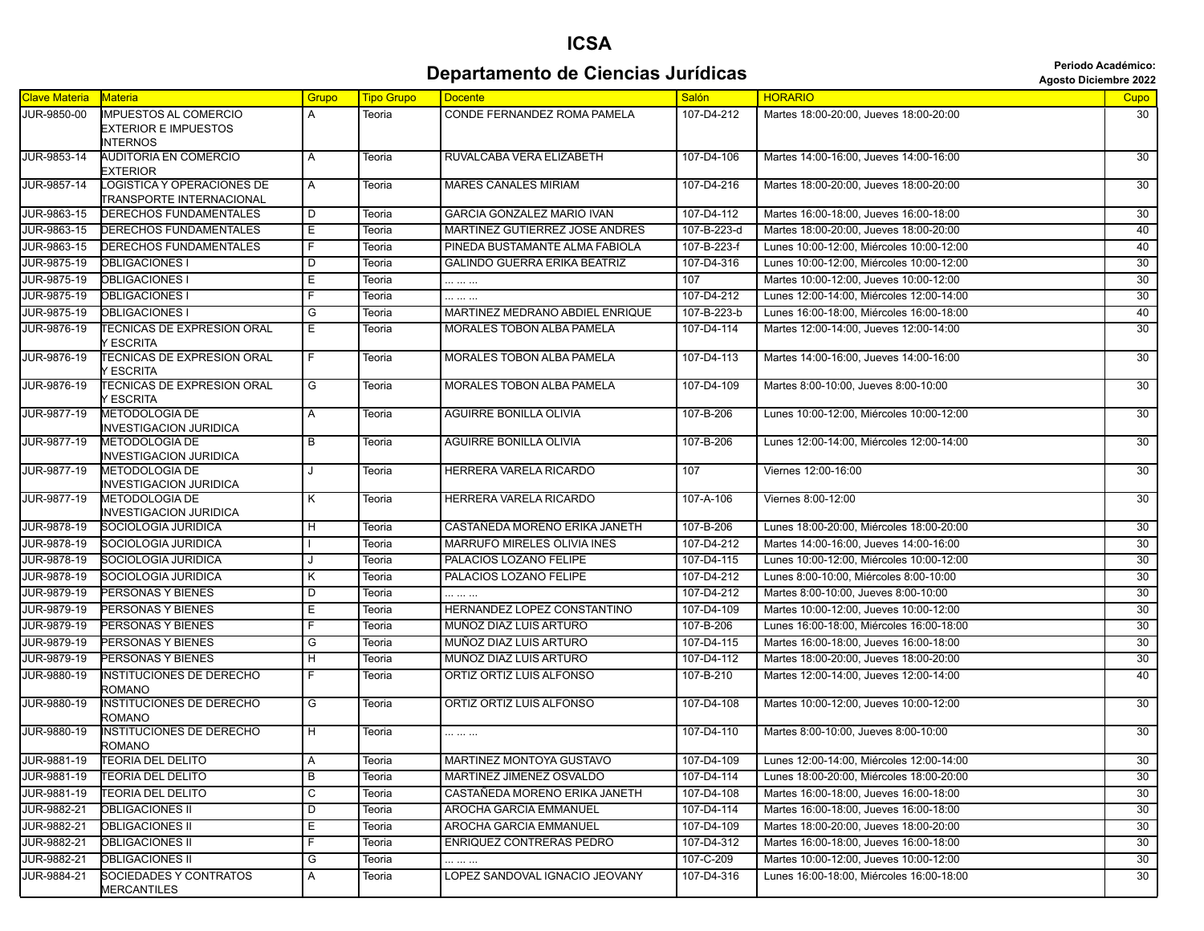#### **ICSA Departamento de Ciencias Jurídicas Agosto Diciembre 2022** *Periodo Académico:*

| <b>Agosto Diciembre 202</b> |  |  |
|-----------------------------|--|--|
|-----------------------------|--|--|

| <b>Clave Materia</b> | <b>Materia</b>                                                | Grupo                   | <b>Tipo Grupo</b> | <b>Docente</b>                      | Salón       | <b>HORARIO</b>                           | Cupo            |
|----------------------|---------------------------------------------------------------|-------------------------|-------------------|-------------------------------------|-------------|------------------------------------------|-----------------|
| JUR-9850-00          | <b>IMPUESTOS AL COMERCIO</b><br><b>EXTERIOR E IMPUESTOS</b>   | A                       | Teoria            | CONDE FERNANDEZ ROMA PAMELA         | 107-D4-212  | Martes 18:00-20:00, Jueves 18:00-20:00   | 30              |
| JUR-9853-14          | <b>INTERNOS</b><br><b>AUDITORIA EN COMERCIO</b><br>EXTERIOR   | A                       | Teoria            | RUVALCABA VERA ELIZABETH            | 107-D4-106  | Martes 14:00-16:00, Jueves 14:00-16:00   | 30              |
| JUR-9857-14          | <b>LOGISTICA Y OPERACIONES DE</b><br>TRANSPORTE INTERNACIONAL | Α                       | Teoria            | <b>MARES CANALES MIRIAM</b>         | 107-D4-216  | Martes 18:00-20:00, Jueves 18:00-20:00   | $\overline{30}$ |
| JUR-9863-15          | DERECHOS FUNDAMENTALES                                        | D                       | Teoria            | GARCIA GONZALEZ MARIO IVAN          | 107-D4-112  | Martes 16:00-18:00, Jueves 16:00-18:00   | 30              |
| JUR-9863-15          | DERECHOS FUNDAMENTALES                                        | Ε                       | Teoria            | MARTINEZ GUTIERREZ JOSE ANDRES      | 107-B-223-d | Martes 18:00-20:00, Jueves 18:00-20:00   | 40              |
| JUR-9863-15          | <b>DERECHOS FUNDAMENTALES</b>                                 | F                       | Teoria            | PINEDA BUSTAMANTE ALMA FABIOLA      | 107-B-223-f | Lunes 10:00-12:00. Miércoles 10:00-12:00 | 40              |
| JUR-9875-19          | <b>OBLIGACIONES I</b>                                         | D                       | Teoria            | <b>GALINDO GUERRA ERIKA BEATRIZ</b> | 107-D4-316  | Lunes 10:00-12:00, Miércoles 10:00-12:00 | 30              |
| JUR-9875-19          | <b>OBLIGACIONES I</b>                                         | Ε                       | Teoria            |                                     | 107         | Martes 10:00-12:00, Jueves 10:00-12:00   | 30              |
| JUR-9875-19          | <b>OBLIGACIONES I</b>                                         | F                       | Teoria            |                                     | 107-D4-212  | Lunes 12:00-14:00, Miércoles 12:00-14:00 | 30              |
| JUR-9875-19          | <b>OBLIGACIONES I</b>                                         | G                       | Teoria            | MARTINEZ MEDRANO ABDIEL ENRIQUE     | 107-B-223-b | Lunes 16:00-18:00, Miércoles 16:00-18:00 | 40              |
| JUR-9876-19          | <b>FECNICAS DE EXPRESION ORAL</b><br><b>ESCRITA</b>           | Е                       | Teoria            | MORALES TOBON ALBA PAMELA           | 107-D4-114  | Martes 12:00-14:00, Jueves 12:00-14:00   | 30              |
| JUR-9876-19          | <b>FECNICAS DE EXPRESION ORAL</b><br><b>ESCRITA</b>           | F.                      | Teoria            | MORALES TOBON ALBA PAMELA           | 107-D4-113  | Martes 14:00-16:00, Jueves 14:00-16:00   | 30              |
| JUR-9876-19          | <b>FECNICAS DE EXPRESION ORAL</b><br><b>ESCRITA</b>           | G                       | Teoria            | <b>MORALES TOBON ALBA PAMELA</b>    | 107-D4-109  | Martes 8:00-10:00, Jueves 8:00-10:00     | 30              |
| JUR-9877-19          | <b>METODOLOGIA DE</b><br><b>INVESTIGACION JURIDICA</b>        | Α                       | Teoria            | <b>AGUIRRE BONILLA OLIVIA</b>       | 107-B-206   | Lunes 10:00-12:00, Miércoles 10:00-12:00 | 30              |
| JUR-9877-19          | <b>METODOLOGIA DE</b><br>INVESTIGACION JURIDICA               | В                       | Teoria            | AGUIRRE BONILLA OLIVIA              | 107-B-206   | Lunes 12:00-14:00, Miércoles 12:00-14:00 | 30              |
| JUR-9877-19          | <b>METODOLOGIA DE</b><br><b>INVESTIGACION JURIDICA</b>        | J                       | Teoria            | <b>HERRERA VARELA RICARDO</b>       | 107         | Viernes 12:00-16:00                      | $\overline{30}$ |
| JUR-9877-19          | <b>METODOLOGIA DE</b><br><b>INVESTIGACION JURIDICA</b>        | Κ                       | Teoria            | HERRERA VARELA RICARDO              | 107-A-106   | Viernes 8:00-12:00                       | 30              |
| JUR-9878-19          | SOCIOLOGIA JURIDICA                                           | н                       | Teoria            | CASTAÑEDA MORENO ERIKA JANETH       | 107-B-206   | Lunes 18:00-20:00, Miércoles 18:00-20:00 | 30              |
| JUR-9878-19          | SOCIOLOGIA JURIDICA                                           |                         | Teoria            | MARRUFO MIRELES OLIVIA INES         | 107-D4-212  | Martes 14:00-16:00, Jueves 14:00-16:00   | 30              |
| JUR-9878-19          | SOCIOLOGIA JURIDICA                                           |                         | Teoria            | PALACIOS LOZANO FELIPE              | 107-D4-115  | Lunes 10:00-12:00, Miércoles 10:00-12:00 | 30              |
| JUR-9878-19          | SOCIOLOGIA JURIDICA                                           | κ                       | Teoria            | PALACIOS LOZANO FELIPE              | 107-D4-212  | Lunes 8:00-10:00, Miércoles 8:00-10:00   | 30              |
| JUR-9879-19          | PERSONAS Y BIENES                                             | D                       | Teoria            |                                     | 107-D4-212  | Martes 8:00-10:00, Jueves 8:00-10:00     | 30              |
| JUR-9879-19          | PERSONAS Y BIENES                                             | Ε                       | Teoria            | HERNANDEZ LOPEZ CONSTANTINO         | 107-D4-109  | Martes 10:00-12:00, Jueves 10:00-12:00   | 30              |
| JUR-9879-19          | PERSONAS Y BIENES                                             | F                       | Teoria            | MUÑOZ DIAZ LUIS ARTURO              | 107-B-206   | Lunes 16:00-18:00, Miércoles 16:00-18:00 | $\overline{30}$ |
| JUR-9879-19          | PERSONAS Y BIENES                                             | G                       | Teoria            | MUÑOZ DIAZ LUIS ARTURO              | 107-D4-115  | Martes 16:00-18:00, Jueves 16:00-18:00   | 30              |
| JUR-9879-19          | PERSONAS Y BIENES                                             | $\overline{H}$          | Teoria            | MUÑOZ DIAZ LUIS ARTURO              | 107-D4-112  | Martes 18:00-20:00, Jueves 18:00-20:00   | 30              |
| JUR-9880-19          | INSTITUCIONES DE DERECHO<br>ROMANO                            | F                       | Teoria            | ORTIZ ORTIZ LUIS ALFONSO            | 107-B-210   | Martes 12:00-14:00, Jueves 12:00-14:00   | 40              |
| JUR-9880-19          | <b>INSTITUCIONES DE DERECHO</b><br>ROMANO                     | $\overline{\mathsf{G}}$ | Teoria            | ORTIZ ORTIZ LUIS ALFONSO            | 107-D4-108  | Martes 10:00-12:00, Jueves 10:00-12:00   | 30              |
| JUR-9880-19          | <b>INSTITUCIONES DE DERECHO</b><br>ROMANO                     | H                       | Teoria            | .                                   | 107-D4-110  | Martes 8:00-10:00, Jueves 8:00-10:00     | 30              |
| JUR-9881-19          | <b>TEORIA DEL DELITO</b>                                      | Α                       | Teoria            | MARTINEZ MONTOYA GUSTAVO            | 107-D4-109  | Lunes 12:00-14:00, Miércoles 12:00-14:00 | 30              |
| JUR-9881-19          | TEORIA DEL DELITO                                             | В                       | Teoria            | MARTINEZ JIMENEZ OSVALDO            | 107-D4-114  | Lunes 18:00-20:00, Miércoles 18:00-20:00 | 30              |
| JUR-9881-19          | TEORIA DEL DELITO                                             | $\overline{\mathsf{c}}$ | Teoria            | CASTAÑEDA MORENO ERIKA JANETH       | 107-D4-108  | Martes 16:00-18:00, Jueves 16:00-18:00   | 30              |
| JUR-9882-21          | <b>OBLIGACIONES II</b>                                        | D                       | Teoria            | AROCHA GARCIA EMMANUEL              | 107-D4-114  | Martes 16:00-18:00, Jueves 16:00-18:00   | 30              |
| JUR-9882-21          | <b>OBLIGACIONES II</b>                                        | E.                      | Teoria            | AROCHA GARCIA EMMANUEL              | 107-D4-109  | Martes 18:00-20:00, Jueves 18:00-20:00   | 30              |
| JUR-9882-21          | <b>OBLIGACIONES II</b>                                        | F                       | Teoria            | ENRIQUEZ CONTRERAS PEDRO            | 107-D4-312  | Martes 16:00-18:00, Jueves 16:00-18:00   | 30              |
| JUR-9882-21          | <b>OBLIGACIONES II</b>                                        | G                       | Teoria            |                                     | 107-C-209   | Martes 10:00-12:00, Jueves 10:00-12:00   | 30              |
| <b>JUR-9884-21</b>   | <b>SOCIEDADES Y CONTRATOS</b><br>MERCANTILES                  | A                       | Teoria            | LOPEZ SANDOVAL IGNACIO JEOVANY      | 107-D4-316  | Lunes 16:00-18:00, Miércoles 16:00-18:00 | 30              |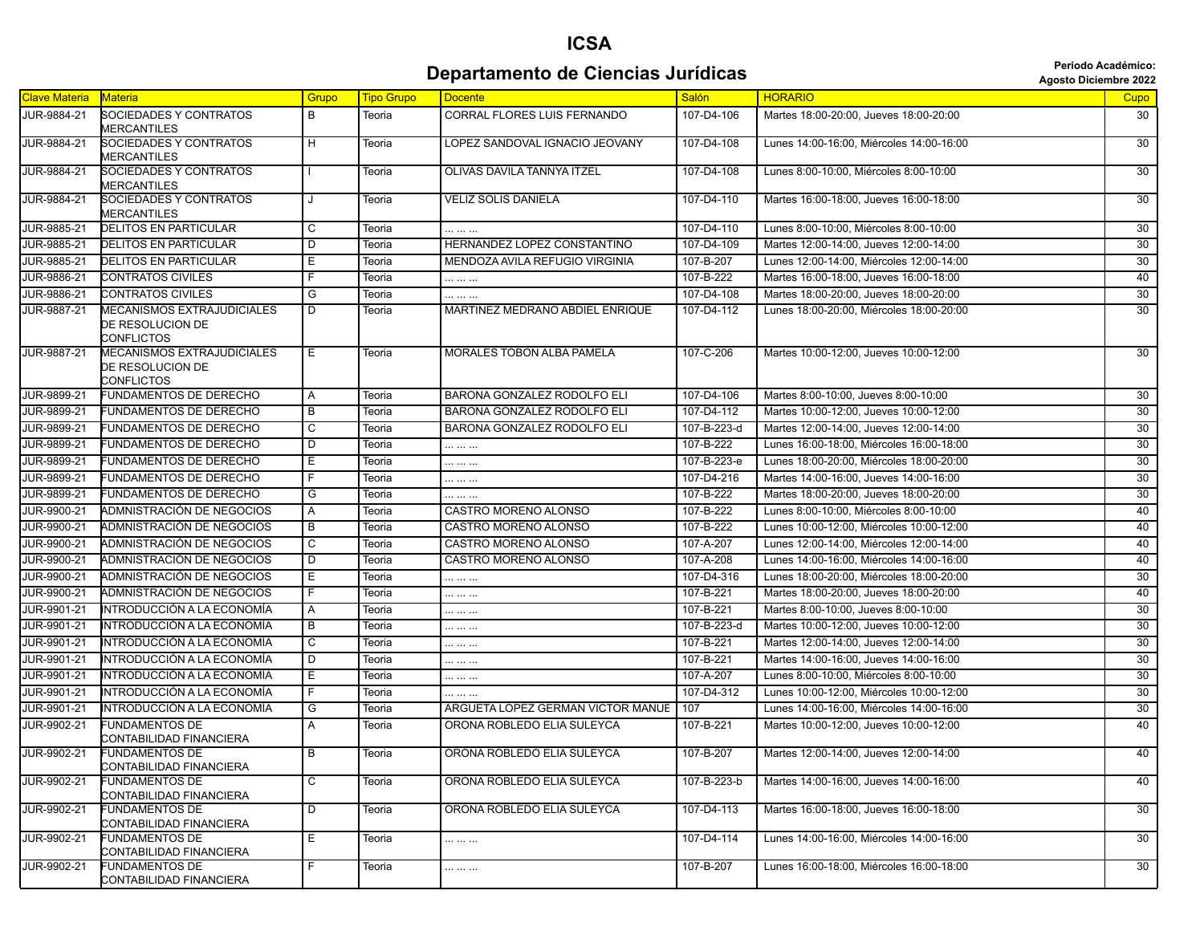## **Departamento de Ciencias Jurídicas Agosto Diciembre 2022** *Periodo Académico:*

**ICSA**

| <b>Clave Materia</b> | <b>Materia</b>                                               | Grupo          | <b>Tipo Grupo</b> | <b>Docente</b>                     | <b>Salón</b> | <b>HORARIO</b>                           | Cupo            |
|----------------------|--------------------------------------------------------------|----------------|-------------------|------------------------------------|--------------|------------------------------------------|-----------------|
| JUR-9884-21          | SOCIEDADES Y CONTRATOS<br><b>MERCANTILES</b>                 | B              | Teoria            | <b>CORRAL FLORES LUIS FERNANDO</b> | 107-D4-106   | Martes 18:00-20:00, Jueves 18:00-20:00   | 30              |
| JUR-9884-21          | <b>SOCIEDADES Y CONTRATOS</b><br>MERCANTILES                 | H              | Teoria            | LOPEZ SANDOVAL IGNACIO JEOVANY     | 107-D4-108   | Lunes 14:00-16:00, Miércoles 14:00-16:00 | $\overline{30}$ |
| JUR-9884-21          | SOCIEDADES Y CONTRATOS<br>MERCANTILES                        |                | Teoria            | OLIVAS DAVILA TANNYA ITZEL         | 107-D4-108   | Lunes 8:00-10:00, Miércoles 8:00-10:00   | 30              |
| JUR-9884-21          | <b>SOCIEDADES Y CONTRATOS</b><br>MERCANTILES                 | J              | Teoria            | <b>VELIZ SOLIS DANIELA</b>         | 107-D4-110   | Martes 16:00-18:00, Jueves 16:00-18:00   | $\overline{30}$ |
| <b>JUR-9885-21</b>   | <b>DELITOS EN PARTICULAR</b>                                 | C              | Teoria            | .                                  | 107-D4-110   | Lunes 8:00-10:00, Miércoles 8:00-10:00   | 30              |
| JUR-9885-21          | <b>DELITOS EN PARTICULAR</b>                                 | D              | Teoria            | HERNANDEZ LOPEZ CONSTANTINO        | 107-D4-109   | Martes 12:00-14:00, Jueves 12:00-14:00   | 30              |
| JUR-9885-21          | <b>DELITOS EN PARTICULAR</b>                                 | Е              | Teoria            | MENDOZA AVILA REFUGIO VIRGINIA     | 107-B-207    | Lunes 12:00-14:00, Miércoles 12:00-14:00 | 30              |
| JUR-9886-21          | CONTRATOS CIVILES                                            | F.             | Teoria            |                                    | 107-B-222    | Martes 16:00-18:00, Jueves 16:00-18:00   | 40              |
| JUR-9886-21          | CONTRATOS CIVILES                                            | G              | Teoria            | .                                  | 107-D4-108   | Martes 18:00-20:00, Jueves 18:00-20:00   | 30              |
| JUR-9887-21          | MECANISMOS EXTRAJUDICIALES<br>DE RESOLUCION DE<br>CONFLICTOS | D              | Teoria            | MARTINEZ MEDRANO ABDIEL ENRIQUE    | 107-D4-112   | Lunes 18:00-20:00, Miércoles 18:00-20:00 | 30              |
| JUR-9887-21          | MECANISMOS EXTRAJUDICIALES<br>DE RESOLUCION DE<br>CONFLICTOS | Е              | Teoria            | MORALES TOBON ALBA PAMELA          | 107-C-206    | Martes 10:00-12:00, Jueves 10:00-12:00   | 30              |
| JUR-9899-21          | FUNDAMENTOS DE DERECHO                                       | A              | Teoria            | BARONA GONZALEZ RODOLFO ELI        | 107-D4-106   | Martes 8:00-10:00, Jueves 8:00-10:00     | 30              |
| JUR-9899-21          | FUNDAMENTOS DE DERECHO                                       | B              | Teoria            | BARONA GONZALEZ RODOLFO ELI        | 107-D4-112   | Martes 10:00-12:00, Jueves 10:00-12:00   | 30              |
| JUR-9899-21          | <b>FUNDAMENTOS DE DERECHO</b>                                | C              | Teoria            | BARONA GONZALEZ RODOLFO ELI        | 107-B-223-d  | Martes 12:00-14:00. Jueves 12:00-14:00   | 30              |
| JUR-9899-21          | <b>FUNDAMENTOS DE DERECHO</b>                                | D              | Teoria            |                                    | 107-B-222    | Lunes 16:00-18:00, Miércoles 16:00-18:00 | 30              |
| JUR-9899-21          | FUNDAMENTOS DE DERECHO                                       | Е              | Teoria            | .                                  | 107-B-223-e  | Lunes 18:00-20:00, Miércoles 18:00-20:00 | $\overline{30}$ |
| JUR-9899-21          | FUNDAMENTOS DE DERECHO                                       | F              | Teoria            |                                    | 107-D4-216   | Martes 14:00-16:00, Jueves 14:00-16:00   | 30              |
| JUR-9899-21          | FUNDAMENTOS DE DERECHO                                       | G              | Teoria            |                                    | 107-B-222    | Martes 18:00-20:00, Jueves 18:00-20:00   | 30              |
| JUR-9900-21          | ADMNISTRACIÓN DE NEGOCIOS                                    | A              | Teoria            | CASTRO MORENO ALONSO               | 107-B-222    | Lunes 8:00-10:00, Miércoles 8:00-10:00   | 40              |
| JUR-9900-21          | ADMNISTRACIÓN DE NEGOCIOS                                    | B              | Teoria            | CASTRO MORENO ALONSO               | 107-B-222    | Lunes 10:00-12:00, Miércoles 10:00-12:00 | 40              |
| JUR-9900-21          | ADMNISTRACIÓN DE NEGOCIOS                                    | C              | Teoria            | CASTRO MORENO ALONSO               | 107-A-207    | Lunes 12:00-14:00, Miércoles 12:00-14:00 | 40              |
| JUR-9900-21          | ADMNISTRACIÓN DE NEGOCIOS                                    | D              | Teoria            | CASTRO MORENO ALONSO               | 107-A-208    | Lunes 14:00-16:00, Miércoles 14:00-16:00 | 40              |
| JUR-9900-21          | ADMNISTRACIÓN DE NEGOCIOS                                    | Ε              | Teoria            | .                                  | 107-D4-316   | Lunes 18:00-20:00, Miércoles 18:00-20:00 | 30              |
| JUR-9900-21          | ADMNISTRACIÓN DE NEGOCIOS                                    | $\overline{F}$ | Teoria            | .                                  | 107-B-221    | Martes 18:00-20:00, Jueves 18:00-20:00   | 40              |
| JUR-9901-21          | INTRODUCCIÓN A LA ECONOMÍA                                   | A              | Teoria            |                                    | 107-B-221    | Martes 8:00-10:00, Jueves 8:00-10:00     | 30              |
| JUR-9901-21          | INTRODUCCIÓN A LA ECONOMÍA                                   | $\overline{B}$ | Teoria            |                                    | 107-B-223-d  | Martes 10:00-12:00, Jueves 10:00-12:00   | $\overline{30}$ |
| JUR-9901-21          | INTRODUCCIÓN A LA ECONOMÍA                                   | C              | Teoria            |                                    | 107-B-221    | Martes 12:00-14:00, Jueves 12:00-14:00   | 30              |
| JUR-9901-21          | INTRODUCCIÓN A LA ECONOMÍA                                   | D              | Teoria            |                                    | 107-B-221    | Martes 14:00-16:00, Jueves 14:00-16:00   | 30              |
| JUR-9901-21          | INTRODUCCIÓN A LA ECONOMÍA                                   | Е              | Teoria            |                                    | 107-A-207    | Lunes 8:00-10:00, Miércoles 8:00-10:00   | $\overline{30}$ |
| JUR-9901-21          | INTRODUCCIÓN A LA ECONOMÍA                                   | F              | Teoria            |                                    | 107-D4-312   | Lunes 10:00-12:00, Miércoles 10:00-12:00 | 30              |
| JUR-9901-21          | INTRODUCCIÓN A LA ECONOMÍA                                   | G              | Teoria            | ARGUETA LOPEZ GERMAN VICTOR MANUE  | 107          | Lunes 14:00-16:00, Miércoles 14:00-16:00 | 30              |
| JUR-9902-21          | FUNDAMENTOS DE<br>CONTABILIDAD FINANCIERA                    | A              | Teoria            | ORONA ROBLEDO ELIA SULEYCA         | 107-B-221    | Martes 10:00-12:00, Jueves 10:00-12:00   | 40              |
| JUR-9902-21          | FUNDAMENTOS DE<br>CONTABILIDAD FINANCIERA                    | B              | Teoria            | ORONA ROBLEDO ELIA SULEYCA         | 107-B-207    | Martes 12:00-14:00, Jueves 12:00-14:00   | 40              |
| JUR-9902-21          | <b>FUNDAMENTOS DE</b><br>CONTABILIDAD FINANCIERA             | $\mathsf{C}$   | Teoria            | ORONA ROBLEDO ELIA SULEYCA         | 107-B-223-b  | Martes 14:00-16:00, Jueves 14:00-16:00   | 40              |
| JUR-9902-21          | <b>FUNDAMENTOS DE</b><br>CONTABILIDAD FINANCIERA             | $\overline{D}$ | Teoria            | ORONA ROBLEDO ELIA SULEYCA         | 107-D4-113   | Martes 16:00-18:00, Jueves 16:00-18:00   | 30              |
| JUR-9902-21          | <b>FUNDAMENTOS DE</b><br>CONTABILIDAD FINANCIERA             | Ε              | Teoria            |                                    | 107-D4-114   | Lunes 14:00-16:00, Miércoles 14:00-16:00 | 30              |
| JUR-9902-21          | <b>FUNDAMENTOS DE</b><br>CONTABILIDAD FINANCIERA             | F.             | Teoria            |                                    | 107-B-207    | Lunes 16:00-18:00, Miércoles 16:00-18:00 | 30              |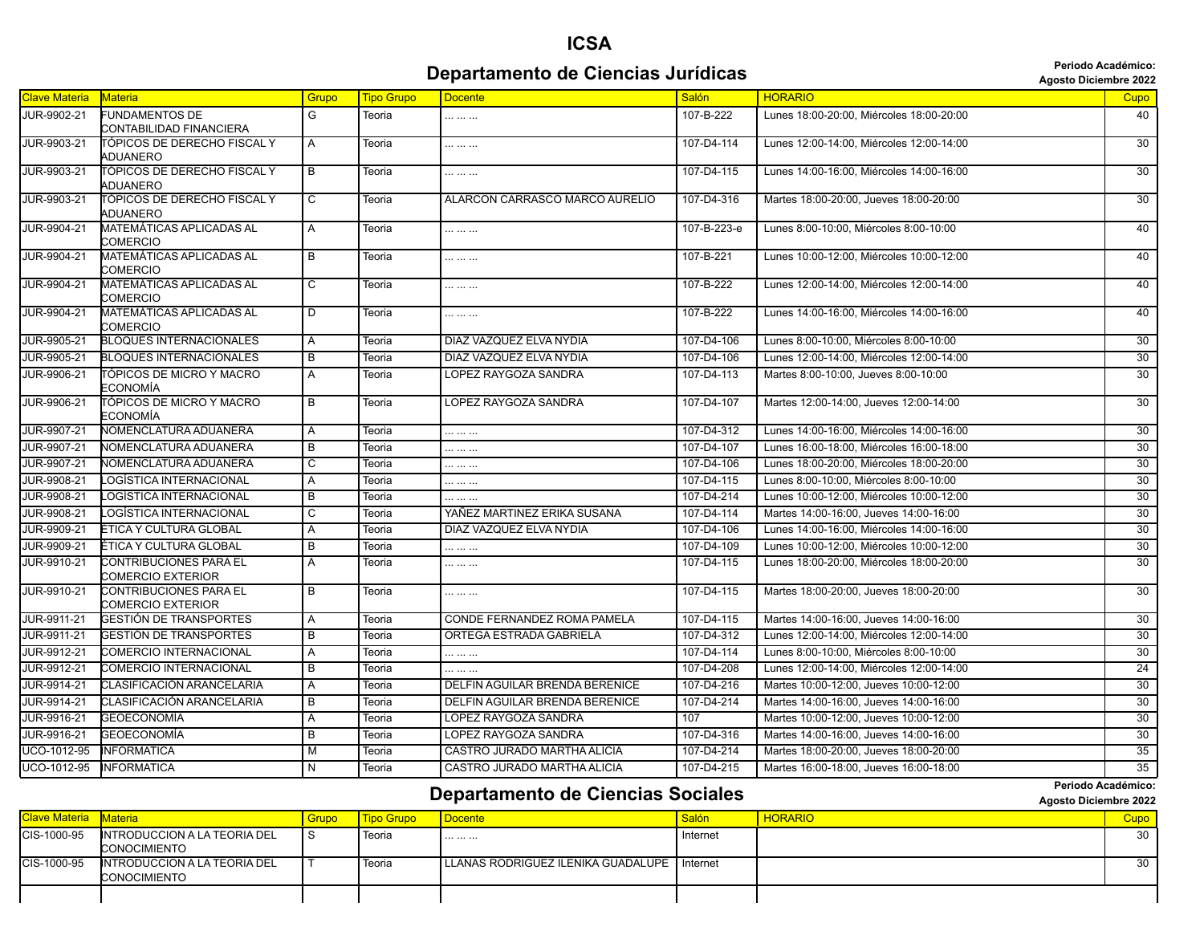#### **Departamento de Ciencias Jurídicas Agosto Diciembre 2022** *Periodo Académico:*

**Periodo Académico:**

| Clave Materia<br><b>Salón</b><br><b>HORARIO</b><br><b>Materia</b><br>Grupo<br><b>Tipo Grupo</b><br><b>Docente</b><br>G<br>JUR-9902-21<br><b>FUNDAMENTOS DE</b><br>107-B-222<br>Lunes 18:00-20:00, Miércoles 18:00-20:00<br>Teoria<br><br>CONTABILIDAD FINANCIERA<br>JUR-9903-21<br>Lunes 12:00-14:00, Miércoles 12:00-14:00<br>TÓPICOS DE DERECHO FISCAL Y<br>107-D4-114<br>Α<br>Teoria<br><br>ADUANERO<br>JUR-9903-21<br>TÓPICOS DE DERECHO FISCAL Y<br>107-D4-115<br>Lunes 14:00-16:00, Miércoles 14:00-16:00<br>В<br>Teoria<br><br>ADUANERO<br>JUR-9903-21<br>TÓPICOS DE DERECHO FISCAL Y<br>Martes 18:00-20:00, Jueves 18:00-20:00<br>$\overline{\mathsf{c}}$<br>ALARCON CARRASCO MARCO AURELIO<br>107-D4-316<br>Teoria<br>ADUANERO<br><b>JUR-9904-21</b><br>MATEMÁTICAS APLICADAS AL<br>107-B-223-e<br>A<br>Lunes 8:00-10:00, Miércoles 8:00-10:00<br>Teoria<br><br>COMERCIO<br>JUR-9904-21<br>MATEMÁTICAS APLICADAS AL<br>$\overline{B}$<br>107-B-221<br>Lunes 10:00-12:00, Miércoles 10:00-12:00<br>Teoria<br><br>COMERCIO<br><b>JUR-9904-21</b><br>MATEMÁTICAS APLICADAS AL<br>$\overline{\text{c}}$<br>107-B-222<br>Lunes 12:00-14:00, Miércoles 12:00-14:00<br>Teoria<br><br>COMERCIO<br>JUR-9904-21<br>MATEMÁTICAS APLICADAS AL<br>107-B-222<br>D<br>Lunes 14:00-16:00, Miércoles 14:00-16:00<br>Teoria<br>.<br>COMERCIO<br><b>JUR-9905-21</b><br><b>BLOQUES INTERNACIONALES</b><br>DIAZ VAZQUEZ ELVA NYDIA<br>107-D4-106<br>Lunes 8:00-10:00, Miércoles 8:00-10:00<br>Α<br>Teoria<br>107-D4-106<br>JUR-9905-21<br><b>BLOQUES INTERNACIONALES</b><br>DIAZ VAZQUEZ ELVA NYDIA<br>Lunes 12:00-14:00. Miércoles 12:00-14:00<br>В<br>Teoria<br>JUR-9906-21<br>TÓPICOS DE MICRO Y MACRO<br>LOPEZ RAYGOZA SANDRA<br>107-D4-113<br>Martes 8:00-10:00, Jueves 8:00-10:00<br>Α<br>Teoria<br>ECONOMÍA<br>JUR-9906-21<br>TÓPICOS DE MICRO Y MACRO<br>$\overline{B}$<br>LOPEZ RAYGOZA SANDRA<br>107-D4-107<br>Martes 12:00-14:00, Jueves 12:00-14:00<br>Teoria<br>ECONOMÍA<br>JUR-9907-21<br>NOMENCLATURA ADUANERA<br>107-D4-312<br>Lunes 14:00-16:00, Miércoles 14:00-16:00<br>Α<br>Teoria<br><br>107-D4-107<br>JUR-9907-21<br>NOMENCLATURA ADUANERA<br>$\overline{B}$<br>Lunes 16:00-18:00, Miércoles 16:00-18:00<br>Teoria<br>.<br><b>JUR-9907-21</b><br>NOMENCLATURA ADUANERA<br>107-D4-106<br>Lunes 18:00-20:00, Miércoles 18:00-20:00<br>$\overline{\mathsf{c}}$<br>Teoria<br><br>LOGÍSTICA INTERNACIONAL<br>JUR-9908-21<br>107-D4-115<br>Lunes 8:00-10:00, Miércoles 8:00-10:00<br>A<br>Teoria<br><br>LOGÍSTICA INTERNACIONAL<br>Lunes 10:00-12:00, Miércoles 10:00-12:00<br>JUR-9908-21<br>В<br>107-D4-214<br>Teoria<br><br>JUR-9908-21<br>LOGÍSTICA INTERNACIONAL<br>$\overline{C}$<br>YAÑEZ MARTINEZ ERIKA SUSANA<br>107-D4-114<br>Martes 14:00-16:00. Jueves 14:00-16:00<br>Teoria<br>JUR-9909-21<br>ÉTICA Y CULTURA GLOBAL<br>DIAZ VAZQUEZ ELVA NYDIA<br>107-D4-106<br>Lunes 14:00-16:00, Miércoles 14:00-16:00<br>A<br>Teoria<br>JUR-9909-21<br>ÉTICA Y CULTURA GLOBAL<br>107-D4-109<br>Lunes 10:00-12:00, Miércoles 10:00-12:00<br>B<br>Teoria<br><br>JUR-9910-21<br>CONTRIBUCIONES PARA EL<br>107-D4-115<br>Lunes 18:00-20:00, Miércoles 18:00-20:00<br>A<br>Teoria<br><br>COMERCIO EXTERIOR<br>JUR-9910-21<br>CONTRIBUCIONES PARA EL<br>$\overline{B}$<br>107-D4-115<br>Martes 18:00-20:00, Jueves 18:00-20:00<br>Teoria<br><br>COMERCIO EXTERIOR<br><b>JUR-9911-21</b><br>GESTIÓN DE TRANSPORTES<br>CONDE FERNANDEZ ROMA PAMELA<br>107-D4-115<br>Martes 14:00-16:00, Jueves 14:00-16:00<br>A<br>Teoria<br><b>GESTIÓN DE TRANSPORTES</b><br>ORTEGA ESTRADA GABRIELA<br>107-D4-312<br>Lunes 12:00-14:00, Miércoles 12:00-14:00<br>JUR-9911-21<br>B<br>Teoria<br>JUR-9912-21<br>COMERCIO INTERNACIONAL<br>107-D4-114<br>Lunes 8:00-10:00, Miércoles 8:00-10:00<br>Α<br>Teoria<br>.<br><b>COMERCIO INTERNACIONAL</b><br>107-D4-208<br>JUR-9912-21<br>B<br>Lunes 12:00-14:00, Miércoles 12:00-14:00<br>Teoria<br><br>CLASIFICACIÓN ARANCELARIA<br>JUR-9914-21<br>DELFIN AGUILAR BRENDA BERENICE<br>107-D4-216<br>Martes 10:00-12:00, Jueves 10:00-12:00<br>A<br>Teoria<br>JUR-9914-21<br>CLASIFICACIÓN ARANCELARIA<br>B<br>DELFIN AGUILAR BRENDA BERENICE<br>107-D4-214<br>Martes 14:00-16:00, Jueves 14:00-16:00<br>Teoria<br>GEOECONOMÍA<br>LOPEZ RAYGOZA SANDRA<br>Martes 10:00-12:00. Jueves 10:00-12:00<br>JUR-9916-21<br>107<br>A<br>Teoria<br>JUR-9916-21<br>GEOECONOMÍA<br>В<br>LOPEZ RAYGOZA SANDRA<br>107-D4-316<br>Martes 14:00-16:00, Jueves 14:00-16:00<br>Teoria<br>UCO-1012-95<br><b>INFORMATICA</b><br>CASTRO JURADO MARTHA ALICIA<br>Martes 18:00-20:00, Jueves 18:00-20:00<br>M<br>107-D4-214<br>Teoria |  |  |  |                 |
|--------------------------------------------------------------------------------------------------------------------------------------------------------------------------------------------------------------------------------------------------------------------------------------------------------------------------------------------------------------------------------------------------------------------------------------------------------------------------------------------------------------------------------------------------------------------------------------------------------------------------------------------------------------------------------------------------------------------------------------------------------------------------------------------------------------------------------------------------------------------------------------------------------------------------------------------------------------------------------------------------------------------------------------------------------------------------------------------------------------------------------------------------------------------------------------------------------------------------------------------------------------------------------------------------------------------------------------------------------------------------------------------------------------------------------------------------------------------------------------------------------------------------------------------------------------------------------------------------------------------------------------------------------------------------------------------------------------------------------------------------------------------------------------------------------------------------------------------------------------------------------------------------------------------------------------------------------------------------------------------------------------------------------------------------------------------------------------------------------------------------------------------------------------------------------------------------------------------------------------------------------------------------------------------------------------------------------------------------------------------------------------------------------------------------------------------------------------------------------------------------------------------------------------------------------------------------------------------------------------------------------------------------------------------------------------------------------------------------------------------------------------------------------------------------------------------------------------------------------------------------------------------------------------------------------------------------------------------------------------------------------------------------------------------------------------------------------------------------------------------------------------------------------------------------------------------------------------------------------------------------------------------------------------------------------------------------------------------------------------------------------------------------------------------------------------------------------------------------------------------------------------------------------------------------------------------------------------------------------------------------------------------------------------------------------------------------------------------------------------------------------------------------------------------------------------------------------------------------------------------------------------------------------------------------------------------------------------------------------------------------------------------------------------------------------------------------------------------------------------------------------------------------------------------------------------------------------------------------------------------------------------------------------------------------------------------------------------------------------------------------------------------------------------------------------------------------------------------------------------------------------------------------------------------------------------------------------------------------------------------------------------|--|--|--|-----------------|
|                                                                                                                                                                                                                                                                                                                                                                                                                                                                                                                                                                                                                                                                                                                                                                                                                                                                                                                                                                                                                                                                                                                                                                                                                                                                                                                                                                                                                                                                                                                                                                                                                                                                                                                                                                                                                                                                                                                                                                                                                                                                                                                                                                                                                                                                                                                                                                                                                                                                                                                                                                                                                                                                                                                                                                                                                                                                                                                                                                                                                                                                                                                                                                                                                                                                                                                                                                                                                                                                                                                                                                                                                                                                                                                                                                                                                                                                                                                                                                                                                                                                                                                                                                                                                                                                                                                                                                                                                                                                                                                                                                                                                                      |  |  |  | Cupo            |
|                                                                                                                                                                                                                                                                                                                                                                                                                                                                                                                                                                                                                                                                                                                                                                                                                                                                                                                                                                                                                                                                                                                                                                                                                                                                                                                                                                                                                                                                                                                                                                                                                                                                                                                                                                                                                                                                                                                                                                                                                                                                                                                                                                                                                                                                                                                                                                                                                                                                                                                                                                                                                                                                                                                                                                                                                                                                                                                                                                                                                                                                                                                                                                                                                                                                                                                                                                                                                                                                                                                                                                                                                                                                                                                                                                                                                                                                                                                                                                                                                                                                                                                                                                                                                                                                                                                                                                                                                                                                                                                                                                                                                                      |  |  |  | 40              |
|                                                                                                                                                                                                                                                                                                                                                                                                                                                                                                                                                                                                                                                                                                                                                                                                                                                                                                                                                                                                                                                                                                                                                                                                                                                                                                                                                                                                                                                                                                                                                                                                                                                                                                                                                                                                                                                                                                                                                                                                                                                                                                                                                                                                                                                                                                                                                                                                                                                                                                                                                                                                                                                                                                                                                                                                                                                                                                                                                                                                                                                                                                                                                                                                                                                                                                                                                                                                                                                                                                                                                                                                                                                                                                                                                                                                                                                                                                                                                                                                                                                                                                                                                                                                                                                                                                                                                                                                                                                                                                                                                                                                                                      |  |  |  | $\overline{30}$ |
|                                                                                                                                                                                                                                                                                                                                                                                                                                                                                                                                                                                                                                                                                                                                                                                                                                                                                                                                                                                                                                                                                                                                                                                                                                                                                                                                                                                                                                                                                                                                                                                                                                                                                                                                                                                                                                                                                                                                                                                                                                                                                                                                                                                                                                                                                                                                                                                                                                                                                                                                                                                                                                                                                                                                                                                                                                                                                                                                                                                                                                                                                                                                                                                                                                                                                                                                                                                                                                                                                                                                                                                                                                                                                                                                                                                                                                                                                                                                                                                                                                                                                                                                                                                                                                                                                                                                                                                                                                                                                                                                                                                                                                      |  |  |  | 30              |
|                                                                                                                                                                                                                                                                                                                                                                                                                                                                                                                                                                                                                                                                                                                                                                                                                                                                                                                                                                                                                                                                                                                                                                                                                                                                                                                                                                                                                                                                                                                                                                                                                                                                                                                                                                                                                                                                                                                                                                                                                                                                                                                                                                                                                                                                                                                                                                                                                                                                                                                                                                                                                                                                                                                                                                                                                                                                                                                                                                                                                                                                                                                                                                                                                                                                                                                                                                                                                                                                                                                                                                                                                                                                                                                                                                                                                                                                                                                                                                                                                                                                                                                                                                                                                                                                                                                                                                                                                                                                                                                                                                                                                                      |  |  |  | 30              |
|                                                                                                                                                                                                                                                                                                                                                                                                                                                                                                                                                                                                                                                                                                                                                                                                                                                                                                                                                                                                                                                                                                                                                                                                                                                                                                                                                                                                                                                                                                                                                                                                                                                                                                                                                                                                                                                                                                                                                                                                                                                                                                                                                                                                                                                                                                                                                                                                                                                                                                                                                                                                                                                                                                                                                                                                                                                                                                                                                                                                                                                                                                                                                                                                                                                                                                                                                                                                                                                                                                                                                                                                                                                                                                                                                                                                                                                                                                                                                                                                                                                                                                                                                                                                                                                                                                                                                                                                                                                                                                                                                                                                                                      |  |  |  | 40              |
|                                                                                                                                                                                                                                                                                                                                                                                                                                                                                                                                                                                                                                                                                                                                                                                                                                                                                                                                                                                                                                                                                                                                                                                                                                                                                                                                                                                                                                                                                                                                                                                                                                                                                                                                                                                                                                                                                                                                                                                                                                                                                                                                                                                                                                                                                                                                                                                                                                                                                                                                                                                                                                                                                                                                                                                                                                                                                                                                                                                                                                                                                                                                                                                                                                                                                                                                                                                                                                                                                                                                                                                                                                                                                                                                                                                                                                                                                                                                                                                                                                                                                                                                                                                                                                                                                                                                                                                                                                                                                                                                                                                                                                      |  |  |  | 40              |
|                                                                                                                                                                                                                                                                                                                                                                                                                                                                                                                                                                                                                                                                                                                                                                                                                                                                                                                                                                                                                                                                                                                                                                                                                                                                                                                                                                                                                                                                                                                                                                                                                                                                                                                                                                                                                                                                                                                                                                                                                                                                                                                                                                                                                                                                                                                                                                                                                                                                                                                                                                                                                                                                                                                                                                                                                                                                                                                                                                                                                                                                                                                                                                                                                                                                                                                                                                                                                                                                                                                                                                                                                                                                                                                                                                                                                                                                                                                                                                                                                                                                                                                                                                                                                                                                                                                                                                                                                                                                                                                                                                                                                                      |  |  |  | 40              |
|                                                                                                                                                                                                                                                                                                                                                                                                                                                                                                                                                                                                                                                                                                                                                                                                                                                                                                                                                                                                                                                                                                                                                                                                                                                                                                                                                                                                                                                                                                                                                                                                                                                                                                                                                                                                                                                                                                                                                                                                                                                                                                                                                                                                                                                                                                                                                                                                                                                                                                                                                                                                                                                                                                                                                                                                                                                                                                                                                                                                                                                                                                                                                                                                                                                                                                                                                                                                                                                                                                                                                                                                                                                                                                                                                                                                                                                                                                                                                                                                                                                                                                                                                                                                                                                                                                                                                                                                                                                                                                                                                                                                                                      |  |  |  | 40              |
|                                                                                                                                                                                                                                                                                                                                                                                                                                                                                                                                                                                                                                                                                                                                                                                                                                                                                                                                                                                                                                                                                                                                                                                                                                                                                                                                                                                                                                                                                                                                                                                                                                                                                                                                                                                                                                                                                                                                                                                                                                                                                                                                                                                                                                                                                                                                                                                                                                                                                                                                                                                                                                                                                                                                                                                                                                                                                                                                                                                                                                                                                                                                                                                                                                                                                                                                                                                                                                                                                                                                                                                                                                                                                                                                                                                                                                                                                                                                                                                                                                                                                                                                                                                                                                                                                                                                                                                                                                                                                                                                                                                                                                      |  |  |  | 30              |
|                                                                                                                                                                                                                                                                                                                                                                                                                                                                                                                                                                                                                                                                                                                                                                                                                                                                                                                                                                                                                                                                                                                                                                                                                                                                                                                                                                                                                                                                                                                                                                                                                                                                                                                                                                                                                                                                                                                                                                                                                                                                                                                                                                                                                                                                                                                                                                                                                                                                                                                                                                                                                                                                                                                                                                                                                                                                                                                                                                                                                                                                                                                                                                                                                                                                                                                                                                                                                                                                                                                                                                                                                                                                                                                                                                                                                                                                                                                                                                                                                                                                                                                                                                                                                                                                                                                                                                                                                                                                                                                                                                                                                                      |  |  |  | 30              |
|                                                                                                                                                                                                                                                                                                                                                                                                                                                                                                                                                                                                                                                                                                                                                                                                                                                                                                                                                                                                                                                                                                                                                                                                                                                                                                                                                                                                                                                                                                                                                                                                                                                                                                                                                                                                                                                                                                                                                                                                                                                                                                                                                                                                                                                                                                                                                                                                                                                                                                                                                                                                                                                                                                                                                                                                                                                                                                                                                                                                                                                                                                                                                                                                                                                                                                                                                                                                                                                                                                                                                                                                                                                                                                                                                                                                                                                                                                                                                                                                                                                                                                                                                                                                                                                                                                                                                                                                                                                                                                                                                                                                                                      |  |  |  | 30              |
|                                                                                                                                                                                                                                                                                                                                                                                                                                                                                                                                                                                                                                                                                                                                                                                                                                                                                                                                                                                                                                                                                                                                                                                                                                                                                                                                                                                                                                                                                                                                                                                                                                                                                                                                                                                                                                                                                                                                                                                                                                                                                                                                                                                                                                                                                                                                                                                                                                                                                                                                                                                                                                                                                                                                                                                                                                                                                                                                                                                                                                                                                                                                                                                                                                                                                                                                                                                                                                                                                                                                                                                                                                                                                                                                                                                                                                                                                                                                                                                                                                                                                                                                                                                                                                                                                                                                                                                                                                                                                                                                                                                                                                      |  |  |  | 30              |
|                                                                                                                                                                                                                                                                                                                                                                                                                                                                                                                                                                                                                                                                                                                                                                                                                                                                                                                                                                                                                                                                                                                                                                                                                                                                                                                                                                                                                                                                                                                                                                                                                                                                                                                                                                                                                                                                                                                                                                                                                                                                                                                                                                                                                                                                                                                                                                                                                                                                                                                                                                                                                                                                                                                                                                                                                                                                                                                                                                                                                                                                                                                                                                                                                                                                                                                                                                                                                                                                                                                                                                                                                                                                                                                                                                                                                                                                                                                                                                                                                                                                                                                                                                                                                                                                                                                                                                                                                                                                                                                                                                                                                                      |  |  |  | 30              |
|                                                                                                                                                                                                                                                                                                                                                                                                                                                                                                                                                                                                                                                                                                                                                                                                                                                                                                                                                                                                                                                                                                                                                                                                                                                                                                                                                                                                                                                                                                                                                                                                                                                                                                                                                                                                                                                                                                                                                                                                                                                                                                                                                                                                                                                                                                                                                                                                                                                                                                                                                                                                                                                                                                                                                                                                                                                                                                                                                                                                                                                                                                                                                                                                                                                                                                                                                                                                                                                                                                                                                                                                                                                                                                                                                                                                                                                                                                                                                                                                                                                                                                                                                                                                                                                                                                                                                                                                                                                                                                                                                                                                                                      |  |  |  | 30              |
|                                                                                                                                                                                                                                                                                                                                                                                                                                                                                                                                                                                                                                                                                                                                                                                                                                                                                                                                                                                                                                                                                                                                                                                                                                                                                                                                                                                                                                                                                                                                                                                                                                                                                                                                                                                                                                                                                                                                                                                                                                                                                                                                                                                                                                                                                                                                                                                                                                                                                                                                                                                                                                                                                                                                                                                                                                                                                                                                                                                                                                                                                                                                                                                                                                                                                                                                                                                                                                                                                                                                                                                                                                                                                                                                                                                                                                                                                                                                                                                                                                                                                                                                                                                                                                                                                                                                                                                                                                                                                                                                                                                                                                      |  |  |  | 30              |
|                                                                                                                                                                                                                                                                                                                                                                                                                                                                                                                                                                                                                                                                                                                                                                                                                                                                                                                                                                                                                                                                                                                                                                                                                                                                                                                                                                                                                                                                                                                                                                                                                                                                                                                                                                                                                                                                                                                                                                                                                                                                                                                                                                                                                                                                                                                                                                                                                                                                                                                                                                                                                                                                                                                                                                                                                                                                                                                                                                                                                                                                                                                                                                                                                                                                                                                                                                                                                                                                                                                                                                                                                                                                                                                                                                                                                                                                                                                                                                                                                                                                                                                                                                                                                                                                                                                                                                                                                                                                                                                                                                                                                                      |  |  |  | 30              |
|                                                                                                                                                                                                                                                                                                                                                                                                                                                                                                                                                                                                                                                                                                                                                                                                                                                                                                                                                                                                                                                                                                                                                                                                                                                                                                                                                                                                                                                                                                                                                                                                                                                                                                                                                                                                                                                                                                                                                                                                                                                                                                                                                                                                                                                                                                                                                                                                                                                                                                                                                                                                                                                                                                                                                                                                                                                                                                                                                                                                                                                                                                                                                                                                                                                                                                                                                                                                                                                                                                                                                                                                                                                                                                                                                                                                                                                                                                                                                                                                                                                                                                                                                                                                                                                                                                                                                                                                                                                                                                                                                                                                                                      |  |  |  | 30              |
|                                                                                                                                                                                                                                                                                                                                                                                                                                                                                                                                                                                                                                                                                                                                                                                                                                                                                                                                                                                                                                                                                                                                                                                                                                                                                                                                                                                                                                                                                                                                                                                                                                                                                                                                                                                                                                                                                                                                                                                                                                                                                                                                                                                                                                                                                                                                                                                                                                                                                                                                                                                                                                                                                                                                                                                                                                                                                                                                                                                                                                                                                                                                                                                                                                                                                                                                                                                                                                                                                                                                                                                                                                                                                                                                                                                                                                                                                                                                                                                                                                                                                                                                                                                                                                                                                                                                                                                                                                                                                                                                                                                                                                      |  |  |  | 30              |
|                                                                                                                                                                                                                                                                                                                                                                                                                                                                                                                                                                                                                                                                                                                                                                                                                                                                                                                                                                                                                                                                                                                                                                                                                                                                                                                                                                                                                                                                                                                                                                                                                                                                                                                                                                                                                                                                                                                                                                                                                                                                                                                                                                                                                                                                                                                                                                                                                                                                                                                                                                                                                                                                                                                                                                                                                                                                                                                                                                                                                                                                                                                                                                                                                                                                                                                                                                                                                                                                                                                                                                                                                                                                                                                                                                                                                                                                                                                                                                                                                                                                                                                                                                                                                                                                                                                                                                                                                                                                                                                                                                                                                                      |  |  |  | 30              |
|                                                                                                                                                                                                                                                                                                                                                                                                                                                                                                                                                                                                                                                                                                                                                                                                                                                                                                                                                                                                                                                                                                                                                                                                                                                                                                                                                                                                                                                                                                                                                                                                                                                                                                                                                                                                                                                                                                                                                                                                                                                                                                                                                                                                                                                                                                                                                                                                                                                                                                                                                                                                                                                                                                                                                                                                                                                                                                                                                                                                                                                                                                                                                                                                                                                                                                                                                                                                                                                                                                                                                                                                                                                                                                                                                                                                                                                                                                                                                                                                                                                                                                                                                                                                                                                                                                                                                                                                                                                                                                                                                                                                                                      |  |  |  | 30              |
|                                                                                                                                                                                                                                                                                                                                                                                                                                                                                                                                                                                                                                                                                                                                                                                                                                                                                                                                                                                                                                                                                                                                                                                                                                                                                                                                                                                                                                                                                                                                                                                                                                                                                                                                                                                                                                                                                                                                                                                                                                                                                                                                                                                                                                                                                                                                                                                                                                                                                                                                                                                                                                                                                                                                                                                                                                                                                                                                                                                                                                                                                                                                                                                                                                                                                                                                                                                                                                                                                                                                                                                                                                                                                                                                                                                                                                                                                                                                                                                                                                                                                                                                                                                                                                                                                                                                                                                                                                                                                                                                                                                                                                      |  |  |  | 30              |
|                                                                                                                                                                                                                                                                                                                                                                                                                                                                                                                                                                                                                                                                                                                                                                                                                                                                                                                                                                                                                                                                                                                                                                                                                                                                                                                                                                                                                                                                                                                                                                                                                                                                                                                                                                                                                                                                                                                                                                                                                                                                                                                                                                                                                                                                                                                                                                                                                                                                                                                                                                                                                                                                                                                                                                                                                                                                                                                                                                                                                                                                                                                                                                                                                                                                                                                                                                                                                                                                                                                                                                                                                                                                                                                                                                                                                                                                                                                                                                                                                                                                                                                                                                                                                                                                                                                                                                                                                                                                                                                                                                                                                                      |  |  |  | 30              |
|                                                                                                                                                                                                                                                                                                                                                                                                                                                                                                                                                                                                                                                                                                                                                                                                                                                                                                                                                                                                                                                                                                                                                                                                                                                                                                                                                                                                                                                                                                                                                                                                                                                                                                                                                                                                                                                                                                                                                                                                                                                                                                                                                                                                                                                                                                                                                                                                                                                                                                                                                                                                                                                                                                                                                                                                                                                                                                                                                                                                                                                                                                                                                                                                                                                                                                                                                                                                                                                                                                                                                                                                                                                                                                                                                                                                                                                                                                                                                                                                                                                                                                                                                                                                                                                                                                                                                                                                                                                                                                                                                                                                                                      |  |  |  | 30              |
|                                                                                                                                                                                                                                                                                                                                                                                                                                                                                                                                                                                                                                                                                                                                                                                                                                                                                                                                                                                                                                                                                                                                                                                                                                                                                                                                                                                                                                                                                                                                                                                                                                                                                                                                                                                                                                                                                                                                                                                                                                                                                                                                                                                                                                                                                                                                                                                                                                                                                                                                                                                                                                                                                                                                                                                                                                                                                                                                                                                                                                                                                                                                                                                                                                                                                                                                                                                                                                                                                                                                                                                                                                                                                                                                                                                                                                                                                                                                                                                                                                                                                                                                                                                                                                                                                                                                                                                                                                                                                                                                                                                                                                      |  |  |  | 30              |
|                                                                                                                                                                                                                                                                                                                                                                                                                                                                                                                                                                                                                                                                                                                                                                                                                                                                                                                                                                                                                                                                                                                                                                                                                                                                                                                                                                                                                                                                                                                                                                                                                                                                                                                                                                                                                                                                                                                                                                                                                                                                                                                                                                                                                                                                                                                                                                                                                                                                                                                                                                                                                                                                                                                                                                                                                                                                                                                                                                                                                                                                                                                                                                                                                                                                                                                                                                                                                                                                                                                                                                                                                                                                                                                                                                                                                                                                                                                                                                                                                                                                                                                                                                                                                                                                                                                                                                                                                                                                                                                                                                                                                                      |  |  |  | 30              |
|                                                                                                                                                                                                                                                                                                                                                                                                                                                                                                                                                                                                                                                                                                                                                                                                                                                                                                                                                                                                                                                                                                                                                                                                                                                                                                                                                                                                                                                                                                                                                                                                                                                                                                                                                                                                                                                                                                                                                                                                                                                                                                                                                                                                                                                                                                                                                                                                                                                                                                                                                                                                                                                                                                                                                                                                                                                                                                                                                                                                                                                                                                                                                                                                                                                                                                                                                                                                                                                                                                                                                                                                                                                                                                                                                                                                                                                                                                                                                                                                                                                                                                                                                                                                                                                                                                                                                                                                                                                                                                                                                                                                                                      |  |  |  | 24              |
|                                                                                                                                                                                                                                                                                                                                                                                                                                                                                                                                                                                                                                                                                                                                                                                                                                                                                                                                                                                                                                                                                                                                                                                                                                                                                                                                                                                                                                                                                                                                                                                                                                                                                                                                                                                                                                                                                                                                                                                                                                                                                                                                                                                                                                                                                                                                                                                                                                                                                                                                                                                                                                                                                                                                                                                                                                                                                                                                                                                                                                                                                                                                                                                                                                                                                                                                                                                                                                                                                                                                                                                                                                                                                                                                                                                                                                                                                                                                                                                                                                                                                                                                                                                                                                                                                                                                                                                                                                                                                                                                                                                                                                      |  |  |  | 30              |
|                                                                                                                                                                                                                                                                                                                                                                                                                                                                                                                                                                                                                                                                                                                                                                                                                                                                                                                                                                                                                                                                                                                                                                                                                                                                                                                                                                                                                                                                                                                                                                                                                                                                                                                                                                                                                                                                                                                                                                                                                                                                                                                                                                                                                                                                                                                                                                                                                                                                                                                                                                                                                                                                                                                                                                                                                                                                                                                                                                                                                                                                                                                                                                                                                                                                                                                                                                                                                                                                                                                                                                                                                                                                                                                                                                                                                                                                                                                                                                                                                                                                                                                                                                                                                                                                                                                                                                                                                                                                                                                                                                                                                                      |  |  |  | $\overline{30}$ |
|                                                                                                                                                                                                                                                                                                                                                                                                                                                                                                                                                                                                                                                                                                                                                                                                                                                                                                                                                                                                                                                                                                                                                                                                                                                                                                                                                                                                                                                                                                                                                                                                                                                                                                                                                                                                                                                                                                                                                                                                                                                                                                                                                                                                                                                                                                                                                                                                                                                                                                                                                                                                                                                                                                                                                                                                                                                                                                                                                                                                                                                                                                                                                                                                                                                                                                                                                                                                                                                                                                                                                                                                                                                                                                                                                                                                                                                                                                                                                                                                                                                                                                                                                                                                                                                                                                                                                                                                                                                                                                                                                                                                                                      |  |  |  | $\overline{30}$ |
|                                                                                                                                                                                                                                                                                                                                                                                                                                                                                                                                                                                                                                                                                                                                                                                                                                                                                                                                                                                                                                                                                                                                                                                                                                                                                                                                                                                                                                                                                                                                                                                                                                                                                                                                                                                                                                                                                                                                                                                                                                                                                                                                                                                                                                                                                                                                                                                                                                                                                                                                                                                                                                                                                                                                                                                                                                                                                                                                                                                                                                                                                                                                                                                                                                                                                                                                                                                                                                                                                                                                                                                                                                                                                                                                                                                                                                                                                                                                                                                                                                                                                                                                                                                                                                                                                                                                                                                                                                                                                                                                                                                                                                      |  |  |  | 30              |
|                                                                                                                                                                                                                                                                                                                                                                                                                                                                                                                                                                                                                                                                                                                                                                                                                                                                                                                                                                                                                                                                                                                                                                                                                                                                                                                                                                                                                                                                                                                                                                                                                                                                                                                                                                                                                                                                                                                                                                                                                                                                                                                                                                                                                                                                                                                                                                                                                                                                                                                                                                                                                                                                                                                                                                                                                                                                                                                                                                                                                                                                                                                                                                                                                                                                                                                                                                                                                                                                                                                                                                                                                                                                                                                                                                                                                                                                                                                                                                                                                                                                                                                                                                                                                                                                                                                                                                                                                                                                                                                                                                                                                                      |  |  |  | 35              |
| UCO-1012-95<br><b>INFORMATICA</b><br>CASTRO JURADO MARTHA ALICIA<br>Martes 16:00-18:00. Jueves 16:00-18:00<br>N<br>107-D4-215<br>Teoria                                                                                                                                                                                                                                                                                                                                                                                                                                                                                                                                                                                                                                                                                                                                                                                                                                                                                                                                                                                                                                                                                                                                                                                                                                                                                                                                                                                                                                                                                                                                                                                                                                                                                                                                                                                                                                                                                                                                                                                                                                                                                                                                                                                                                                                                                                                                                                                                                                                                                                                                                                                                                                                                                                                                                                                                                                                                                                                                                                                                                                                                                                                                                                                                                                                                                                                                                                                                                                                                                                                                                                                                                                                                                                                                                                                                                                                                                                                                                                                                                                                                                                                                                                                                                                                                                                                                                                                                                                                                                              |  |  |  | 35              |

#### **Departamento de Ciencias Sociales Agosto Diciembre 2022 Departamento de Ciencias Sociales**

| Clave Materia Materia |                                                     | Grupo <sup></sup> | <b>Tipo Grupo</b> | Docente                                         | Salón    | <b>HORARIO</b> | Cupo |
|-----------------------|-----------------------------------------------------|-------------------|-------------------|-------------------------------------------------|----------|----------------|------|
| CIS-1000-95           | INTRODUCCION A LA TEORIA DEL<br><b>CONOCIMIENTO</b> |                   | Teoria            |                                                 | Internet |                | 30   |
| CIS-1000-95           | INTRODUCCION A LA TEORIA DEL<br>CONOCIMIENTO        |                   | Teoria            | I LLANAS RODRIGUEZ ILENIKA GUADALUPE I Internet |          |                | 30   |
|                       |                                                     |                   |                   |                                                 |          |                |      |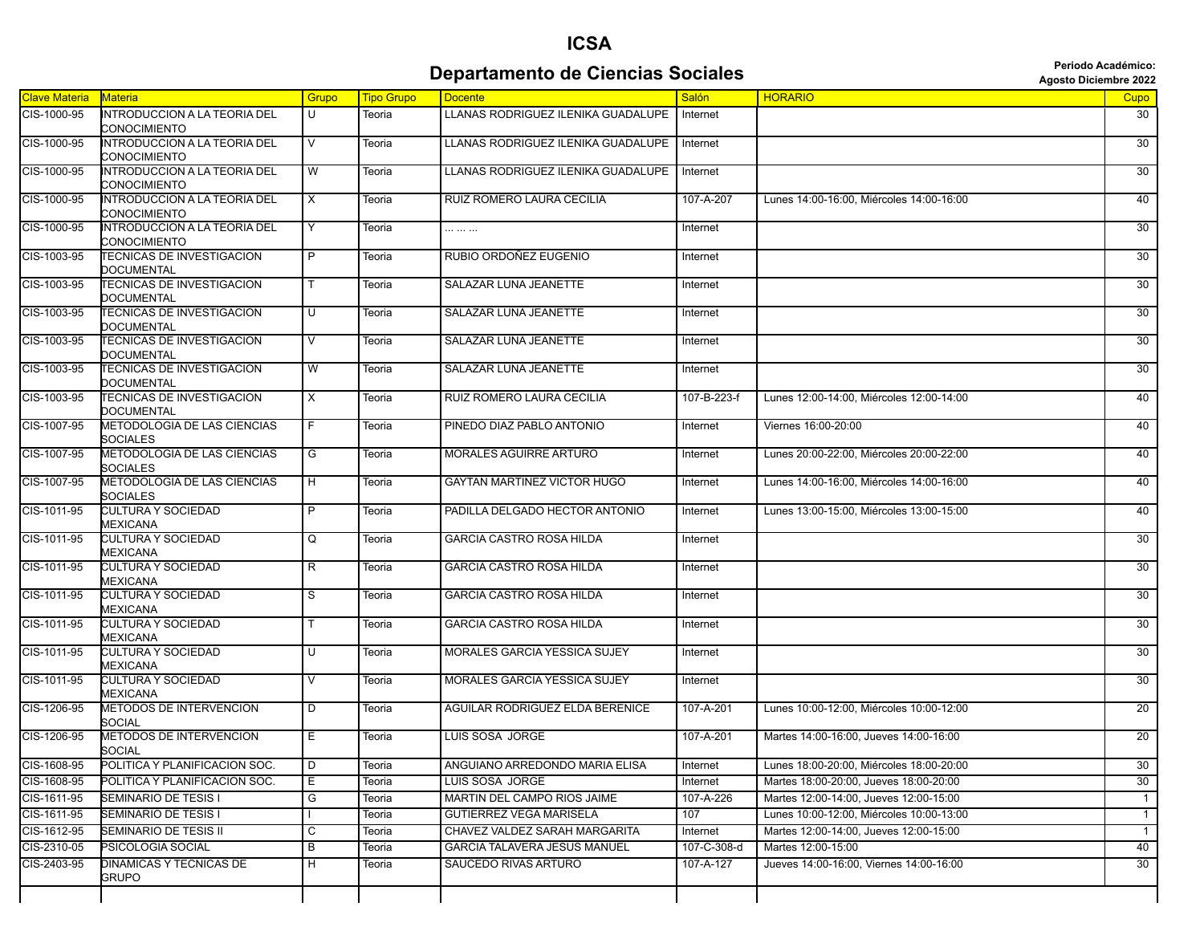## **Departamento de Ciencias Sociales Agosto Diciembre 2022** *Periodo Académico:*

**ICSA**

| <b>Agosto Diciembre 202</b> |  |
|-----------------------------|--|
|                             |  |

| <b>Clave Materia</b> | Materia                                                      | Grupo          | <b>Tipo Grupo</b> | <b>Docente</b>                         | Salón       | <b>HORARIO</b>                           | Cupo            |
|----------------------|--------------------------------------------------------------|----------------|-------------------|----------------------------------------|-------------|------------------------------------------|-----------------|
| CIS-1000-95          | INTRODUCCION A LA TEORIA DEL<br>CONOCIMIENTO                 | U              | Teoria            | LLANAS RODRIGUEZ ILENIKA GUADALUPE     | Internet    |                                          | 30              |
| CIS-1000-95          | <b>INTRODUCCION A LA TEORIA DEL</b><br>CONOCIMIENTO          | V              | Teoria            | LLANAS RODRIGUEZ ILENIKA GUADALUPE     | Internet    |                                          | 30              |
| CIS-1000-95          | <b>INTRODUCCION A LA TEORIA DEL</b><br>CONOCIMIENTO          | W              | Teoria            | LLANAS RODRIGUEZ ILENIKA GUADALUPE     | Internet    |                                          | 30              |
| CIS-1000-95          | INTRODUCCION A LA TEORIA DEL<br>CONOCIMIENTO                 | X              | Teoria            | RUIZ ROMERO LAURA CECILIA              | 107-A-207   | Lunes 14:00-16:00, Miércoles 14:00-16:00 | 40              |
| CIS-1000-95          | INTRODUCCION A LA TEORIA DEL<br>CONOCIMIENTO                 | Y              | Teoria            |                                        | Internet    |                                          | 30              |
| CIS-1003-95          | TECNICAS DE INVESTIGACION<br><b>DOCUMENTAL</b>               | $\overline{P}$ | Teoria            | RUBIO ORDOÑEZ EUGENIO                  | Internet    |                                          | 30              |
| CIS-1003-95          | <b>TECNICAS DE INVESTIGACION</b><br>DOCUMENTAL               | T.             | Teoria            | SALAZAR LUNA JEANETTE                  | Internet    |                                          | 30              |
| CIS-1003-95          | <b><i>TECNICAS DE INVESTIGACION</i></b><br><b>DOCUMENTAL</b> | U              | Teoria            | SALAZAR LUNA JEANETTE                  | Internet    |                                          | 30              |
| CIS-1003-95          | <b><i>TECNICAS DE INVESTIGACION</i></b><br>DOCUMENTAL        | V              | Teoria            | SALAZAR LUNA JEANETTE                  | Internet    |                                          | 30              |
| CIS-1003-95          | <b><i>TECNICAS DE INVESTIGACION</i></b><br><b>DOCUMENTAL</b> | W              | Teoria            | SALAZAR LUNA JEANETTE                  | Internet    |                                          | 30              |
| CIS-1003-95          | TECNICAS DE INVESTIGACION<br>DOCUMENTAL                      | X              | Teoria            | RUIZ ROMERO LAURA CECILIA              | 107-B-223-f | Lunes 12:00-14:00, Miércoles 12:00-14:00 | 40              |
| CIS-1007-95          | METODOLOGIA DE LAS CIENCIAS<br><b>SOCIALES</b>               | F.             | Teoria            | PINEDO DIAZ PABLO ANTONIO              | Internet    | Viernes 16:00-20:00                      | 40              |
| CIS-1007-95          | <b>METODOLOGIA DE LAS CIENCIAS</b><br>SOCIALES               | G              | Teoria            | <b>MORALES AGUIRRE ARTURO</b>          | Internet    | Lunes 20:00-22:00. Miércoles 20:00-22:00 | 40              |
| CIS-1007-95          | METODOLOGIA DE LAS CIENCIAS<br>SOCIALES                      | H              | Teoria            | <b>GAYTAN MARTINEZ VICTOR HUGO</b>     | Internet    | Lunes 14:00-16:00, Miércoles 14:00-16:00 | 40              |
| CIS-1011-95          | <b>CULTURA Y SOCIEDAD</b><br>MEXICANA                        | P              | Teoria            | PADILLA DELGADO HECTOR ANTONIO         | Internet    | Lunes 13:00-15:00, Miércoles 13:00-15:00 | 40              |
| CIS-1011-95          | <b>CULTURA Y SOCIEDAD</b><br>MEXICANA                        | Q              | Teoria            | <b>GARCIA CASTRO ROSA HILDA</b>        | Internet    |                                          | 30              |
| CIS-1011-95          | <b>CULTURA Y SOCIEDAD</b><br>MEXICANA                        | R              | Teoria            | <b>GARCIA CASTRO ROSA HILDA</b>        | Internet    |                                          | 30              |
| CIS-1011-95          | <b>CULTURA Y SOCIEDAD</b><br>MEXICANA                        | $\overline{s}$ | Teoria            | <b>GARCIA CASTRO ROSA HILDA</b>        | Internet    |                                          | 30              |
| CIS-1011-95          | CULTURA Y SOCIEDAD<br><b>MEXICANA</b>                        |                | Teoria            | <b>GARCIA CASTRO ROSA HILDA</b>        | Internet    |                                          | 30              |
| CIS-1011-95          | <b>CULTURA Y SOCIEDAD</b><br><b>MEXICANA</b>                 | U              | Teoria            | MORALES GARCIA YESSICA SUJEY           | Internet    |                                          | 30              |
| CIS-1011-95          | <b>CULTURA Y SOCIEDAD</b><br><b>MEXICANA</b>                 | V              | Teoria            | MORALES GARCIA YESSICA SUJEY           | Internet    |                                          | 30              |
| CIS-1206-95          | METODOS DE INTERVENCION<br>SOCIAL                            | D              | Teoria            | <b>AGUILAR RODRIGUEZ ELDA BERENICE</b> | 107-A-201   | Lunes 10:00-12:00, Miércoles 10:00-12:00 | $\overline{20}$ |
| CIS-1206-95          | <b>METODOS DE INTERVENCION</b><br><b>SOCIAL</b>              | Е.             | Teoria            | <b>LUIS SOSA JORGE</b>                 | 107-A-201   | Martes 14:00-16:00, Jueves 14:00-16:00   | 20              |
| CIS-1608-95          | POLITICA Y PLANIFICACION SOC.                                | D              | Teoria            | ANGUIANO ARREDONDO MARIA ELISA         | Internet    | Lunes 18:00-20:00, Miércoles 18:00-20:00 | 30              |
| CIS-1608-95          | POLITICA Y PLANIFICACION SOC.                                | Е              | Teoria            | LUIS SOSA JORGE                        | Internet    | Martes 18:00-20:00, Jueves 18:00-20:00   | 30              |
| CIS-1611-95          | SEMINARIO DE TESIS I                                         | G              | Teoria            | MARTIN DEL CAMPO RIOS JAIME            | 107-A-226   | Martes 12:00-14:00, Jueves 12:00-15:00   | $\mathbf{1}$    |
| CIS-1611-95          | SEMINARIO DE TESIS I                                         |                | Teoria            | <b>GUTIERREZ VEGA MARISELA</b>         | 107         | Lunes 10:00-12:00. Miércoles 10:00-13:00 | $\overline{1}$  |
| CIS-1612-95          | SEMINARIO DE TESIS II                                        | C              | Teoria            | CHAVEZ VALDEZ SARAH MARGARITA          | Internet    | Martes 12:00-14:00, Jueves 12:00-15:00   | $\overline{1}$  |
| CIS-2310-05          | PSICOLOGIA SOCIAL                                            | B              | Teoria            | <b>GARCIA TALAVERA JESUS MANUEL</b>    | 107-C-308-d | Martes 12:00-15:00                       | 40              |
| CIS-2403-95          | DINAMICAS Y TECNICAS DE<br>GRUPO                             | H              | Teoria            | SAUCEDO RIVAS ARTURO                   | 107-A-127   | Jueves 14:00-16:00, Viernes 14:00-16:00  | $\overline{30}$ |
|                      |                                                              |                |                   |                                        |             |                                          |                 |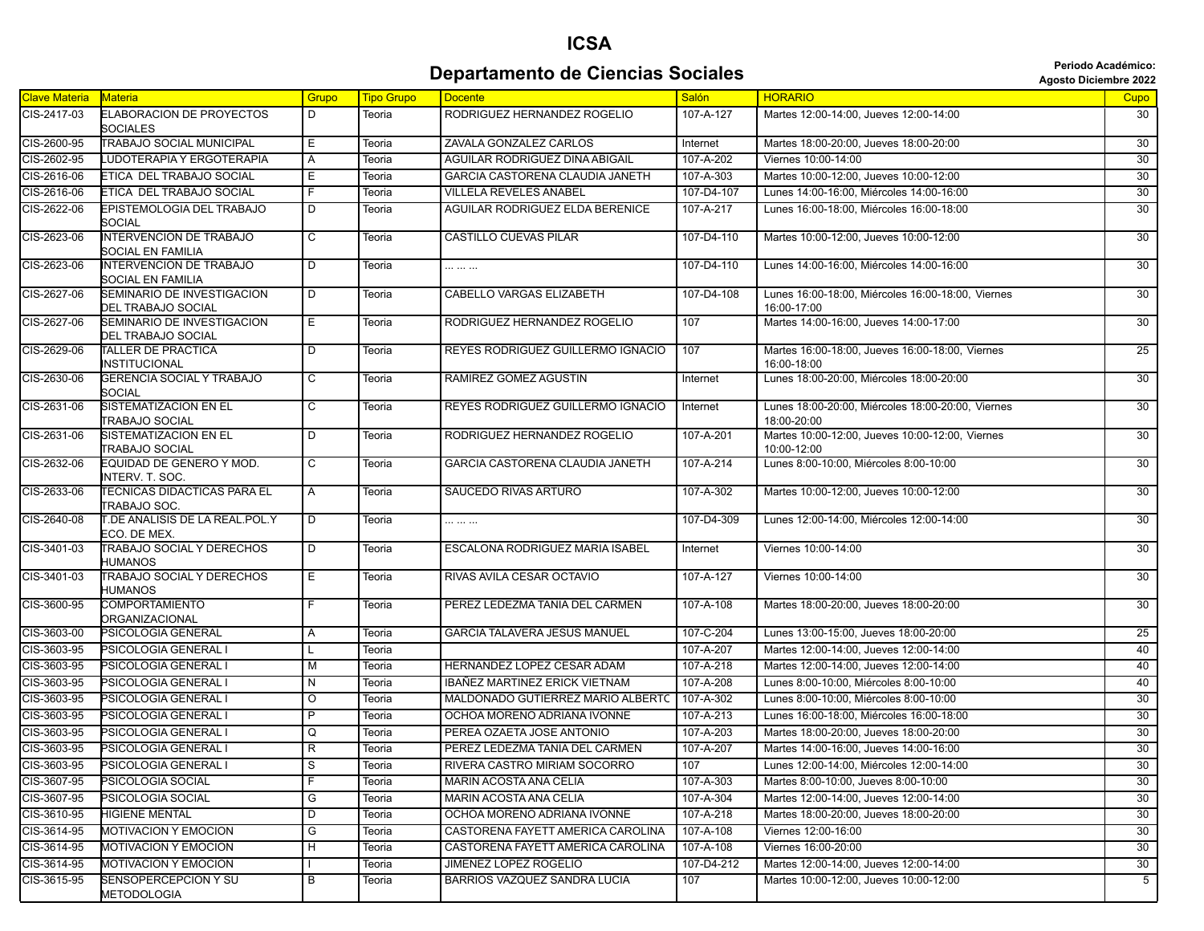## **ICSA Departamento de Ciencias Sociales Agosto Diciembre 2022 Departamento de Ciencias Sociales**

|  | <b>Agosto Diciembre 202</b> |  |
|--|-----------------------------|--|
|--|-----------------------------|--|

| <b>Clave Materia</b> | <b>Materia</b>                                      | Grupo                   | <b>Tipo Grupo</b> | <b>Docente</b>                    | <b>Salón</b> | <b>HORARIO</b>                                                   | Cupo            |
|----------------------|-----------------------------------------------------|-------------------------|-------------------|-----------------------------------|--------------|------------------------------------------------------------------|-----------------|
| CIS-2417-03          | <b>ELABORACION DE PROYECTOS</b><br><b>SOCIALES</b>  | D                       | Teoria            | RODRIGUEZ HERNANDEZ ROGELIO       | 107-A-127    | Martes 12:00-14:00, Jueves 12:00-14:00                           | 30              |
| CIS-2600-95          | TRABAJO SOCIAL MUNICIPAL                            | Е                       | Teoria            | ZAVALA GONZALEZ CARLOS            | Internet     | Martes 18:00-20:00, Jueves 18:00-20:00                           | 30              |
| CIS-2602-95          | <b>UDOTERAPIA Y ERGOTERAPIA</b>                     | Α                       | Teoria            | AGUILAR RODRIGUEZ DINA ABIGAIL    | 107-A-202    | Viernes 10:00-14:00                                              | 30              |
| CIS-2616-06          | ETICA DEL TRABAJO SOCIAL                            | Е                       | Teoria            | GARCIA CASTORENA CLAUDIA JANETH   | 107-A-303    | Martes 10:00-12:00, Jueves 10:00-12:00                           | 30              |
| CIS-2616-06          | ETICA DEL TRABAJO SOCIAL                            | F.                      | Teoria            | <b>VILLELA REVELES ANABEL</b>     | 107-D4-107   | Lunes 14:00-16:00, Miércoles 14:00-16:00                         | 30              |
| CIS-2622-06          | EPISTEMOLOGIA DEL TRABAJO<br>SOCIAL                 | D                       | Teoria            | AGUILAR RODRIGUEZ ELDA BERENICE   | 107-A-217    | Lunes 16:00-18:00, Miércoles 16:00-18:00                         | 30              |
| CIS-2623-06          | <b>INTERVENCION DE TRABAJO</b><br>SOCIAL EN FAMILIA | $\overline{\mathsf{c}}$ | Teoria            | <b>CASTILLO CUEVAS PILAR</b>      | 107-D4-110   | Martes 10:00-12:00, Jueves 10:00-12:00                           | $\overline{30}$ |
| CIS-2623-06          | <b>INTERVENCION DE TRABAJO</b><br>SOCIAL EN FAMILIA | D                       | Teoria            |                                   | 107-D4-110   | Lunes 14:00-16:00, Miércoles 14:00-16:00                         | 30              |
| CIS-2627-06          | SEMINARIO DE INVESTIGACION<br>DEL TRABAJO SOCIAL    | $\overline{D}$          | Teoria            | <b>CABELLO VARGAS ELIZABETH</b>   | 107-D4-108   | Lunes 16:00-18:00, Miércoles 16:00-18:00, Viernes<br>16:00-17:00 | 30              |
| CIS-2627-06          | SEMINARIO DE INVESTIGACION<br>DEL TRABAJO SOCIAL    | Е                       | Teoria            | RODRIGUEZ HERNANDEZ ROGELIO       | 107          | Martes 14:00-16:00, Jueves 14:00-17:00                           | 30              |
| CIS-2629-06          | TALLER DE PRACTICA<br>INSTITUCIONAL                 | D                       | Teoria            | REYES RODRIGUEZ GUILLERMO IGNACIO | 107          | Martes 16:00-18:00, Jueves 16:00-18:00, Viernes<br>16:00-18:00   | $\overline{25}$ |
| CIS-2630-06          | GERENCIA SOCIAL Y TRABAJO<br><b>SOCIAL</b>          | $\overline{c}$          | Teoria            | RAMIREZ GOMEZ AGUSTIN             | Internet     | Lunes 18:00-20:00, Miércoles 18:00-20:00                         | $\overline{30}$ |
| CIS-2631-06          | SISTEMATIZACION EN EL<br>TRABAJO SOCIAL             | C                       | Teoria            | REYES RODRIGUEZ GUILLERMO IGNACIO | Internet     | Lunes 18:00-20:00, Miércoles 18:00-20:00, Viernes<br>18:00-20:00 | 30              |
| CIS-2631-06          | SISTEMATIZACION EN EL<br>TRABAJO SOCIAL             | D                       | Teoria            | RODRIGUEZ HERNANDEZ ROGELIO       | 107-A-201    | Martes 10:00-12:00, Jueves 10:00-12:00, Viernes<br>10:00-12:00   | 30              |
| CIS-2632-06          | EQUIDAD DE GENERO Y MOD.<br>INTERV. T. SOC.         | С                       | Teoria            | GARCIA CASTORENA CLAUDIA JANETH   | 107-A-214    | Lunes 8:00-10:00, Miércoles 8:00-10:00                           | 30              |
| CIS-2633-06          | TECNICAS DIDACTICAS PARA EL<br>TRABAJO SOC.         | Α                       | Teoria            | SAUCEDO RIVAS ARTURO              | 107-A-302    | Martes 10:00-12:00, Jueves 10:00-12:00                           | 30              |
| CIS-2640-08          | T.DE ANALISIS DE LA REAL.POL.Y<br>ECO. DE MEX.      | D                       | Teoria            |                                   | 107-D4-309   | Lunes 12:00-14:00, Miércoles 12:00-14:00                         | $\overline{30}$ |
| CIS-3401-03          | TRABAJO SOCIAL Y DERECHOS<br>HUMANOS                | D                       | Teoria            | ESCALONA RODRIGUEZ MARIA ISABEL   | Internet     | Viernes 10:00-14:00                                              | 30              |
| CIS-3401-03          | TRABAJO SOCIAL Y DERECHOS<br>HUMANOS                | Ε                       | Teoria            | RIVAS AVILA CESAR OCTAVIO         | 107-A-127    | Viernes 10:00-14:00                                              | 30              |
| CIS-3600-95          | <b>COMPORTAMIENTO</b><br>ORGANIZACIONAL             | F.                      | Teoria            | PEREZ LEDEZMA TANIA DEL CARMEN    | 107-A-108    | Martes 18:00-20:00, Jueves 18:00-20:00                           | 30              |
| CIS-3603-00          | PSICOLOGIA GENERAL                                  | Α                       | Teoria            | GARCIA TALAVERA JESUS MANUEL      | 107-C-204    | Lunes 13:00-15:00, Jueves 18:00-20:00                            | $\overline{25}$ |
| CIS-3603-95          | PSICOLOGIA GENERAL I                                |                         | Teoria            |                                   | 107-A-207    | Martes 12:00-14:00, Jueves 12:00-14:00                           | 40              |
| CIS-3603-95          | PSICOLOGIA GENERAL I                                | м                       | Teoria            | HERNANDEZ LOPEZ CESAR ADAM        | 107-A-218    | Martes 12:00-14:00, Jueves 12:00-14:00                           | 40              |
| CIS-3603-95          | PSICOLOGIA GENERAL I                                | N                       | Teoria            | IBAÑEZ MARTINEZ ERICK VIETNAM     | 107-A-208    | Lunes 8:00-10:00, Miércoles 8:00-10:00                           | 40              |
| CIS-3603-95          | PSICOLOGIA GENERAL I                                | O                       | Teoria            | MALDONADO GUTIERREZ MARIO ALBERTC | 107-A-302    | Lunes 8:00-10:00, Miércoles 8:00-10:00                           | 30              |
| CIS-3603-95          | PSICOLOGIA GENERAL I                                | $\overline{P}$          | Teoria            | OCHOA MORENO ADRIANA IVONNE       | 107-A-213    | Lunes 16:00-18:00, Miércoles 16:00-18:00                         | 30              |
| CIS-3603-95          | PSICOLOGIA GENERAL I                                | Q                       | Teoria            | PEREA OZAETA JOSE ANTONIO         | 107-A-203    | Martes 18:00-20:00, Jueves 18:00-20:00                           | 30              |
| CIS-3603-95          | PSICOLOGIA GENERAL I                                | R                       | Teoria            | PEREZ LEDEZMA TANIA DEL CARMEN    | 107-A-207    | Martes 14:00-16:00, Jueves 14:00-16:00                           | 30              |
| CIS-3603-95          | PSICOLOGIA GENERAL I                                | $\overline{\mathsf{s}}$ | Teoria            | RIVERA CASTRO MIRIAM SOCORRO      | 107          | Lunes 12:00-14:00, Miércoles 12:00-14:00                         | 30              |
| CIS-3607-95          | PSICOLOGIA SOCIAL                                   | F.                      | Teoria            | MARIN ACOSTA ANA CELIA            | 107-A-303    | Martes 8:00-10:00, Jueves 8:00-10:00                             | 30              |
| CIS-3607-95          | PSICOLOGIA SOCIAL                                   | G                       | Teoria            | MARIN ACOSTA ANA CELIA            | 107-A-304    | Martes 12:00-14:00, Jueves 12:00-14:00                           | 30              |
| CIS-3610-95          | HIGIENE MENTAL                                      | D                       | Teoria            | OCHOA MORENO ADRIANA IVONNE       | 107-A-218    | Martes 18:00-20:00, Jueves 18:00-20:00                           | 30              |
| CIS-3614-95          | <b>MOTIVACION Y EMOCION</b>                         | G                       | Teoria            | CASTORENA FAYETT AMERICA CAROLINA | 107-A-108    | Viernes 12:00-16:00                                              | 30              |
| CIS-3614-95          | <b>MOTIVACION Y EMOCION</b>                         | н                       | Teoria            | CASTORENA FAYETT AMERICA CAROLINA | 107-A-108    | Viernes 16:00-20:00                                              | 30              |
| CIS-3614-95          | <b>MOTIVACION Y EMOCION</b>                         |                         | Teoria            | JIMENEZ LOPEZ ROGELIO             | 107-D4-212   | Martes 12:00-14:00, Jueves 12:00-14:00                           | 30              |
| CIS-3615-95          | SENSOPERCEPCION Y SU                                | В                       | Teoria            | BARRIOS VAZQUEZ SANDRA LUCIA      | 107          | Martes 10:00-12:00, Jueves 10:00-12:00                           | 5 <sup>5</sup>  |
|                      | METODOLOGIA                                         |                         |                   |                                   |              |                                                                  |                 |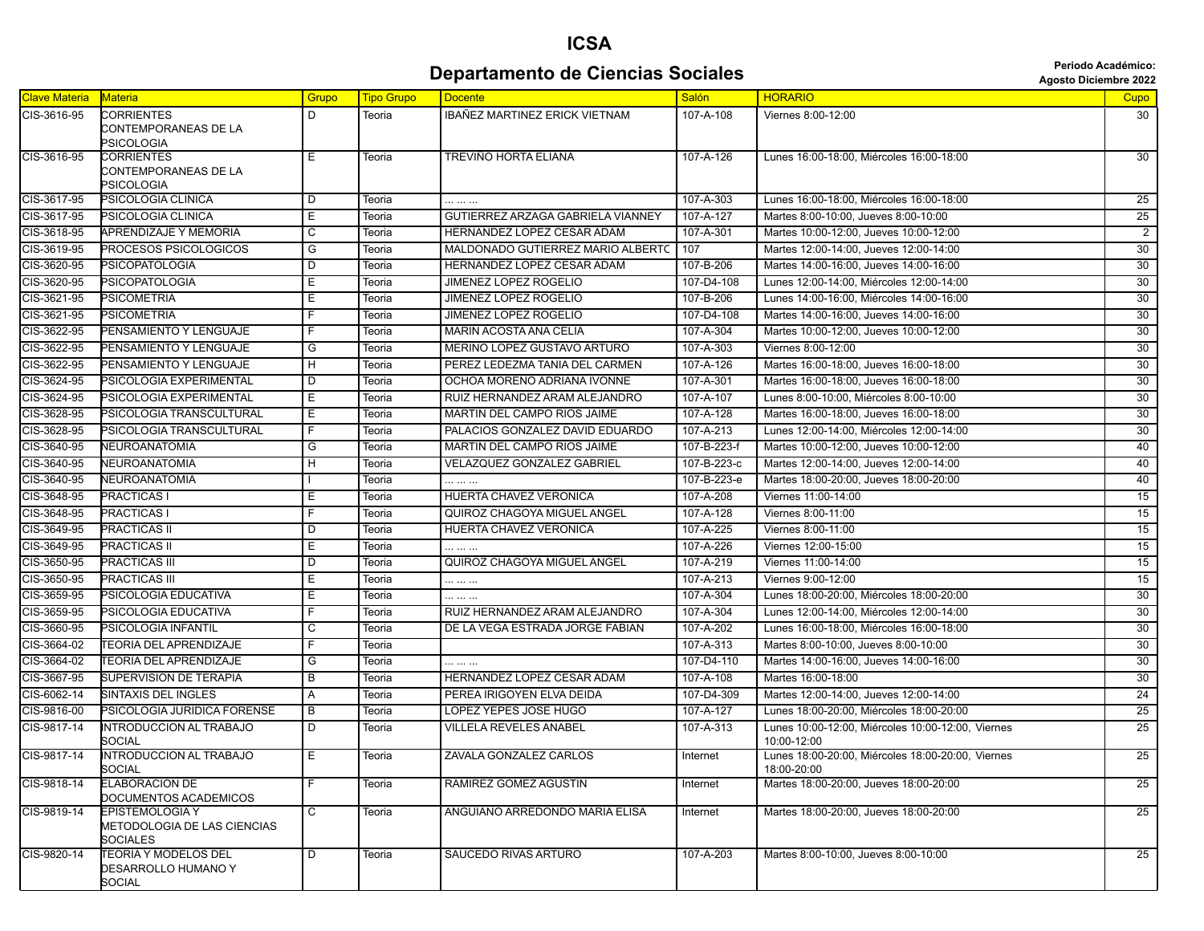## **ICSA Departamento de Ciencias Sociales Agosto Diciembre 2022 Agosto Diciembre 2022**

| <b>Clave Materia</b> | Materia                                                                  | <b>Grupo</b> | <b>Tipo Grupo</b> | <b>Docente</b>                    | <b>Salón</b> | <b>HORARIO</b>                                                   | <b>Cupo</b>     |
|----------------------|--------------------------------------------------------------------------|--------------|-------------------|-----------------------------------|--------------|------------------------------------------------------------------|-----------------|
| CIS-3616-95          | CORRIENTES<br>CONTEMPORANEAS DE LA<br>PSICOLOGIA                         | D            | Teoria            | IBAÑEZ MARTINEZ ERICK VIETNAM     | 107-A-108    | Viernes 8:00-12:00                                               | 30              |
| CIS-3616-95          | CORRIENTES<br>CONTEMPORANEAS DE LA<br>PSICOLOGIA                         | Е            | Teoria            | TREVIÑO HORTA ELIANA              | 107-A-126    | Lunes 16:00-18:00, Miércoles 16:00-18:00                         | 30              |
| CIS-3617-95          | PSICOLOGIA CLINICA                                                       | D            | Teoria            |                                   | 107-A-303    | Lunes 16:00-18:00. Miércoles 16:00-18:00                         | 25              |
| CIS-3617-95          | PSICOLOGIA CLINICA                                                       | Е            | Teoria            | GUTIERREZ ARZAGA GABRIELA VIANNEY | 107-A-127    | Martes 8:00-10:00, Jueves 8:00-10:00                             | 25              |
| CIS-3618-95          | APRENDIZAJE Y MEMORIA                                                    | C            | Teoria            | HERNANDEZ LOPEZ CESAR ADAM        | 107-A-301    | Martes 10:00-12:00, Jueves 10:00-12:00                           | $\overline{2}$  |
| CIS-3619-95          | PROCESOS PSICOLOGICOS                                                    | G            | Teoria            | MALDONADO GUTIERREZ MARIO ALBERTC | 107          | Martes 12:00-14:00, Jueves 12:00-14:00                           | 30              |
| CIS-3620-95          | PSICOPATOLOGIA                                                           | D            | Teoria            | HERNANDEZ LOPEZ CESAR ADAM        | 107-B-206    | Martes 14:00-16:00, Jueves 14:00-16:00                           | 30              |
| CIS-3620-95          | PSICOPATOLOGIA                                                           | E.           | Teoria            | JIMENEZ LOPEZ ROGELIO             | 107-D4-108   | Lunes 12:00-14:00, Miércoles 12:00-14:00                         | 30              |
| CIS-3621-95          | PSICOMETRIA                                                              | Е            | Teoria            | JIMENEZ LOPEZ ROGELIO             | 107-B-206    | Lunes 14:00-16:00, Miércoles 14:00-16:00                         | 30              |
| CIS-3621-95          | PSICOMETRIA                                                              | F            | Teoria            | JIMENEZ LOPEZ ROGELIO             | 107-D4-108   | Martes 14:00-16:00, Jueves 14:00-16:00                           | $\overline{30}$ |
| CIS-3622-95          | PENSAMIENTO Y LENGUAJE                                                   | F            | Teoria            | <b>MARIN ACOSTA ANA CELIA</b>     | 107-A-304    | Martes 10:00-12:00, Jueves 10:00-12:00                           | $\overline{30}$ |
| CIS-3622-95          | PENSAMIENTO Y LENGUAJE                                                   | G            | Teoria            | MERINO LOPEZ GUSTAVO ARTURO       | 107-A-303    | Viernes 8:00-12:00                                               | 30              |
| CIS-3622-95          | PENSAMIENTO Y LENGUAJE                                                   | н            | Teoria            | PEREZ LEDEZMA TANIA DEL CARMEN    | 107-A-126    | Martes 16:00-18:00, Jueves 16:00-18:00                           | $\overline{30}$ |
| CIS-3624-95          | PSICOLOGIA EXPERIMENTAL                                                  | D            | Teoria            | OCHOA MORENO ADRIANA IVONNE       | 107-A-301    | Martes 16:00-18:00, Jueves 16:00-18:00                           | 30              |
| CIS-3624-95          | PSICOLOGIA EXPERIMENTAL                                                  | E            | Teoria            | RUIZ HERNANDEZ ARAM ALEJANDRO     | 107-A-107    | Lunes 8:00-10:00, Miércoles 8:00-10:00                           | 30              |
| CIS-3628-95          | PSICOLOGIA TRANSCULTURAL                                                 | E            | Teoria            | MARTIN DEL CAMPO RIOS JAIME       | 107-A-128    | Martes 16:00-18:00, Jueves 16:00-18:00                           | 30              |
| CIS-3628-95          | PSICOLOGIA TRANSCULTURAL                                                 | F.           | Teoria            | PALACIOS GONZALEZ DAVID EDUARDO   | 107-A-213    | Lunes 12:00-14:00, Miércoles 12:00-14:00                         | 30              |
| CIS-3640-95          | NEUROANATOMIA                                                            | G            | Teoria            | MARTIN DEL CAMPO RIOS JAIME       | 107-B-223-f  | Martes 10:00-12:00, Jueves 10:00-12:00                           | 40              |
| CIS-3640-95          | NEUROANATOMIA                                                            | н            | Teoria            | VELAZQUEZ GONZALEZ GABRIEL        | 107-B-223-c  | Martes 12:00-14:00, Jueves 12:00-14:00                           | 40              |
| CIS-3640-95          | NEUROANATOMIA                                                            |              | Teoria            |                                   | 107-B-223-e  | Martes 18:00-20:00, Jueves 18:00-20:00                           | 40              |
| CIS-3648-95          | PRACTICAS I                                                              | E.           | Teoria            | <b>HUERTA CHAVEZ VERONICA</b>     | 107-A-208    | Viernes 11:00-14:00                                              | 15              |
| CIS-3648-95          | <b>PRACTICAS I</b>                                                       | F            | Teoria            | QUIROZ CHAGOYA MIGUEL ANGEL       | 107-A-128    | Viernes 8:00-11:00                                               | 15              |
| CIS-3649-95          | PRACTICAS II                                                             | D            | Teoria            | HUERTA CHAVEZ VERONICA            | 107-A-225    | Viernes 8:00-11:00                                               | 15              |
| CIS-3649-95          | PRACTICAS II                                                             | E            | Teoria            |                                   | 107-A-226    | Viernes 12:00-15:00                                              | 15              |
| CIS-3650-95          | PRACTICAS III                                                            | D            | Teoria            | QUIROZ CHAGOYA MIGUEL ANGEL       | 107-A-219    | Viernes 11:00-14:00                                              | 15              |
| CIS-3650-95          | PRACTICAS III                                                            | Е            | Teoria            |                                   | 107-A-213    | Viernes 9:00-12:00                                               | 15              |
| CIS-3659-95          | PSICOLOGIA EDUCATIVA                                                     | Е            | Teoria            |                                   | 107-A-304    | Lunes 18:00-20:00, Miércoles 18:00-20:00                         | 30              |
| CIS-3659-95          | PSICOLOGIA EDUCATIVA                                                     | F            | Teoria            | RUIZ HERNANDEZ ARAM ALEJANDRO     | 107-A-304    | Lunes 12:00-14:00, Miércoles 12:00-14:00                         | 30              |
| CIS-3660-95          | PSICOLOGIA INFANTIL                                                      | С            | Teoria            | DE LA VEGA ESTRADA JORGE FABIAN   | 107-A-202    | Lunes 16:00-18:00, Miércoles 16:00-18:00                         | 30              |
| CIS-3664-02          | TEORIA DEL APRENDIZAJE                                                   | F            | Teoria            |                                   | 107-A-313    | Martes 8:00-10:00, Jueves 8:00-10:00                             | 30              |
| CIS-3664-02          | TEORIA DEL APRENDIZAJE                                                   | G            | Teoria            | .                                 | 107-D4-110   | Martes 14:00-16:00, Jueves 14:00-16:00                           | 30              |
| CIS-3667-95          | <b>SUPERVISION DE TERAPIA</b>                                            | В            | Teoria            | HERNANDEZ LOPEZ CESAR ADAM        | 107-A-108    | Martes 16:00-18:00                                               | 30              |
| CIS-6062-14          | SINTAXIS DEL INGLES                                                      | Α            | Teoria            | PEREA IRIGOYEN ELVA DEIDA         | 107-D4-309   | Martes 12:00-14:00. Jueves 12:00-14:00                           | $\overline{24}$ |
| CIS-9816-00          | PSICOLOGIA JURIDICA FORENSE                                              | В            | Teoria            | LOPEZ YEPES JOSE HUGO             | 107-A-127    | Lunes 18:00-20:00, Miércoles 18:00-20:00                         | 25              |
| CIS-9817-14          | <b>INTRODUCCION AL TRABAJO</b><br>SOCIAL                                 | D            | Teoria            | <b>VILLELA REVELES ANABEL</b>     | 107-A-313    | Lunes 10:00-12:00, Miércoles 10:00-12:00, Viernes<br>10:00-12:00 | $\overline{25}$ |
| CIS-9817-14          | <b>INTRODUCCION AL TRABAJO</b><br>SOCIAL                                 | Е            | Teoria            | ZAVALA GONZALEZ CARLOS            | Internet     | Lunes 18:00-20:00, Miércoles 18:00-20:00, Viernes<br>18:00-20:00 | 25              |
| CIS-9818-14          | <b>ELABORACION DE</b><br>DOCUMENTOS ACADEMICOS                           | F.           | Teoria            | RAMIREZ GOMEZ AGUSTIN             | Internet     | Martes 18:00-20:00, Jueves 18:00-20:00                           | 25              |
| CIS-9819-14          | EPISTEMOLOGIA Y<br><b>METODOLOGIA DE LAS CIENCIAS</b><br><b>SOCIALES</b> | С            | Teoria            | ANGUIANO ARREDONDO MARIA ELISA    | Internet     | Martes 18:00-20:00, Jueves 18:00-20:00                           | 25              |
| CIS-9820-14          | <b>TEORIA Y MODELOS DEL</b><br>DESARROLLO HUMANO Y<br>SOCIAL             | D            | Teoria            | SAUCEDO RIVAS ARTURO              | 107-A-203    | Martes 8:00-10:00, Jueves 8:00-10:00                             | 25              |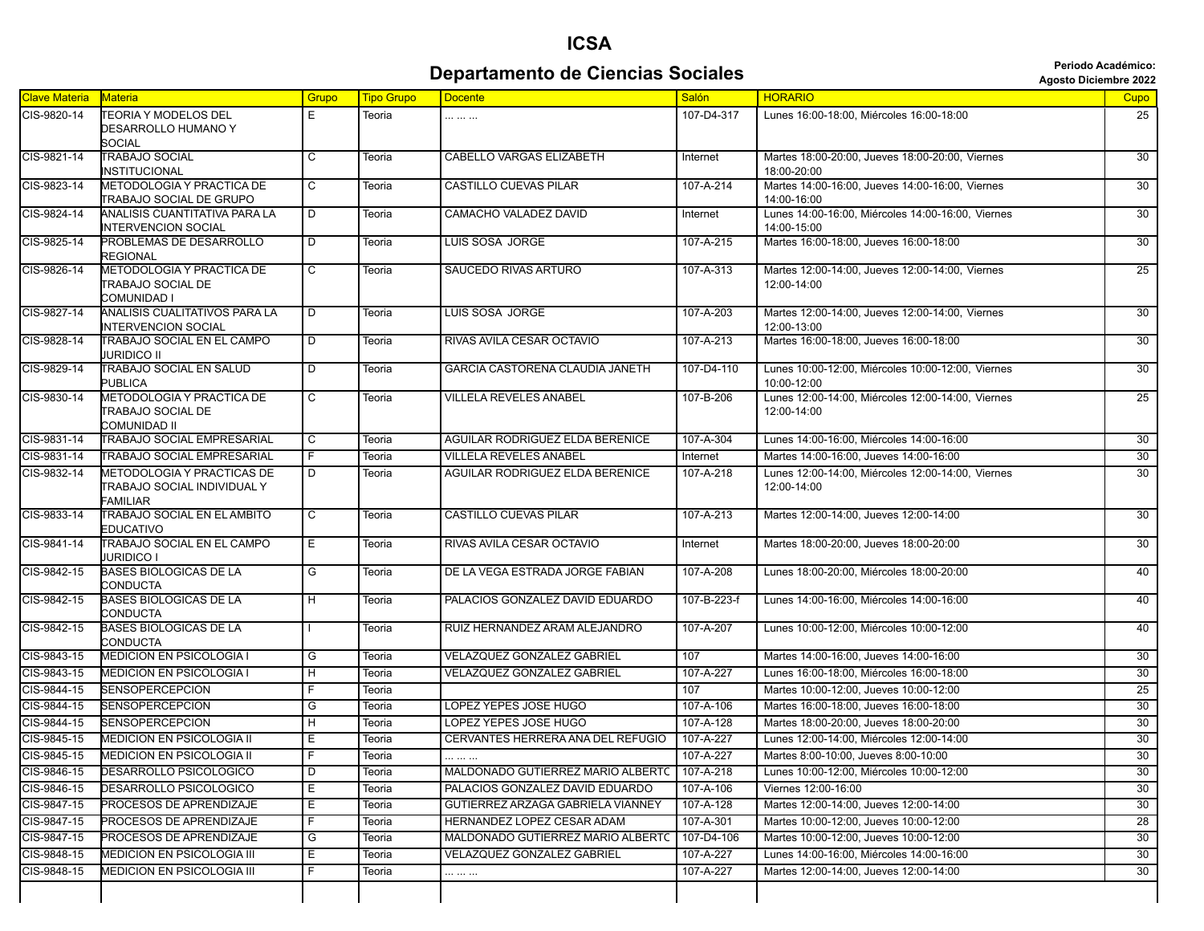## **ICSA Departamento de Ciencias Sociales Agosto Diciembre 2022** *Periodo Académico:*

| Clave Materia | Materia                                                                      | Grupo                   | <b>Tipo Grupo</b> | <b>Docente</b>                                | <b>Salón</b> | <b>HORARIO</b>                                                   | <b>Cupo</b>     |
|---------------|------------------------------------------------------------------------------|-------------------------|-------------------|-----------------------------------------------|--------------|------------------------------------------------------------------|-----------------|
| CIS-9820-14   | <b>TEORIA Y MODELOS DEL</b><br>DESARROLLO HUMANO Y                           | E                       | Teoria            |                                               | 107-D4-317   | Lunes 16:00-18:00, Miércoles 16:00-18:00                         | 25              |
| CIS-9821-14   | <b>SOCIAL</b><br><b>TRABAJO SOCIAL</b>                                       | $\overline{c}$          |                   |                                               |              |                                                                  | 30              |
|               | <b>INSTITUCIONAL</b>                                                         |                         | Teoria            | CABELLO VARGAS ELIZABETH                      | Internet     | Martes 18:00-20:00, Jueves 18:00-20:00, Viernes<br>18:00-20:00   |                 |
| CIS-9823-14   | METODOLOGIA Y PRACTICA DE<br><b>TRABAJO SOCIAL DE GRUPO</b>                  | $\overline{\mathsf{c}}$ | Teoria            | <b>CASTILLO CUEVAS PILAR</b>                  | 107-A-214    | Martes 14:00-16:00, Jueves 14:00-16:00, Viernes<br>14:00-16:00   | 30              |
| CIS-9824-14   | ANALISIS CUANTITATIVA PARA LA<br><b>INTERVENCION SOCIAL</b>                  | D                       | Teoria            | CAMACHO VALADEZ DAVID                         | Internet     | Lunes 14:00-16:00, Miércoles 14:00-16:00, Viernes<br>14:00-15:00 | $\overline{30}$ |
| CIS-9825-14   | PROBLEMAS DE DESARROLLO<br><b>REGIONAL</b>                                   | D                       | Teoria            | LUIS SOSA JORGE                               | 107-A-215    | Martes 16:00-18:00, Jueves 16:00-18:00                           | 30              |
| CIS-9826-14   | METODOLOGIA Y PRACTICA DE<br><b>TRABAJO SOCIAL DE</b><br><b>COMUNIDAD I</b>  | $\overline{c}$          | Teoria            | <b>SAUCEDO RIVAS ARTURO</b>                   | 107-A-313    | Martes 12:00-14:00, Jueves 12:00-14:00, Viernes<br>12:00-14:00   | $\overline{25}$ |
| CIS-9827-14   | ANALISIS CUALITATIVOS PARA LA<br>INTERVENCION SOCIAL                         | $\overline{D}$          | Teoria            | <b>LUIS SOSA JORGE</b>                        | 107-A-203    | Martes 12:00-14:00, Jueves 12:00-14:00, Viernes<br>12:00-13:00   | 30              |
| CIS-9828-14   | TRABAJO SOCIAL EN EL CAMPO<br><b>JURIDICO II</b>                             | D                       | Teoria            | RIVAS AVILA CESAR OCTAVIO                     | 107-A-213    | Martes 16:00-18:00, Jueves 16:00-18:00                           | $\overline{30}$ |
| CIS-9829-14   | <b>TRABAJO SOCIAL EN SALUD</b><br>PUBLICA                                    | $\overline{D}$          | Teoria            | GARCIA CASTORENA CLAUDIA JANETH               | 107-D4-110   | Lunes 10:00-12:00, Miércoles 10:00-12:00, Viernes<br>10:00-12:00 | $\overline{30}$ |
| CIS-9830-14   | METODOLOGIA Y PRACTICA DE<br><b>TRABAJO SOCIAL DE</b><br>COMUNIDAD II        | C                       | Teoria            | <b>VILLELA REVELES ANABEL</b>                 | 107-B-206    | Lunes 12:00-14:00, Miércoles 12:00-14:00, Viernes<br>12:00-14:00 | $\overline{25}$ |
| CIS-9831-14   | <b>TRABAJO SOCIAL EMPRESARIAL</b>                                            | C                       | Teoria            | <b>AGUILAR RODRIGUEZ ELDA BERENICE</b>        | 107-A-304    | Lunes 14:00-16:00, Miércoles 14:00-16:00                         | 30              |
| CIS-9831-14   | <b>TRABAJO SOCIAL EMPRESARIAL</b>                                            | F                       | Teoria            | <b>VILLELA REVELES ANABEL</b>                 | Internet     | Martes 14:00-16:00, Jueves 14:00-16:00                           | 30              |
| CIS-9832-14   | METODOLOGIA Y PRACTICAS DE<br>TRABAJO SOCIAL INDIVIDUAL Y<br><b>FAMILIAR</b> | D                       | Teoria            | AGUILAR RODRIGUEZ ELDA BERENICE               | 107-A-218    | Lunes 12:00-14:00, Miércoles 12:00-14:00, Viernes<br>12:00-14:00 | 30              |
| CIS-9833-14   | <b>TRABAJO SOCIAL EN EL AMBITO</b><br>EDUCATIVO                              | C                       | Teoria            | CASTILLO CUEVAS PILAR                         | 107-A-213    | Martes 12:00-14:00, Jueves 12:00-14:00                           | 30              |
| CIS-9841-14   | <b>TRABAJO SOCIAL EN EL CAMPO</b><br><b>JURIDICO I</b>                       | Έ                       | Teoria            | RIVAS AVILA CESAR OCTAVIO                     | Internet     | Martes 18:00-20:00, Jueves 18:00-20:00                           | 30              |
| CIS-9842-15   | <b>BASES BIOLOGICAS DE LA</b><br><b>CONDUCTA</b>                             | G                       | Teoria            | DE LA VEGA ESTRADA JORGE FABIAN               | 107-A-208    | Lunes 18:00-20:00, Miércoles 18:00-20:00                         | 40              |
| CIS-9842-15   | <b>BASES BIOLOGICAS DE LA</b><br>CONDUCTA                                    | $\overline{H}$          | Teoria            | PALACIOS GONZALEZ DAVID EDUARDO               | 107-B-223-f  | Lunes 14:00-16:00, Miércoles 14:00-16:00                         | 40              |
| CIS-9842-15   | <b>BASES BIOLOGICAS DE LA</b><br><b>CONDUCTA</b>                             |                         | Teoria            | RUIZ HERNANDEZ ARAM ALEJANDRO                 | 107-A-207    | Lunes 10:00-12:00, Miércoles 10:00-12:00                         | 40              |
| CIS-9843-15   | <b>MEDICION EN PSICOLOGIA I</b>                                              | G                       | Teoria            | VELAZQUEZ GONZALEZ GABRIEL                    | 107          | Martes 14:00-16:00, Jueves 14:00-16:00                           | 30              |
| CIS-9843-15   | <b>MEDICION EN PSICOLOGIA I</b>                                              | H                       | Teoria            | VELAZQUEZ GONZALEZ GABRIEL                    | 107-A-227    | Lunes 16:00-18:00, Miércoles 16:00-18:00                         | 30              |
| CIS-9844-15   | <b>SENSOPERCEPCION</b>                                                       | F                       | Teoria            |                                               | 107          | Martes 10:00-12:00. Jueves 10:00-12:00                           | 25              |
| CIS-9844-15   | <b>SENSOPERCEPCION</b>                                                       | G                       | Teoria            | LOPEZ YEPES JOSE HUGO                         | 107-A-106    | Martes 16:00-18:00, Jueves 16:00-18:00                           | 30              |
| CIS-9844-15   | <b>SENSOPERCEPCION</b>                                                       | $\overline{H}$          | Teoria            | LOPEZ YEPES JOSE HUGO                         | 107-A-128    | Martes 18:00-20:00, Jueves 18:00-20:00                           | 30              |
| CIS-9845-15   | <b>MEDICION EN PSICOLOGIA II</b>                                             | Ε                       | Teoria            | CERVANTES HERRERA ANA DEL REFUGIO             | 107-A-227    | Lunes 12:00-14:00, Miércoles 12:00-14:00                         | 30              |
| CIS-9845-15   | <b>MEDICION EN PSICOLOGIA II</b>                                             | F                       | Teoria            |                                               | 107-A-227    | Martes 8:00-10:00, Jueves 8:00-10:00                             | 30              |
| CIS-9846-15   | <b>DESARROLLO PSICOLOGICO</b>                                                | D                       | Teoria            | MALDONADO GUTIERREZ MARIO ALBERTC   107-A-218 |              | Lunes 10:00-12:00, Miércoles 10:00-12:00                         | 30              |
| CIS-9846-15   | DESARROLLO PSICOLOGICO                                                       | Е                       | Teoria            | PALACIOS GONZALEZ DAVID EDUARDO               | 107-A-106    | Viernes 12:00-16:00                                              | 30              |
| CIS-9847-15   | PROCESOS DE APRENDIZAJE                                                      | Е                       | Teoria            | GUTIERREZ ARZAGA GABRIELA VIANNEY             | 107-A-128    | Martes 12:00-14:00, Jueves 12:00-14:00                           | 30              |
| CIS-9847-15   | PROCESOS DE APRENDIZAJE                                                      | F                       | Teoria            | HERNANDEZ LOPEZ CESAR ADAM                    | 107-A-301    | Martes 10:00-12:00, Jueves 10:00-12:00                           | 28              |
| CIS-9847-15   | PROCESOS DE APRENDIZAJE                                                      | G                       | Teoria            | MALDONADO GUTIERREZ MARIO ALBERTC             | 107-D4-106   | Martes 10:00-12:00, Jueves 10:00-12:00                           | 30              |
| CIS-9848-15   | <b>MEDICION EN PSICOLOGIA III</b>                                            | Е                       | Teoria            | VELAZQUEZ GONZALEZ GABRIEL                    | 107-A-227    | Lunes 14:00-16:00, Miércoles 14:00-16:00                         | 30              |
| CIS-9848-15   | <b>MEDICION EN PSICOLOGIA III</b>                                            | F                       | Teoria            | .                                             | 107-A-227    | Martes 12:00-14:00. Jueves 12:00-14:00                           | 30              |
|               |                                                                              |                         |                   |                                               |              |                                                                  |                 |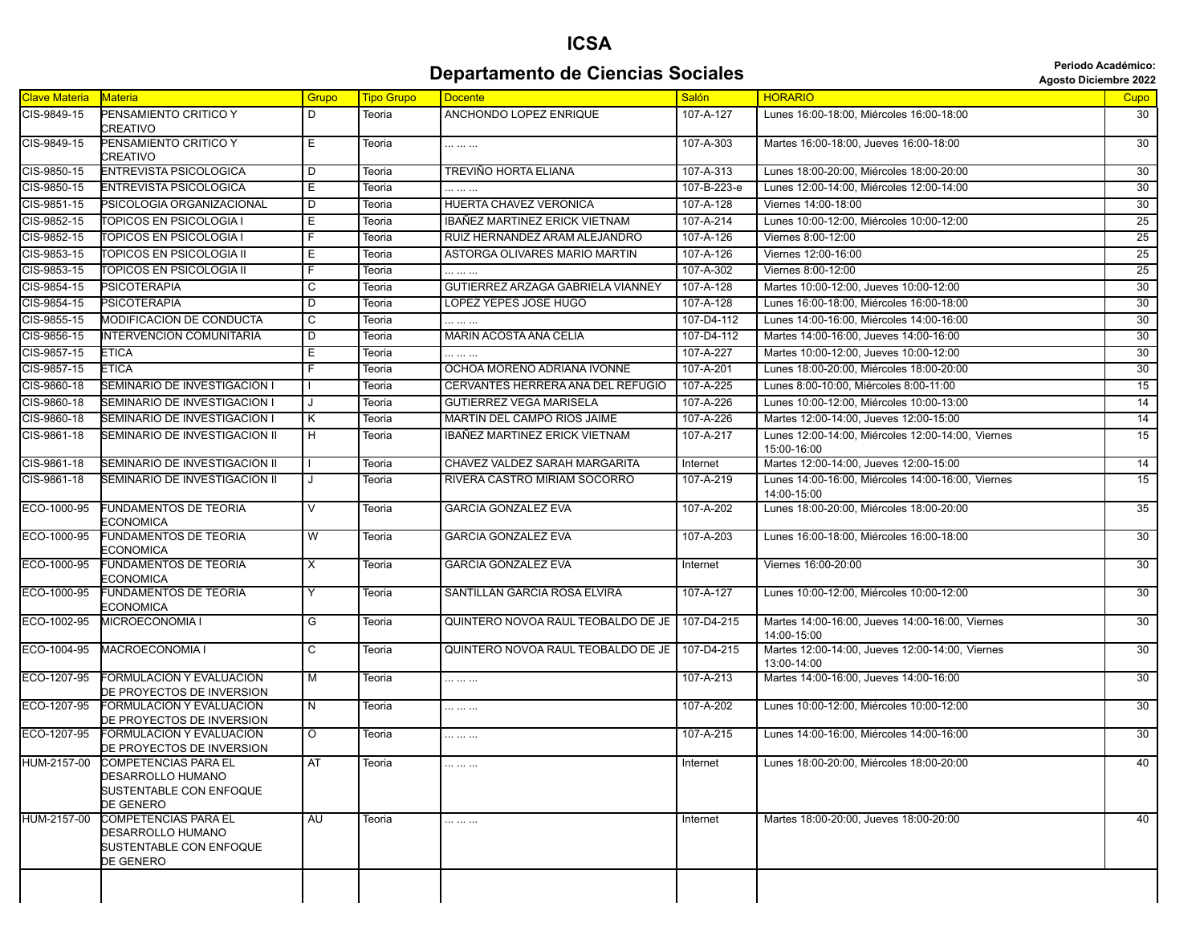#### **ICSA Departamento de Ciencias Sociales Agosto Diciembre 2022 Departamento de Ciencias Sociales**

| <b>Clave Materia</b> | Materia                                                                                  | Grupo          | <b>Tipo Grupo</b> | <b>Docente</b>                       | Salón       | <b>HORARIO</b>                                                   | Cupo            |
|----------------------|------------------------------------------------------------------------------------------|----------------|-------------------|--------------------------------------|-------------|------------------------------------------------------------------|-----------------|
| CIS-9849-15          | PENSAMIENTO CRITICO Y<br>CREATIVO                                                        | D              | Teoria            | ANCHONDO LOPEZ ENRIQUE               | 107-A-127   | Lunes 16:00-18:00, Miércoles 16:00-18:00                         | 30              |
| CIS-9849-15          | PENSAMIENTO CRITICO Y<br>CREATIVO                                                        | Ε              | Teoria            |                                      | 107-A-303   | Martes 16:00-18:00, Jueves 16:00-18:00                           | 30              |
| CIS-9850-15          | <b>ENTREVISTA PSICOLOGICA</b>                                                            | D              | Teoria            | TREVIÑO HORTA ELIANA                 | 107-A-313   | Lunes 18:00-20:00. Miércoles 18:00-20:00                         | 30              |
| CIS-9850-15          | <b>ENTREVISTA PSICOLOGICA</b>                                                            | Е              | Teoria            |                                      | 107-B-223-e | Lunes 12:00-14:00, Miércoles 12:00-14:00                         | 30              |
| CIS-9851-15          | PSICOLOGIA ORGANIZACIONAL                                                                | D              | Teoria            | <b>HUERTA CHAVEZ VERONICA</b>        | 107-A-128   | Viernes 14:00-18:00                                              | $\overline{30}$ |
| CIS-9852-15          | <b>TOPICOS EN PSICOLOGIA I</b>                                                           | Е              | Teoria            | IBAÑEZ MARTINEZ ERICK VIETNAM        | 107-A-214   | Lunes 10:00-12:00, Miércoles 10:00-12:00                         | 25              |
| CIS-9852-15          | TOPICOS EN PSICOLOGIA I                                                                  | F.             | Teoria            | RUIZ HERNANDEZ ARAM ALEJANDRO        | 107-A-126   | Viernes 8:00-12:00                                               | $\overline{25}$ |
| CIS-9853-15          | TOPICOS EN PSICOLOGIA II                                                                 | Е              | Teoria            | ASTORGA OLIVARES MARIO MARTIN        | 107-A-126   | Viernes 12:00-16:00                                              | 25              |
| CIS-9853-15          | TOPICOS EN PSICOLOGIA II                                                                 | F              | Teoria            |                                      | 107-A-302   | Viernes 8:00-12:00                                               | $\overline{25}$ |
| CIS-9854-15          | <b>PSICOTERAPIA</b>                                                                      | C              | Teoria            | GUTIERREZ ARZAGA GABRIELA VIANNEY    | 107-A-128   | Martes 10:00-12:00, Jueves 10:00-12:00                           | 30 <sup>2</sup> |
| CIS-9854-15          | <b>PSICOTERAPIA</b>                                                                      | D              | Teoria            | LOPEZ YEPES JOSE HUGO                | 107-A-128   | Lunes 16:00-18:00, Miércoles 16:00-18:00                         | 30              |
| CIS-9855-15          | MODIFICACION DE CONDUCTA                                                                 | C              | Teoria            |                                      | 107-D4-112  | Lunes 14:00-16:00, Miércoles 14:00-16:00                         | 30              |
| CIS-9856-15          | <b>INTERVENCION COMUNITARIA</b>                                                          | D              | Teoria            | MARIN ACOSTA ANA CELIA               | 107-D4-112  | Martes 14:00-16:00, Jueves 14:00-16:00                           | 30              |
| CIS-9857-15          | <b>ETICA</b>                                                                             | Е              | Teoria            |                                      | 107-A-227   | Martes 10:00-12:00, Jueves 10:00-12:00                           | 30              |
| CIS-9857-15          | <b>ETICA</b>                                                                             | F              | Teoria            | OCHOA MORENO ADRIANA IVONNE          | 107-A-201   | Lunes 18:00-20:00, Miércoles 18:00-20:00                         | 30              |
| CIS-9860-18          | SEMINARIO DE INVESTIGACION I                                                             |                | Teoria            | CERVANTES HERRERA ANA DEL REFUGIO    | 107-A-225   | Lunes 8:00-10:00, Miércoles 8:00-11:00                           | $\overline{15}$ |
| CIS-9860-18          | SEMINARIO DE INVESTIGACION I                                                             | J              | Teoria            | <b>GUTIERREZ VEGA MARISELA</b>       | 107-A-226   | Lunes 10:00-12:00, Miércoles 10:00-13:00                         | 14              |
| CIS-9860-18          | SEMINARIO DE INVESTIGACION I                                                             | Κ              | Teoria            | MARTIN DEL CAMPO RIOS JAIME          | 107-A-226   | Martes 12:00-14:00, Jueves 12:00-15:00                           | 14              |
| CIS-9861-18          | SEMINARIO DE INVESTIGACION II                                                            | $\overline{H}$ | Teoria            | <b>IBAÑEZ MARTINEZ ERICK VIETNAM</b> | 107-A-217   | Lunes 12:00-14:00, Miércoles 12:00-14:00, Viernes<br>15:00-16:00 | 15              |
| CIS-9861-18          | SEMINARIO DE INVESTIGACION II                                                            |                | Teoria            | CHAVEZ VALDEZ SARAH MARGARITA        | Internet    | Martes 12:00-14:00, Jueves 12:00-15:00                           | 14              |
| CIS-9861-18          | SEMINARIO DE INVESTIGACION II                                                            | J              | Teoria            | RIVERA CASTRO MIRIAM SOCORRO         | 107-A-219   | Lunes 14:00-16:00, Miércoles 14:00-16:00, Viernes<br>14:00-15:00 | 15              |
| ECO-1000-95          | <b>FUNDAMENTOS DE TEORIA</b><br><b>ECONOMICA</b>                                         | $\vee$         | Teoria            | <b>GARCIA GONZALEZ EVA</b>           | 107-A-202   | Lunes 18:00-20:00, Miércoles 18:00-20:00                         | 35              |
| ECO-1000-95          | <b>FUNDAMENTOS DE TEORIA</b><br><b>ECONOMICA</b>                                         | W              | Teoria            | <b>GARCIA GONZALEZ EVA</b>           | 107-A-203   | Lunes 16:00-18:00, Miércoles 16:00-18:00                         | 30              |
| ECO-1000-95          | <b>FUNDAMENTOS DE TEORIA</b><br>ECONOMICA                                                | X              | Teoria            | <b>GARCIA GONZALEZ EVA</b>           | Internet    | Viernes 16:00-20:00                                              | 30              |
| ECO-1000-95          | <b>FUNDAMENTOS DE TEORIA</b><br><b>ECONOMICA</b>                                         | Y              | Teoria            | SANTILLAN GARCIA ROSA ELVIRA         | 107-A-127   | Lunes 10:00-12:00, Miércoles 10:00-12:00                         | 30              |
| ECO-1002-95          | MICROECONOMIA I                                                                          | G              | Teoria            | QUINTERO NOVOA RAUL TEOBALDO DE JE   | 107-D4-215  | Martes 14:00-16:00, Jueves 14:00-16:00, Viernes<br>14:00-15:00   | 30 <sup>°</sup> |
| ECO-1004-95          | MACROECONOMIA I                                                                          | C              | Teoria            | QUINTERO NOVOA RAUL TEOBALDO DE JE   | 107-D4-215  | Martes 12:00-14:00, Jueves 12:00-14:00, Viernes<br>13:00-14:00   | 30              |
| ECO-1207-95          | FORMULACION Y EVALUACION<br>DE PROYECTOS DE INVERSION                                    | M              | Teoria            |                                      | 107-A-213   | Martes 14:00-16:00, Jueves 14:00-16:00                           | 30              |
| ECO-1207-95          | FORMULACION Y EVALUACION<br>DE PROYECTOS DE INVERSION                                    | N              | Teoria            | .                                    | 107-A-202   | Lunes 10:00-12:00, Miércoles 10:00-12:00                         | 30              |
| ECO-1207-95          | FORMULACION Y EVALUACION<br>DE PROYECTOS DE INVERSION                                    | $\circ$        | Teoria            |                                      | 107-A-215   | Lunes 14:00-16:00, Miércoles 14:00-16:00                         | $\overline{30}$ |
| HUM-2157-00          | <b>COMPETENCIAS PARA EL</b><br>DESARROLLO HUMANO<br>SUSTENTABLE CON ENFOQUE<br>DE GENERO | AT             | Teoria            |                                      | Internet    | Lunes 18:00-20:00, Miércoles 18:00-20:00                         | 40              |
| HUM-2157-00          | <b>COMPETENCIAS PARA EL</b><br>DESARROLLO HUMANO<br>SUSTENTABLE CON ENFOQUE<br>DE GENERO | AU             | Teoria            | .                                    | Internet    | Martes 18:00-20:00, Jueves 18:00-20:00                           | 40              |
|                      |                                                                                          |                |                   |                                      |             |                                                                  |                 |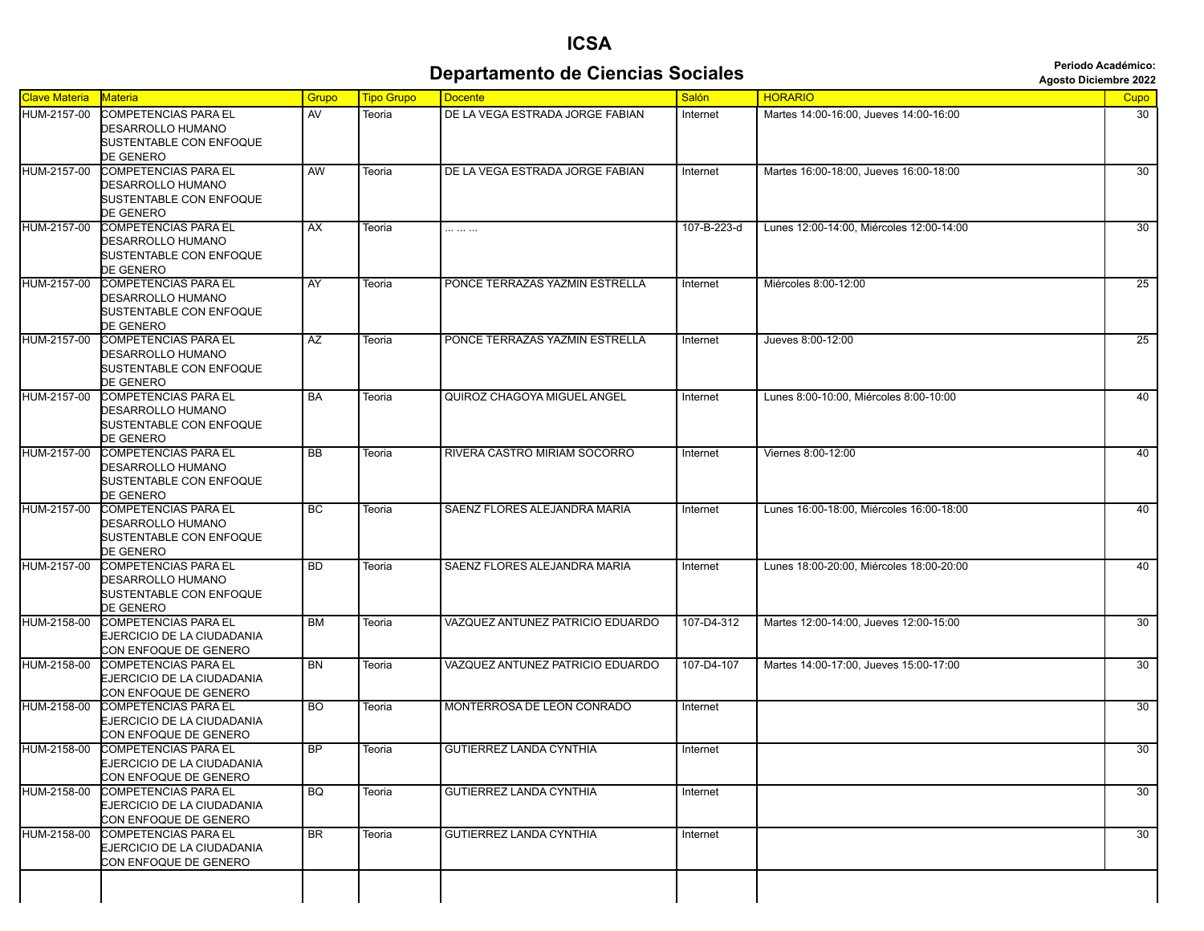## **ICSA Departamento de Ciencias Sociales Agosto Diciembre 2022** *Periodo Académico:*

| <b>Clave Materia</b> | Materia                                                 | Grupo     | <b>Tipo Grupo</b> | <b>Docente</b>                   | Salón       | <b>HORARIO</b>                           | Cupo            |
|----------------------|---------------------------------------------------------|-----------|-------------------|----------------------------------|-------------|------------------------------------------|-----------------|
| HUM-2157-00          | <b>COMPETENCIAS PARA EL</b>                             | AV        | Teoria            | DE LA VEGA ESTRADA JORGE FABIAN  | Internet    | Martes 14:00-16:00. Jueves 14:00-16:00   | 30              |
|                      | DESARROLLO HUMANO                                       |           |                   |                                  |             |                                          |                 |
|                      | SUSTENTABLE CON ENFOQUE<br>DE GENERO                    |           |                   |                                  |             |                                          |                 |
| HUM-2157-00          | <b>COMPETENCIAS PARA EL</b>                             | <b>AW</b> | Teoria            | DE LA VEGA ESTRADA JORGE FABIAN  | Internet    | Martes 16:00-18:00, Jueves 16:00-18:00   | 30              |
|                      | <b>DESARROLLO HUMANO</b>                                |           |                   |                                  |             |                                          |                 |
|                      | SUSTENTABLE CON ENFOQUE                                 |           |                   |                                  |             |                                          |                 |
|                      | DE GENERO                                               |           |                   |                                  |             |                                          |                 |
| HUM-2157-00          | <b>COMPETENCIAS PARA EL</b>                             | AX        | Teoria            |                                  | 107-B-223-d | Lunes 12:00-14:00, Miércoles 12:00-14:00 | 30              |
|                      | DESARROLLO HUMANO<br>SUSTENTABLE CON ENFOQUE            |           |                   |                                  |             |                                          |                 |
|                      | DE GENERO                                               |           |                   |                                  |             |                                          |                 |
| HUM-2157-00          | <b>COMPETENCIAS PARA EL</b>                             | AY        | Teoria            | PONCE TERRAZAS YAZMIN ESTRELLA   | Internet    | Miércoles 8:00-12:00                     | 25              |
|                      | DESARROLLO HUMANO                                       |           |                   |                                  |             |                                          |                 |
|                      | SUSTENTABLE CON ENFOQUE                                 |           |                   |                                  |             |                                          |                 |
| HUM-2157-00          | DE GENERO<br><b>COMPETENCIAS PARA EL</b>                | AZ        | Teoria            | PONCE TERRAZAS YAZMIN ESTRELLA   | Internet    | Jueves 8:00-12:00                        | 25              |
|                      | DESARROLLO HUMANO                                       |           |                   |                                  |             |                                          |                 |
|                      | SUSTENTABLE CON ENFOQUE                                 |           |                   |                                  |             |                                          |                 |
|                      | DE GENERO                                               |           |                   |                                  |             |                                          |                 |
| HUM-2157-00          | <b>COMPETENCIAS PARA EL</b>                             | BA        | Teoria            | QUIROZ CHAGOYA MIGUEL ANGEL      | Internet    | Lunes 8:00-10:00, Miércoles 8:00-10:00   | 40              |
|                      | DESARROLLO HUMANO                                       |           |                   |                                  |             |                                          |                 |
|                      | SUSTENTABLE CON ENFOQUE<br>DE GENERO                    |           |                   |                                  |             |                                          |                 |
| HUM-2157-00          | <b>COMPETENCIAS PARA EL</b>                             | BB        | Teoria            | RIVERA CASTRO MIRIAM SOCORRO     | Internet    | Viernes 8:00-12:00                       | 40              |
|                      | DESARROLLO HUMANO                                       |           |                   |                                  |             |                                          |                 |
|                      | SUSTENTABLE CON ENFOQUE                                 |           |                   |                                  |             |                                          |                 |
|                      | DE GENERO                                               |           |                   |                                  |             |                                          |                 |
| HUM-2157-00          | <b>COMPETENCIAS PARA EL</b><br><b>DESARROLLO HUMANO</b> | BC        | Teoria            | SAENZ FLORES ALEJANDRA MARIA     | Internet    | Lunes 16:00-18:00. Miércoles 16:00-18:00 | 40              |
|                      | SUSTENTABLE CON ENFOQUE                                 |           |                   |                                  |             |                                          |                 |
|                      | DE GENERO                                               |           |                   |                                  |             |                                          |                 |
| HUM-2157-00          | <b>COMPETENCIAS PARA EL</b>                             | <b>BD</b> | Teoria            | SAENZ FLORES ALEJANDRA MARIA     | Internet    | Lunes 18:00-20:00, Miércoles 18:00-20:00 | 40              |
|                      | DESARROLLO HUMANO                                       |           |                   |                                  |             |                                          |                 |
|                      | SUSTENTABLE CON ENFOQUE<br>DE GENERO                    |           |                   |                                  |             |                                          |                 |
| HUM-2158-00          | <b>COMPETENCIAS PARA EL</b>                             | <b>BM</b> | Teoria            | VAZQUEZ ANTUNEZ PATRICIO EDUARDO | 107-D4-312  | Martes 12:00-14:00, Jueves 12:00-15:00   | 30              |
|                      | EJERCICIO DE LA CIUDADANIA                              |           |                   |                                  |             |                                          |                 |
|                      | CON ENFOQUE DE GENERO                                   |           |                   |                                  |             |                                          |                 |
| HUM-2158-00          | <b>COMPETENCIAS PARA EL</b>                             | <b>BN</b> | Teoria            | VAZQUEZ ANTUNEZ PATRICIO EDUARDO | 107-D4-107  | Martes 14:00-17:00, Jueves 15:00-17:00   | 30              |
|                      | EJERCICIO DE LA CIUDADANIA<br>CON ENFOQUE DE GENERO     |           |                   |                                  |             |                                          |                 |
| HUM-2158-00          | <b>COMPETENCIAS PARA EL</b>                             | BO.       | Teoria            | MONTERROSA DE LEON CONRADO       | Internet    |                                          | 30              |
|                      | EJERCICIO DE LA CIUDADANIA                              |           |                   |                                  |             |                                          |                 |
|                      | CON ENFOQUE DE GENERO                                   |           |                   |                                  |             |                                          |                 |
| HUM-2158-00          | <b>COMPETENCIAS PARA EL</b>                             | BF        | Teoria            | <b>GUTIERREZ LANDA CYNTHIA</b>   | Internet    |                                          | 30              |
|                      | EJERCICIO DE LA CIUDADANIA<br>CON ENFOQUE DE GENERO     |           |                   |                                  |             |                                          |                 |
| HUM-2158-00          | <b>COMPETENCIAS PARA EL</b>                             | <b>BQ</b> | Teoria            | <b>GUTIERREZ LANDA CYNTHIA</b>   | Internet    |                                          | $\overline{30}$ |
|                      | EJERCICIO DE LA CIUDADANIA                              |           |                   |                                  |             |                                          |                 |
|                      | CON ENFOQUE DE GENERO                                   |           |                   |                                  |             |                                          |                 |
| HUM-2158-00          | <b>COMPETENCIAS PARA EL</b>                             | <b>BR</b> | Teoria            | <b>GUTIERREZ LANDA CYNTHIA</b>   | Internet    |                                          | 30              |
|                      | EJERCICIO DE LA CIUDADANIA                              |           |                   |                                  |             |                                          |                 |
|                      | CON ENFOQUE DE GENERO                                   |           |                   |                                  |             |                                          |                 |
|                      |                                                         |           |                   |                                  |             |                                          |                 |
|                      |                                                         |           |                   |                                  |             |                                          |                 |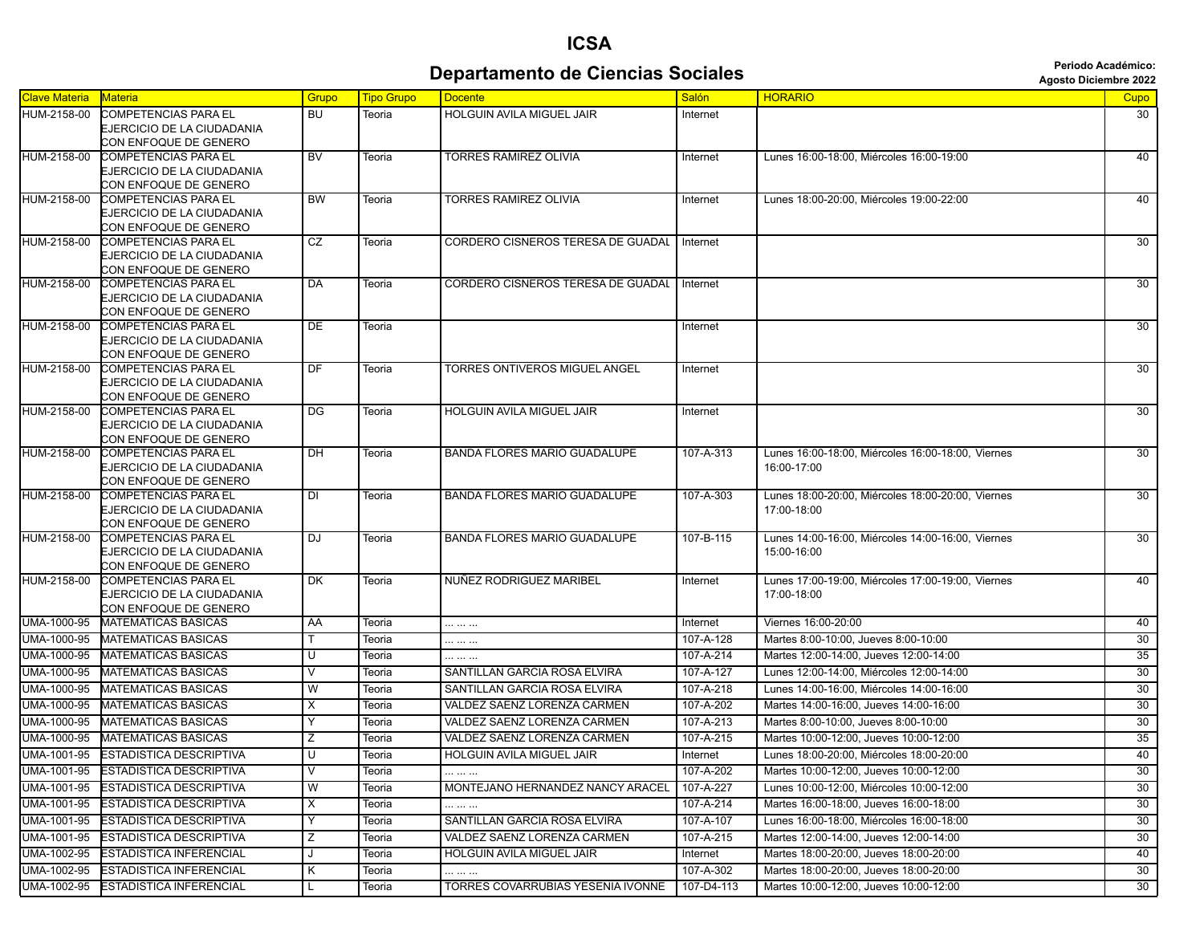## **Departamento de Ciencias Sociales Agosto Diciembre 2022** *Periodo Académico:*

**ICSA**

| <b>Clave Materia</b> | Materia                                                   | Grupo     | <b>Tipo Grupo</b> | <b>Docente</b>                               | <b>Salón</b> | <b>HORARIO</b>                                    | Cupo            |
|----------------------|-----------------------------------------------------------|-----------|-------------------|----------------------------------------------|--------------|---------------------------------------------------|-----------------|
| HUM-2158-00          | <b>COMPETENCIAS PARA EL</b>                               | <b>BU</b> | Teoria            | HOLGUIN AVILA MIGUEL JAIR                    | Internet     |                                                   | 30              |
|                      | EJERCICIO DE LA CIUDADANIA                                |           |                   |                                              |              |                                                   |                 |
| HUM-2158-00          | CON ENFOQUE DE GENERO                                     |           |                   | <b>TORRES RAMIREZ OLIVIA</b>                 |              |                                                   |                 |
|                      | <b>COMPETENCIAS PARA EL</b><br>EJERCICIO DE LA CIUDADANIA | <b>BV</b> | Teoria            |                                              | Internet     | Lunes 16:00-18:00, Miércoles 16:00-19:00          | 40              |
|                      | CON ENFOQUE DE GENERO                                     |           |                   |                                              |              |                                                   |                 |
| HUM-2158-00          | <b>COMPETENCIAS PARA EL</b>                               | <b>BW</b> | Teoria            | <b>TORRES RAMIREZ OLIVIA</b>                 | Internet     | Lunes 18:00-20:00, Miércoles 19:00-22:00          | 40              |
|                      | EJERCICIO DE LA CIUDADANIA                                |           |                   |                                              |              |                                                   |                 |
|                      | CON ENFOQUE DE GENERO                                     |           |                   |                                              |              |                                                   |                 |
| HUM-2158-00          | <b>COMPETENCIAS PARA EL</b><br>EJERCICIO DE LA CIUDADANIA | CZ        | Teoria            | CORDERO CISNEROS TERESA DE GUADAL   Internet |              |                                                   | 30              |
|                      | CON ENFOQUE DE GENERO                                     |           |                   |                                              |              |                                                   |                 |
| HUM-2158-00          | <b>COMPETENCIAS PARA EL</b>                               | DA        | Teoria            | CORDERO CISNEROS TERESA DE GUADAL   Internet |              |                                                   | 30              |
|                      | EJERCICIO DE LA CIUDADANIA                                |           |                   |                                              |              |                                                   |                 |
|                      | CON ENFOQUE DE GENERO                                     |           |                   |                                              |              |                                                   |                 |
| HUM-2158-00          | COMPETENCIAS PARA EL                                      | <b>DE</b> | Teoria            |                                              | Internet     |                                                   | 30              |
|                      | EJERCICIO DE LA CIUDADANIA                                |           |                   |                                              |              |                                                   |                 |
| HUM-2158-00          | CON ENFOQUE DE GENERO<br><b>COMPETENCIAS PARA EL</b>      | <b>DF</b> | Teoria            | TORRES ONTIVEROS MIGUEL ANGEL                | Internet     |                                                   | 30              |
|                      | EJERCICIO DE LA CIUDADANIA                                |           |                   |                                              |              |                                                   |                 |
|                      | CON ENFOQUE DE GENERO                                     |           |                   |                                              |              |                                                   |                 |
| HUM-2158-00          | <b>COMPETENCIAS PARA EL</b>                               | DG        | Teoria            | HOLGUIN AVILA MIGUEL JAIR                    | Internet     |                                                   | 30              |
|                      | EJERCICIO DE LA CIUDADANIA                                |           |                   |                                              |              |                                                   |                 |
|                      | CON ENFOQUE DE GENERO                                     |           |                   |                                              |              |                                                   |                 |
| HUM-2158-00          | <b>COMPETENCIAS PARA EL</b>                               | <b>DH</b> | Teoria            | <b>BANDA FLORES MARIO GUADALUPE</b>          | 107-A-313    | Lunes 16:00-18:00, Miércoles 16:00-18:00, Viernes | 30              |
|                      | EJERCICIO DE LA CIUDADANIA<br>CON ENFOQUE DE GENERO       |           |                   |                                              |              | 16:00-17:00                                       |                 |
| HUM-2158-00          | COMPETENCIAS PARA EL                                      | <b>DI</b> | Teoria            | <b>BANDA FLORES MARIO GUADALUPE</b>          | 107-A-303    | Lunes 18:00-20:00, Miércoles 18:00-20:00, Viernes | 30              |
|                      | EJERCICIO DE LA CIUDADANIA                                |           |                   |                                              |              | 17:00-18:00                                       |                 |
|                      | CON ENFOQUE DE GENERO                                     |           |                   |                                              |              |                                                   |                 |
| HUM-2158-00          | <b>COMPETENCIAS PARA EL</b>                               | DJ        | Teoria            | <b>BANDA FLORES MARIO GUADALUPE</b>          | 107-B-115    | Lunes 14:00-16:00, Miércoles 14:00-16:00, Viernes | 30              |
|                      | EJERCICIO DE LA CIUDADANIA<br>CON ENFOQUE DE GENERO       |           |                   |                                              |              | 15:00-16:00                                       |                 |
| HUM-2158-00          | <b>COMPETENCIAS PARA EL</b>                               | <b>DK</b> | Teoria            | NUÑEZ RODRIGUEZ MARIBEL                      | Internet     | Lunes 17:00-19:00, Miércoles 17:00-19:00, Viernes | 40              |
|                      | EJERCICIO DE LA CIUDADANIA                                |           |                   |                                              |              | 17:00-18:00                                       |                 |
|                      | CON ENFOQUE DE GENERO                                     |           |                   |                                              |              |                                                   |                 |
| <b>UMA-1000-95</b>   | <b>MATEMATICAS BASICAS</b>                                | AA        | Teoria            |                                              | Internet     | Viernes 16:00-20:00                               | 40              |
| UMA-1000-95          | <b>MATEMATICAS BASICAS</b>                                |           | Teoria            |                                              | 107-A-128    | Martes 8:00-10:00, Jueves 8:00-10:00              | 30              |
| UMA-1000-95          | <b>MATEMATICAS BASICAS</b>                                | U         | Teoria            |                                              | 107-A-214    | Martes 12:00-14:00, Jueves 12:00-14:00            | 35              |
| UMA-1000-95          | <b>MATEMATICAS BASICAS</b>                                | V         | Teoria            | SANTILLAN GARCIA ROSA ELVIRA                 | 107-A-127    | Lunes 12:00-14:00, Miércoles 12:00-14:00          | 30              |
| UMA-1000-95          | <b>MATEMATICAS BASICAS</b>                                | W         | Teoria            | SANTILLAN GARCIA ROSA ELVIRA                 | 107-A-218    | Lunes 14:00-16:00, Miércoles 14:00-16:00          | 30              |
| UMA-1000-95          | <b>MATEMATICAS BASICAS</b>                                | X         | Teoria            | VALDEZ SAENZ LORENZA CARMEN                  | 107-A-202    | Martes 14:00-16:00, Jueves 14:00-16:00            | 30              |
| UMA-1000-95          | <b>MATEMATICAS BASICAS</b>                                | Y         | Teoria            | VALDEZ SAENZ LORENZA CARMEN                  | 107-A-213    | Martes 8:00-10:00, Jueves 8:00-10:00              | 30              |
| <b>UMA-1000-95</b>   | MATEMATICAS BASICAS                                       | Ζ         | Teoria            | VALDEZ SAENZ LORENZA CARMEN                  | 107-A-215    | Martes 10:00-12:00, Jueves 10:00-12:00            | 35              |
| UMA-1001-95          | <b>ESTADISTICA DESCRIPTIVA</b>                            | U         | Teoria            | HOLGUIN AVILA MIGUEL JAIR                    | Internet     | Lunes 18:00-20:00, Miércoles 18:00-20:00          | 40              |
| UMA-1001-95          | <b>ESTADISTICA DESCRIPTIVA</b>                            | V         | Teoria            |                                              | 107-A-202    | Martes 10:00-12:00, Jueves 10:00-12:00            | 30              |
| UMA-1001-95          | <b>ESTADISTICA DESCRIPTIVA</b>                            | W         | Teoria            | MONTEJANO HERNANDEZ NANCY ARACEL             | 107-A-227    | Lunes 10:00-12:00, Miércoles 10:00-12:00          | 30              |
| UMA-1001-95          | <b>ESTADISTICA DESCRIPTIVA</b>                            | X         | Teoria            |                                              | 107-A-214    | Martes 16:00-18:00, Jueves 16:00-18:00            | $\overline{30}$ |
| UMA-1001-95          | <b>ESTADISTICA DESCRIPTIVA</b>                            | Υ         | Teoria            | SANTILLAN GARCIA ROSA ELVIRA                 | 107-A-107    | Lunes 16:00-18:00. Miércoles 16:00-18:00          | 30              |
| UMA-1001-95          | <b>ESTADISTICA DESCRIPTIVA</b>                            | z         | Teoria            | VALDEZ SAENZ LORENZA CARMEN                  | 107-A-215    | Martes 12:00-14:00, Jueves 12:00-14:00            | $\overline{30}$ |
| UMA-1002-95          | <b>ESTADISTICA INFERENCIAL</b>                            | J         | Teoria            | HOLGUIN AVILA MIGUEL JAIR                    | Internet     | Martes 18:00-20:00, Jueves 18:00-20:00            | 40              |
| UMA-1002-95          | <b>ESTADISTICA INFERENCIAL</b>                            | Κ         | Teoria            |                                              | 107-A-302    | Martes 18:00-20:00, Jueves 18:00-20:00            | 30              |
| UMA-1002-95          | <b>ESTADISTICA INFERENCIAL</b>                            |           | Teoria            | TORRES COVARRUBIAS YESENIA IVONNE            | 107-D4-113   | Martes 10:00-12:00, Jueves 10:00-12:00            | 30              |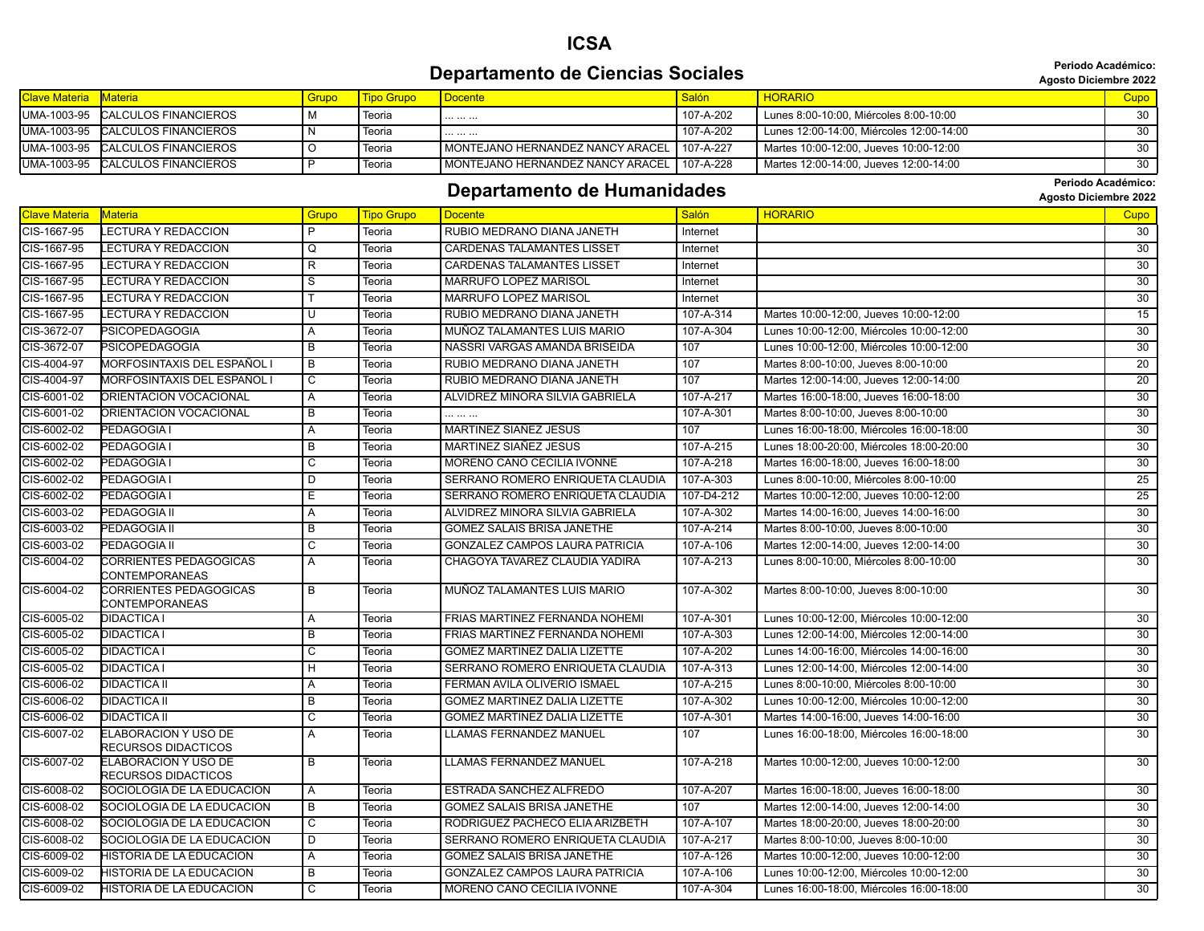#### **ICSA Departamento de Ciencias Sociales Agosto Diciembre 2022** *Periodo Académico:*

**Periodo Académico:**

| <b>Clave Materia Materia</b> |                                   | <b>Grupo</b> | Tipo Grupo | l Docente                                             | Salón     | <b>HORARIO</b>                           | Cupo |
|------------------------------|-----------------------------------|--------------|------------|-------------------------------------------------------|-----------|------------------------------------------|------|
|                              | IUMA-1003-95 CALCULOS FINANCIEROS |              | Teoria     |                                                       | 107-A-202 | Lunes 8:00-10:00. Miércoles 8:00-10:00   | 30   |
|                              | UMA-1003-95 CALCULOS FINANCIEROS  |              | Teoria     |                                                       | 107-A-202 | Lunes 12:00-14:00, Miércoles 12:00-14:00 | 30   |
|                              | UMA-1003-95 CALCULOS FINANCIEROS  |              | Teoria     | <b>I MONTEJANO HERNANDEZ NANCY ARACEL 1 107-A-227</b> |           | Martes 10:00-12:00. Jueves 10:00-12:00   | 30   |
|                              | IUMA-1003-95 CALCULOS FINANCIEROS |              | Teoria     | MONTEJANO HERNANDEZ NANCY ARACEL 107-A-228            |           | Martes 12:00-14:00, Jueves 12:00-14:00   | -30  |

## **Departamento de Humanidades Constitution de Second Dividends** algosto Diciembre 2022

| <b>Clave Materia</b> | <b>Materia</b>                                     | Grupo                   | <b>Tipo Grupo</b> | <b>Docente</b>                        | <b>Salón</b> | <b>HORARIO</b>                           | <b>Cupo</b>     |
|----------------------|----------------------------------------------------|-------------------------|-------------------|---------------------------------------|--------------|------------------------------------------|-----------------|
| CIS-1667-95          | ECTURA Y REDACCION.                                | P                       | Teoria            | RUBIO MEDRANO DIANA JANETH            | Internet     |                                          | 30              |
| CIS-1667-95          | <b>LECTURA Y REDACCION</b>                         | Q                       | Teoria            | <b>CARDENAS TALAMANTES LISSET</b>     | Internet     |                                          | 30              |
| CIS-1667-95          | <b>LECTURA Y REDACCION</b>                         | R                       | Teoria            | <b>CARDENAS TALAMANTES LISSET</b>     | Internet     |                                          | $\overline{30}$ |
| CIS-1667-95          | <b>ECTURA Y REDACCION</b>                          | S                       | Teoria            | <b>MARRUFO LOPEZ MARISOL</b>          | Internet     |                                          | $\overline{30}$ |
| CIS-1667-95          | <b>ECTURA Y REDACCION</b>                          |                         | Teoria            | MARRUFO LOPEZ MARISOL                 | Internet     |                                          | 30              |
| CIS-1667-95          | <b>ECTURA Y REDACCION</b>                          | U                       | Teoria            | RUBIO MEDRANO DIANA JANETH            | 107-A-314    | Martes 10:00-12:00, Jueves 10:00-12:00   | 15              |
| CIS-3672-07          | <b>PSICOPEDAGOGIA</b>                              | A                       | Teoria            | MUÑOZ TALAMANTES LUIS MARIO           | 107-A-304    | Lunes 10:00-12:00. Miércoles 10:00-12:00 | 30              |
| CIS-3672-07          | PSICOPEDAGOGIA                                     | $\overline{B}$          | Teoria            | NASSRI VARGAS AMANDA BRISEIDA         | 107          | Lunes 10:00-12:00, Miércoles 10:00-12:00 | 30              |
| CIS-4004-97          | MORFOSINTAXIS DEL ESPAÑOL I                        | $\overline{B}$          | Teoria            | RUBIO MEDRANO DIANA JANETH            | 107          | Martes 8:00-10:00, Jueves 8:00-10:00     | 20              |
| CIS-4004-97          | MORFOSINTAXIS DEL ESPAÑOL I                        | С                       | Teoria            | RUBIO MEDRANO DIANA JANETH            | 107          | Martes 12:00-14:00, Jueves 12:00-14:00   | $\overline{20}$ |
| CIS-6001-02          | ORIENTACION VOCACIONAL                             | $\overline{A}$          | Teoria            | ALVIDREZ MINORA SILVIA GABRIELA       | 107-A-217    | Martes 16:00-18:00, Jueves 16:00-18:00   | $\overline{30}$ |
| CIS-6001-02          | ORIENTACION VOCACIONAL                             | $\overline{B}$          | Teoria            |                                       | 107-A-301    | Martes 8:00-10:00, Jueves 8:00-10:00     | 30              |
| CIS-6002-02          | PEDAGOGIA I                                        | $\overline{A}$          | Teoria            | MARTINEZ SIAÑEZ JESUS                 | 107          | Lunes 16:00-18:00, Miércoles 16:00-18:00 | $\overline{30}$ |
| CIS-6002-02          | PEDAGOGIA I                                        | B                       | Teoria            | MARTINEZ SIAÑEZ JESUS                 | 107-A-215    | Lunes 18:00-20:00. Miércoles 18:00-20:00 | 30              |
| CIS-6002-02          | PEDAGOGIA I                                        | C                       | Teoria            | MORENO CANO CECILIA IVONNE            | 107-A-218    | Martes 16:00-18:00, Jueves 16:00-18:00   | 30              |
| CIS-6002-02          | PEDAGOGIA I                                        | D                       | Teoria            | SERRANO ROMERO ENRIQUETA CLAUDIA      | 107-A-303    | Lunes 8:00-10:00, Miércoles 8:00-10:00   | 25              |
| CIS-6002-02          | PEDAGOGIA I                                        | Е                       | Teoria            | SERRANO ROMERO ENRIQUETA CLAUDIA      | 107-D4-212   | Martes 10:00-12:00, Jueves 10:00-12:00   | 25              |
| CIS-6003-02          | PEDAGOGIA II                                       | $\overline{A}$          | Teoria            | ALVIDREZ MINORA SILVIA GABRIELA       | 107-A-302    | Martes 14:00-16:00. Jueves 14:00-16:00   | 30              |
| CIS-6003-02          | PEDAGOGIA II                                       | B                       | Teoria            | <b>GOMEZ SALAIS BRISA JANETHE</b>     | 107-A-214    | Martes 8:00-10:00, Jueves 8:00-10:00     | 30              |
| CIS-6003-02          | PEDAGOGIA II                                       | C                       | Teoria            | <b>GONZALEZ CAMPOS LAURA PATRICIA</b> | 107-A-106    | Martes 12:00-14:00, Jueves 12:00-14:00   | 30              |
| CIS-6004-02          | CORRIENTES PEDAGOGICAS                             | $\overline{A}$          | Teoria            | CHAGOYA TAVAREZ CLAUDIA YADIRA        | 107-A-213    | Lunes 8:00-10:00, Miércoles 8:00-10:00   | $\overline{30}$ |
|                      | CONTEMPORANEAS                                     |                         |                   |                                       |              |                                          |                 |
| CIS-6004-02          | CORRIENTES PEDAGOGICAS                             | $\overline{B}$          | Teoria            | MUÑOZ TALAMANTES LUIS MARIO           | 107-A-302    | Martes 8:00-10:00, Jueves 8:00-10:00     | $\overline{30}$ |
|                      | CONTEMPORANEAS                                     |                         |                   |                                       |              |                                          |                 |
| CIS-6005-02          | <b>DIDACTICA I</b>                                 | A                       | Teoria            | FRIAS MARTINEZ FERNANDA NOHEMI        | 107-A-301    | Lunes 10:00-12:00, Miércoles 10:00-12:00 | $\overline{30}$ |
| CIS-6005-02          | <b>DIDACTICA I</b>                                 | B                       | Teoria            | FRIAS MARTINEZ FERNANDA NOHEMI        | 107-A-303    | Lunes 12:00-14:00, Miércoles 12:00-14:00 | 30              |
| CIS-6005-02          | <b>DIDACTICA I</b>                                 | C                       | Teoria            | <b>GOMEZ MARTINEZ DALIA LIZETTE</b>   | 107-A-202    | Lunes 14:00-16:00, Miércoles 14:00-16:00 | $\overline{30}$ |
| CIS-6005-02          | <b>DIDACTICA I</b>                                 | H                       | Teoria            | SERRANO ROMERO ENRIQUETA CLAUDIA      | 107-A-313    | Lunes 12:00-14:00, Miércoles 12:00-14:00 | $\overline{30}$ |
| CIS-6006-02          | DIDACTICA II                                       | Α                       | Teoria            | FERMAN AVILA OLIVERIO ISMAEL          | 107-A-215    | Lunes 8:00-10:00, Miércoles 8:00-10:00   | 30              |
| CIS-6006-02          | <b>DIDACTICA II</b>                                | B                       | Teoria            | <b>GOMEZ MARTINEZ DALIA LIZETTE</b>   | 107-A-302    | Lunes 10:00-12:00, Miércoles 10:00-12:00 | 30              |
| CIS-6006-02          | <b>DIDACTICA II</b>                                | $\overline{\mathsf{c}}$ | Teoria            | <b>GOMEZ MARTINEZ DALIA LIZETTE</b>   | 107-A-301    | Martes 14:00-16:00, Jueves 14:00-16:00   | $\overline{30}$ |
| CIS-6007-02          | <b>ELABORACION Y USO DE</b><br>RECURSOS DIDACTICOS | $\overline{A}$          | Teoria            | LLAMAS FERNANDEZ MANUEL               | 107          | Lunes 16:00-18:00, Miércoles 16:00-18:00 | 30              |
| CIS-6007-02          | ELABORACION Y USO DE                               | B                       | Teoria            | <b>LLAMAS FERNANDEZ MANUEL</b>        | 107-A-218    | Martes 10:00-12:00, Jueves 10:00-12:00   | 30              |
|                      | RECURSOS DIDACTICOS                                |                         |                   |                                       |              |                                          |                 |
| CIS-6008-02          | SOCIOLOGIA DE LA EDUCACION                         | $\overline{A}$          | Teoria            | ESTRADA SANCHEZ ALFREDO               | 107-A-207    | Martes 16:00-18:00, Jueves 16:00-18:00   | 30              |
| CIS-6008-02          | SOCIOLOGIA DE LA EDUCACION                         | B                       | Teoria            | <b>GOMEZ SALAIS BRISA JANETHE</b>     | 107          | Martes 12:00-14:00. Jueves 12:00-14:00   | 30              |
| CIS-6008-02          | SOCIOLOGIA DE LA EDUCACION                         | C                       | Teoria            | RODRIGUEZ PACHECO ELIA ARIZBETH       | 107-A-107    | Martes 18:00-20:00, Jueves 18:00-20:00   | 30              |
| CIS-6008-02          | SOCIOLOGIA DE LA EDUCACION                         | D                       | Teoria            | SERRANO ROMERO ENRIQUETA CLAUDIA      | 107-A-217    | Martes 8:00-10:00, Jueves 8:00-10:00     | 30              |
| CIS-6009-02          | HISTORIA DE LA EDUCACION                           | Α                       | Teoria            | <b>GOMEZ SALAIS BRISA JANETHE</b>     | 107-A-126    | Martes 10:00-12:00, Jueves 10:00-12:00   | 30              |
| CIS-6009-02          | HISTORIA DE LA EDUCACION                           | B                       | Teoria            | <b>GONZALEZ CAMPOS LAURA PATRICIA</b> | 107-A-106    | Lunes 10:00-12:00. Miércoles 10:00-12:00 | 30 <sup>7</sup> |
| CIS-6009-02          | HISTORIA DE LA EDUCACION                           | C                       | Teoria            | MORENO CANO CECILIA IVONNE            | 107-A-304    | Lunes 16:00-18:00, Miércoles 16:00-18:00 | 30 <sup>2</sup> |
|                      |                                                    |                         |                   |                                       |              |                                          |                 |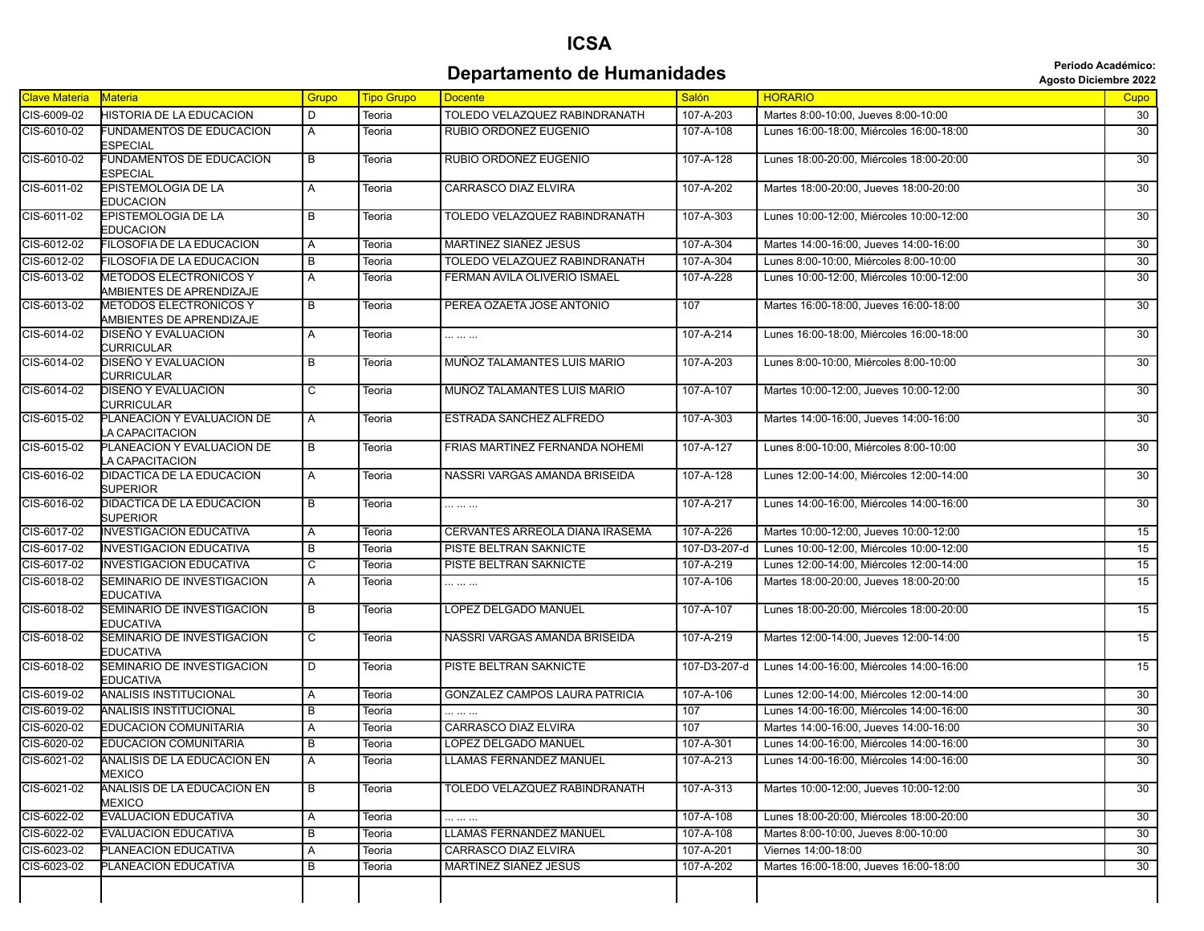## **ICSA Departamento de Humanidades Agosto Diciembre 2022**<br>Agosto Diciembre 2022

| Clave Materia | Materia                                                   | Grupo          | <b>Tipo Grupo</b> | <b>Docente</b>                        | <b>Salón</b> | <b>HORARIO</b>                           | Cupo            |
|---------------|-----------------------------------------------------------|----------------|-------------------|---------------------------------------|--------------|------------------------------------------|-----------------|
| CIS-6009-02   | <b>HISTORIA DE LA EDUCACION</b>                           | D              | Teoria            | TOLEDO VELAZQUEZ RABINDRANATH         | 107-A-203    | Martes 8:00-10:00. Jueves 8:00-10:00     | 30              |
| CIS-6010-02   | FUNDAMENTOS DE EDUCACION<br><b>ESPECIAL</b>               | Α              | Teoria            | RUBIO ORDOÑEZ EUGENIO                 | 107-A-108    | Lunes 16:00-18:00. Miércoles 16:00-18:00 | 30              |
| CIS-6010-02   | <b>FUNDAMENTOS DE EDUCACION</b><br><b>ESPECIAL</b>        | B              | Teoria            | RUBIO ORDOÑEZ EUGENIO                 | 107-A-128    | Lunes 18:00-20:00, Miércoles 18:00-20:00 | 30              |
| CIS-6011-02   | <b>EPISTEMOLOGIA DE LA</b><br><b>EDUCACION</b>            | Α              | Teoria            | CARRASCO DIAZ ELVIRA                  | 107-A-202    | Martes 18:00-20:00, Jueves 18:00-20:00   | 30              |
| CIS-6011-02   | EPISTEMOLOGIA DE LA<br>EDUCACION                          | $\overline{B}$ | Teoria            | TOLEDO VELAZQUEZ RABINDRANATH         | 107-A-303    | Lunes 10:00-12:00, Miércoles 10:00-12:00 | $\overline{30}$ |
| CIS-6012-02   | FILOSOFIA DE LA EDUCACION                                 | Α              | Teoria            | MARTINEZ SIAÑEZ JESUS                 | 107-A-304    | Martes 14:00-16:00, Jueves 14:00-16:00   | 30              |
| CIS-6012-02   | FILOSOFIA DE LA EDUCACION                                 | B              | Teoria            | TOLEDO VELAZQUEZ RABINDRANATH         | 107-A-304    | Lunes 8:00-10:00. Miércoles 8:00-10:00   | 30              |
| CIS-6013-02   | <b>METODOS ELECTRONICOS Y</b><br>AMBIENTES DE APRENDIZAJE | Α              | Teoria            | FERMAN AVILA OLIVERIO ISMAEL          | 107-A-228    | Lunes 10:00-12:00, Miércoles 10:00-12:00 | 30 <sup>2</sup> |
| CIS-6013-02   | <b>METODOS ELECTRONICOS Y</b><br>AMBIENTES DE APRENDIZAJE | В              | Teoria            | PEREA OZAETA JOSE ANTONIO             | 107          | Martes 16:00-18:00, Jueves 16:00-18:00   | $\overline{30}$ |
| CIS-6014-02   | <b>DISEÑO Y EVALUACION</b><br><b>CURRICULAR</b>           | Α              | Teoria            |                                       | 107-A-214    | Lunes 16:00-18:00, Miércoles 16:00-18:00 | 30              |
| CIS-6014-02   | DISEÑO Y EVALUACION<br>CURRICULAR                         | $\overline{B}$ | Teoria            | MUÑOZ TALAMANTES LUIS MARIO           | 107-A-203    | Lunes 8:00-10:00, Miércoles 8:00-10:00   | 30              |
| CIS-6014-02   | <b>DISEÑO Y EVALUACION</b><br>CURRICULAR                  | $\overline{c}$ | Teoria            | MUÑOZ TALAMANTES LUIS MARIO           | 107-A-107    | Martes 10:00-12:00, Jueves 10:00-12:00   | 30              |
| CIS-6015-02   | PLANEACION Y EVALUACION DE<br><b>A CAPACITACION</b>       | A              | Teoria            | ESTRADA SANCHEZ ALFREDO               | 107-A-303    | Martes 14:00-16:00, Jueves 14:00-16:00   | 30 <sup>2</sup> |
| CIS-6015-02   | PLANEACION Y EVALUACION DE<br>LA CAPACITACION             | $\overline{B}$ | Teoria            | FRIAS MARTINEZ FERNANDA NOHEMI        | 107-A-127    | Lunes 8:00-10:00, Miércoles 8:00-10:00   | 30              |
| CIS-6016-02   | DIDACTICA DE LA EDUCACION<br><b>SUPERIOR</b>              | Α              | Teoria            | NASSRI VARGAS AMANDA BRISEIDA         | 107-A-128    | Lunes 12:00-14:00. Miércoles 12:00-14:00 | 30              |
| CIS-6016-02   | DIDACTICA DE LA EDUCACION<br><b>SUPERIOR</b>              | B              | Teoria            |                                       | 107-A-217    | Lunes 14:00-16:00, Miércoles 14:00-16:00 | 30              |
| CIS-6017-02   | <b>INVESTIGACION EDUCATIVA</b>                            | Α              | Teoria            | CERVANTES ARREOLA DIANA IRASEMA       | 107-A-226    | Martes 10:00-12:00, Jueves 10:00-12:00   | 15              |
| CIS-6017-02   | <b>INVESTIGACION EDUCATIVA</b>                            | B              | Teoria            | PISTE BELTRAN SAKNICTE                | 107-D3-207-d | Lunes 10:00-12:00, Miércoles 10:00-12:00 | 15              |
| CIS-6017-02   | <b>INVESTIGACION EDUCATIVA</b>                            | C              | Teoria            | PISTE BELTRAN SAKNICTE                | 107-A-219    | Lunes 12:00-14:00, Miércoles 12:00-14:00 | 15              |
| CIS-6018-02   | SEMINARIO DE INVESTIGACION<br>EDUCATIVA                   | A              | Teoria            |                                       | 107-A-106    | Martes 18:00-20:00, Jueves 18:00-20:00   | $\overline{15}$ |
| CIS-6018-02   | SEMINARIO DE INVESTIGACION<br>EDUCATIVA                   | B              | Teoria            | LOPEZ DELGADO MANUEL                  | 107-A-107    | Lunes 18:00-20:00, Miércoles 18:00-20:00 | 15              |
| CIS-6018-02   | SEMINARIO DE INVESTIGACION<br>EDUCATIVA                   | $\overline{c}$ | Teoria            | NASSRI VARGAS AMANDA BRISEIDA         | 107-A-219    | Martes 12:00-14:00, Jueves 12:00-14:00   | 15              |
| CIS-6018-02   | SEMINARIO DE INVESTIGACION<br><b>EDUCATIVA</b>            | D              | Teoria            | PISTE BELTRAN SAKNICTE                | 107-D3-207-d | Lunes 14:00-16:00, Miércoles 14:00-16:00 | 15              |
| CIS-6019-02   | ANALISIS INSTITUCIONAL                                    | Α              | Teoria            | <b>GONZALEZ CAMPOS LAURA PATRICIA</b> | 107-A-106    | Lunes 12:00-14:00, Miércoles 12:00-14:00 | 30              |
| CIS-6019-02   | ANALISIS INSTITUCIONAL                                    | $\overline{B}$ | Teoria            |                                       | 107          | Lunes 14:00-16:00, Miércoles 14:00-16:00 | 30              |
| CIS-6020-02   | <b>EDUCACION COMUNITARIA</b>                              | Α              | Teoria            | <b>CARRASCO DIAZ ELVIRA</b>           | 107          | Martes 14:00-16:00, Jueves 14:00-16:00   | 30              |
| CIS-6020-02   | <b>EDUCACION COMUNITARIA</b>                              | В              | Teoria            | LOPEZ DELGADO MANUEL                  | 107-A-301    | Lunes 14:00-16:00, Miércoles 14:00-16:00 | 30              |
| CIS-6021-02   | ANALISIS DE LA EDUCACION EN<br>MEXICO                     | $\overline{A}$ | Teoria            | LLAMAS FERNANDEZ MANUEL               | 107-A-213    | Lunes 14:00-16:00. Miércoles 14:00-16:00 | 30              |
| CIS-6021-02   | ANALISIS DE LA EDUCACION EN<br><b>MEXICO</b>              | B              | Teoria            | TOLEDO VELAZQUEZ RABINDRANATH         | 107-A-313    | Martes 10:00-12:00, Jueves 10:00-12:00   | 30              |
| CIS-6022-02   | <b>EVALUACION EDUCATIVA</b>                               | A              | Teoria            |                                       | 107-A-108    | Lunes 18:00-20:00, Miércoles 18:00-20:00 | 30              |
| CIS-6022-02   | <b>EVALUACION EDUCATIVA</b>                               | В              | Teoria            | LLAMAS FERNANDEZ MANUEL               | 107-A-108    | Martes 8:00-10:00, Jueves 8:00-10:00     | 30              |
| CIS-6023-02   | PLANEACION EDUCATIVA                                      | Α              | Teoria            | CARRASCO DIAZ ELVIRA                  | 107-A-201    | Viernes 14:00-18:00                      | 30              |
| CIS-6023-02   | PLANEACION EDUCATIVA                                      | B              | Teoria            | MARTINEZ SIAÑEZ JESUS                 | 107-A-202    | Martes 16:00-18:00, Jueves 16:00-18:00   | 30 <sup>7</sup> |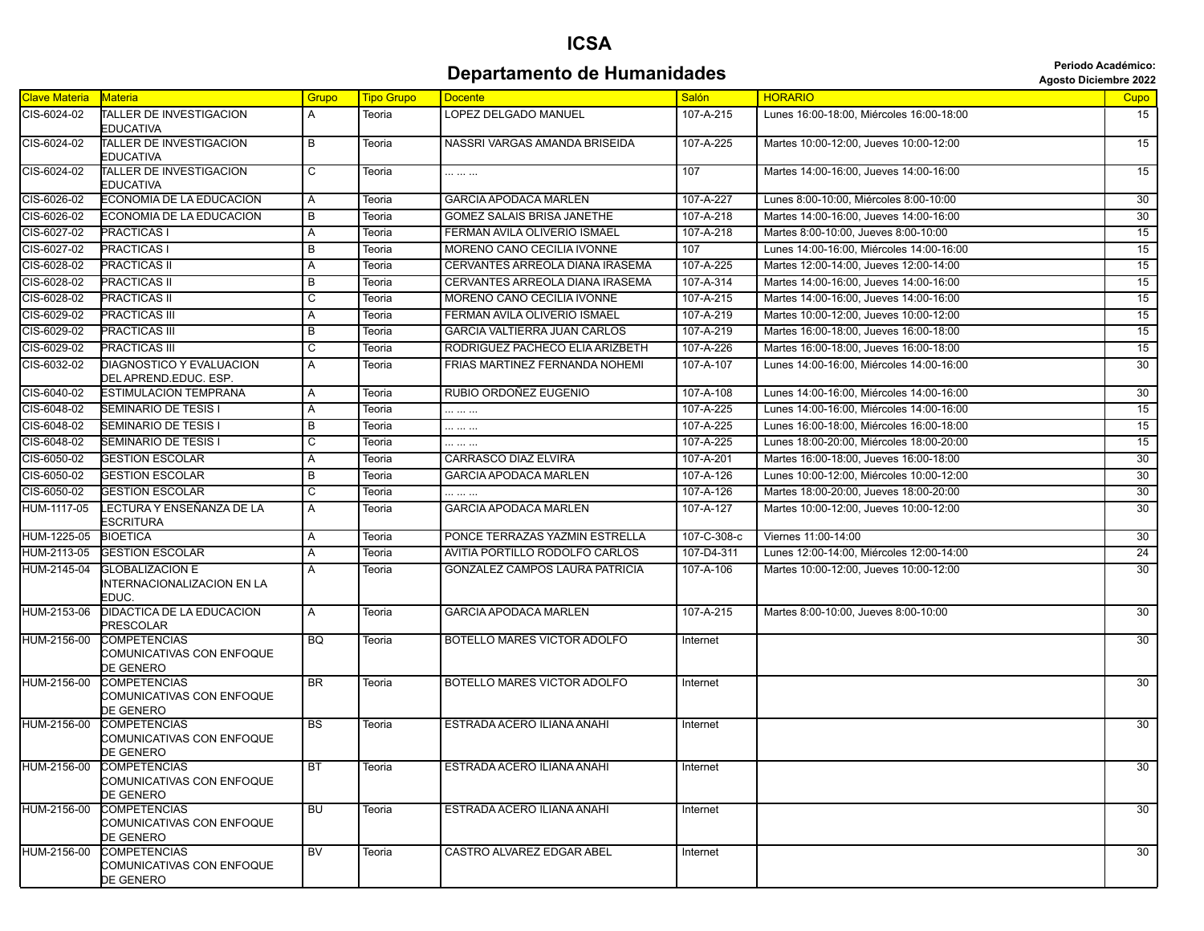## **ICSA Departamento de Humanidades and allegation de Separtamento de Humanidades Agosto Diciembre 2022**

| <b>Agosto Diciembre 202</b> |  |  |
|-----------------------------|--|--|
|-----------------------------|--|--|

| <b>Clave Materia</b> | <b>Materia</b>                                                | Grupo                   | <b>Tipo Grupo</b> | <b>Docente</b>                   | <b>Salón</b> | <b>HORARIO</b>                           | Cupo            |
|----------------------|---------------------------------------------------------------|-------------------------|-------------------|----------------------------------|--------------|------------------------------------------|-----------------|
| CIS-6024-02          | TALLER DE INVESTIGACION<br><b>EDUCATIVA</b>                   | A                       | Teoria            | <b>LOPEZ DELGADO MANUEL</b>      | 107-A-215    | Lunes 16:00-18:00. Miércoles 16:00-18:00 | 15              |
| CIS-6024-02          | TALLER DE INVESTIGACION<br>EDUCATIVA                          | B                       | Teoria            | NASSRI VARGAS AMANDA BRISEIDA    | 107-A-225    | Martes 10:00-12:00, Jueves 10:00-12:00   | 15              |
| CIS-6024-02          | <b>TALLER DE INVESTIGACION</b><br>EDUCATIVA                   | $\overline{\mathsf{c}}$ | Teoria            | .                                | 107          | Martes 14:00-16:00. Jueves 14:00-16:00   | $\overline{15}$ |
| CIS-6026-02          | ECONOMIA DE LA EDUCACION                                      | Α                       | Teoria            | <b>GARCIA APODACA MARLEN</b>     | 107-A-227    | Lunes 8:00-10:00. Miércoles 8:00-10:00   | 30              |
| CIS-6026-02          | ECONOMIA DE LA EDUCACION                                      | B                       | Teoria            | GOMEZ SALAIS BRISA JANETHE       | 107-A-218    | Martes 14:00-16:00, Jueves 14:00-16:00   | 30              |
| CIS-6027-02          | <b>PRACTICAS I</b>                                            | Α                       | Teoria            | FERMAN AVILA OLIVERIO ISMAEL     | 107-A-218    | Martes 8:00-10:00, Jueves 8:00-10:00     | 15              |
| CIS-6027-02          | <b>PRACTICAS I</b>                                            | B                       | Teoria            | MORENO CANO CECILIA IVONNE       | 107          | Lunes 14:00-16:00, Miércoles 14:00-16:00 | 15              |
| CIS-6028-02          | <b>PRACTICAS II</b>                                           | Α                       | Teoria            | CERVANTES ARREOLA DIANA IRASEMA  | 107-A-225    | Martes 12:00-14:00, Jueves 12:00-14:00   | 15              |
| CIS-6028-02          | <b>PRACTICAS II</b>                                           | B                       | Teoria            | CERVANTES ARREOLA DIANA IRASEMA  | 107-A-314    | Martes 14:00-16:00, Jueves 14:00-16:00   | 15              |
| CIS-6028-02          | <b>PRACTICAS II</b>                                           | C                       | Teoria            | MORENO CANO CECILIA IVONNE       | 107-A-215    | Martes 14:00-16:00, Jueves 14:00-16:00   | 15              |
| CIS-6029-02          | PRACTICAS III                                                 | Α                       | Teoria            | FERMAN AVILA OLIVERIO ISMAEL     | 107-A-219    | Martes 10:00-12:00, Jueves 10:00-12:00   | 15              |
| CIS-6029-02          | <b>PRACTICAS III</b>                                          | B                       | Teoria            | GARCIA VALTIERRA JUAN CARLOS     | 107-A-219    | Martes 16:00-18:00, Jueves 16:00-18:00   | 15              |
| CIS-6029-02          | <b>PRACTICAS III</b>                                          | $\overline{\mathsf{c}}$ | Teoria            | RODRIGUEZ PACHECO ELIA ARIZBETH  | 107-A-226    | Martes 16:00-18:00, Jueves 16:00-18:00   | 15              |
| CIS-6032-02          | DIAGNOSTICO Y EVALUACION<br>DEL APREND.EDUC. ESP.             | $\overline{A}$          | Teoria            | FRIAS MARTINEZ FERNANDA NOHEMI   | 107-A-107    | Lunes 14:00-16:00. Miércoles 14:00-16:00 | 30              |
| CIS-6040-02          | ESTIMULACION TEMPRANA                                         | A                       | Teoria            | RUBIO ORDOÑEZ EUGENIO            | 107-A-108    | Lunes 14:00-16:00, Miércoles 14:00-16:00 | 30              |
| CIS-6048-02          | SEMINARIO DE TESIS I                                          | A                       | Teoria            |                                  | 107-A-225    | Lunes 14:00-16:00, Miércoles 14:00-16:00 | 15              |
| CIS-6048-02          | SEMINARIO DE TESIS I                                          | $\overline{B}$          | Teoria            | .                                | 107-A-225    | Lunes 16:00-18:00, Miércoles 16:00-18:00 | 15              |
| CIS-6048-02          | SEMINARIO DE TESIS I                                          | С                       | Teoria            | .                                | 107-A-225    | Lunes 18:00-20:00, Miércoles 18:00-20:00 | 15              |
| CIS-6050-02          | <b>GESTION ESCOLAR</b>                                        | A                       | Teoria            | CARRASCO DIAZ ELVIRA             | 107-A-201    | Martes 16:00-18:00, Jueves 16:00-18:00   | 30              |
| CIS-6050-02          | <b>GESTION ESCOLAR</b>                                        | B                       | Teoria            | <b>GARCIA APODACA MARLEN</b>     | 107-A-126    | Lunes 10:00-12:00, Miércoles 10:00-12:00 | 30              |
| CIS-6050-02          | <b>GESTION ESCOLAR</b>                                        | C                       | Teoria            |                                  | 107-A-126    | Martes 18:00-20:00. Jueves 18:00-20:00   | $\overline{30}$ |
| HUM-1117-05          | LECTURA Y ENSEÑANZA DE LA<br><b>ESCRITURA</b>                 | $\overline{A}$          | Teoria            | <b>GARCIA APODACA MARLEN</b>     | 107-A-127    | Martes 10:00-12:00, Jueves 10:00-12:00   | $\overline{30}$ |
| HUM-1225-05          | <b>BIOETICA</b>                                               | Α                       | Teoria            | PONCE TERRAZAS YAZMIN ESTRELLA   | 107-C-308-c  | Viernes 11:00-14:00                      | 30              |
| HUM-2113-05          | <b>GESTION ESCOLAR</b>                                        | $\overline{A}$          | Teoria            | AVITIA PORTILLO RODOLFO CARLOS   | 107-D4-311   | Lunes 12:00-14:00, Miércoles 12:00-14:00 | $\overline{24}$ |
| HUM-2145-04          | <b>GLOBALIZACION E</b><br>INTERNACIONALIZACION EN LA<br>EDUC. | A                       | Teoria            | GONZALEZ CAMPOS LAURA PATRICIA   | 107-A-106    | Martes 10:00-12:00, Jueves 10:00-12:00   | 30              |
| HUM-2153-06          | DIDACTICA DE LA EDUCACION<br>PRESCOLAR                        | $\overline{A}$          | Teoria            | <b>GARCIA APODACA MARLEN</b>     | 107-A-215    | Martes 8:00-10:00, Jueves 8:00-10:00     | 30              |
| HUM-2156-00          | <b>COMPETENCIAS</b><br>COMUNICATIVAS CON ENFOQUE<br>DE GENERO | <b>BQ</b>               | Teoria            | BOTELLO MARES VICTOR ADOLFO      | Internet     |                                          | 30              |
| HUM-2156-00          | <b>COMPETENCIAS</b><br>COMUNICATIVAS CON ENFOQUE<br>DE GENERO | <b>BR</b>               | Teoria            | BOTELLO MARES VICTOR ADOLFO      | Internet     |                                          | 30              |
| HUM-2156-00          | <b>COMPETENCIAS</b><br>COMUNICATIVAS CON ENFOQUE<br>DE GENERO | BS                      | Teoria            | ESTRADA ACERO ILIANA ANAHI       | Internet     |                                          | 30              |
| HUM-2156-00          | <b>COMPETENCIAS</b><br>COMUNICATIVAS CON ENFOQUE<br>DE GENERO | <b>BT</b>               | Teoria            | ESTRADA ACERO ILIANA ANAHI       | Internet     |                                          | 30              |
| HUM-2156-00          | COMPETENCIAS<br>COMUNICATIVAS CON ENFOQUE<br>DE GENERO        | <b>BU</b>               | Teoria            | ESTRADA ACERO ILIANA ANAHI       | Internet     |                                          | 30              |
| HUM-2156-00          | <b>COMPETENCIAS</b><br>COMUNICATIVAS CON ENFOQUE<br>DE GENERO | <b>BV</b>               | Teoria            | <b>CASTRO ALVAREZ EDGAR ABEL</b> | Internet     |                                          | 30              |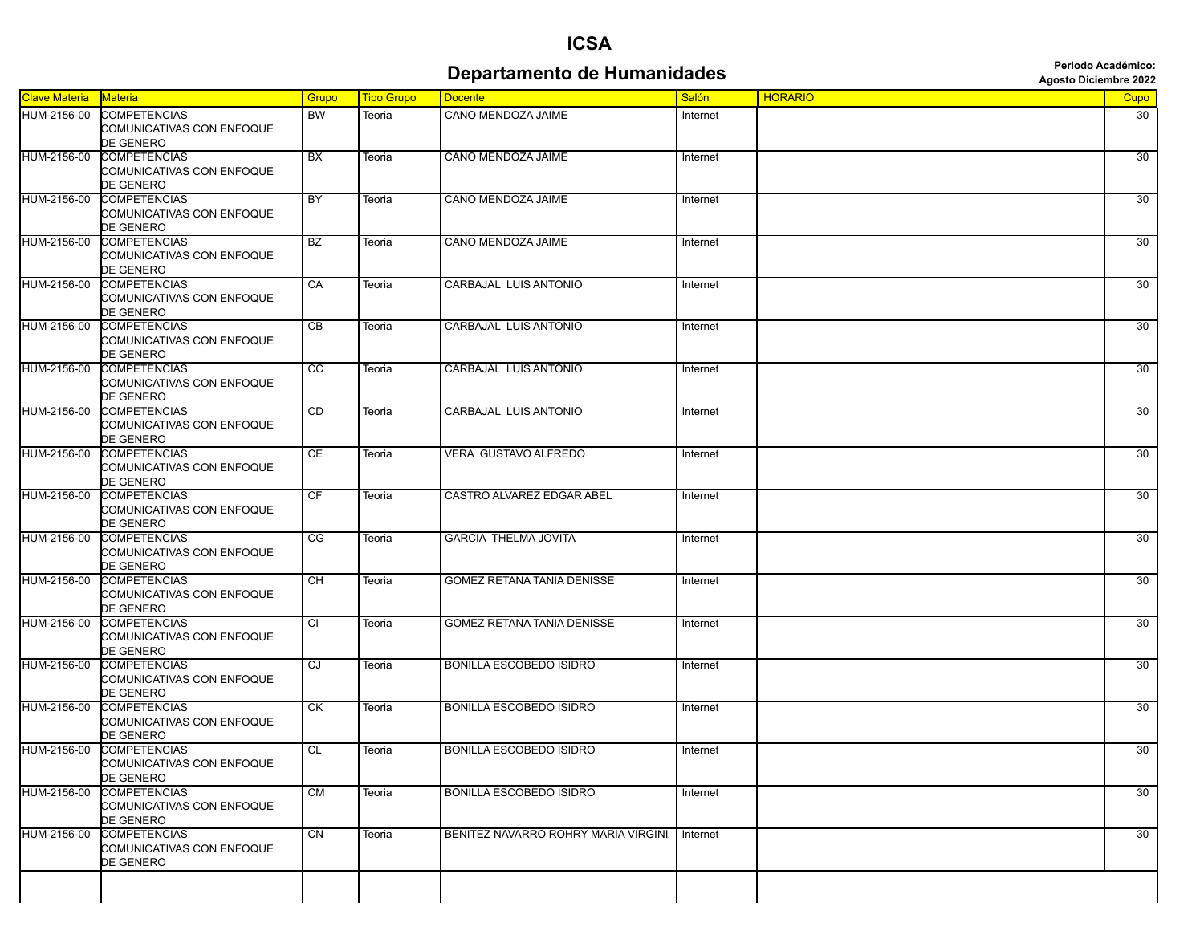## **ICSA Departamento de Humanidades Constitution de Secretaire de La Constantinee de la Constantion de La Constantion**

| <b>Clave Materia</b> | Materia                                                              | Grupo          | <b>Tipo Grupo</b> | <b>Docente</b>                      | Salón    | <b>HORARIO</b> | Cupo            |
|----------------------|----------------------------------------------------------------------|----------------|-------------------|-------------------------------------|----------|----------------|-----------------|
| HUM-2156-00          | <b>COMPETENCIAS</b><br><b>COMUNICATIVAS CON ENFOQUE</b><br>DE GENERO | <b>BW</b>      | Teoria            | CANO MENDOZA JAIME                  | Internet |                | 30              |
| HUM-2156-00          | <b>COMPETENCIAS</b><br>COMUNICATIVAS CON ENFOQUE<br>DE GENERO        | BX             | Teoria            | CANO MENDOZA JAIME                  | Internet |                | 30              |
| HUM-2156-00          | <b>COMPETENCIAS</b><br>COMUNICATIVAS CON ENFOQUE<br>DE GENERO        | <b>BY</b>      | Teoria            | CANO MENDOZA JAIME                  | Internet |                | 30              |
| HUM-2156-00          | <b>COMPETENCIAS</b><br>COMUNICATIVAS CON ENFOQUE<br>DE GENERO        | <b>BZ</b>      | Teoria            | CANO MENDOZA JAIME                  | Internet |                | 30              |
| HUM-2156-00          | <b>COMPETENCIAS</b><br>COMUNICATIVAS CON ENFOQUE<br>DE GENERO        | CA             | Teoria            | CARBAJAL LUIS ANTONIO               | Internet |                | 30              |
| HUM-2156-00          | <b>COMPETENCIAS</b><br>COMUNICATIVAS CON ENFOQUE<br>DE GENERO        | CB             | Teoria            | CARBAJAL LUIS ANTONIO               | Internet |                | 30              |
| HUM-2156-00          | <b>COMPETENCIAS</b><br>COMUNICATIVAS CON ENFOQUE<br>DE GENERO        | cc             | Teoria            | CARBAJAL LUIS ANTONIO               | Internet |                | 30              |
| HUM-2156-00          | <b>COMPETENCIAS</b><br>COMUNICATIVAS CON ENFOQUE<br>DE GENERO        | CD             | Teoria            | CARBAJAL LUIS ANTONIO               | Internet |                | 30              |
| HUM-2156-00          | <b>COMPETENCIAS</b><br>COMUNICATIVAS CON ENFOQUE<br>DE GENERO        | CE             | Teoria            | VERA GUSTAVO ALFREDO                | Internet |                | $\overline{30}$ |
| HUM-2156-00          | <b>COMPETENCIAS</b><br>COMUNICATIVAS CON ENFOQUE<br>DE GENERO        | <b>CF</b>      | Teoria            | CASTRO ALVAREZ EDGAR ABEL           | Internet |                | 30              |
| HUM-2156-00          | <b>COMPETENCIAS</b><br>COMUNICATIVAS CON ENFOQUE<br>DE GENERO        | CG             | Teoria            | <b>GARCIA THELMA JOVITA</b>         | Internet |                | 30              |
| HUM-2156-00          | <b>COMPETENCIAS</b><br>COMUNICATIVAS CON ENFOQUE<br>DE GENERO        | СH             | Teoria            | <b>GOMEZ RETANA TANIA DENISSE</b>   | Internet |                | 30              |
| HUM-2156-00          | <b>COMPETENCIAS</b><br>COMUNICATIVAS CON ENFOQUE<br>DE GENERO        | $\overline{c}$ | Teoria            | <b>GOMEZ RETANA TANIA DENISSE</b>   | Internet |                | 30              |
| HUM-2156-00          | <b>COMPETENCIAS</b><br>COMUNICATIVAS CON ENFOQUE<br>DE GENERO        | CJ             | Teoria            | <b>BONILLA ESCOBEDO ISIDRO</b>      | Internet |                | 30              |
| HUM-2156-00          | <b>COMPETENCIAS</b><br>COMUNICATIVAS CON ENFOQUE<br>DE GENERO        | СK             | Teoria            | <b>BONILLA ESCOBEDO ISIDRO</b>      | Internet |                | 30              |
| HUM-2156-00          | <b>COMPETENCIAS</b><br>COMUNICATIVAS CON ENFOQUE<br>DE GENERO        | CL             | Teoria            | <b>BONILLA ESCOBEDO ISIDRO</b>      | Internet |                | $\overline{30}$ |
| HUM-2156-00          | <b>COMPETENCIAS</b><br>COMUNICATIVAS CON ENFOQUE<br>DE GENERO        | <b>CM</b>      | Teoria            | <b>BONILLA ESCOBEDO ISIDRO</b>      | Internet |                | 30              |
| HUM-2156-00          | <b>COMPETENCIAS</b><br>COMUNICATIVAS CON ENFOQUE<br><b>DE GENERO</b> | CN             | Teoria            | BENITEZ NAVARRO ROHRY MARIA VIRGINI | Internet |                | 30              |
|                      |                                                                      |                |                   |                                     |          |                |                 |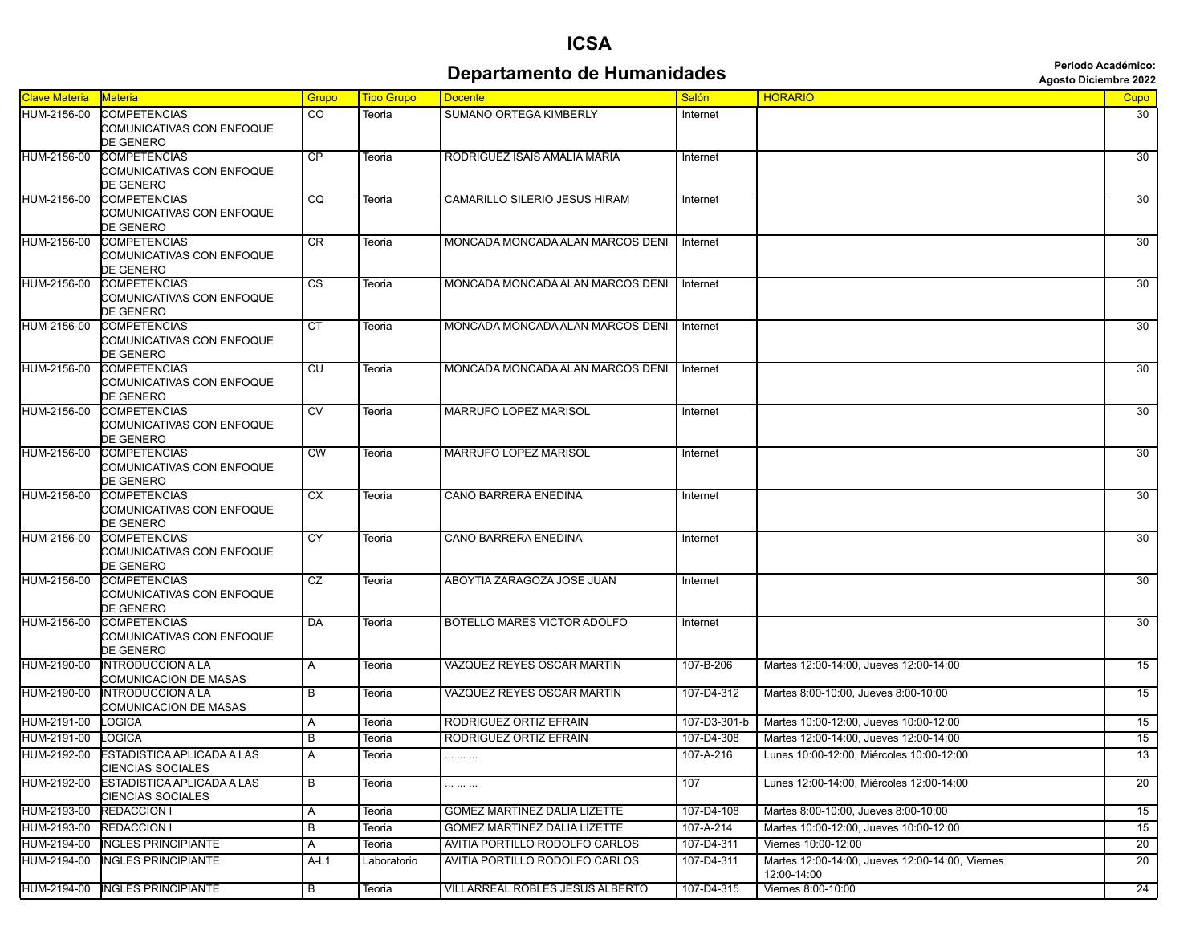#### **Departamento de Humanidades Agosto Diciembre 2022**<br>Agosto Diciembre 2022

| <b>Clave Materia</b><br>Salón<br><b>HORARIO</b><br>Materia<br><b>Tipo Grupo</b><br>Grupo<br><b>Docente</b><br><b>Cupo</b><br>HUM-2156-00<br><b>COMPETENCIAS</b><br>CO<br>SUMANO ORTEGA KIMBERLY<br>Teoria<br>Internet<br>30<br>COMUNICATIVAS CON ENFOQUE<br>DE GENERO<br><b>CP</b><br>30<br><b>COMPETENCIAS</b><br>RODRIGUEZ ISAIS AMALIA MARIA<br>Teoria<br>Internet<br>COMUNICATIVAS CON ENFOQUE<br>DE GENERO<br>HUM-2156-00<br>COMPETENCIAS<br>CQ<br>CAMARILLO SILERIO JESUS HIRAM<br>30<br>Teoria<br>Internet<br>COMUNICATIVAS CON ENFOQUE<br>DE GENERO<br>HUM-2156-00<br><b>COMPETENCIAS</b><br>CR<br>MONCADA MONCADA ALAN MARCOS DENII<br>30<br>Teoria<br>Internet<br>COMUNICATIVAS CON ENFOQUE<br>DE GENERO<br>$\overline{\text{cs}}$<br>30<br>HUM-2156-00<br><b>COMPETENCIAS</b><br>MONCADA MONCADA ALAN MARCOS DENII<br>Teoria<br>Internet<br>COMUNICATIVAS CON ENFOQUE<br>DE GENERO<br>HUM-2156-00<br>COMPETENCIAS<br>CT<br>MONCADA MONCADA ALAN MARCOS DENII<br>30<br>Teoria<br>Internet<br>COMUNICATIVAS CON ENFOQUE<br>DE GENERO<br>30<br><b>COMPETENCIAS</b><br>CU<br>MONCADA MONCADA ALAN MARCOS DENII<br>Teoria<br>Internet<br>COMUNICATIVAS CON ENFOQUE<br>DE GENERO<br><b>MARRUFO LOPEZ MARISOL</b><br>30<br><b>COMPETENCIAS</b><br>CV<br>Teoria<br>Internet<br>COMUNICATIVAS CON ENFOQUE<br>DE GENERO<br>$\overline{\text{CW}}$<br>MARRUFO LOPEZ MARISOL<br>30<br>HUM-2156-00<br><b>COMPETENCIAS</b><br>Teoria<br>Internet<br>COMUNICATIVAS CON ENFOQUE<br>DE GENERO<br>COMPETENCIAS<br>СX<br><b>CANO BARRERA ENEDINA</b><br>30<br>Teoria<br>Internet<br>COMUNICATIVAS CON ENFOQUE<br>DE GENERO<br>30 <sup>°</sup><br>HUM-2156-00<br><b>COMPETENCIAS</b><br><b>CY</b><br>CANO BARRERA ENEDINA<br>Teoria<br>Internet<br>COMUNICATIVAS CON ENFOQUE<br>DE GENERO<br><b>COMPETENCIAS</b><br>CZ<br>30<br>HUM-2156-00<br>ABOYTIA ZARAGOZA JOSE JUAN<br>Teoria<br>Internet<br>COMUNICATIVAS CON ENFOQUE<br>DE GENERO<br>HUM-2156-00<br><b>COMPETENCIAS</b><br>DA<br>BOTELLO MARES VICTOR ADOLFO<br>30<br>Teoria<br>Internet<br>COMUNICATIVAS CON ENFOQUE<br>DE GENERO<br><b>INTRODUCCION A LA</b><br>VAZQUEZ REYES OSCAR MARTIN<br>107-B-206<br>Martes 12:00-14:00, Jueves 12:00-14:00<br>15<br>HUM-2190-00<br>Α<br>Teoria<br>COMUNICACION DE MASAS<br>15<br>HUM-2190-00<br><b>INTRODUCCION A LA</b><br>VAZQUEZ REYES OSCAR MARTIN<br>107-D4-312<br>Martes 8:00-10:00. Jueves 8:00-10:00<br>B<br>Teoria<br>COMUNICACION DE MASAS<br>HUM-2191-00<br>RODRIGUEZ ORTIZ EFRAIN<br>107-D3-301-b<br>Martes 10:00-12:00, Jueves 10:00-12:00<br>15<br>LOGICA<br>Teoria<br>A<br>15<br>RODRIGUEZ ORTIZ EFRAIN<br>LOGICA<br>107-D4-308<br>Martes 12:00-14:00, Jueves 12:00-14:00<br>В<br>Teoria<br>13<br>HUM-2192-00<br>ESTADISTICA APLICADA A LAS<br>107-A-216<br>Lunes 10:00-12:00, Miércoles 10:00-12:00<br>A<br>Teoria<br>.<br><b>CIENCIAS SOCIALES</b><br>$\overline{20}$<br>ESTADISTICA APLICADA A LAS<br>B<br>107<br>Lunes 12:00-14:00, Miércoles 12:00-14:00<br>Teoria<br><br>CIENCIAS SOCIALES<br><b>GOMEZ MARTINEZ DALIA LIZETTE</b><br>107-D4-108<br>Martes 8:00-10:00, Jueves 8:00-10:00<br>15<br><b>REDACCION I</b><br>Teoria<br>Α<br>GOMEZ MARTINEZ DALIA LIZETTE<br>107-A-214<br>Martes 10:00-12:00, Jueves 10:00-12:00<br>15<br><b>REDACCION I</b><br>B<br>Teoria<br>20<br>HUM-2194-00<br><b>NGLES PRINCIPIANTE</b><br>AVITIA PORTILLO RODOLFO CARLOS<br>107-D4-311<br>Viernes 10:00-12:00<br>Α<br>Teoria<br><b>INGLES PRINCIPIANTE</b><br>AVITIA PORTILLO RODOLFO CARLOS<br>20<br>HUM-2194-00<br>107-D4-311<br>Martes 12:00-14:00, Jueves 12:00-14:00, Viernes<br>A-L1<br>Laboratorio<br>12:00-14:00<br>24<br>HUM-2194-00 INGLES PRINCIPIANTE<br>VILLARREAL ROBLES JESUS ALBERTO<br>107-D4-315<br>Viernes 8:00-10:00<br>B<br>Teoria |             |  |  |  |  |
|------------------------------------------------------------------------------------------------------------------------------------------------------------------------------------------------------------------------------------------------------------------------------------------------------------------------------------------------------------------------------------------------------------------------------------------------------------------------------------------------------------------------------------------------------------------------------------------------------------------------------------------------------------------------------------------------------------------------------------------------------------------------------------------------------------------------------------------------------------------------------------------------------------------------------------------------------------------------------------------------------------------------------------------------------------------------------------------------------------------------------------------------------------------------------------------------------------------------------------------------------------------------------------------------------------------------------------------------------------------------------------------------------------------------------------------------------------------------------------------------------------------------------------------------------------------------------------------------------------------------------------------------------------------------------------------------------------------------------------------------------------------------------------------------------------------------------------------------------------------------------------------------------------------------------------------------------------------------------------------------------------------------------------------------------------------------------------------------------------------------------------------------------------------------------------------------------------------------------------------------------------------------------------------------------------------------------------------------------------------------------------------------------------------------------------------------------------------------------------------------------------------------------------------------------------------------------------------------------------------------------------------------------------------------------------------------------------------------------------------------------------------------------------------------------------------------------------------------------------------------------------------------------------------------------------------------------------------------------------------------------------------------------------------------------------------------------------------------------------------------------------------------------------------------------------------------------------------------------------------------------------------------------------------------------------------------------------------------------------------------------------------------------------------------------------------------------------------------------------------------------------------------------------------------------------------------------------------------------------------------------------------------------------------------------------------------------------------------------------------------------|-------------|--|--|--|--|
|                                                                                                                                                                                                                                                                                                                                                                                                                                                                                                                                                                                                                                                                                                                                                                                                                                                                                                                                                                                                                                                                                                                                                                                                                                                                                                                                                                                                                                                                                                                                                                                                                                                                                                                                                                                                                                                                                                                                                                                                                                                                                                                                                                                                                                                                                                                                                                                                                                                                                                                                                                                                                                                                                                                                                                                                                                                                                                                                                                                                                                                                                                                                                                                                                                                                                                                                                                                                                                                                                                                                                                                                                                                                                                                                                      |             |  |  |  |  |
|                                                                                                                                                                                                                                                                                                                                                                                                                                                                                                                                                                                                                                                                                                                                                                                                                                                                                                                                                                                                                                                                                                                                                                                                                                                                                                                                                                                                                                                                                                                                                                                                                                                                                                                                                                                                                                                                                                                                                                                                                                                                                                                                                                                                                                                                                                                                                                                                                                                                                                                                                                                                                                                                                                                                                                                                                                                                                                                                                                                                                                                                                                                                                                                                                                                                                                                                                                                                                                                                                                                                                                                                                                                                                                                                                      |             |  |  |  |  |
|                                                                                                                                                                                                                                                                                                                                                                                                                                                                                                                                                                                                                                                                                                                                                                                                                                                                                                                                                                                                                                                                                                                                                                                                                                                                                                                                                                                                                                                                                                                                                                                                                                                                                                                                                                                                                                                                                                                                                                                                                                                                                                                                                                                                                                                                                                                                                                                                                                                                                                                                                                                                                                                                                                                                                                                                                                                                                                                                                                                                                                                                                                                                                                                                                                                                                                                                                                                                                                                                                                                                                                                                                                                                                                                                                      |             |  |  |  |  |
|                                                                                                                                                                                                                                                                                                                                                                                                                                                                                                                                                                                                                                                                                                                                                                                                                                                                                                                                                                                                                                                                                                                                                                                                                                                                                                                                                                                                                                                                                                                                                                                                                                                                                                                                                                                                                                                                                                                                                                                                                                                                                                                                                                                                                                                                                                                                                                                                                                                                                                                                                                                                                                                                                                                                                                                                                                                                                                                                                                                                                                                                                                                                                                                                                                                                                                                                                                                                                                                                                                                                                                                                                                                                                                                                                      |             |  |  |  |  |
|                                                                                                                                                                                                                                                                                                                                                                                                                                                                                                                                                                                                                                                                                                                                                                                                                                                                                                                                                                                                                                                                                                                                                                                                                                                                                                                                                                                                                                                                                                                                                                                                                                                                                                                                                                                                                                                                                                                                                                                                                                                                                                                                                                                                                                                                                                                                                                                                                                                                                                                                                                                                                                                                                                                                                                                                                                                                                                                                                                                                                                                                                                                                                                                                                                                                                                                                                                                                                                                                                                                                                                                                                                                                                                                                                      | HUM-2156-00 |  |  |  |  |
|                                                                                                                                                                                                                                                                                                                                                                                                                                                                                                                                                                                                                                                                                                                                                                                                                                                                                                                                                                                                                                                                                                                                                                                                                                                                                                                                                                                                                                                                                                                                                                                                                                                                                                                                                                                                                                                                                                                                                                                                                                                                                                                                                                                                                                                                                                                                                                                                                                                                                                                                                                                                                                                                                                                                                                                                                                                                                                                                                                                                                                                                                                                                                                                                                                                                                                                                                                                                                                                                                                                                                                                                                                                                                                                                                      |             |  |  |  |  |
|                                                                                                                                                                                                                                                                                                                                                                                                                                                                                                                                                                                                                                                                                                                                                                                                                                                                                                                                                                                                                                                                                                                                                                                                                                                                                                                                                                                                                                                                                                                                                                                                                                                                                                                                                                                                                                                                                                                                                                                                                                                                                                                                                                                                                                                                                                                                                                                                                                                                                                                                                                                                                                                                                                                                                                                                                                                                                                                                                                                                                                                                                                                                                                                                                                                                                                                                                                                                                                                                                                                                                                                                                                                                                                                                                      |             |  |  |  |  |
|                                                                                                                                                                                                                                                                                                                                                                                                                                                                                                                                                                                                                                                                                                                                                                                                                                                                                                                                                                                                                                                                                                                                                                                                                                                                                                                                                                                                                                                                                                                                                                                                                                                                                                                                                                                                                                                                                                                                                                                                                                                                                                                                                                                                                                                                                                                                                                                                                                                                                                                                                                                                                                                                                                                                                                                                                                                                                                                                                                                                                                                                                                                                                                                                                                                                                                                                                                                                                                                                                                                                                                                                                                                                                                                                                      |             |  |  |  |  |
|                                                                                                                                                                                                                                                                                                                                                                                                                                                                                                                                                                                                                                                                                                                                                                                                                                                                                                                                                                                                                                                                                                                                                                                                                                                                                                                                                                                                                                                                                                                                                                                                                                                                                                                                                                                                                                                                                                                                                                                                                                                                                                                                                                                                                                                                                                                                                                                                                                                                                                                                                                                                                                                                                                                                                                                                                                                                                                                                                                                                                                                                                                                                                                                                                                                                                                                                                                                                                                                                                                                                                                                                                                                                                                                                                      |             |  |  |  |  |
|                                                                                                                                                                                                                                                                                                                                                                                                                                                                                                                                                                                                                                                                                                                                                                                                                                                                                                                                                                                                                                                                                                                                                                                                                                                                                                                                                                                                                                                                                                                                                                                                                                                                                                                                                                                                                                                                                                                                                                                                                                                                                                                                                                                                                                                                                                                                                                                                                                                                                                                                                                                                                                                                                                                                                                                                                                                                                                                                                                                                                                                                                                                                                                                                                                                                                                                                                                                                                                                                                                                                                                                                                                                                                                                                                      |             |  |  |  |  |
|                                                                                                                                                                                                                                                                                                                                                                                                                                                                                                                                                                                                                                                                                                                                                                                                                                                                                                                                                                                                                                                                                                                                                                                                                                                                                                                                                                                                                                                                                                                                                                                                                                                                                                                                                                                                                                                                                                                                                                                                                                                                                                                                                                                                                                                                                                                                                                                                                                                                                                                                                                                                                                                                                                                                                                                                                                                                                                                                                                                                                                                                                                                                                                                                                                                                                                                                                                                                                                                                                                                                                                                                                                                                                                                                                      |             |  |  |  |  |
|                                                                                                                                                                                                                                                                                                                                                                                                                                                                                                                                                                                                                                                                                                                                                                                                                                                                                                                                                                                                                                                                                                                                                                                                                                                                                                                                                                                                                                                                                                                                                                                                                                                                                                                                                                                                                                                                                                                                                                                                                                                                                                                                                                                                                                                                                                                                                                                                                                                                                                                                                                                                                                                                                                                                                                                                                                                                                                                                                                                                                                                                                                                                                                                                                                                                                                                                                                                                                                                                                                                                                                                                                                                                                                                                                      |             |  |  |  |  |
|                                                                                                                                                                                                                                                                                                                                                                                                                                                                                                                                                                                                                                                                                                                                                                                                                                                                                                                                                                                                                                                                                                                                                                                                                                                                                                                                                                                                                                                                                                                                                                                                                                                                                                                                                                                                                                                                                                                                                                                                                                                                                                                                                                                                                                                                                                                                                                                                                                                                                                                                                                                                                                                                                                                                                                                                                                                                                                                                                                                                                                                                                                                                                                                                                                                                                                                                                                                                                                                                                                                                                                                                                                                                                                                                                      |             |  |  |  |  |
|                                                                                                                                                                                                                                                                                                                                                                                                                                                                                                                                                                                                                                                                                                                                                                                                                                                                                                                                                                                                                                                                                                                                                                                                                                                                                                                                                                                                                                                                                                                                                                                                                                                                                                                                                                                                                                                                                                                                                                                                                                                                                                                                                                                                                                                                                                                                                                                                                                                                                                                                                                                                                                                                                                                                                                                                                                                                                                                                                                                                                                                                                                                                                                                                                                                                                                                                                                                                                                                                                                                                                                                                                                                                                                                                                      |             |  |  |  |  |
|                                                                                                                                                                                                                                                                                                                                                                                                                                                                                                                                                                                                                                                                                                                                                                                                                                                                                                                                                                                                                                                                                                                                                                                                                                                                                                                                                                                                                                                                                                                                                                                                                                                                                                                                                                                                                                                                                                                                                                                                                                                                                                                                                                                                                                                                                                                                                                                                                                                                                                                                                                                                                                                                                                                                                                                                                                                                                                                                                                                                                                                                                                                                                                                                                                                                                                                                                                                                                                                                                                                                                                                                                                                                                                                                                      |             |  |  |  |  |
|                                                                                                                                                                                                                                                                                                                                                                                                                                                                                                                                                                                                                                                                                                                                                                                                                                                                                                                                                                                                                                                                                                                                                                                                                                                                                                                                                                                                                                                                                                                                                                                                                                                                                                                                                                                                                                                                                                                                                                                                                                                                                                                                                                                                                                                                                                                                                                                                                                                                                                                                                                                                                                                                                                                                                                                                                                                                                                                                                                                                                                                                                                                                                                                                                                                                                                                                                                                                                                                                                                                                                                                                                                                                                                                                                      |             |  |  |  |  |
|                                                                                                                                                                                                                                                                                                                                                                                                                                                                                                                                                                                                                                                                                                                                                                                                                                                                                                                                                                                                                                                                                                                                                                                                                                                                                                                                                                                                                                                                                                                                                                                                                                                                                                                                                                                                                                                                                                                                                                                                                                                                                                                                                                                                                                                                                                                                                                                                                                                                                                                                                                                                                                                                                                                                                                                                                                                                                                                                                                                                                                                                                                                                                                                                                                                                                                                                                                                                                                                                                                                                                                                                                                                                                                                                                      |             |  |  |  |  |
|                                                                                                                                                                                                                                                                                                                                                                                                                                                                                                                                                                                                                                                                                                                                                                                                                                                                                                                                                                                                                                                                                                                                                                                                                                                                                                                                                                                                                                                                                                                                                                                                                                                                                                                                                                                                                                                                                                                                                                                                                                                                                                                                                                                                                                                                                                                                                                                                                                                                                                                                                                                                                                                                                                                                                                                                                                                                                                                                                                                                                                                                                                                                                                                                                                                                                                                                                                                                                                                                                                                                                                                                                                                                                                                                                      |             |  |  |  |  |
|                                                                                                                                                                                                                                                                                                                                                                                                                                                                                                                                                                                                                                                                                                                                                                                                                                                                                                                                                                                                                                                                                                                                                                                                                                                                                                                                                                                                                                                                                                                                                                                                                                                                                                                                                                                                                                                                                                                                                                                                                                                                                                                                                                                                                                                                                                                                                                                                                                                                                                                                                                                                                                                                                                                                                                                                                                                                                                                                                                                                                                                                                                                                                                                                                                                                                                                                                                                                                                                                                                                                                                                                                                                                                                                                                      | HUM-2156-00 |  |  |  |  |
|                                                                                                                                                                                                                                                                                                                                                                                                                                                                                                                                                                                                                                                                                                                                                                                                                                                                                                                                                                                                                                                                                                                                                                                                                                                                                                                                                                                                                                                                                                                                                                                                                                                                                                                                                                                                                                                                                                                                                                                                                                                                                                                                                                                                                                                                                                                                                                                                                                                                                                                                                                                                                                                                                                                                                                                                                                                                                                                                                                                                                                                                                                                                                                                                                                                                                                                                                                                                                                                                                                                                                                                                                                                                                                                                                      |             |  |  |  |  |
|                                                                                                                                                                                                                                                                                                                                                                                                                                                                                                                                                                                                                                                                                                                                                                                                                                                                                                                                                                                                                                                                                                                                                                                                                                                                                                                                                                                                                                                                                                                                                                                                                                                                                                                                                                                                                                                                                                                                                                                                                                                                                                                                                                                                                                                                                                                                                                                                                                                                                                                                                                                                                                                                                                                                                                                                                                                                                                                                                                                                                                                                                                                                                                                                                                                                                                                                                                                                                                                                                                                                                                                                                                                                                                                                                      |             |  |  |  |  |
|                                                                                                                                                                                                                                                                                                                                                                                                                                                                                                                                                                                                                                                                                                                                                                                                                                                                                                                                                                                                                                                                                                                                                                                                                                                                                                                                                                                                                                                                                                                                                                                                                                                                                                                                                                                                                                                                                                                                                                                                                                                                                                                                                                                                                                                                                                                                                                                                                                                                                                                                                                                                                                                                                                                                                                                                                                                                                                                                                                                                                                                                                                                                                                                                                                                                                                                                                                                                                                                                                                                                                                                                                                                                                                                                                      | HUM-2156-00 |  |  |  |  |
|                                                                                                                                                                                                                                                                                                                                                                                                                                                                                                                                                                                                                                                                                                                                                                                                                                                                                                                                                                                                                                                                                                                                                                                                                                                                                                                                                                                                                                                                                                                                                                                                                                                                                                                                                                                                                                                                                                                                                                                                                                                                                                                                                                                                                                                                                                                                                                                                                                                                                                                                                                                                                                                                                                                                                                                                                                                                                                                                                                                                                                                                                                                                                                                                                                                                                                                                                                                                                                                                                                                                                                                                                                                                                                                                                      |             |  |  |  |  |
|                                                                                                                                                                                                                                                                                                                                                                                                                                                                                                                                                                                                                                                                                                                                                                                                                                                                                                                                                                                                                                                                                                                                                                                                                                                                                                                                                                                                                                                                                                                                                                                                                                                                                                                                                                                                                                                                                                                                                                                                                                                                                                                                                                                                                                                                                                                                                                                                                                                                                                                                                                                                                                                                                                                                                                                                                                                                                                                                                                                                                                                                                                                                                                                                                                                                                                                                                                                                                                                                                                                                                                                                                                                                                                                                                      |             |  |  |  |  |
|                                                                                                                                                                                                                                                                                                                                                                                                                                                                                                                                                                                                                                                                                                                                                                                                                                                                                                                                                                                                                                                                                                                                                                                                                                                                                                                                                                                                                                                                                                                                                                                                                                                                                                                                                                                                                                                                                                                                                                                                                                                                                                                                                                                                                                                                                                                                                                                                                                                                                                                                                                                                                                                                                                                                                                                                                                                                                                                                                                                                                                                                                                                                                                                                                                                                                                                                                                                                                                                                                                                                                                                                                                                                                                                                                      |             |  |  |  |  |
|                                                                                                                                                                                                                                                                                                                                                                                                                                                                                                                                                                                                                                                                                                                                                                                                                                                                                                                                                                                                                                                                                                                                                                                                                                                                                                                                                                                                                                                                                                                                                                                                                                                                                                                                                                                                                                                                                                                                                                                                                                                                                                                                                                                                                                                                                                                                                                                                                                                                                                                                                                                                                                                                                                                                                                                                                                                                                                                                                                                                                                                                                                                                                                                                                                                                                                                                                                                                                                                                                                                                                                                                                                                                                                                                                      |             |  |  |  |  |
|                                                                                                                                                                                                                                                                                                                                                                                                                                                                                                                                                                                                                                                                                                                                                                                                                                                                                                                                                                                                                                                                                                                                                                                                                                                                                                                                                                                                                                                                                                                                                                                                                                                                                                                                                                                                                                                                                                                                                                                                                                                                                                                                                                                                                                                                                                                                                                                                                                                                                                                                                                                                                                                                                                                                                                                                                                                                                                                                                                                                                                                                                                                                                                                                                                                                                                                                                                                                                                                                                                                                                                                                                                                                                                                                                      |             |  |  |  |  |
|                                                                                                                                                                                                                                                                                                                                                                                                                                                                                                                                                                                                                                                                                                                                                                                                                                                                                                                                                                                                                                                                                                                                                                                                                                                                                                                                                                                                                                                                                                                                                                                                                                                                                                                                                                                                                                                                                                                                                                                                                                                                                                                                                                                                                                                                                                                                                                                                                                                                                                                                                                                                                                                                                                                                                                                                                                                                                                                                                                                                                                                                                                                                                                                                                                                                                                                                                                                                                                                                                                                                                                                                                                                                                                                                                      | HUM-2156-00 |  |  |  |  |
|                                                                                                                                                                                                                                                                                                                                                                                                                                                                                                                                                                                                                                                                                                                                                                                                                                                                                                                                                                                                                                                                                                                                                                                                                                                                                                                                                                                                                                                                                                                                                                                                                                                                                                                                                                                                                                                                                                                                                                                                                                                                                                                                                                                                                                                                                                                                                                                                                                                                                                                                                                                                                                                                                                                                                                                                                                                                                                                                                                                                                                                                                                                                                                                                                                                                                                                                                                                                                                                                                                                                                                                                                                                                                                                                                      |             |  |  |  |  |
|                                                                                                                                                                                                                                                                                                                                                                                                                                                                                                                                                                                                                                                                                                                                                                                                                                                                                                                                                                                                                                                                                                                                                                                                                                                                                                                                                                                                                                                                                                                                                                                                                                                                                                                                                                                                                                                                                                                                                                                                                                                                                                                                                                                                                                                                                                                                                                                                                                                                                                                                                                                                                                                                                                                                                                                                                                                                                                                                                                                                                                                                                                                                                                                                                                                                                                                                                                                                                                                                                                                                                                                                                                                                                                                                                      |             |  |  |  |  |
|                                                                                                                                                                                                                                                                                                                                                                                                                                                                                                                                                                                                                                                                                                                                                                                                                                                                                                                                                                                                                                                                                                                                                                                                                                                                                                                                                                                                                                                                                                                                                                                                                                                                                                                                                                                                                                                                                                                                                                                                                                                                                                                                                                                                                                                                                                                                                                                                                                                                                                                                                                                                                                                                                                                                                                                                                                                                                                                                                                                                                                                                                                                                                                                                                                                                                                                                                                                                                                                                                                                                                                                                                                                                                                                                                      |             |  |  |  |  |
|                                                                                                                                                                                                                                                                                                                                                                                                                                                                                                                                                                                                                                                                                                                                                                                                                                                                                                                                                                                                                                                                                                                                                                                                                                                                                                                                                                                                                                                                                                                                                                                                                                                                                                                                                                                                                                                                                                                                                                                                                                                                                                                                                                                                                                                                                                                                                                                                                                                                                                                                                                                                                                                                                                                                                                                                                                                                                                                                                                                                                                                                                                                                                                                                                                                                                                                                                                                                                                                                                                                                                                                                                                                                                                                                                      |             |  |  |  |  |
|                                                                                                                                                                                                                                                                                                                                                                                                                                                                                                                                                                                                                                                                                                                                                                                                                                                                                                                                                                                                                                                                                                                                                                                                                                                                                                                                                                                                                                                                                                                                                                                                                                                                                                                                                                                                                                                                                                                                                                                                                                                                                                                                                                                                                                                                                                                                                                                                                                                                                                                                                                                                                                                                                                                                                                                                                                                                                                                                                                                                                                                                                                                                                                                                                                                                                                                                                                                                                                                                                                                                                                                                                                                                                                                                                      |             |  |  |  |  |
|                                                                                                                                                                                                                                                                                                                                                                                                                                                                                                                                                                                                                                                                                                                                                                                                                                                                                                                                                                                                                                                                                                                                                                                                                                                                                                                                                                                                                                                                                                                                                                                                                                                                                                                                                                                                                                                                                                                                                                                                                                                                                                                                                                                                                                                                                                                                                                                                                                                                                                                                                                                                                                                                                                                                                                                                                                                                                                                                                                                                                                                                                                                                                                                                                                                                                                                                                                                                                                                                                                                                                                                                                                                                                                                                                      |             |  |  |  |  |
|                                                                                                                                                                                                                                                                                                                                                                                                                                                                                                                                                                                                                                                                                                                                                                                                                                                                                                                                                                                                                                                                                                                                                                                                                                                                                                                                                                                                                                                                                                                                                                                                                                                                                                                                                                                                                                                                                                                                                                                                                                                                                                                                                                                                                                                                                                                                                                                                                                                                                                                                                                                                                                                                                                                                                                                                                                                                                                                                                                                                                                                                                                                                                                                                                                                                                                                                                                                                                                                                                                                                                                                                                                                                                                                                                      |             |  |  |  |  |
|                                                                                                                                                                                                                                                                                                                                                                                                                                                                                                                                                                                                                                                                                                                                                                                                                                                                                                                                                                                                                                                                                                                                                                                                                                                                                                                                                                                                                                                                                                                                                                                                                                                                                                                                                                                                                                                                                                                                                                                                                                                                                                                                                                                                                                                                                                                                                                                                                                                                                                                                                                                                                                                                                                                                                                                                                                                                                                                                                                                                                                                                                                                                                                                                                                                                                                                                                                                                                                                                                                                                                                                                                                                                                                                                                      |             |  |  |  |  |
|                                                                                                                                                                                                                                                                                                                                                                                                                                                                                                                                                                                                                                                                                                                                                                                                                                                                                                                                                                                                                                                                                                                                                                                                                                                                                                                                                                                                                                                                                                                                                                                                                                                                                                                                                                                                                                                                                                                                                                                                                                                                                                                                                                                                                                                                                                                                                                                                                                                                                                                                                                                                                                                                                                                                                                                                                                                                                                                                                                                                                                                                                                                                                                                                                                                                                                                                                                                                                                                                                                                                                                                                                                                                                                                                                      |             |  |  |  |  |
|                                                                                                                                                                                                                                                                                                                                                                                                                                                                                                                                                                                                                                                                                                                                                                                                                                                                                                                                                                                                                                                                                                                                                                                                                                                                                                                                                                                                                                                                                                                                                                                                                                                                                                                                                                                                                                                                                                                                                                                                                                                                                                                                                                                                                                                                                                                                                                                                                                                                                                                                                                                                                                                                                                                                                                                                                                                                                                                                                                                                                                                                                                                                                                                                                                                                                                                                                                                                                                                                                                                                                                                                                                                                                                                                                      |             |  |  |  |  |
|                                                                                                                                                                                                                                                                                                                                                                                                                                                                                                                                                                                                                                                                                                                                                                                                                                                                                                                                                                                                                                                                                                                                                                                                                                                                                                                                                                                                                                                                                                                                                                                                                                                                                                                                                                                                                                                                                                                                                                                                                                                                                                                                                                                                                                                                                                                                                                                                                                                                                                                                                                                                                                                                                                                                                                                                                                                                                                                                                                                                                                                                                                                                                                                                                                                                                                                                                                                                                                                                                                                                                                                                                                                                                                                                                      |             |  |  |  |  |
|                                                                                                                                                                                                                                                                                                                                                                                                                                                                                                                                                                                                                                                                                                                                                                                                                                                                                                                                                                                                                                                                                                                                                                                                                                                                                                                                                                                                                                                                                                                                                                                                                                                                                                                                                                                                                                                                                                                                                                                                                                                                                                                                                                                                                                                                                                                                                                                                                                                                                                                                                                                                                                                                                                                                                                                                                                                                                                                                                                                                                                                                                                                                                                                                                                                                                                                                                                                                                                                                                                                                                                                                                                                                                                                                                      |             |  |  |  |  |
|                                                                                                                                                                                                                                                                                                                                                                                                                                                                                                                                                                                                                                                                                                                                                                                                                                                                                                                                                                                                                                                                                                                                                                                                                                                                                                                                                                                                                                                                                                                                                                                                                                                                                                                                                                                                                                                                                                                                                                                                                                                                                                                                                                                                                                                                                                                                                                                                                                                                                                                                                                                                                                                                                                                                                                                                                                                                                                                                                                                                                                                                                                                                                                                                                                                                                                                                                                                                                                                                                                                                                                                                                                                                                                                                                      |             |  |  |  |  |
|                                                                                                                                                                                                                                                                                                                                                                                                                                                                                                                                                                                                                                                                                                                                                                                                                                                                                                                                                                                                                                                                                                                                                                                                                                                                                                                                                                                                                                                                                                                                                                                                                                                                                                                                                                                                                                                                                                                                                                                                                                                                                                                                                                                                                                                                                                                                                                                                                                                                                                                                                                                                                                                                                                                                                                                                                                                                                                                                                                                                                                                                                                                                                                                                                                                                                                                                                                                                                                                                                                                                                                                                                                                                                                                                                      |             |  |  |  |  |
|                                                                                                                                                                                                                                                                                                                                                                                                                                                                                                                                                                                                                                                                                                                                                                                                                                                                                                                                                                                                                                                                                                                                                                                                                                                                                                                                                                                                                                                                                                                                                                                                                                                                                                                                                                                                                                                                                                                                                                                                                                                                                                                                                                                                                                                                                                                                                                                                                                                                                                                                                                                                                                                                                                                                                                                                                                                                                                                                                                                                                                                                                                                                                                                                                                                                                                                                                                                                                                                                                                                                                                                                                                                                                                                                                      |             |  |  |  |  |
|                                                                                                                                                                                                                                                                                                                                                                                                                                                                                                                                                                                                                                                                                                                                                                                                                                                                                                                                                                                                                                                                                                                                                                                                                                                                                                                                                                                                                                                                                                                                                                                                                                                                                                                                                                                                                                                                                                                                                                                                                                                                                                                                                                                                                                                                                                                                                                                                                                                                                                                                                                                                                                                                                                                                                                                                                                                                                                                                                                                                                                                                                                                                                                                                                                                                                                                                                                                                                                                                                                                                                                                                                                                                                                                                                      | HUM-2191-00 |  |  |  |  |
|                                                                                                                                                                                                                                                                                                                                                                                                                                                                                                                                                                                                                                                                                                                                                                                                                                                                                                                                                                                                                                                                                                                                                                                                                                                                                                                                                                                                                                                                                                                                                                                                                                                                                                                                                                                                                                                                                                                                                                                                                                                                                                                                                                                                                                                                                                                                                                                                                                                                                                                                                                                                                                                                                                                                                                                                                                                                                                                                                                                                                                                                                                                                                                                                                                                                                                                                                                                                                                                                                                                                                                                                                                                                                                                                                      |             |  |  |  |  |
|                                                                                                                                                                                                                                                                                                                                                                                                                                                                                                                                                                                                                                                                                                                                                                                                                                                                                                                                                                                                                                                                                                                                                                                                                                                                                                                                                                                                                                                                                                                                                                                                                                                                                                                                                                                                                                                                                                                                                                                                                                                                                                                                                                                                                                                                                                                                                                                                                                                                                                                                                                                                                                                                                                                                                                                                                                                                                                                                                                                                                                                                                                                                                                                                                                                                                                                                                                                                                                                                                                                                                                                                                                                                                                                                                      |             |  |  |  |  |
|                                                                                                                                                                                                                                                                                                                                                                                                                                                                                                                                                                                                                                                                                                                                                                                                                                                                                                                                                                                                                                                                                                                                                                                                                                                                                                                                                                                                                                                                                                                                                                                                                                                                                                                                                                                                                                                                                                                                                                                                                                                                                                                                                                                                                                                                                                                                                                                                                                                                                                                                                                                                                                                                                                                                                                                                                                                                                                                                                                                                                                                                                                                                                                                                                                                                                                                                                                                                                                                                                                                                                                                                                                                                                                                                                      | HUM-2192-00 |  |  |  |  |
|                                                                                                                                                                                                                                                                                                                                                                                                                                                                                                                                                                                                                                                                                                                                                                                                                                                                                                                                                                                                                                                                                                                                                                                                                                                                                                                                                                                                                                                                                                                                                                                                                                                                                                                                                                                                                                                                                                                                                                                                                                                                                                                                                                                                                                                                                                                                                                                                                                                                                                                                                                                                                                                                                                                                                                                                                                                                                                                                                                                                                                                                                                                                                                                                                                                                                                                                                                                                                                                                                                                                                                                                                                                                                                                                                      |             |  |  |  |  |
|                                                                                                                                                                                                                                                                                                                                                                                                                                                                                                                                                                                                                                                                                                                                                                                                                                                                                                                                                                                                                                                                                                                                                                                                                                                                                                                                                                                                                                                                                                                                                                                                                                                                                                                                                                                                                                                                                                                                                                                                                                                                                                                                                                                                                                                                                                                                                                                                                                                                                                                                                                                                                                                                                                                                                                                                                                                                                                                                                                                                                                                                                                                                                                                                                                                                                                                                                                                                                                                                                                                                                                                                                                                                                                                                                      | HUM-2193-00 |  |  |  |  |
|                                                                                                                                                                                                                                                                                                                                                                                                                                                                                                                                                                                                                                                                                                                                                                                                                                                                                                                                                                                                                                                                                                                                                                                                                                                                                                                                                                                                                                                                                                                                                                                                                                                                                                                                                                                                                                                                                                                                                                                                                                                                                                                                                                                                                                                                                                                                                                                                                                                                                                                                                                                                                                                                                                                                                                                                                                                                                                                                                                                                                                                                                                                                                                                                                                                                                                                                                                                                                                                                                                                                                                                                                                                                                                                                                      | HUM-2193-00 |  |  |  |  |
|                                                                                                                                                                                                                                                                                                                                                                                                                                                                                                                                                                                                                                                                                                                                                                                                                                                                                                                                                                                                                                                                                                                                                                                                                                                                                                                                                                                                                                                                                                                                                                                                                                                                                                                                                                                                                                                                                                                                                                                                                                                                                                                                                                                                                                                                                                                                                                                                                                                                                                                                                                                                                                                                                                                                                                                                                                                                                                                                                                                                                                                                                                                                                                                                                                                                                                                                                                                                                                                                                                                                                                                                                                                                                                                                                      |             |  |  |  |  |
|                                                                                                                                                                                                                                                                                                                                                                                                                                                                                                                                                                                                                                                                                                                                                                                                                                                                                                                                                                                                                                                                                                                                                                                                                                                                                                                                                                                                                                                                                                                                                                                                                                                                                                                                                                                                                                                                                                                                                                                                                                                                                                                                                                                                                                                                                                                                                                                                                                                                                                                                                                                                                                                                                                                                                                                                                                                                                                                                                                                                                                                                                                                                                                                                                                                                                                                                                                                                                                                                                                                                                                                                                                                                                                                                                      |             |  |  |  |  |
|                                                                                                                                                                                                                                                                                                                                                                                                                                                                                                                                                                                                                                                                                                                                                                                                                                                                                                                                                                                                                                                                                                                                                                                                                                                                                                                                                                                                                                                                                                                                                                                                                                                                                                                                                                                                                                                                                                                                                                                                                                                                                                                                                                                                                                                                                                                                                                                                                                                                                                                                                                                                                                                                                                                                                                                                                                                                                                                                                                                                                                                                                                                                                                                                                                                                                                                                                                                                                                                                                                                                                                                                                                                                                                                                                      |             |  |  |  |  |
|                                                                                                                                                                                                                                                                                                                                                                                                                                                                                                                                                                                                                                                                                                                                                                                                                                                                                                                                                                                                                                                                                                                                                                                                                                                                                                                                                                                                                                                                                                                                                                                                                                                                                                                                                                                                                                                                                                                                                                                                                                                                                                                                                                                                                                                                                                                                                                                                                                                                                                                                                                                                                                                                                                                                                                                                                                                                                                                                                                                                                                                                                                                                                                                                                                                                                                                                                                                                                                                                                                                                                                                                                                                                                                                                                      |             |  |  |  |  |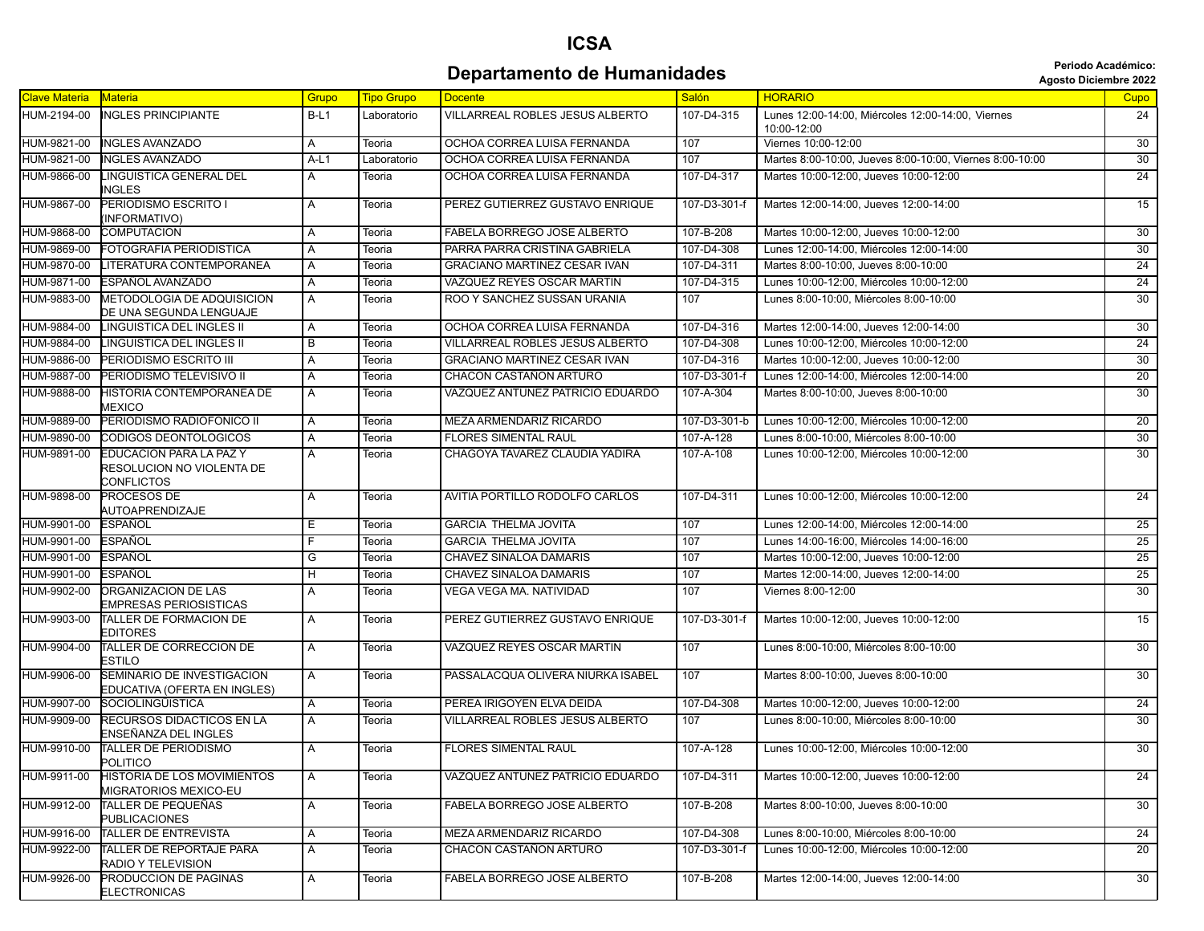## **ICSA Departamento de Humanidades Constitution de Secretaire de La Constantinee de la Constantinee de la Constantinee de la Constantinee de la Constantinee de la Constantinee de la Constantinee de la Constantinee de la Consta**

|  | <b>Agosto Diciembre 202</b> |  |
|--|-----------------------------|--|
|  |                             |  |

| <b>Clave Materia</b> | Materia                                                                   | Grupo  | <b>Tipo Grupo</b> | <b>Docente</b>                      | Salón        | <b>HORARIO</b>                                                   | <b>Cupo</b>     |
|----------------------|---------------------------------------------------------------------------|--------|-------------------|-------------------------------------|--------------|------------------------------------------------------------------|-----------------|
| HUM-2194-00          | <b>INGLES PRINCIPIANTE</b>                                                | $B-L1$ | Laboratorio       | VILLARREAL ROBLES JESUS ALBERTO     | 107-D4-315   | Lunes 12:00-14:00, Miércoles 12:00-14:00, Viernes<br>10:00-12:00 | 24              |
| HUM-9821-00          | <b>INGLES AVANZADO</b>                                                    | Α      | Teoria            | OCHOA CORREA LUISA FERNANDA         | 107          | Viernes 10:00-12:00                                              | 30              |
| HUM-9821-00          | <b>INGLES AVANZADO</b>                                                    | A-L1   | Laboratorio       | OCHOA CORREA LUISA FERNANDA         | 107          | Martes 8:00-10:00, Jueves 8:00-10:00, Viernes 8:00-10:00         | 30              |
| HUM-9866-00          | LINGUISTICA GENERAL DEL<br><b>INGLES</b>                                  | Α      | Teoria            | OCHOA CORREA LUISA FERNANDA         | 107-D4-317   | Martes 10:00-12:00, Jueves 10:00-12:00                           | 24              |
| HUM-9867-00          | PERIODISMO ESCRITO I<br>INFORMATIVO)                                      | A      | Teoria            | PEREZ GUTIERREZ GUSTAVO ENRIQUE     | 107-D3-301-f | Martes 12:00-14:00, Jueves 12:00-14:00                           | 15              |
| HUM-9868-00          | <b>COMPUTACION</b>                                                        | A      | Teoria            | FABELA BORREGO JOSE ALBERTO         | 107-B-208    | Martes 10:00-12:00, Jueves 10:00-12:00                           | 30              |
| HUM-9869-00          | FOTOGRAFIA PERIODISTICA                                                   | Α      | Teoria            | PARRA PARRA CRISTINA GABRIELA       | 107-D4-308   | Lunes 12:00-14:00, Miércoles 12:00-14:00                         | $\overline{30}$ |
| HUM-9870-00          | LITERATURA CONTEMPORANEA                                                  | Α      | Teoria            | <b>GRACIANO MARTINEZ CESAR IVAN</b> | 107-D4-311   | Martes 8:00-10:00, Jueves 8:00-10:00                             | 24              |
| HUM-9871-00          | ESPAÑOL AVANZADO                                                          | A      | Teoria            | VAZQUEZ REYES OSCAR MARTIN          | 107-D4-315   | Lunes 10:00-12:00. Miércoles 10:00-12:00                         | 24              |
| HUM-9883-00          | METODOLOGIA DE ADQUISICION<br>DE UNA SEGUNDA LENGUAJE                     | A      | Teoria            | ROO Y SANCHEZ SUSSAN URANIA         | 107          | Lunes 8:00-10:00. Miércoles 8:00-10:00                           | 30              |
| HUM-9884-00          | LINGUISTICA DEL INGLES II                                                 | Α      | Teoria            | OCHOA CORREA LUISA FERNANDA         | 107-D4-316   | Martes 12:00-14:00, Jueves 12:00-14:00                           | 30              |
| HUM-9884-00          | LINGUISTICA DEL INGLES II                                                 | В      | Teoria            | VILLARREAL ROBLES JESUS ALBERTO     | 107-D4-308   | Lunes 10:00-12:00, Miércoles 10:00-12:00                         | 24              |
| HUM-9886-00          | PERIODISMO ESCRITO III                                                    | Α      | Teoria            | <b>GRACIANO MARTINEZ CESAR IVAN</b> | 107-D4-316   | Martes 10:00-12:00, Jueves 10:00-12:00                           | 30              |
| HUM-9887-00          | PERIODISMO TELEVISIVO II                                                  | Α      | Teoria            | CHACON CASTAÑON ARTURO              | 107-D3-301-f | Lunes 12:00-14:00, Miércoles 12:00-14:00                         | 20              |
| HUM-9888-00          | HISTORIA CONTEMPORANEA DE<br><b>MEXICO</b>                                | Α      | Teoria            | VAZQUEZ ANTUNEZ PATRICIO EDUARDO    | 107-A-304    | Martes 8:00-10:00, Jueves 8:00-10:00                             | $\overline{30}$ |
| HUM-9889-00          | PERIODISMO RADIOFONICO II                                                 | Α      | Teoria            | MEZA ARMENDARIZ RICARDO             | 107-D3-301-b | Lunes 10:00-12:00, Miércoles 10:00-12:00                         | 20              |
| HUM-9890-00          | CODIGOS DEONTOLOGICOS                                                     | Α      | Teoria            | FLORES SIMENTAL RAUL                | 107-A-128    | Lunes 8:00-10:00, Miércoles 8:00-10:00                           | 30              |
| HUM-9891-00          | EDUCACION PARA LA PAZ Y<br>RESOLUCION NO VIOLENTA DE<br><b>CONFLICTOS</b> | A      | Teoria            | CHAGOYA TAVAREZ CLAUDIA YADIRA      | 107-A-108    | Lunes 10:00-12:00. Miércoles 10:00-12:00                         | 30              |
| HUM-9898-00          | PROCESOS DE<br>AUTOAPRENDIZAJE                                            | A      | Teoria            | AVITIA PORTILLO RODOLFO CARLOS      | 107-D4-311   | Lunes 10:00-12:00, Miércoles 10:00-12:00                         | $\overline{24}$ |
| HUM-9901-00          | ESPAÑOL                                                                   | Е      | Teoria            | <b>GARCIA THELMA JOVITA</b>         | 107          | Lunes 12:00-14:00. Miércoles 12:00-14:00                         | 25              |
| HUM-9901-00          | ESPAÑOL                                                                   | F      | Teoria            | <b>GARCIA THELMA JOVITA</b>         | 107          | Lunes 14:00-16:00, Miércoles 14:00-16:00                         | 25              |
| HUM-9901-00          | ESPAÑOL                                                                   | G      | Teoria            | CHAVEZ SINALOA DAMARIS              | 107          | Martes 10:00-12:00, Jueves 10:00-12:00                           | $\overline{25}$ |
| HUM-9901-00          | ESPAÑOL                                                                   | Н      | Teoria            | <b>CHAVEZ SINALOA DAMARIS</b>       | 107          | Martes 12:00-14:00, Jueves 12:00-14:00                           | 25              |
| HUM-9902-00          | <b>ORGANIZACION DE LAS</b><br>EMPRESAS PERIOSISTICAS                      | Α      | Teoria            | VEGA VEGA MA. NATIVIDAD             | 107          | Viernes 8:00-12:00                                               | $\overline{30}$ |
| HUM-9903-00          | TALLER DE FORMACION DE<br>EDITORES                                        | Α      | Teoria            | PEREZ GUTIERREZ GUSTAVO ENRIQUE     | 107-D3-301-f | Martes 10:00-12:00, Jueves 10:00-12:00                           | 15              |
| HUM-9904-00          | TALLER DE CORRECCION DE<br>ESTILO                                         | Α      | Teoria            | VAZQUEZ REYES OSCAR MARTIN          | 107          | Lunes 8:00-10:00, Miércoles 8:00-10:00                           | 30              |
| HUM-9906-00          | SEMINARIO DE INVESTIGACION<br>EDUCATIVA (OFERTA EN INGLES)                | Α      | Teoria            | PASSALACQUA OLIVERA NIURKA ISABEL   | 107          | Martes 8:00-10:00, Jueves 8:00-10:00                             | 30              |
| HUM-9907-00          | <b>SOCIOLINGÜISTICA</b>                                                   | Α      | Teoria            | PEREA IRIGOYEN ELVA DEIDA           | 107-D4-308   | Martes 10:00-12:00, Jueves 10:00-12:00                           | 24              |
| HUM-9909-00          | RECURSOS DIDACTICOS EN LA<br>ENSEÑANZA DEL INGLES                         | Α      | Teoria            | VILLARREAL ROBLES JESUS ALBERTO     | 107          | Lunes 8:00-10:00, Miércoles 8:00-10:00                           | 30              |
| HUM-9910-00          | TALLER DE PERIODISMO<br>POLITICO                                          | A      | Teoria            | <b>FLORES SIMENTAL RAUL</b>         | 107-A-128    | Lunes 10:00-12:00, Miércoles 10:00-12:00                         | 30              |
| HUM-9911-00          | <b>HISTORIA DE LOS MOVIMIENTOS</b><br>MIGRATORIOS MEXICO-EU               | Α      | Teoria            | VAZQUEZ ANTUNEZ PATRICIO EDUARDO    | 107-D4-311   | Martes 10:00-12:00. Jueves 10:00-12:00                           | 24              |
| HUM-9912-00          | <b>TALLER DE PEQUEÑAS</b><br>PUBLICACIONES                                | Α      | Teoria            | FABELA BORREGO JOSE ALBERTO         | 107-B-208    | Martes 8:00-10:00. Jueves 8:00-10:00                             | 30              |
| HUM-9916-00          | TALLER DE ENTREVISTA                                                      | Α      | Teoria            | MEZA ARMENDARIZ RICARDO             | 107-D4-308   | Lunes 8:00-10:00, Miércoles 8:00-10:00                           | 24              |
| HUM-9922-00          | TALLER DE REPORTAJE PARA<br>RADIO Y TELEVISION                            | A      | Teoria            | CHACON CASTAÑON ARTURO              | 107-D3-301-f | Lunes 10:00-12:00, Miércoles 10:00-12:00                         | 20              |
| HUM-9926-00          | PRODUCCION DE PAGINAS<br><b>ELECTRONICAS</b>                              | Α      | Teoria            | FABELA BORREGO JOSE ALBERTO         | 107-B-208    | Martes 12:00-14:00, Jueves 12:00-14:00                           | 30              |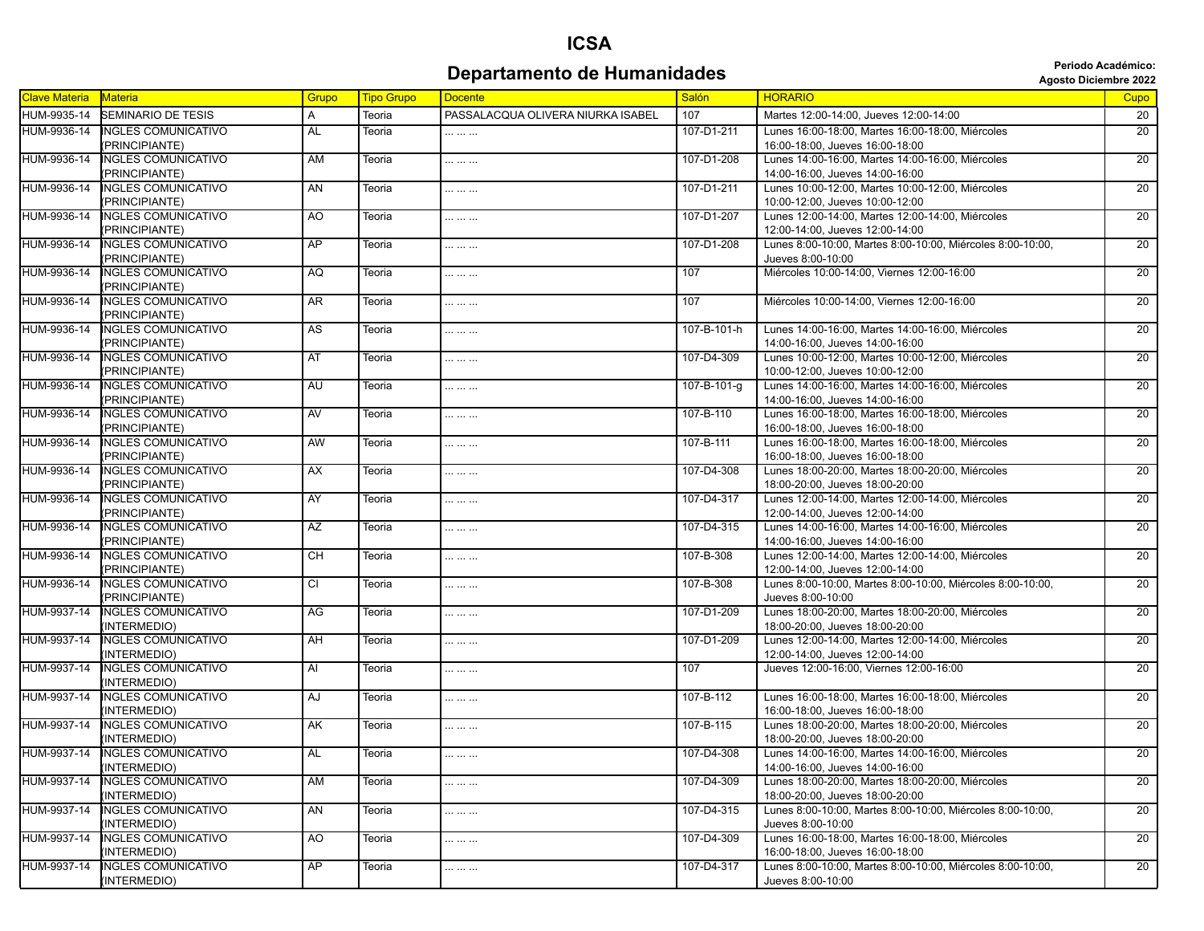## **ICSA Departamento de Humanidades Constitution de Secretaire de La Constantinee de la Constantion de La Constantion**

|  | <b>Agosto Diciembre 20</b> |  |
|--|----------------------------|--|
|--|----------------------------|--|

| <b>Clave Materia</b> | <b>Materia</b>             | Grupo          | <b>Tipo Grupo</b> | <b>Docente</b>                    | Salón       | <b>HORARIO</b>                                             | Cupo            |
|----------------------|----------------------------|----------------|-------------------|-----------------------------------|-------------|------------------------------------------------------------|-----------------|
| HUM-9935-14          | <b>SEMINARIO DE TESIS</b>  | Α              | Teoria            | PASSALACQUA OLIVERA NIURKA ISABEL | 107         | Martes 12:00-14:00, Jueves 12:00-14:00                     | 20              |
| HUM-9936-14          | INGLES COMUNICATIVO        | <b>AL</b>      | Teoria            |                                   | 107-D1-211  | Lunes 16:00-18:00. Martes 16:00-18:00. Miércoles           | 20              |
|                      | (PRINCIPIANTE)             |                |                   |                                   |             | 16:00-18:00, Jueves 16:00-18:00                            |                 |
| HUM-9936-14          | <b>INGLES COMUNICATIVO</b> | AM             | Teoria            |                                   | 107-D1-208  | Lunes 14:00-16:00, Martes 14:00-16:00, Miércoles           | $\overline{20}$ |
|                      | (PRINCIPIANTE)             |                |                   |                                   |             | 14:00-16:00, Jueves 14:00-16:00                            |                 |
| HUM-9936-14          | <b>INGLES COMUNICATIVO</b> | AN             | Teoria            |                                   | 107-D1-211  | Lunes 10:00-12:00, Martes 10:00-12:00, Miércoles           | $\overline{20}$ |
|                      | (PRINCIPIANTE)             |                |                   |                                   |             | 10:00-12:00. Jueves 10:00-12:00                            |                 |
| HUM-9936-14          | <b>INGLES COMUNICATIVO</b> | A <sub>O</sub> | Teoria            |                                   | 107-D1-207  | Lunes 12:00-14:00, Martes 12:00-14:00, Miércoles           | $\overline{20}$ |
|                      | (PRINCIPIANTE)             |                |                   |                                   |             | 12:00-14:00, Jueves 12:00-14:00                            |                 |
| HUM-9936-14          | <b>INGLES COMUNICATIVO</b> | AP             | Teoria            |                                   | 107-D1-208  | Lunes 8:00-10:00. Martes 8:00-10:00. Miércoles 8:00-10:00. | 20              |
|                      | (PRINCIPIANTE)             |                |                   |                                   |             | Jueves 8:00-10:00                                          |                 |
| HUM-9936-14          | <b>INGLES COMUNICATIVO</b> | AQ             | Teoria            |                                   | 107         | Miércoles 10:00-14:00, Viernes 12:00-16:00                 | 20              |
|                      | (PRINCIPIANTE)             |                |                   |                                   |             |                                                            |                 |
| HUM-9936-14          | <b>INGLES COMUNICATIVO</b> | <b>AR</b>      | Teoria            |                                   | 107         | Miércoles 10:00-14:00, Viernes 12:00-16:00                 | 20              |
|                      | (PRINCIPIANTE)             |                |                   |                                   |             |                                                            |                 |
| HUM-9936-14          | INGLES COMUNICATIVO        | AS             | Teoria            |                                   | 107-B-101-h | Lunes 14:00-16:00, Martes 14:00-16:00, Miércoles           | 20              |
|                      | (PRINCIPIANTE)             |                |                   |                                   |             | 14:00-16:00, Jueves 14:00-16:00                            |                 |
| HUM-9936-14          | <b>INGLES COMUNICATIVO</b> | AT             | Teoria            |                                   | 107-D4-309  | Lunes 10:00-12:00, Martes 10:00-12:00, Miércoles           | $\overline{20}$ |
|                      | (PRINCIPIANTE)             |                |                   |                                   |             | 10:00-12:00, Jueves 10:00-12:00                            |                 |
| HUM-9936-14          | <b>INGLES COMUNICATIVO</b> | <b>AU</b>      | Teoria            |                                   | 107-B-101-g | Lunes 14:00-16:00. Martes 14:00-16:00. Miércoles           | 20              |
|                      | (PRINCIPIANTE)             |                |                   |                                   |             | 14:00-16:00, Jueves 14:00-16:00                            |                 |
| HUM-9936-14          | <b>INGLES COMUNICATIVO</b> | AV             | Teoria            |                                   | 107-B-110   | Lunes 16:00-18:00, Martes 16:00-18:00, Miércoles           | 20              |
|                      | (PRINCIPIANTE)             |                |                   |                                   |             | 16:00-18:00, Jueves 16:00-18:00                            |                 |
| HUM-9936-14          | <b>INGLES COMUNICATIVO</b> | AW             | Teoria            |                                   | 107-B-111   | Lunes 16:00-18:00, Martes 16:00-18:00, Miércoles           | 20              |
|                      | (PRINCIPIANTE)             |                |                   |                                   |             | 16:00-18:00. Jueves 16:00-18:00                            |                 |
| HUM-9936-14          | INGLES COMUNICATIVO        | AX             | Teoria            |                                   | 107-D4-308  | Lunes 18:00-20:00, Martes 18:00-20:00, Miércoles           | 20              |
|                      | (PRINCIPIANTE)             |                |                   |                                   |             | 18:00-20:00, Jueves 18:00-20:00                            |                 |
| HUM-9936-14          | <b>INGLES COMUNICATIVO</b> | <b>AY</b>      | Teoria            |                                   | 107-D4-317  | Lunes 12:00-14:00, Martes 12:00-14:00, Miércoles           | 20              |
|                      | (PRINCIPIANTE)             |                |                   |                                   |             | 12:00-14:00, Jueves 12:00-14:00                            |                 |
| HUM-9936-14          | <b>INGLES COMUNICATIVO</b> | <b>AZ</b>      | Teoria            |                                   | 107-D4-315  | Lunes 14:00-16:00, Martes 14:00-16:00, Miércoles           | 20              |
|                      | (PRINCIPIANTE)             |                |                   |                                   |             | 14:00-16:00, Jueves 14:00-16:00                            |                 |
| HUM-9936-14          | <b>INGLES COMUNICATIVO</b> | <b>CH</b>      | Teoria            |                                   | 107-B-308   | Lunes 12:00-14:00, Martes 12:00-14:00, Miércoles           | 20              |
|                      | (PRINCIPIANTE)             |                |                   |                                   |             | 12:00-14:00, Jueves 12:00-14:00                            |                 |
| HUM-9936-14          | <b>INGLES COMUNICATIVO</b> | <b>CI</b>      | Teoria            |                                   | 107-B-308   | Lunes 8:00-10:00, Martes 8:00-10:00, Miércoles 8:00-10:00, | 20              |
|                      | (PRINCIPIANTE)             |                |                   |                                   |             | Jueves 8:00-10:00                                          |                 |
| HUM-9937-14          | <b>INGLES COMUNICATIVO</b> | AG             | Teoria            |                                   | 107-D1-209  | Lunes 18:00-20:00, Martes 18:00-20:00, Miércoles           | 20              |
|                      | (INTERMEDIO)               |                |                   |                                   |             | 18:00-20:00, Jueves 18:00-20:00                            |                 |
| HUM-9937-14          | <b>INGLES COMUNICATIVO</b> | AH             | Teoria            |                                   | 107-D1-209  | Lunes 12:00-14:00, Martes 12:00-14:00, Miércoles           | 20              |
|                      | (INTERMEDIO)               |                |                   |                                   |             | 12:00-14:00, Jueves 12:00-14:00                            |                 |
| HUM-9937-14          | <b>INGLES COMUNICATIVO</b> | Al             | Teoria            |                                   | 107         | Jueves 12:00-16:00, Viernes 12:00-16:00                    | 20              |
|                      | (INTERMEDIO)               |                |                   |                                   |             |                                                            |                 |
| HUM-9937-14          | <b>INGLES COMUNICATIVO</b> | AJ             | Teoria            |                                   | 107-B-112   | Lunes 16:00-18:00, Martes 16:00-18:00, Miércoles           | 20              |
|                      | (INTERMEDIO)               |                |                   |                                   |             | 16:00-18:00, Jueves 16:00-18:00                            |                 |
| HUM-9937-14          | <b>INGLES COMUNICATIVO</b> | AK             | Teoria            |                                   | 107-B-115   | Lunes 18:00-20:00, Martes 18:00-20:00, Miércoles           | 20              |
|                      | (INTERMEDIO)               |                |                   |                                   |             | 18:00-20:00, Jueves 18:00-20:00                            |                 |
| HUM-9937-14          | <b>INGLES COMUNICATIVO</b> | AL             | Teoria            |                                   | 107-D4-308  | Lunes 14:00-16:00. Martes 14:00-16:00. Miércoles           | $\overline{20}$ |
|                      | (INTERMEDIO)               |                |                   |                                   |             | 14:00-16:00, Jueves 14:00-16:00                            |                 |
| HUM-9937-14          | <b>INGLES COMUNICATIVO</b> | <b>AM</b>      | Teoria            |                                   | 107-D4-309  | Lunes 18:00-20:00, Martes 18:00-20:00, Miércoles           | 20              |
|                      | (INTERMEDIO)               |                |                   |                                   |             | 18:00-20:00, Jueves 18:00-20:00                            |                 |
| HUM-9937-14          | <b>INGLES COMUNICATIVO</b> | AN             | Teoria            |                                   | 107-D4-315  | Lunes 8:00-10:00, Martes 8:00-10:00, Miércoles 8:00-10:00. | 20              |
|                      | (INTERMEDIO)               |                |                   |                                   |             | Jueves 8:00-10:00                                          |                 |
| HUM-9937-14          | <b>INGLES COMUNICATIVO</b> | AO             | Teoria            |                                   | 107-D4-309  | Lunes 16:00-18:00, Martes 16:00-18:00, Miércoles           | 20              |
|                      | (INTERMEDIO)               |                |                   |                                   |             | 16:00-18:00, Jueves 16:00-18:00                            |                 |
| HUM-9937-14          | <b>INGLES COMUNICATIVO</b> | AP             | Teoria            |                                   | 107-D4-317  | Lunes 8:00-10:00, Martes 8:00-10:00, Miércoles 8:00-10:00, | 20              |
|                      | (INTERMEDIO)               |                |                   |                                   |             | Jueves 8:00-10:00                                          |                 |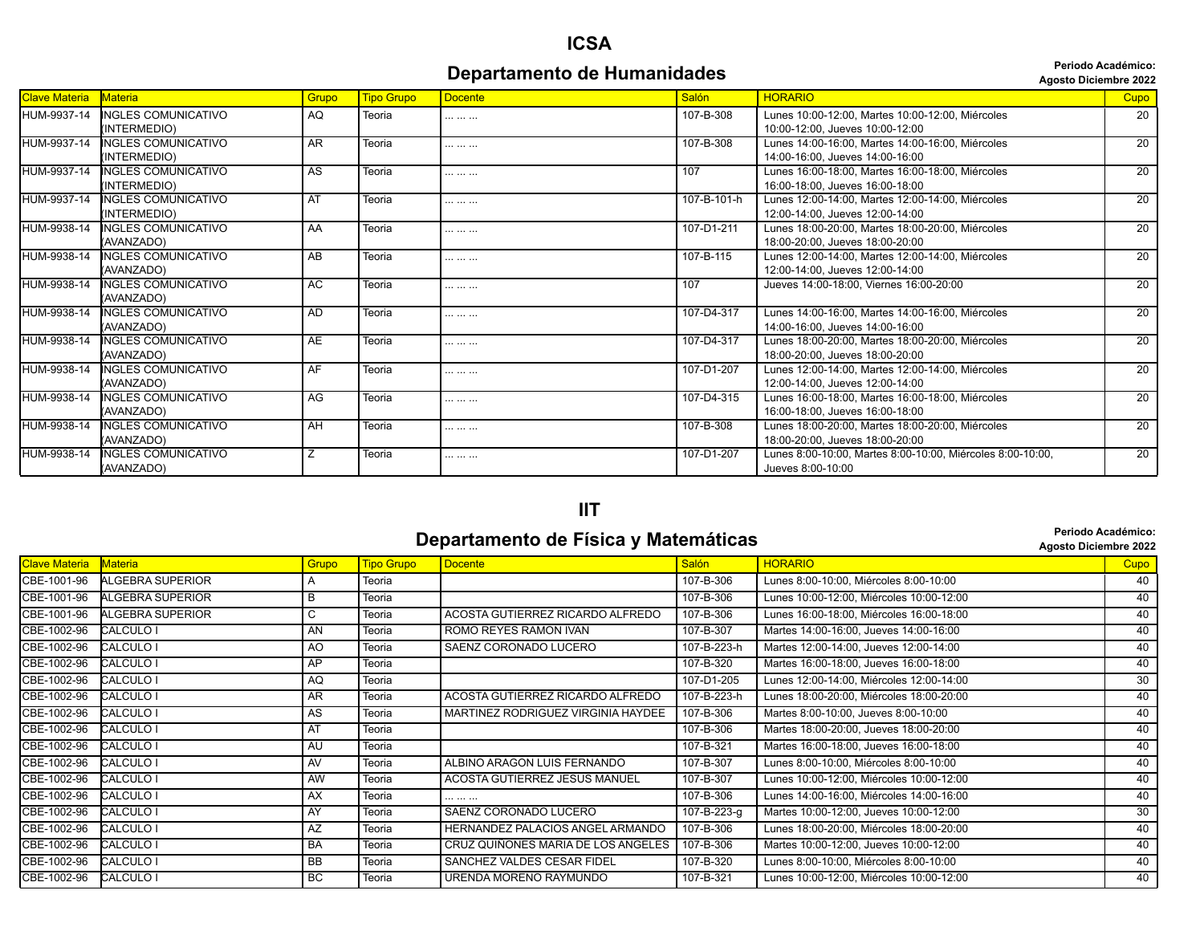#### **Periodo Académico:**

**Departamento de Humanidades Constitution de Second Dividends** *Periodo Académico*:

| <b>Clave Materia</b> | Materia                                    | Grupo     | <b>Tipo Grupo</b> | Docente    | Salón       | <b>HORARIO</b>                                                                      | <b>Cupo</b>     |
|----------------------|--------------------------------------------|-----------|-------------------|------------|-------------|-------------------------------------------------------------------------------------|-----------------|
| HUM-9937-14          | <b>NGLES COMUNICATIVO</b><br>(INTERMEDIO)  | AQ        | Teoria            | . <b>.</b> | 107-B-308   | Lunes 10:00-12:00, Martes 10:00-12:00, Miércoles<br>10:00-12:00. Jueves 10:00-12:00 | 20              |
| HUM-9937-14          | <b>INGLES COMUNICATIVO</b><br>(INTERMEDIO) | <b>AR</b> | Teoria            |            | 107-B-308   | Lunes 14:00-16:00, Martes 14:00-16:00, Miércoles<br>14:00-16:00. Jueves 14:00-16:00 | 20              |
| HUM-9937-14          | INGLES COMUNICATIVO<br>(INTERMEDIO)        | AS        | Teoria            |            | 107         | Lunes 16:00-18:00, Martes 16:00-18:00, Miércoles<br>16:00-18:00, Jueves 16:00-18:00 | 20              |
| HUM-9937-14          | <b>INGLES COMUNICATIVO</b><br>(INTERMEDIO) | AT        | Teoria            | .          | 107-B-101-h | Lunes 12:00-14:00, Martes 12:00-14:00, Miércoles<br>12:00-14:00, Jueves 12:00-14:00 | $\overline{20}$ |
| HUM-9938-14          | <b>INGLES COMUNICATIVO</b><br>(AVANZADO)   | AA        | Teoria            | .          | 107-D1-211  | Lunes 18:00-20:00, Martes 18:00-20:00, Miércoles<br>18:00-20:00. Jueves 18:00-20:00 | 20              |
| HUM-9938-14          | <b>INGLES COMUNICATIVO</b><br>(AVANZADO)   | AB        | Teoria            | .          | 107-B-115   | Lunes 12:00-14:00, Martes 12:00-14:00, Miércoles<br>12:00-14:00, Jueves 12:00-14:00 | $\overline{20}$ |
| HUM-9938-14          | <b>INGLES COMUNICATIVO</b><br>(AVANZADO)   | AC        | Teoria            |            | 107         | Jueves 14:00-18:00. Viernes 16:00-20:00                                             | 20              |
| HUM-9938-14          | <b>INGLES COMUNICATIVO</b><br>(AVANZADO)   | AD        | Teoria            |            | 107-D4-317  | Lunes 14:00-16:00, Martes 14:00-16:00, Miércoles<br>14:00-16:00. Jueves 14:00-16:00 | $\overline{20}$ |
| HUM-9938-14          | <b>NGLES COMUNICATIVO</b><br>(AVANZADO)    | <b>AE</b> | Teoria            |            | 107-D4-317  | Lunes 18:00-20:00. Martes 18:00-20:00. Miércoles<br>18:00-20:00. Jueves 18:00-20:00 | $\overline{20}$ |
| HUM-9938-14          | <b>INGLES COMUNICATIVO</b><br>(AVANZADO)   | AF        | Teoria            | .          | 107-D1-207  | Lunes 12:00-14:00, Martes 12:00-14:00, Miércoles<br>12:00-14:00, Jueves 12:00-14:00 | 20              |
| HUM-9938-14          | <b>INGLES COMUNICATIVO</b><br>(AVANZADO)   | AG        | Teoria            | .          | 107-D4-315  | Lunes 16:00-18:00, Martes 16:00-18:00, Miércoles<br>16:00-18:00, Jueves 16:00-18:00 | $\overline{20}$ |
| HUM-9938-14          | <b>NGLES COMUNICATIVO</b><br>(AVANZADO)    | AH        | Teoria            | .          | 107-B-308   | Lunes 18:00-20:00, Martes 18:00-20:00, Miércoles<br>18:00-20:00, Jueves 18:00-20:00 | 20              |
| HUM-9938-14          | <b>NGLES COMUNICATIVO</b><br>(AVANZADO)    |           | Teoria            | .          | 107-D1-207  | Lunes 8:00-10:00, Martes 8:00-10:00, Miércoles 8:00-10:00,<br>Jueves 8:00-10:00     | $\overline{20}$ |

#### **IIT**

#### **Departamento de Física y Matemáticas** *Departamento de Física y Matemáticas* **Agosto Diciembre 2022**

|                      |                         |           |                   |                                    |              | Ayuuu Diuluiiniu Lull                    |                 |
|----------------------|-------------------------|-----------|-------------------|------------------------------------|--------------|------------------------------------------|-----------------|
| <b>Clave Materia</b> | <b>Materia</b>          | Grupo     | <b>Tipo Grupo</b> | <b>Docente</b>                     | <b>Salón</b> | <b>HORARIO</b>                           | Cupo            |
| CBE-1001-96          | <b>ALGEBRA SUPERIOR</b> | А         | Teoria            |                                    | 107-B-306    | Lunes 8:00-10:00, Miércoles 8:00-10:00   | 40              |
| CBE-1001-96          | ALGEBRA SUPERIOR        | B         | Teoria            |                                    | 107-B-306    | Lunes 10:00-12:00, Miércoles 10:00-12:00 | 40              |
| CBE-1001-96          | <b>ALGEBRA SUPERIOR</b> | C         | Teoria            | ACOSTA GUTIERREZ RICARDO ALFREDO   | 107-B-306    | Lunes 16:00-18:00, Miércoles 16:00-18:00 | 40              |
| CBE-1002-96          | <b>CALCULO I</b>        | AN        | Teoria            | ROMO REYES RAMON IVAN              | 107-B-307    | Martes 14:00-16:00, Jueves 14:00-16:00   | 40              |
| CBE-1002-96          | CALCULO I               | AO        | Teoria            | SAENZ CORONADO LUCERO              | 107-B-223-h  | Martes 12:00-14:00, Jueves 12:00-14:00   | 40              |
| CBE-1002-96          | CALCULO I               | AP        | Teoria            |                                    | 107-B-320    | Martes 16:00-18:00, Jueves 16:00-18:00   | 40              |
| CBE-1002-96          | <b>CALCULO I</b>        | AQ        | Teoria            |                                    | 107-D1-205   | Lunes 12:00-14:00, Miércoles 12:00-14:00 | 30 <sup>2</sup> |
| CBE-1002-96          | CALCULO I               | <b>AR</b> | Teoria            | ACOSTA GUTIERREZ RICARDO ALFREDO   | 107-B-223-h  | Lunes 18:00-20:00, Miércoles 18:00-20:00 | 40              |
| CBE-1002-96          | CALCULO I               | AS        | Teoria            | MARTINEZ RODRIGUEZ VIRGINIA HAYDEE | 107-B-306    | Martes 8:00-10:00, Jueves 8:00-10:00     | 40              |
| CBE-1002-96          | CALCULO I               | AT        | Teoria            |                                    | 107-B-306    | Martes 18:00-20:00, Jueves 18:00-20:00   | 40              |
| CBE-1002-96          | CALCULO I               | AU        | Teoria            |                                    | 107-B-321    | Martes 16:00-18:00, Jueves 16:00-18:00   | 40              |
| CBE-1002-96          | CALCULO I               | AV        | Teoria            | ALBINO ARAGON LUIS FERNANDO        | 107-B-307    | Lunes 8:00-10:00, Miércoles 8:00-10:00   | 40              |
| CBE-1002-96          | CALCULO I               | <b>AW</b> | Teoria            | ACOSTA GUTIERREZ JESUS MANUEL      | 107-B-307    | Lunes 10:00-12:00, Miércoles 10:00-12:00 | 40              |
| CBE-1002-96          | CALCULO I               | AX        | Teoria            | .                                  | 107-B-306    | Lunes 14:00-16:00, Miércoles 14:00-16:00 | 40              |
| CBE-1002-96          | CALCULO I               | AY        | Teoria            | SAENZ CORONADO LUCERO              | 107-B-223-g  | Martes 10:00-12:00, Jueves 10:00-12:00   | 30              |
| CBE-1002-96          | CALCULO I               | AZ        | Teoria            | HERNANDEZ PALACIOS ANGEL ARMANDO   | 107-B-306    | Lunes 18:00-20:00, Miércoles 18:00-20:00 | 40              |
| CBE-1002-96          | <b>CALCULO I</b>        | BA        | Teoria            | CRUZ QUIÑONES MARIA DE LOS ANGELES | 107-B-306    | Martes 10:00-12:00, Jueves 10:00-12:00   | 40              |
| CBE-1002-96          | <b>CALCULO I</b>        | <b>BB</b> | Teoria            | SANCHEZ VALDES CESAR FIDEL         | 107-B-320    | Lunes 8:00-10:00, Miércoles 8:00-10:00   | 40              |
| CBE-1002-96          | CALCULO I               | BC        | Teoria            | URENDA MORENO RAYMUNDO             | 107-B-321    | Lunes 10:00-12:00, Miércoles 10:00-12:00 | 40              |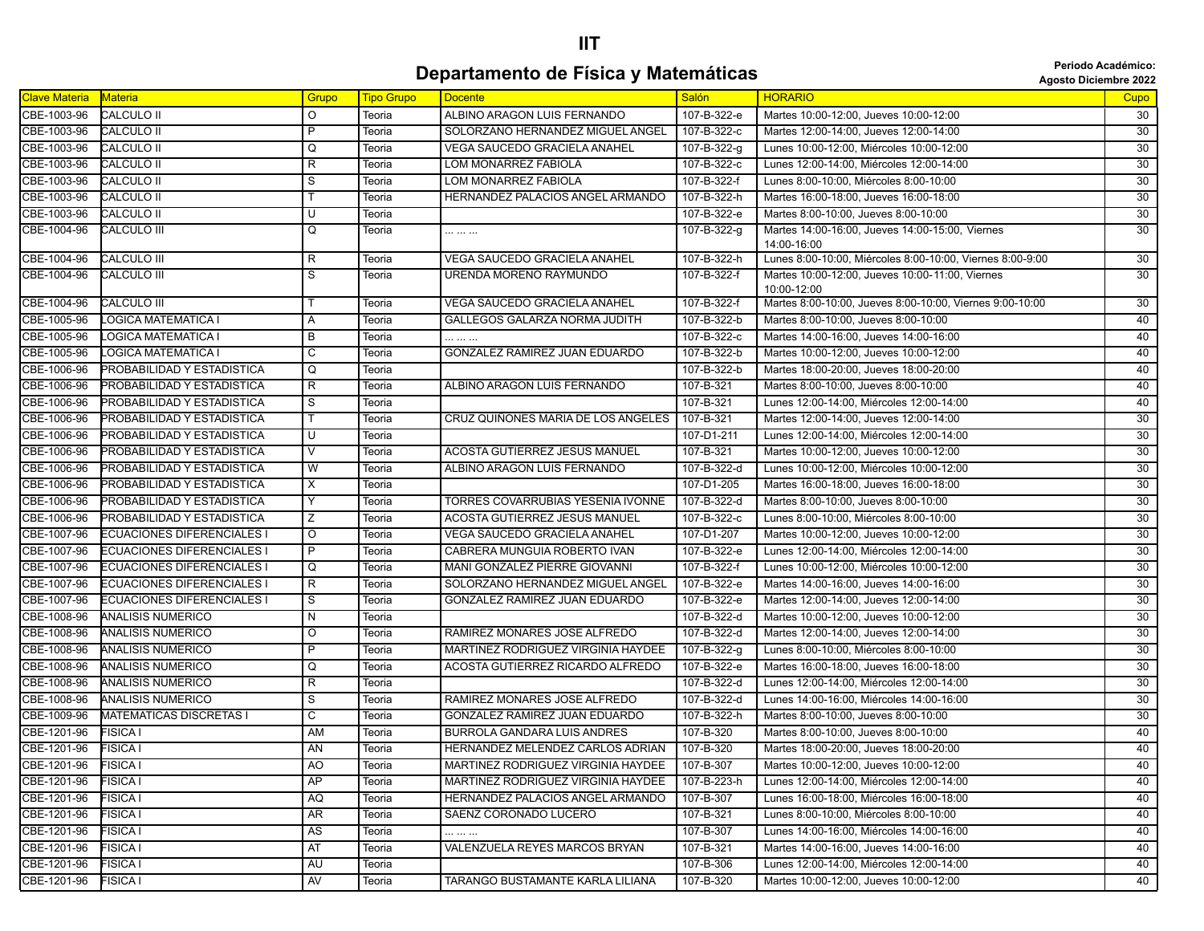## **IIT Departamento de Física y Matemáticas and** *Periodo Académico***: Agosto Diciembre 2022**

| Agosto Diciembre 20: |  |  |  |
|----------------------|--|--|--|
|----------------------|--|--|--|

| <b>Clave Materia</b> | Materia                           | Grupo          | Tipo Grupo | <b>Docente</b>                       | <b>Salón</b>    | <b>HORARIO</b>                                                 | <b>Cupo</b>     |
|----------------------|-----------------------------------|----------------|------------|--------------------------------------|-----------------|----------------------------------------------------------------|-----------------|
| CBE-1003-96          | CALCULO II                        | $\circ$        | Teoria     | ALBINO ARAGON LUIS FERNANDO          | 107-B-322-e     | Martes 10:00-12:00, Jueves 10:00-12:00                         | 30              |
| CBE-1003-96          | <b>CALCULO II</b>                 | $\overline{P}$ | Teoria     | SOLORZANO HERNANDEZ MIGUEL ANGEL     | 107-B-322-c     | Martes 12:00-14:00. Jueves 12:00-14:00                         | 30              |
| CBE-1003-96          | <b>CALCULO II</b>                 | Q              | Teoria     | <b>VEGA SAUCEDO GRACIELA ANAHEL</b>  | 107-B-322-g     | Lunes 10:00-12:00, Miércoles 10:00-12:00                       | 30              |
| CBE-1003-96          | CALCULO II                        | R              | Teoria     | LOM MONARREZ FABIOLA                 | 107-B-322-c     | Lunes 12:00-14:00, Miércoles 12:00-14:00                       | $\overline{30}$ |
| CBE-1003-96          | <b>CALCULO II</b>                 | S              | Teoria     | LOM MONARREZ FABIOLA                 | 107-B-322-f     | Lunes 8:00-10:00, Miércoles 8:00-10:00                         | 30              |
| CBE-1003-96          | <b>CALCULO II</b>                 |                | Teoria     | HERNANDEZ PALACIOS ANGEL ARMANDO     | 107-B-322-h     | Martes 16:00-18:00, Jueves 16:00-18:00                         | 30              |
| CBE-1003-96          | <b>CALCULO II</b>                 | U              | Teoria     |                                      | 107-B-322-e     | Martes 8:00-10:00, Jueves 8:00-10:00                           | 30              |
| CBE-1004-96          | <b>CALCULO III</b>                | Q              | Teoria     | .                                    | 107-B-322-g     | Martes 14:00-16:00, Jueves 14:00-15:00, Viernes<br>14:00-16:00 | 30 <sup>2</sup> |
| CBE-1004-96          | <b>CALCULO III</b>                | R              | Teoria     | VEGA SAUCEDO GRACIELA ANAHEL         | 107-B-322-h     | Lunes 8:00-10:00, Miércoles 8:00-10:00, Viernes 8:00-9:00      | 30              |
| CBE-1004-96          | <b>CALCULO III</b>                | S              | Teoria     | URENDA MORENO RAYMUNDO               | 107-B-322-f     | Martes 10:00-12:00, Jueves 10:00-11:00, Viernes<br>10:00-12:00 | 30              |
| CBE-1004-96          | CALCULO III                       | т              | Teoria     | VEGA SAUCEDO GRACIELA ANAHEL         | 107-B-322-f     | Martes 8:00-10:00, Jueves 8:00-10:00, Viernes 9:00-10:00       | 30              |
| CBE-1005-96          | LOGICA MATEMATICA I               | A              | Teoria     | GALLEGOS GALARZA NORMA JUDITH        | 107-B-322-b     | Martes 8:00-10:00, Jueves 8:00-10:00                           | 40 <sup>7</sup> |
| CBE-1005-96          | LOGICA MATEMATICA I               | В              | Teoria     |                                      | 107-B-322-c     | Martes 14:00-16:00, Jueves 14:00-16:00                         | 40              |
| CBE-1005-96          | LOGICA MATEMATICA I               | C              | Teoria     | GONZALEZ RAMIREZ JUAN EDUARDO        | 107-B-322-b     | Martes 10:00-12:00, Jueves 10:00-12:00                         | 40              |
| CBE-1006-96          | PROBABILIDAD Y ESTADISTICA        | Q              | Teoria     |                                      | 107-B-322-b     | Martes 18:00-20:00, Jueves 18:00-20:00                         | 40              |
| CBE-1006-96          | PROBABILIDAD Y ESTADISTICA        | R              | Teoria     | ALBINO ARAGON LUIS FERNANDO          | 107-B-321       | Martes 8:00-10:00, Jueves 8:00-10:00                           | 40              |
| CBE-1006-96          | PROBABILIDAD Y ESTADISTICA        | S              | Teoria     |                                      | 107-B-321       | Lunes 12:00-14:00, Miércoles 12:00-14:00                       | 40              |
| CBE-1006-96          | PROBABILIDAD Y ESTADISTICA        | T              | Teoria     | CRUZ QUIÑONES MARIA DE LOS ANGELES   | 107-B-321       | Martes 12:00-14:00, Jueves 12:00-14:00                         | 30              |
| CBE-1006-96          | PROBABILIDAD Y ESTADISTICA        | U              | Teoria     |                                      | 107-D1-211      | Lunes 12:00-14:00, Miércoles 12:00-14:00                       | 30              |
| CBE-1006-96          | PROBABILIDAD Y ESTADISTICA        | V              | Teoria     | ACOSTA GUTIERREZ JESUS MANUEL        | 107-B-321       | Martes 10:00-12:00, Jueves 10:00-12:00                         | 30              |
| CBE-1006-96          | PROBABILIDAD Y ESTADISTICA        | W              | Teoria     | ALBINO ARAGON LUIS FERNANDO          | 107-B-322-d     | Lunes 10:00-12:00, Miércoles 10:00-12:00                       | 30              |
| CBE-1006-96          | PROBABILIDAD Y ESTADISTICA        | Χ              | Teoria     |                                      | 107-D1-205      | Martes 16:00-18:00, Jueves 16:00-18:00                         | 30              |
| CBE-1006-96          | PROBABILIDAD Y ESTADISTICA        | Υ              | Teoria     | TORRES COVARRUBIAS YESENIA IVONNE    | 107-B-322-d     | Martes 8:00-10:00, Jueves 8:00-10:00                           | 30              |
| CBE-1006-96          | PROBABILIDAD Y ESTADISTICA        | Ζ              | Teoria     | <b>ACOSTA GUTIERREZ JESUS MANUEL</b> | 107-B-322-c     | Lunes 8:00-10:00, Miércoles 8:00-10:00                         | 30              |
| CBE-1007-96          | <b>ECUACIONES DIFERENCIALES I</b> | $\circ$        | Teoria     | VEGA SAUCEDO GRACIELA ANAHEL         | 107-D1-207      | Martes 10:00-12:00, Jueves 10:00-12:00                         | 30              |
| CBE-1007-96          | <b>ECUACIONES DIFERENCIALES I</b> | P              | Teoria     | CABRERA MUNGUIA ROBERTO IVAN         | 107-B-322-e     | Lunes 12:00-14:00, Miércoles 12:00-14:00                       | 30              |
| CBE-1007-96          | <b>ECUACIONES DIFERENCIALES I</b> | Q              | Teoria     | MANI GONZALEZ PIERRE GIOVANNI        | 107-B-322-f     | Lunes 10:00-12:00, Miércoles 10:00-12:00                       | 30              |
| CBE-1007-96          | <b>ECUACIONES DIFERENCIALES I</b> | $\overline{R}$ | Teoria     | SOLORZANO HERNANDEZ MIGUEL ANGEL     | 107-B-322-e     | Martes 14:00-16:00, Jueves 14:00-16:00                         | $\overline{30}$ |
| CBE-1007-96          | <b>ECUACIONES DIFERENCIALES I</b> | S              | Teoria     | GONZALEZ RAMIREZ JUAN EDUARDO        | 107-B-322-e     | Martes 12:00-14:00, Jueves 12:00-14:00                         | 30 <sup>2</sup> |
| CBE-1008-96          | ANALISIS NUMERICO                 | N              | Teoria     |                                      | 107-B-322-d     | Martes 10:00-12:00, Jueves 10:00-12:00                         | 30              |
| CBE-1008-96          | ANALISIS NUMERICO                 | O              | Teoria     | RAMIREZ MONARES JOSE ALFREDO         | 107-B-322-d     | Martes 12:00-14:00, Jueves 12:00-14:00                         | 30              |
| CBE-1008-96          | <b>ANALISIS NUMERICO</b>          | P              | Teoria     | MARTINEZ RODRIGUEZ VIRGINIA HAYDEE   | 107-B-322-g     | Lunes 8:00-10:00, Miércoles 8:00-10:00                         | 30              |
| CBE-1008-96          | ANALISIS NUMERICO                 | Q              | Teoria     | ACOSTA GUTIERREZ RICARDO ALFREDO     | 107-B-322-e     | Martes 16:00-18:00, Jueves 16:00-18:00                         | 30              |
| CBE-1008-96          | ANALISIS NUMERICO                 | R              | Teoria     |                                      | 107-B-322-d     | Lunes 12:00-14:00, Miércoles 12:00-14:00                       | 30              |
| CBE-1008-96          | ANALISIS NUMERICO                 | S              | Teoria     | RAMIREZ MONARES JOSE ALFREDO         | 107-B-322-d     | Lunes 14:00-16:00, Miércoles 14:00-16:00                       | 30              |
| CBE-1009-96          | <b>MATEMATICAS DISCRETAS I</b>    | C              | Teoria     | GONZALEZ RAMIREZ JUAN EDUARDO        | 107-B-322-h     | Martes 8:00-10:00, Jueves 8:00-10:00                           | 30              |
| CBE-1201-96          | FISICA I                          | AM             | Teoria     | <b>BURROLA GANDARA LUIS ANDRES</b>   | 107-B-320       | Martes 8:00-10:00, Jueves 8:00-10:00                           | 40              |
| CBE-1201-96          | <b>FISICA I</b>                   | AN             | Teoria     | HERNANDEZ MELENDEZ CARLOS ADRIAN     | 107-B-320       | Martes 18:00-20:00, Jueves 18:00-20:00                         | 40              |
| CBE-1201-96          | <b>FISICA I</b>                   | A <sub>O</sub> | Teoria     | MARTINEZ RODRIGUEZ VIRGINIA HAYDEE   | $107 - B - 307$ | Martes 10:00-12:00, Jueves 10:00-12:00                         | 40              |
| CBE-1201-96          | <b>FISICA I</b>                   | AP             | Teoria     | MARTINEZ RODRIGUEZ VIRGINIA HAYDEE   | 107-B-223-h     | Lunes 12:00-14:00, Miércoles 12:00-14:00                       | 40              |
| CBE-1201-96          | <b>FISICA I</b>                   | AQ             | Teoria     | HERNANDEZ PALACIOS ANGEL ARMANDO     | 107-B-307       | Lunes 16:00-18:00, Miércoles 16:00-18:00                       | 40              |
| CBE-1201-96          | FISICA I                          | <b>AR</b>      | Teoria     | SAENZ CORONADO LUCERO                | 107-B-321       | Lunes 8:00-10:00, Miércoles 8:00-10:00                         | 40              |
| CBE-1201-96          | FISICA I                          | AS             | Teoria     |                                      | 107-B-307       | Lunes 14:00-16:00, Miércoles 14:00-16:00                       | 40              |
| CBE-1201-96          | <b>FISICA I</b>                   | AT             | Teoria     | VALENZUELA REYES MARCOS BRYAN        | 107-B-321       | Martes 14:00-16:00, Jueves 14:00-16:00                         | 40              |
| CBE-1201-96          | FISICA I                          | AU             | Teoria     |                                      | 107-B-306       | Lunes 12:00-14:00, Miércoles 12:00-14:00                       | 40              |
| CBE-1201-96          | <b>FISICA I</b>                   | AV             | Teoria     | TARANGO BUSTAMANTE KARLA LILIANA     | 107-B-320       | Martes 10:00-12:00, Jueves 10:00-12:00                         | 40              |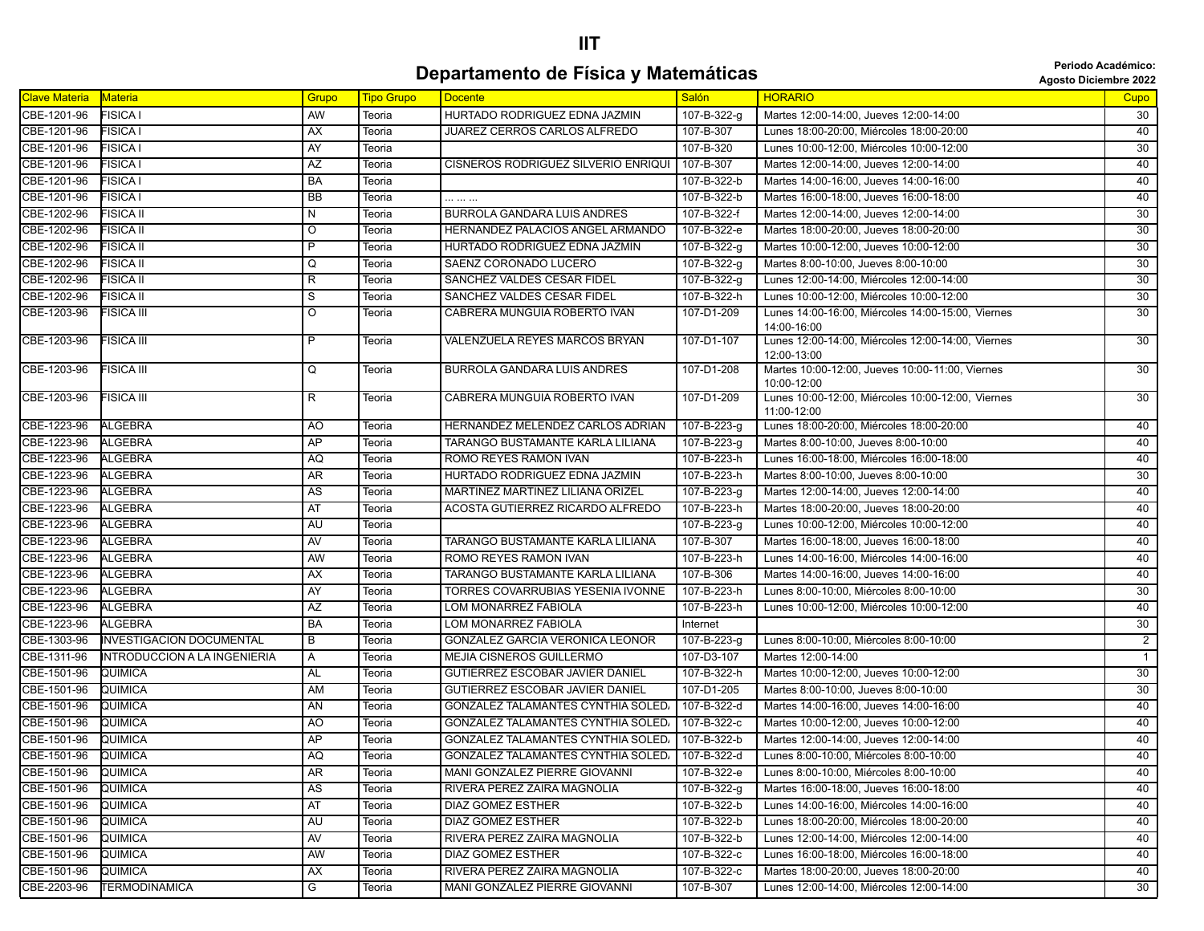## **IIT Departamento de Física y Matemáticas agosto Diciembre 2022**<br>Agosto Diciembre 2022

| Clave Materia | <b>Materia</b>                  | Grupo          | <b>Tipo Grupo</b> | <b>Docente</b>                             | <b>Salón</b> | <b>HORARIO</b>                                                   | Cupo            |
|---------------|---------------------------------|----------------|-------------------|--------------------------------------------|--------------|------------------------------------------------------------------|-----------------|
| CBE-1201-96   | <b>FISICA I</b>                 | AW             | Teoria            | HURTADO RODRIGUEZ EDNA JAZMIN              | 107-B-322-g  | Martes 12:00-14:00, Jueves 12:00-14:00                           | 30              |
| CBE-1201-96   | <b>FISICA I</b>                 | AX             | Teoria            | JUAREZ CERROS CARLOS ALFREDO               | 107-B-307    | Lunes 18:00-20:00, Miércoles 18:00-20:00                         | 40              |
| CBE-1201-96   | <b>FISICA I</b>                 | AY             | Teoria            |                                            | 107-B-320    | Lunes 10:00-12:00, Miércoles 10:00-12:00                         | 30              |
| CBE-1201-96   | FISICA I                        | AZ             | Teoria            | <b>CISNEROS RODRIGUEZ SILVERIO ENRIQUI</b> | 107-B-307    | Martes 12:00-14:00, Jueves 12:00-14:00                           | 40              |
| CBE-1201-96   | <b>FISICA I</b>                 | BA             | Teoria            |                                            | 107-B-322-b  | Martes 14:00-16:00, Jueves 14:00-16:00                           | 40              |
| CBE-1201-96   | <b>FISICA I</b>                 | <b>BB</b>      | Teoria            |                                            | 107-B-322-b  | Martes 16:00-18:00, Jueves 16:00-18:00                           | 40              |
| CBE-1202-96   | FISICA II                       | N              | Teoria            | <b>BURROLA GANDARA LUIS ANDRES</b>         | 107-B-322-f  | Martes 12:00-14:00, Jueves 12:00-14:00                           | 30              |
| CBE-1202-96   | FISICA II                       | $\circ$        | Teoria            | HERNANDEZ PALACIOS ANGEL ARMANDO           | 107-B-322-e  | Martes 18:00-20:00, Jueves 18:00-20:00                           | 30              |
| CBE-1202-96   | <b>FISICA II</b>                | P              | Teoria            | HURTADO RODRIGUEZ EDNA JAZMIN              | 107-B-322-g  | Martes 10:00-12:00, Jueves 10:00-12:00                           | 30              |
| CBE-1202-96   | FISICA II                       | Q              | Teoria            | SAENZ CORONADO LUCERO                      | 107-B-322-g  | Martes 8:00-10:00, Jueves 8:00-10:00                             | $\overline{30}$ |
| CBE-1202-96   | FISICA II                       | R              | Teoria            | SANCHEZ VALDES CESAR FIDEL                 | 107-B-322-g  | Lunes 12:00-14:00, Miércoles 12:00-14:00                         | 30              |
| CBE-1202-96   | FISICA II                       | S              | Teoria            | SANCHEZ VALDES CESAR FIDEL                 | 107-B-322-h  | Lunes 10:00-12:00, Miércoles 10:00-12:00                         | 30              |
| CBE-1203-96   | FISICA III                      | O              | Teoria            | CABRERA MUNGUIA ROBERTO IVAN               | 107-D1-209   | Lunes 14:00-16:00, Miércoles 14:00-15:00, Viernes                | $\overline{30}$ |
|               |                                 |                |                   |                                            |              | 14:00-16:00                                                      |                 |
| CBE-1203-96   | FISICA III                      | $\overline{P}$ | Teoria            | VALENZUELA REYES MARCOS BRYAN              | 107-D1-107   | Lunes 12:00-14:00, Miércoles 12:00-14:00, Viernes<br>12:00-13:00 | 30              |
| CBE-1203-96   | FISICA III                      | Q              | Teoria            | <b>BURROLA GANDARA LUIS ANDRES</b>         | 107-D1-208   | Martes 10:00-12:00, Jueves 10:00-11:00, Viernes                  | 30              |
|               |                                 |                |                   |                                            |              | 10:00-12:00                                                      |                 |
| CBE-1203-96   | FISICA III                      | R              | Teoria            | CABRERA MUNGUIA ROBERTO IVAN               | 107-D1-209   | Lunes 10:00-12:00, Miércoles 10:00-12:00, Viernes<br>11:00-12:00 | 30              |
| CBE-1223-96   | <b>ALGEBRA</b>                  | AO             | Teoria            | HERNANDEZ MELENDEZ CARLOS ADRIAN           | 107-B-223-g  | Lunes 18:00-20:00, Miércoles 18:00-20:00                         | 40              |
| CBE-1223-96   | <b>ALGEBRA</b>                  | AP             | Teoria            | TARANGO BUSTAMANTE KARLA LILIANA           | 107-B-223-g  | Martes 8:00-10:00, Jueves 8:00-10:00                             | 40              |
| CBE-1223-96   | <b>ALGEBRA</b>                  | AQ             | Teoria            | ROMO REYES RAMON IVAN                      | 107-B-223-h  | Lunes 16:00-18:00, Miércoles 16:00-18:00                         | 40              |
| CBE-1223-96   | <b>ALGEBRA</b>                  | AR             | Teoria            | HURTADO RODRIGUEZ EDNA JAZMIN              | 107-B-223-h  | Martes 8:00-10:00, Jueves 8:00-10:00                             | 30              |
| CBE-1223-96   | <b>ALGEBRA</b>                  | AS             | Teoria            | MARTINEZ MARTINEZ LILIANA ORIZEL           | 107-B-223-g  | Martes 12:00-14:00, Jueves 12:00-14:00                           | 40              |
| CBE-1223-96   | <b>ALGEBRA</b>                  | AT             | Teoria            | ACOSTA GUTIERREZ RICARDO ALFREDO           | 107-B-223-h  | Martes 18:00-20:00, Jueves 18:00-20:00                           | 40              |
| CBE-1223-96   | <b>ALGEBRA</b>                  | AU             | Teoria            |                                            | 107-B-223-g  | Lunes 10:00-12:00, Miércoles 10:00-12:00                         | 40              |
| CBE-1223-96   | ALGEBRA                         | AV             | Teoria            | TARANGO BUSTAMANTE KARLA LILIANA           | 107-B-307    | Martes 16:00-18:00, Jueves 16:00-18:00                           | 40              |
| CBE-1223-96   | <b>ALGEBRA</b>                  | AW             | Teoria            | ROMO REYES RAMON IVAN                      | 107-B-223-h  | Lunes 14:00-16:00, Miércoles 14:00-16:00                         | 40              |
| CBE-1223-96   | <b>ALGEBRA</b>                  | AX             | Teoria            | TARANGO BUSTAMANTE KARLA LILIANA           | 107-B-306    | Martes 14:00-16:00, Jueves 14:00-16:00                           | 40              |
| CBE-1223-96   | ALGEBRA                         | AY             | Teoria            | TORRES COVARRUBIAS YESENIA IVONNE          | 107-B-223-h  | Lunes 8:00-10:00, Miércoles 8:00-10:00                           | 30              |
| CBE-1223-96   | ALGEBRA                         | AZ             | Teoria            | LOM MONARREZ FABIOLA                       | 107-B-223-h  | Lunes 10:00-12:00, Miércoles 10:00-12:00                         | 40              |
| CBE-1223-96   | ALGEBRA                         | BA             | Teoria            | LOM MONARREZ FABIOLA                       | Internet     |                                                                  | 30              |
| CBE-1303-96   | <b>INVESTIGACION DOCUMENTAL</b> | В              | Teoria            | GONZALEZ GARCIA VERONICA LEONOR            | 107-B-223-g  | Lunes 8:00-10:00, Miércoles 8:00-10:00                           | $\overline{2}$  |
| CBE-1311-96   | INTRODUCCION A LA INGENIERIA    | Α              | Teoria            | <b>MEJIA CISNEROS GUILLERMO</b>            | 107-D3-107   | Martes 12:00-14:00                                               | $\overline{1}$  |
| CBE-1501-96   | QUIMICA                         | AL             | Teoria            | <b>GUTIERREZ ESCOBAR JAVIER DANIEL</b>     | 107-B-322-h  | Martes 10:00-12:00. Jueves 10:00-12:00                           | 30              |
| CBE-1501-96   | QUIMICA                         | <b>AM</b>      | Teoria            | GUTIERREZ ESCOBAR JAVIER DANIEL            | 107-D1-205   | Martes 8:00-10:00, Jueves 8:00-10:00                             | $\overline{30}$ |
| CBE-1501-96   | QUIMICA                         | AN             | Teoria            | <b>GONZALEZ TALAMANTES CYNTHIA SOLED/</b>  | 107-B-322-d  | Martes 14:00-16:00, Jueves 14:00-16:00                           | 40              |
| CBE-1501-96   | QUIMICA                         | AO             | Teoria            | GONZALEZ TALAMANTES CYNTHIA SOLED,         | 107-B-322-c  | Martes 10:00-12:00, Jueves 10:00-12:00                           | 40              |
| CBE-1501-96   | QUIMICA                         | AP             | Teoria            | <b>GONZALEZ TALAMANTES CYNTHIA SOLED/</b>  | 107-B-322-b  | Martes 12:00-14:00, Jueves 12:00-14:00                           | 40              |
| CBE-1501-96   | QUIMICA                         | AQ             | Teoria            | <b>GONZALEZ TALAMANTES CYNTHIA SOLED/</b>  | 107-B-322-d  | Lunes 8:00-10:00, Miércoles 8:00-10:00                           | 40              |
| CBE-1501-96   | QUIMICA                         | AR             | Teoria            | MANI GONZALEZ PIERRE GIOVANNI              | 107-B-322-e  | Lunes 8:00-10:00, Miércoles 8:00-10:00                           | 40              |
| CBE-1501-96   | QUIMICA                         | AS             | Teoria            | RIVERA PEREZ ZAIRA MAGNOLIA                | 107-B-322-g  | Martes 16:00-18:00, Jueves 16:00-18:00                           | 40              |
| CBE-1501-96   | QUIMICA                         | AT             | Teoria            | DIAZ GOMEZ ESTHER                          | 107-B-322-b  | Lunes 14:00-16:00, Miércoles 14:00-16:00                         | 40              |
| CBE-1501-96   | QUIMICA                         | AU             | Teoria            | DIAZ GOMEZ ESTHER                          | 107-B-322-b  | Lunes 18:00-20:00, Miércoles 18:00-20:00                         | 40              |
| CBE-1501-96   | QUIMICA                         | AV             | Teoria            | RIVERA PEREZ ZAIRA MAGNOLIA                | 107-B-322-b  | Lunes 12:00-14:00, Miércoles 12:00-14:00                         | 40              |
| CBE-1501-96   | QUIMICA                         | AW             | Teoria            | DIAZ GOMEZ ESTHER                          | 107-B-322-c  | Lunes 16:00-18:00, Miércoles 16:00-18:00                         | 40              |
| CBE-1501-96   | QUIMICA                         | AX             | Teoria            | RIVERA PEREZ ZAIRA MAGNOLIA                | 107-B-322-c  | Martes 18:00-20:00, Jueves 18:00-20:00                           | 40              |
| CBE-2203-96   | <b>TERMODINAMICA</b>            | G              | Teoria            | MANI GONZALEZ PIERRE GIOVANNI              | 107-B-307    | Lunes 12:00-14:00, Miércoles 12:00-14:00                         | 30              |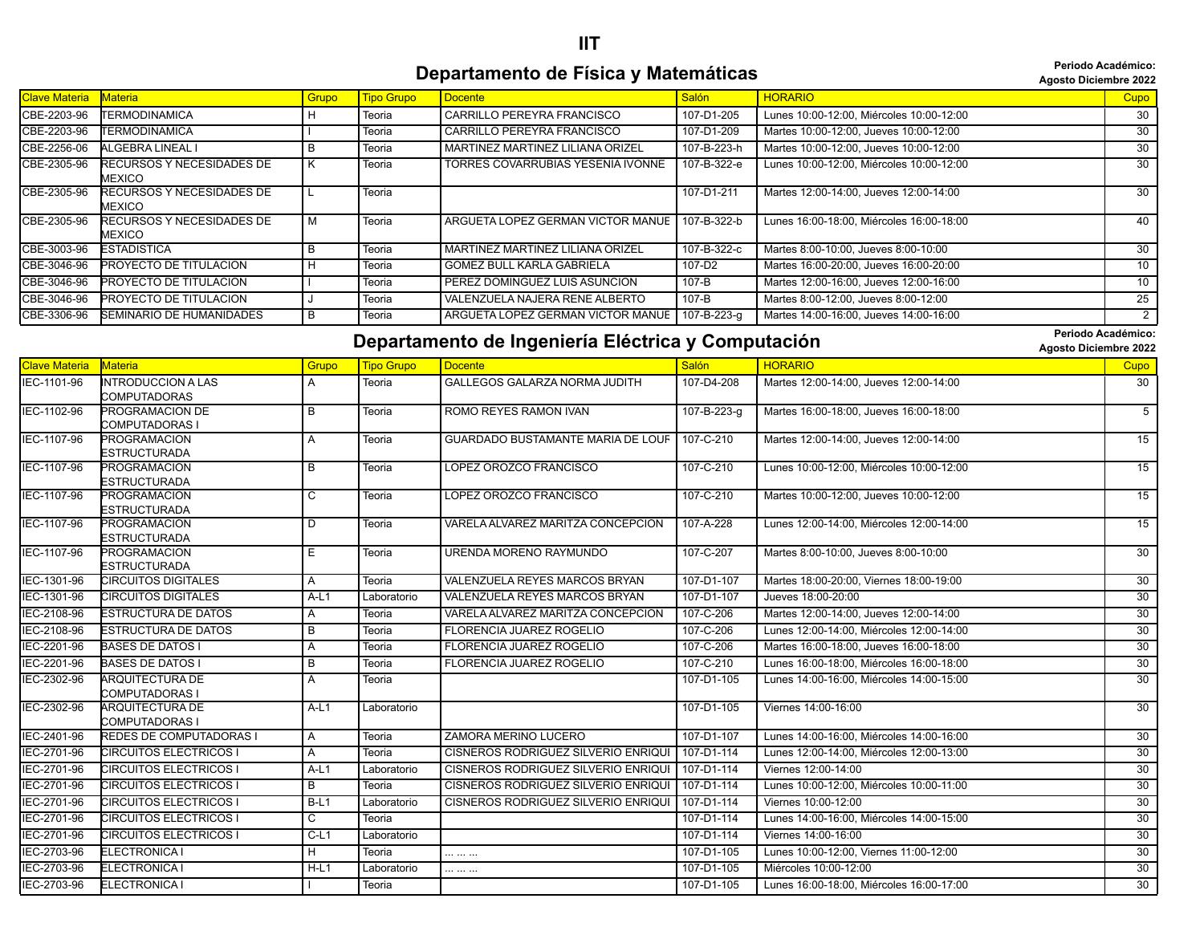## **IIT Departamento de Física y Matemáticas agosto Diciembre 2022 Periodo Académico:**

**Periodo Académico:**

| Clave Materia | <b>Materia</b>                      | Grupo | <b>Tipo Grupo</b> | <b>Docente</b>                    | Salón       | <b>HORARIO</b>                           | Cupo            |
|---------------|-------------------------------------|-------|-------------------|-----------------------------------|-------------|------------------------------------------|-----------------|
| CBE-2203-96   | <b>TERMODINAMICA</b>                |       | Teoria            | CARRILLO PEREYRA FRANCISCO        | 107-D1-205  | Lunes 10:00-12:00, Miércoles 10:00-12:00 | 30              |
| CBE-2203-96   | <b>TERMODINAMICA</b>                |       | Teoria            | CARRILLO PEREYRA FRANCISCO        | 107-D1-209  | Martes 10:00-12:00, Jueves 10:00-12:00   | 30              |
| CBE-2256-06   | ALGEBRA LINEAL I                    |       | Teoria            | MARTINEZ MARTINEZ LILIANA ORIZEL  | 107-B-223-h | Martes 10:00-12:00, Jueves 10:00-12:00   | 30              |
| CBE-2305-96   | RECURSOS Y NECESIDADES DE<br>MEXICO |       | Teoria            | TORRES COVARRUBIAS YESENIA IVONNE | 107-В-322-е | Lunes 10:00-12:00, Miércoles 10:00-12:00 | 30              |
| CBE-2305-96   | RECURSOS Y NECESIDADES DE<br>MEXICO |       | Teoria            |                                   | 107-D1-211  | Martes 12:00-14:00, Jueves 12:00-14:00   | 30              |
| CBE-2305-96   | RECURSOS Y NECESIDADES DE<br>MEXICO |       | Teoria            | ARGUETA LOPEZ GERMAN VICTOR MANUE | 107-B-322-b | Lunes 16:00-18:00, Miércoles 16:00-18:00 | 40              |
| CBE-3003-96   | ESTADISTICA                         | в     | Teoria            | MARTINEZ MARTINEZ LILIANA ORIZEL  | 107-B-322-c | Martes 8:00-10:00, Jueves 8:00-10:00     | 30              |
| CBE-3046-96   | <b>PROYECTO DE TITULACION</b>       |       | Teoria            | <b>GOMEZ BULL KARLA GABRIELA</b>  | 107-D2      | Martes 16:00-20:00, Jueves 16:00-20:00   | 10 <sup>°</sup> |
| CBE-3046-96   | <b>PROYECTO DE TITULACION</b>       |       | Teoria            | PEREZ DOMINGUEZ LUIS ASUNCION     | 107-B       | Martes 12:00-16:00, Jueves 12:00-16:00   | 10 <sup>°</sup> |
| CBE-3046-96   | <b>PROYECTO DE TITULACION</b>       |       | Teoria            | VALENZUELA NAJERA RENE ALBERTO    | 107-B       | Martes 8:00-12:00, Jueves 8:00-12:00     | 25              |
| CBE-3306-96   | <b>SEMINARIO DE HUMANIDADES</b>     |       | Teoria            | ARGUETA LOPEZ GERMAN VICTOR MANUE | 107-B-223-g | Martes 14:00-16:00. Jueves 14:00-16:00   | 2               |

#### **Departamento de Ingeniería Eléctrica y Computación agosto Diciembre 2022 Computación Agosto Diciembre 2022**

| <b>Clave Materia</b> | Materia                                    | Grupo          | <b>Tipo Grupo</b> | <b>Docente</b>                             | Salón               | <b>HORARIO</b>                           | Cupo            |
|----------------------|--------------------------------------------|----------------|-------------------|--------------------------------------------|---------------------|------------------------------------------|-----------------|
| IEC-1101-96          | <b>INTRODUCCION A LAS</b>                  | A              | Teoria            | GALLEGOS GALARZA NORMA JUDITH              | 107-D4-208          | Martes 12:00-14:00, Jueves 12:00-14:00   | 30              |
|                      | COMPUTADORAS                               |                |                   |                                            |                     |                                          |                 |
| IEC-1102-96          | PROGRAMACION DE                            | B              | Teoria            | ROMO REYES RAMON IVAN                      | $107 - B - 223 - g$ | Martes 16:00-18:00, Jueves 16:00-18:00   | 5 <sup>5</sup>  |
|                      | COMPUTADORAS I                             |                |                   |                                            |                     |                                          |                 |
| IEC-1107-96          | <b>PROGRAMACION</b>                        | A              | Teoria            | <b>GUARDADO BUSTAMANTE MARIA DE LOUF</b>   | 107-C-210           | Martes 12:00-14:00. Jueves 12:00-14:00   | 15              |
| IEC-1107-96          | <b>ESTRUCTURADA</b>                        |                |                   |                                            |                     |                                          | $\overline{15}$ |
|                      | <b>PROGRAMACION</b><br><b>ESTRUCTURADA</b> | B              | Teoria            | LOPEZ OROZCO FRANCISCO                     | 107-C-210           | Lunes 10:00-12:00, Miércoles 10:00-12:00 |                 |
| IEC-1107-96          | <b>PROGRAMACION</b>                        | C              | Teoria            | LOPEZ OROZCO FRANCISCO                     | 107-C-210           | Martes 10:00-12:00, Jueves 10:00-12:00   | 15              |
|                      | <b>ESTRUCTURADA</b>                        |                |                   |                                            |                     |                                          |                 |
| IEC-1107-96          | <b>PROGRAMACION</b>                        | D              | Teoria            | VARELA ALVAREZ MARITZA CONCEPCION          | 107-A-228           | Lunes 12:00-14:00, Miércoles 12:00-14:00 | $\overline{15}$ |
|                      | <b>ESTRUCTURADA</b>                        |                |                   |                                            |                     |                                          |                 |
| IEC-1107-96          | <b>PROGRAMACION</b>                        | E              | Teoria            | URENDA MORENO RAYMUNDO                     | 107-C-207           | Martes 8:00-10:00. Jueves 8:00-10:00     | 30              |
|                      | <b>ESTRUCTURADA</b>                        |                |                   |                                            |                     |                                          |                 |
| IEC-1301-96          | <b>CIRCUITOS DIGITALES</b>                 | A              | Teoria            | VALENZUELA REYES MARCOS BRYAN              | 107-D1-107          | Martes 18:00-20:00, Viernes 18:00-19:00  | $\overline{30}$ |
| IEC-1301-96          | <b>CIRCUITOS DIGITALES</b>                 | $A-L1$         | Laboratorio       | VALENZUELA REYES MARCOS BRYAN              | 107-D1-107          | Jueves 18:00-20:00                       | $\overline{30}$ |
| IEC-2108-96          | <b>ESTRUCTURA DE DATOS</b>                 | A              | Teoria            | VARELA ALVAREZ MARITZA CONCEPCION          | 107-C-206           | Martes 12:00-14:00. Jueves 12:00-14:00   | 30              |
| IEC-2108-96          | <b>ESTRUCTURA DE DATOS</b>                 | В              | Teoria            | FLORENCIA JUAREZ ROGELIO                   | 107-C-206           | Lunes 12:00-14:00, Miércoles 12:00-14:00 | 30              |
| IEC-2201-96          | <b>BASES DE DATOS I</b>                    | A              | Teoria            | FLORENCIA JUAREZ ROGELIO                   | 107-C-206           | Martes 16:00-18:00, Jueves 16:00-18:00   | 30              |
| IEC-2201-96          | <b>BASES DE DATOS I</b>                    | $\overline{B}$ | Teoria            | FLORENCIA JUAREZ ROGELIO                   | 107-C-210           | Lunes 16:00-18:00. Miércoles 16:00-18:00 | 30              |
| IEC-2302-96          | <b>ARQUITECTURA DE</b>                     | A              | Teoria            |                                            | 107-D1-105          | Lunes 14:00-16:00. Miércoles 14:00-15:00 | 30              |
|                      | COMPUTADORAS I                             |                |                   |                                            |                     |                                          |                 |
| IEC-2302-96          | <b>ARQUITECTURA DE</b>                     | $A-L1$         | Laboratorio       |                                            | 107-D1-105          | Viernes 14:00-16:00                      | 30              |
|                      | COMPUTADORAS I                             |                |                   |                                            |                     |                                          |                 |
| IEC-2401-96          | <b>REDES DE COMPUTADORAS I</b>             | A              | Teoria            | <b>ZAMORA MERINO LUCERO</b>                | 107-D1-107          | Lunes 14:00-16:00, Miércoles 14:00-16:00 | 30              |
| IEC-2701-96          | <b>CIRCUITOS ELECTRICOS I</b>              | A              | Teoria            | <b>CISNEROS RODRIGUEZ SILVERIO ENRIQUE</b> | 107-D1-114          | Lunes 12:00-14:00, Miércoles 12:00-13:00 | 30              |
| IEC-2701-96          | <b>CIRCUITOS ELECTRICOS I</b>              | $A-L1$         | Laboratorio       | CISNEROS RODRIGUEZ SILVERIO ENRIQUI        | 107-D1-114          | Viernes 12:00-14:00                      | 30              |
| IEC-2701-96          | <b>CIRCUITOS ELECTRICOS I</b>              | $\overline{B}$ | Teoria            | <b>CISNEROS RODRIGUEZ SILVERIO ENRIQUI</b> | 107-D1-114          | Lunes 10:00-12:00, Miércoles 10:00-11:00 | 30              |
| IEC-2701-96          | <b>CIRCUITOS ELECTRICOS I</b>              | $B-L1$         | Laboratorio       | <b>CISNEROS RODRIGUEZ SILVERIO ENRIQUI</b> | 107-D1-114          | Viernes 10:00-12:00                      | 30              |
| IEC-2701-96          | <b>CIRCUITOS ELECTRICOS I</b>              | $\overline{C}$ | Teoria            |                                            | 107-D1-114          | Lunes 14:00-16:00. Miércoles 14:00-15:00 | 30              |
| IEC-2701-96          | <b>CIRCUITOS ELECTRICOS I</b>              | $C-L1$         | Laboratorio       |                                            | 107-D1-114          | Viernes 14:00-16:00                      | 30              |
| IEC-2703-96          | <b>ELECTRONICA I</b>                       | H              | Teoria            |                                            | 107-D1-105          | Lunes 10:00-12:00, Viernes 11:00-12:00   | $\overline{30}$ |
| IEC-2703-96          | <b>ELECTRONICA I</b>                       | $H-L1$         | Laboratorio       |                                            | 107-D1-105          | Miércoles 10:00-12:00                    | 30              |
| IEC-2703-96          | <b>ELECTRONICA1</b>                        |                | Teoria            |                                            | 107-D1-105          | Lunes 16:00-18:00, Miércoles 16:00-17:00 | 30              |
|                      |                                            |                |                   |                                            |                     |                                          |                 |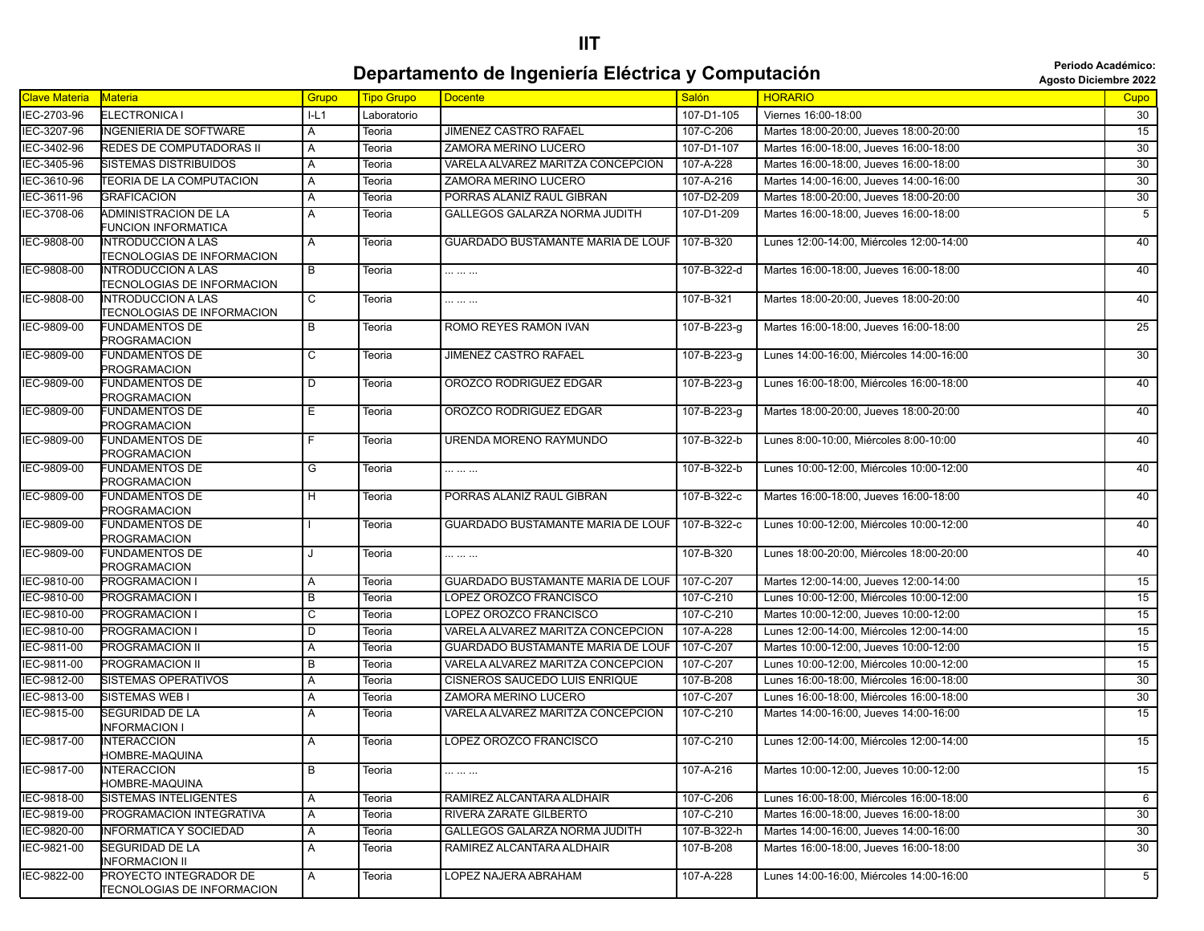**Periodo Académico:**

|               | Departamento de Ingeniería Eléctrica y Computación                    |                |                   |                                          |              |                                          |                 |  |  |  |
|---------------|-----------------------------------------------------------------------|----------------|-------------------|------------------------------------------|--------------|------------------------------------------|-----------------|--|--|--|
| Clave Materia | Materia                                                               | Grupo          | <b>Tipo Grupo</b> | <b>Docente</b>                           | <b>Salón</b> | <b>HORARIO</b>                           | Cupo            |  |  |  |
| IEC-2703-96   | ELECTRONICA I                                                         | IL1            | Laboratorio       |                                          | 107-D1-105   | Viernes 16:00-18:00                      | 30              |  |  |  |
| IEC-3207-96   | <b>INGENIERIA DE SOFTWARE</b>                                         | A              | Teoria            | JIMENEZ CASTRO RAFAEL                    | 107-C-206    | Martes 18:00-20:00, Jueves 18:00-20:00   | $\overline{15}$ |  |  |  |
| IEC-3402-96   | <b>REDES DE COMPUTADORAS II</b>                                       | A              | Teoria            | ZAMORA MERINO LUCERO                     | 107-D1-107   | Martes 16:00-18:00, Jueves 16:00-18:00   | 30              |  |  |  |
| IEC-3405-96   | <b>SISTEMAS DISTRIBUIDOS</b>                                          | Α              | Teoria            | VARELA ALVAREZ MARITZA CONCEPCION        | 107-A-228    | Martes 16:00-18:00, Jueves 16:00-18:00   | 30              |  |  |  |
| IEC-3610-96   | <b>TEORIA DE LA COMPUTACION</b>                                       | $\overline{A}$ | Teoria            | ZAMORA MERINO LUCERO                     | 107-A-216    | Martes 14:00-16:00, Jueves 14:00-16:00   | 30              |  |  |  |
| IEC-3611-96   | <b>GRAFICACION</b>                                                    | A              | Teoria            | PORRAS ALANIZ RAUL GIBRAN                | 107-D2-209   | Martes 18:00-20:00, Jueves 18:00-20:00   | $\overline{30}$ |  |  |  |
| IEC-3708-06   | ADMINISTRACION DE LA<br>FUNCION INFORMATICA                           | A              | Teoria            | GALLEGOS GALARZA NORMA JUDITH            | 107-D1-209   | Martes 16:00-18:00, Jueves 16:00-18:00   | $\overline{5}$  |  |  |  |
| IEC-9808-00   | <b>INTRODUCCION A LAS</b><br>TECNOLOGIAS DE INFORMACION               | $\overline{A}$ | Teoria            | <b>GUARDADO BUSTAMANTE MARIA DE LOUF</b> | 107-B-320    | Lunes 12:00-14:00, Miércoles 12:00-14:00 | 40              |  |  |  |
| IEC-9808-00   | <b>INTRODUCCION A LAS</b><br><b><i>TECNOLOGIAS DE INFORMACION</i></b> | $\overline{B}$ | Teoria            |                                          | 107-B-322-d  | Martes 16:00-18:00. Jueves 16:00-18:00   | 40              |  |  |  |
| IEC-9808-00   | <b>INTRODUCCION A LAS</b><br>TECNOLOGIAS DE INFORMACION               | $\mathsf{C}$   | Teoria            | .                                        | 107-B-321    | Martes 18:00-20:00, Jueves 18:00-20:00   | 40              |  |  |  |
| IEC-9809-00   | <b>FUNDAMENTOS DE</b><br><b>PROGRAMACION</b>                          | B              | Teoria            | ROMO REYES RAMON IVAN                    | 107-B-223-g  | Martes 16:00-18:00, Jueves 16:00-18:00   | 25              |  |  |  |
| IEC-9809-00   | <b>FUNDAMENTOS DE</b><br><b>PROGRAMACION</b>                          | $\overline{c}$ | Teoria            | JIMENEZ CASTRO RAFAEL                    | 107-B-223-g  | Lunes 14:00-16:00, Miércoles 14:00-16:00 | 30              |  |  |  |
| IEC-9809-00   | <b>FUNDAMENTOS DE</b><br><b>PROGRAMACION</b>                          | D              | Teoria            | OROZCO RODRIGUEZ EDGAR                   | 107-B-223-g  | Lunes 16:00-18:00, Miércoles 16:00-18:00 | 40              |  |  |  |
| IEC-9809-00   | <b>FUNDAMENTOS DE</b><br><b>PROGRAMACION</b>                          | Ε              | Teoria            | OROZCO RODRIGUEZ EDGAR                   | 107-B-223-g  | Martes 18:00-20:00, Jueves 18:00-20:00   | 40              |  |  |  |
| IEC-9809-00   | <b>FUNDAMENTOS DE</b><br><b>PROGRAMACION</b>                          | F.             | Teoria            | URENDA MORENO RAYMUNDO                   | 107-B-322-b  | Lunes 8:00-10:00, Miércoles 8:00-10:00   | 40              |  |  |  |
| IEC-9809-00   | <b>FUNDAMENTOS DE</b><br><b>PROGRAMACION</b>                          | G              | Teoria            |                                          | 107-B-322-b  | Lunes 10:00-12:00, Miércoles 10:00-12:00 | 40              |  |  |  |
| IEC-9809-00   | <b>FUNDAMENTOS DE</b><br><b>PROGRAMACION</b>                          | H              | Teoria            | PORRAS ALANIZ RAUL GIBRAN                | 107-B-322-c  | Martes 16:00-18:00, Jueves 16:00-18:00   | 40              |  |  |  |
| IEC-9809-00   | <b>FUNDAMENTOS DE</b><br><b>PROGRAMACION</b>                          |                | Teoria            | GUARDADO BUSTAMANTE MARIA DE LOUF        | 107-B-322-c  | Lunes 10:00-12:00, Miércoles 10:00-12:00 | 40              |  |  |  |
| IEC-9809-00   | <b>FUNDAMENTOS DE</b><br><b>PROGRAMACION</b>                          | J              | Teoria            |                                          | 107-B-320    | Lunes 18:00-20:00, Miércoles 18:00-20:00 | 40              |  |  |  |
| IEC-9810-00   | <b>PROGRAMACION I</b>                                                 | $\overline{A}$ | Teoria            | GUARDADO BUSTAMANTE MARIA DE LOUF        | 107-C-207    | Martes 12:00-14:00, Jueves 12:00-14:00   | 15              |  |  |  |
| IEC-9810-00   | <b>PROGRAMACION I</b>                                                 | B              | Teoria            | LOPEZ OROZCO FRANCISCO                   | 107-C-210    | Lunes 10:00-12:00, Miércoles 10:00-12:00 | 15              |  |  |  |
| IEC-9810-00   | PROGRAMACION I                                                        | C              | Teoria            | LOPEZ OROZCO FRANCISCO                   | 107-C-210    | Martes 10:00-12:00, Jueves 10:00-12:00   | 15              |  |  |  |
| IEC-9810-00   | <b>PROGRAMACION I</b>                                                 | D              | Teoria            | VARELA ALVAREZ MARITZA CONCEPCION        | 107-A-228    | Lunes 12:00-14:00, Miércoles 12:00-14:00 | 15              |  |  |  |
| IEC-9811-00   | <b>PROGRAMACION II</b>                                                | A              | Teoria            | GUARDADO BUSTAMANTE MARIA DE LOUF        | 107-C-207    | Martes 10:00-12:00, Jueves 10:00-12:00   | 15              |  |  |  |
| IEC-9811-00   | <b>PROGRAMACION II</b>                                                | B              | Teoria            | VARELA ALVAREZ MARITZA CONCEPCION        | 107-C-207    | Lunes 10:00-12:00, Miércoles 10:00-12:00 | 15              |  |  |  |
| IEC-9812-00   | <b>SISTEMAS OPERATIVOS</b>                                            | A              | Teoria            | CISNEROS SAUCEDO LUIS ENRIQUE            | 107-B-208    | Lunes 16:00-18:00, Miércoles 16:00-18:00 | 30              |  |  |  |
| IEC-9813-00   | SISTEMAS WEB I                                                        | A              | Teoria            | ZAMORA MERINO LUCERO                     | 107-C-207    | Lunes 16:00-18:00, Miércoles 16:00-18:00 | 30              |  |  |  |
| IEC-9815-00   | <b>SEGURIDAD DE LA</b><br><b>INFORMACION I</b>                        | A              | Teoria            | VARELA ALVAREZ MARITZA CONCEPCION        | 107-C-210    | Martes 14:00-16:00, Jueves 14:00-16:00   | 15              |  |  |  |
| IEC-9817-00   | <b>INTERACCION</b><br>HOMBRE-MAQUINA                                  | $\overline{A}$ | Teoria            | LOPEZ OROZCO FRANCISCO                   | 107-C-210    | Lunes 12:00-14:00, Miércoles 12:00-14:00 | 15              |  |  |  |
| IEC-9817-00   | <b>INTERACCION</b><br>HOMBRE-MAQUINA                                  | $\overline{B}$ | Teoria            | .                                        | 107-A-216    | Martes 10:00-12:00, Jueves 10:00-12:00   | 15              |  |  |  |
| IEC-9818-00   | <b>SISTEMAS INTELIGENTES</b>                                          | A              | Teoria            | RAMIREZ ALCANTARA ALDHAIR                | 107-C-206    | Lunes 16:00-18:00, Miércoles 16:00-18:00 | 6               |  |  |  |
| IEC-9819-00   | PROGRAMACION INTEGRATIVA                                              | Α              | Teoria            | RIVERA ZARATE GILBERTO                   | 107-C-210    | Martes 16:00-18:00, Jueves 16:00-18:00   | $\overline{30}$ |  |  |  |
| IEC-9820-00   | <b>INFORMATICA Y SOCIEDAD</b>                                         | Α              | Teoria            | GALLEGOS GALARZA NORMA JUDITH            | 107-B-322-h  | Martes 14:00-16:00, Jueves 14:00-16:00   | 30              |  |  |  |
| IEC-9821-00   | <b>SEGURIDAD DE LA</b><br><b>I</b> NFORMACION II                      | A              | Teoria            | RAMIREZ ALCANTARA ALDHAIR                | 107-B-208    | Martes 16:00-18:00, Jueves 16:00-18:00   | 30              |  |  |  |

Teoria LOPEZ NAJERA ABRAHAM 107-A-228 Lunes 14:00-16:00, Miércoles 14:00-16:00

IEC-9822-00 PROYECTO INTEGRADOR DE A TECNOLOGIAS DE INFORMACION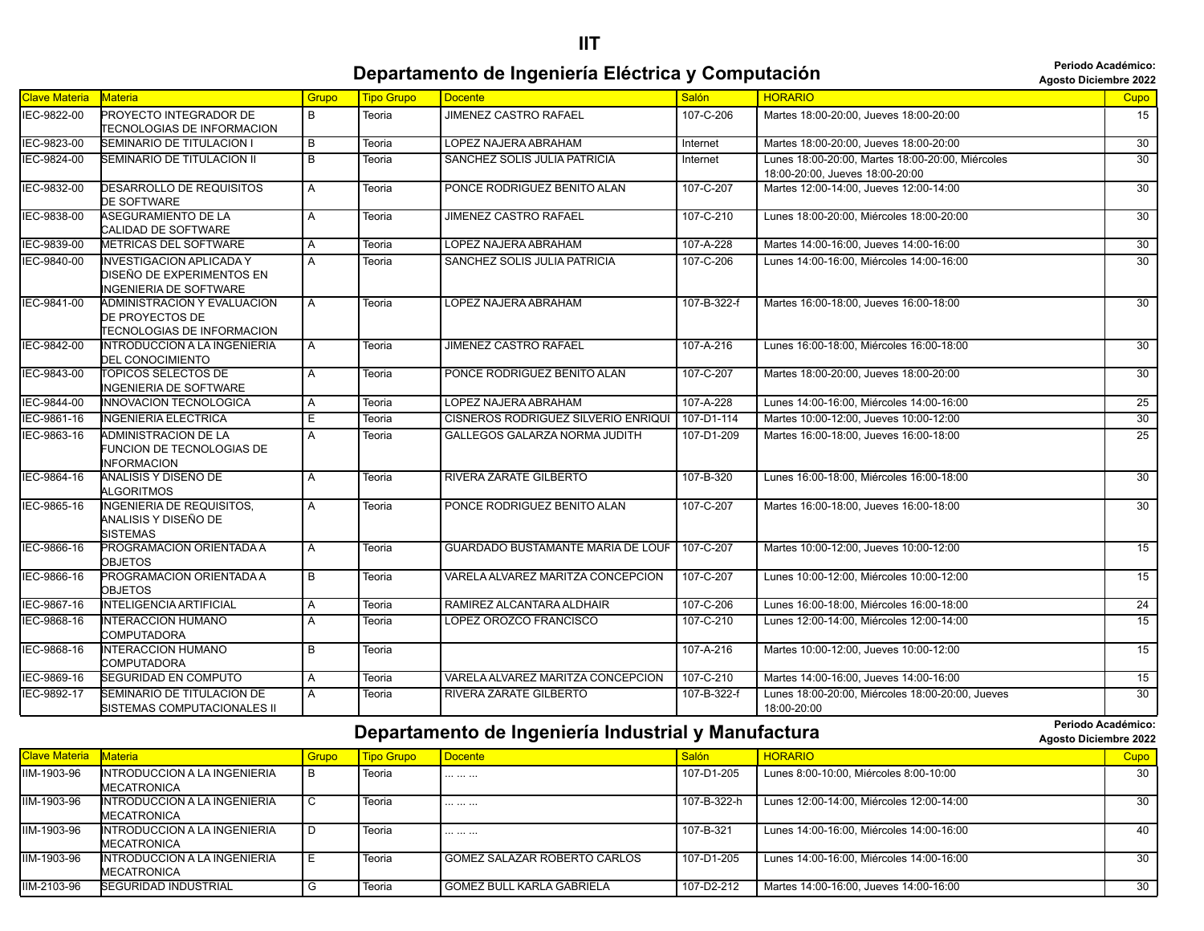#### **IIT**

#### **Departamento de Ingeniería Eléctrica y Computación agosto Diciembre 2022 Periodo Académico:**

**Periodo Académico:**

|                      |                                                                                        |                |            |                                     |             |                                                                                     | AGOSLO DICIENIDIE ZUZZ |
|----------------------|----------------------------------------------------------------------------------------|----------------|------------|-------------------------------------|-------------|-------------------------------------------------------------------------------------|------------------------|
| <b>Clave Materia</b> | <b>Materia</b>                                                                         | Grupo          | Tipo Grupo | <b>Docente</b>                      | Salón       | <b>HORARIO</b>                                                                      | Cupo                   |
| IEC-9822-00          | PROYECTO INTEGRADOR DE<br><b>TECNOLOGIAS DE INFORMACION</b>                            | B              | Teoria     | <b>JIMENEZ CASTRO RAFAEL</b>        | 107-C-206   | Martes 18:00-20:00, Jueves 18:00-20:00                                              | 15                     |
| IEC-9823-00          | SEMINARIO DE TITULACION I                                                              | B              | Teoria     | LOPEZ NAJERA ABRAHAM                | Internet    | Martes 18:00-20:00. Jueves 18:00-20:00                                              | $\overline{30}$        |
| IEC-9824-00          | SEMINARIO DE TITULACION II                                                             | B              | Teoria     | SANCHEZ SOLIS JULIA PATRICIA        | Internet    | Lunes 18:00-20:00. Martes 18:00-20:00. Miércoles<br>18:00-20:00, Jueves 18:00-20:00 | $\overline{30}$        |
| IEC-9832-00          | <b>DESARROLLO DE REQUISITOS</b><br><b>DE SOFTWARE</b>                                  | A              | Teoria     | PONCE RODRIGUEZ BENITO ALAN         | 107-C-207   | Martes 12:00-14:00, Jueves 12:00-14:00                                              | 30                     |
| IEC-9838-00          | <b>ASEGURAMIENTO DE LA</b><br>CALIDAD DE SOFTWARE                                      | A              | Teoria     | <b>JIMENEZ CASTRO RAFAEL</b>        | 107-C-210   | Lunes 18:00-20:00, Miércoles 18:00-20:00                                            | $\overline{30}$        |
| IEC-9839-00          | <b>METRICAS DEL SOFTWARE</b>                                                           | A              | Teoria     | LOPEZ NAJERA ABRAHAM                | 107-A-228   | Martes 14:00-16:00, Jueves 14:00-16:00                                              | $\overline{30}$        |
| IEC-9840-00          | <b>INVESTIGACION APLICADA Y</b><br>DISEÑO DE EXPERIMENTOS EN<br>INGENIERIA DE SOFTWARE | A              | Teoria     | SANCHEZ SOLIS JULIA PATRICIA        | 107-C-206   | Lunes 14:00-16:00, Miércoles 14:00-16:00                                            | $\overline{30}$        |
| IEC-9841-00          | ADMINISTRACION Y EVALUACION<br>DE PROYECTOS DE<br>TECNOLOGIAS DE INFORMACION           | A              | Teoria     | LOPEZ NAJERA ABRAHAM                | 107-B-322-f | Martes 16:00-18:00, Jueves 16:00-18:00                                              | $\overline{30}$        |
| IEC-9842-00          | INTRODUCCION A LA INGENIERIA<br><b>DEL CONOCIMIENTO</b>                                | Α              | Teoria     | <b>JIMENEZ CASTRO RAFAEL</b>        | 107-A-216   | Lunes 16:00-18:00, Miércoles 16:00-18:00                                            | $\overline{30}$        |
| IEC-9843-00          | TOPICOS SELECTOS DE<br>NGENIERIA DE SOFTWARE                                           | A              | Teoria     | PONCE RODRIGUEZ BENITO ALAN         | 107-C-207   | Martes 18:00-20:00, Jueves 18:00-20:00                                              | 30                     |
| IEC-9844-00          | INNOVACION TECNOLOGICA                                                                 | A              | Teoria     | LOPEZ NAJERA ABRAHAM                | 107-A-228   | Lunes 14:00-16:00, Miércoles 14:00-16:00                                            | 25                     |
| IEC-9861-16          | <b>NGENIERIA ELECTRICA</b>                                                             | Έ              | Teoria     | CISNEROS RODRIGUEZ SILVERIO ENRIQUI | 107-D1-114  | Martes 10:00-12:00, Jueves 10:00-12:00                                              | 30                     |
| IEC-9863-16          | ADMINISTRACION DE LA<br>FUNCION DE TECNOLOGIAS DE<br><b>INFORMACION</b>                | A              | Teoria     | GALLEGOS GALARZA NORMA JUDITH       | 107-D1-209  | Martes 16:00-18:00, Jueves 16:00-18:00                                              | 25                     |
| IEC-9864-16          | ANALISIS Y DISEÑO DE<br><b>ALGORITMOS</b>                                              | Α              | Teoria     | RIVERA ZARATE GILBERTO              | 107-B-320   | Lunes 16:00-18:00, Miércoles 16:00-18:00                                            | 30                     |
| IEC-9865-16          | <b>INGENIERIA DE REQUISITOS.</b><br>ANALISIS Y DISEÑO DE<br><b>SISTEMAS</b>            | $\overline{A}$ | Teoria     | PONCE RODRIGUEZ BENITO ALAN         | 107-C-207   | Martes 16:00-18:00, Jueves 16:00-18:00                                              | $\overline{30}$        |
| IEC-9866-16          | PROGRAMACION ORIENTADA A<br><b>OBJETOS</b>                                             | A              | Teoria     | GUARDADO BUSTAMANTE MARIA DE LOUF   | 107-C-207   | Martes 10:00-12:00, Jueves 10:00-12:00                                              | 15                     |
| IEC-9866-16          | PROGRAMACION ORIENTADA A<br><b>OBJETOS</b>                                             | $\overline{B}$ | Teoria     | VARELA ALVAREZ MARITZA CONCEPCION   | 107-C-207   | Lunes 10:00-12:00, Miércoles 10:00-12:00                                            | 15                     |
| IEC-9867-16          | <b>INTELIGENCIA ARTIFICIAL</b>                                                         | A              | Teoria     | RAMIREZ ALCANTARA ALDHAIR           | 107-C-206   | Lunes 16:00-18:00. Miércoles 16:00-18:00                                            | 24                     |
| IEC-9868-16          | <b>INTERACCION HUMANO</b><br>COMPUTADORA                                               | A              | Teoria     | LOPEZ OROZCO FRANCISCO              | 107-C-210   | Lunes 12:00-14:00, Miércoles 12:00-14:00                                            | 15                     |
| IEC-9868-16          | <b>INTERACCION HUMANO</b><br>COMPUTADORA                                               | $\overline{B}$ | Teoria     |                                     | 107-A-216   | Martes 10:00-12:00, Jueves 10:00-12:00                                              | 15                     |
| IEC-9869-16          | <b>SEGURIDAD EN COMPUTO</b>                                                            | A              | Teoria     | VARELA ALVAREZ MARITZA CONCEPCION   | 107-C-210   | Martes 14:00-16:00. Jueves 14:00-16:00                                              | 15                     |
| IEC-9892-17          | SEMINARIO DE TITULACION DE<br>SISTEMAS COMPUTACIONALES II                              | A              | Teoria     | RIVERA ZARATE GILBERTO              | 107-B-322-f | Lunes 18:00-20:00, Miércoles 18:00-20:00, Jueves<br>18:00-20:00                     | 30                     |

#### **Departamento de Ingeniería Industrial y Manufactura agosto Diciembre 2022 Periodo Académico:**

| Clave Materia Materia |                                                    | Grupo | <b>Tipo Grupo</b> | Docente                             | Salón       | <b>HORARIO</b>                           | Cupo |
|-----------------------|----------------------------------------------------|-------|-------------------|-------------------------------------|-------------|------------------------------------------|------|
| IIM-1903-96           | INTRODUCCION A LA INGENIERIA<br><b>MECATRONICA</b> |       | Teoria            |                                     | 107-D1-205  | Lunes 8:00-10:00. Miércoles 8:00-10:00   | 30   |
| IIM-1903-96           | INTRODUCCION A LA INGENIERIA<br><b>MECATRONICA</b> |       | Teoria            |                                     | 107-B-322-h | Lunes 12:00-14:00, Miércoles 12:00-14:00 | 30   |
| IIM-1903-96           | INTRODUCCION A LA INGENIERIA<br>MECATRONICA        |       | Teoria            |                                     | 107-B-321   | Lunes 14:00-16:00, Miércoles 14:00-16:00 | 40   |
| IIM-1903-96           | INTRODUCCION A LA INGENIERIA<br>MECATRONICA        |       | Teoria            | <b>GOMEZ SALAZAR ROBERTO CARLOS</b> | 107-D1-205  | Lunes 14:00-16:00, Miércoles 14:00-16:00 | 30   |
| IIM-2103-96           | <b>SEGURIDAD INDUSTRIAL</b>                        |       | Teoria            | l GOMEZ BULL KARLA GABRIELA         | 107-D2-212  | Martes 14:00-16:00, Jueves 14:00-16:00   | 30   |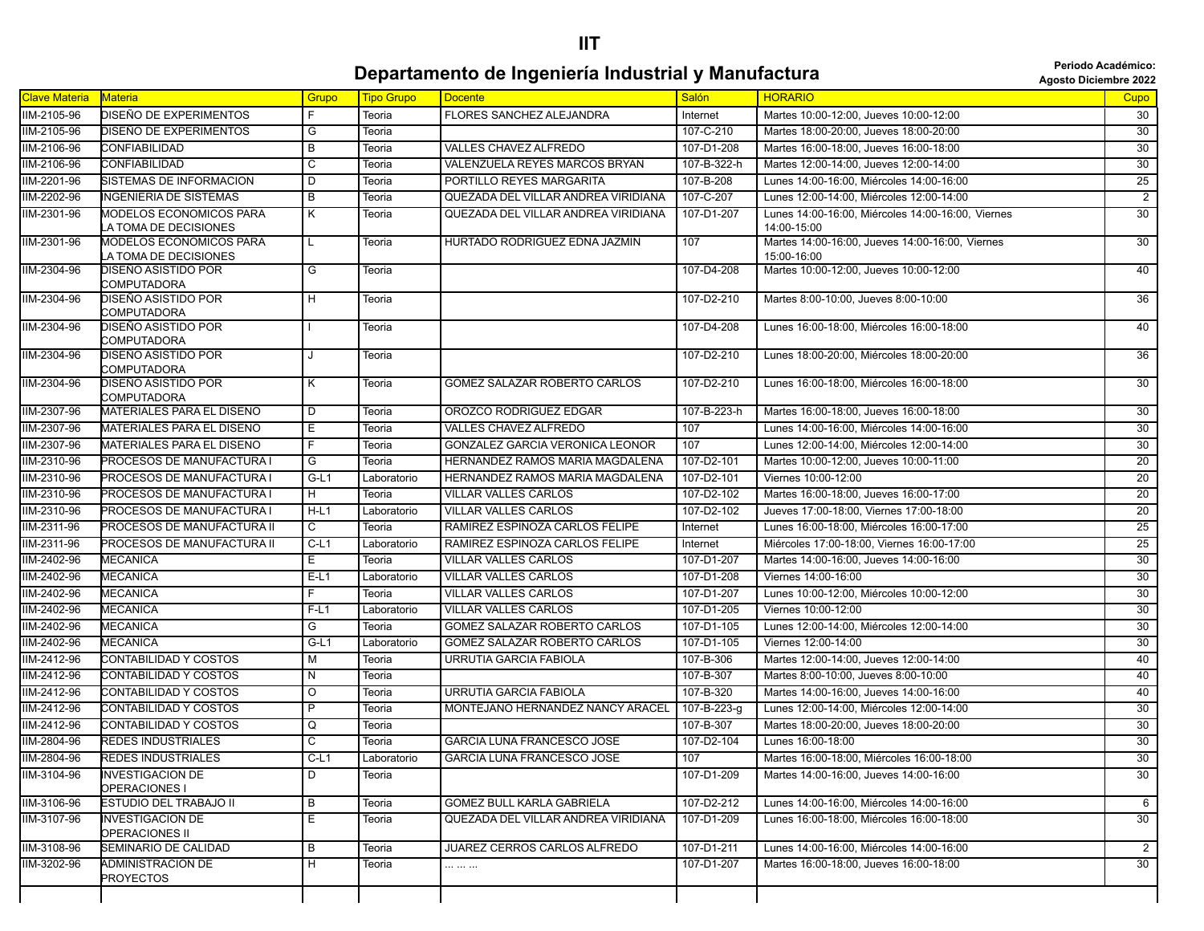#### **IIT**

#### **Departamento de Ingeniería Industrial y Manufactura adolescripa de la periode Académico: Departamento de Ingeniería Industrial y Manufactura**

|                      |                                                  |                |                   |                                        |              |                                                                | <b>ANOVA PRIMINIA FATE</b> |
|----------------------|--------------------------------------------------|----------------|-------------------|----------------------------------------|--------------|----------------------------------------------------------------|----------------------------|
| <b>Clave Materia</b> | Materia                                          | Grupo          | <b>Tipo Grupo</b> | <b>Docente</b>                         | <b>Salón</b> | <b>HORARIO</b>                                                 | <b>Cupo</b>                |
| IIM-2105-96          | DISEÑO DE EXPERIMENTOS                           | E              | Teoria            | FLORES SANCHEZ ALEJANDRA               | Internet     | Martes 10:00-12:00, Jueves 10:00-12:00                         | 30                         |
| IIM-2105-96          | DISEÑO DE EXPERIMENTOS                           | G              | Teoria            |                                        | 107-C-210    | Martes 18:00-20:00, Jueves 18:00-20:00                         | 30                         |
| IIM-2106-96          | CONFIABILIDAD                                    | В              | Teoria            | <b>VALLES CHAVEZ ALFREDO</b>           | 107-D1-208   | Martes 16:00-18:00, Jueves 16:00-18:00                         | 30                         |
| IIM-2106-96          | CONFIABILIDAD                                    | $\overline{c}$ | Teoria            | VALENZUELA REYES MARCOS BRYAN          | 107-B-322-h  | Martes 12:00-14:00, Jueves 12:00-14:00                         | 30                         |
| IIM-2201-96          | SISTEMAS DE INFORMACION                          | D              | Teoria            | PORTILLO REYES MARGARITA               | 107-B-208    | Lunes 14:00-16:00, Miércoles 14:00-16:00                       | $\overline{25}$            |
| IIM-2202-96          | <b>NGENIERIA DE SISTEMAS</b>                     | В              | Teoria            | QUEZADA DEL VILLAR ANDREA VIRIDIANA    | 107-C-207    | Lunes 12:00-14:00, Miércoles 12:00-14:00                       | $\overline{2}$             |
| IIM-2301-96          | MODELOS ECONOMICOS PARA                          | Κ              | Teoria            | QUEZADA DEL VILLAR ANDREA VIRIDIANA    | 107-D1-207   | Lunes 14:00-16:00, Miércoles 14:00-16:00, Viernes              | $\overline{30}$            |
|                      | A TOMA DE DECISIONES                             |                |                   |                                        |              | 14:00-15:00                                                    |                            |
| IIM-2301-96          | MODELOS ECONOMICOS PARA<br>A TOMA DE DECISIONES  | L              | Teoria            | HURTADO RODRIGUEZ EDNA JAZMIN          | 107          | Martes 14:00-16:00, Jueves 14:00-16:00, Viernes<br>15:00-16:00 | 30                         |
| IIM-2304-96          | DISEÑO ASISTIDO POR<br>COMPUTADORA               | G              | Teoria            |                                        | 107-D4-208   | Martes 10:00-12:00, Jueves 10:00-12:00                         | 40                         |
| IIM-2304-96          | DISEÑO ASISTIDO POR<br>COMPUTADORA               | H              | Teoria            |                                        | 107-D2-210   | Martes 8:00-10:00, Jueves 8:00-10:00                           | 36                         |
| IIM-2304-96          | DISEÑO ASISTIDO POR<br>COMPUTADORA               |                | Teoria            |                                        | 107-D4-208   | Lunes 16:00-18:00, Miércoles 16:00-18:00                       | 40                         |
| IIM-2304-96          | DISEÑO ASISTIDO POR<br><b>COMPUTADORA</b>        | J              | Teoria            |                                        | 107-D2-210   | Lunes 18:00-20:00, Miércoles 18:00-20:00                       | $\overline{36}$            |
| IIM-2304-96          | DISEÑO ASISTIDO POR<br>COMPUTADORA               | K              | Teoria            | GOMEZ SALAZAR ROBERTO CARLOS           | 107-D2-210   | Lunes 16:00-18:00, Miércoles 16:00-18:00                       | 30                         |
| IIM-2307-96          | MATERIALES PARA EL DISENO                        | D              | Teoria            | OROZCO RODRIGUEZ EDGAR                 | 107-B-223-h  | Martes 16:00-18:00, Jueves 16:00-18:00                         | 30                         |
| IIM-2307-96          | MATERIALES PARA EL DISENO                        | Е              | Teoria            | <b>VALLES CHAVEZ ALFREDO</b>           | 107          | Lunes 14:00-16:00, Miércoles 14:00-16:00                       | 30                         |
| IIM-2307-96          | MATERIALES PARA EL DISENO                        | F              | Teoria            | <b>GONZALEZ GARCIA VERONICA LEONOR</b> | 107          | Lunes 12:00-14:00. Miércoles 12:00-14:00                       | 30                         |
| IIM-2310-96          | PROCESOS DE MANUFACTURA I                        | $\overline{G}$ | Teoria            | <b>HERNANDEZ RAMOS MARIA MAGDALENA</b> | 107-D2-101   | Martes 10:00-12:00, Jueves 10:00-11:00                         | $\overline{20}$            |
| IIM-2310-96          | PROCESOS DE MANUFACTURA I                        | $G-L1$         | Laboratorio       | <b>HERNANDEZ RAMOS MARIA MAGDALENA</b> | 107-D2-101   | Viernes 10:00-12:00                                            | $\overline{20}$            |
| IIM-2310-96          | PROCESOS DE MANUFACTURA I                        | H              | Teoria            | <b>VILLAR VALLES CARLOS</b>            | 107-D2-102   | Martes 16:00-18:00, Jueves 16:00-17:00                         | $\overline{20}$            |
| IIM-2310-96          | PROCESOS DE MANUFACTURA I                        | $H-L1$         | Laboratorio       | <b>VILLAR VALLES CARLOS</b>            | 107-D2-102   | Jueves 17:00-18:00, Viernes 17:00-18:00                        | 20                         |
| IIM-2311-96          | PROCESOS DE MANUFACTURA II                       | C              | Teoria            | RAMIREZ ESPINOZA CARLOS FELIPE         | Internet     | Lunes 16:00-18:00, Miércoles 16:00-17:00                       | 25                         |
| IIM-2311-96          | PROCESOS DE MANUFACTURA II                       | $C-L1$         | Laboratorio       | RAMIREZ ESPINOZA CARLOS FELIPE         | Internet     | Miércoles 17:00-18:00, Viernes 16:00-17:00                     | 25                         |
| IIM-2402-96          | <b>MECANICA</b>                                  | E.             | Teoria            | <b>VILLAR VALLES CARLOS</b>            | 107-D1-207   | Martes 14:00-16:00, Jueves 14:00-16:00                         | 30                         |
| IIM-2402-96          | <b>MECANICA</b>                                  | $E-L1$         | Laboratorio       | <b>VILLAR VALLES CARLOS</b>            | 107-D1-208   | Viernes 14:00-16:00                                            | 30                         |
| IIM-2402-96          | <b>MECANICA</b>                                  | $\overline{F}$ | Teoria            | <b>VILLAR VALLES CARLOS</b>            | 107-D1-207   | Lunes 10:00-12:00, Miércoles 10:00-12:00                       | 30                         |
| IIM-2402-96          | <b>MECANICA</b>                                  | $F-L1$         | Laboratorio       | <b>VILLAR VALLES CARLOS</b>            | 107-D1-205   | Viernes 10:00-12:00                                            | 30                         |
| IIM-2402-96          | <b>MECANICA</b>                                  | G              | Teoria            | GOMEZ SALAZAR ROBERTO CARLOS           | 107-D1-105   | Lunes 12:00-14:00, Miércoles 12:00-14:00                       | 30                         |
| IIM-2402-96          | <b>MECANICA</b>                                  | $G-L1$         | Laboratorio       | GOMEZ SALAZAR ROBERTO CARLOS           | 107-D1-105   | Viernes 12:00-14:00                                            | 30                         |
| IIM-2412-96          | CONTABILIDAD Y COSTOS                            | м              | Teoria            | <b>URRUTIA GARCIA FABIOLA</b>          | 107-B-306    | Martes 12:00-14:00, Jueves 12:00-14:00                         | 40                         |
| IIM-2412-96          | CONTABILIDAD Y COSTOS                            | N              | Teoria            |                                        | 107-B-307    | Martes 8:00-10:00, Jueves 8:00-10:00                           | 40                         |
| IIM-2412-96          | <b>CONTABILIDAD Y COSTOS</b>                     | O              | Teoria            | <b>URRUTIA GARCIA FABIOLA</b>          | 107-B-320    | Martes 14:00-16:00, Jueves 14:00-16:00                         | 40                         |
| IIM-2412-96          | CONTABILIDAD Y COSTOS                            | P              | Teoria            | MONTEJANO HERNANDEZ NANCY ARACEL       | 107-B-223-g  | Lunes 12:00-14:00, Miércoles 12:00-14:00                       | $\overline{30}$            |
| IIM-2412-96          | CONTABILIDAD Y COSTOS                            | Q              | Teoria            |                                        | 107-B-307    | Martes 18:00-20:00, Jueves 18:00-20:00                         | 30                         |
| IIM-2804-96          | REDES INDUSTRIALES                               | C              | Teoria            | GARCIA LUNA FRANCESCO JOSE             | 107-D2-104   | Lunes 16:00-18:00                                              | 30                         |
| IIM-2804-96          | REDES INDUSTRIALES                               | $C-L1$         | Laboratorio       | <b>GARCIA LUNA FRANCESCO JOSE</b>      | 107          | Martes 16:00-18:00, Miércoles 16:00-18:00                      | $\overline{30}$            |
| IIM-3104-96          | <b>INVESTIGACION DE</b><br><b>OPERACIONES I</b>  | D              | Teoria            |                                        | 107-D1-209   | Martes 14:00-16:00, Jueves 14:00-16:00                         | 30                         |
| IIM-3106-96          | <b>ESTUDIO DEL TRABAJO II</b>                    | $\overline{B}$ | Teoria            | <b>GOMEZ BULL KARLA GABRIELA</b>       | 107-D2-212   | Lunes 14:00-16:00, Miércoles 14:00-16:00                       | 6                          |
| IIM-3107-96          | <b>INVESTIGACION DE</b><br><b>OPERACIONES II</b> | Έ              | Teoria            | QUEZADA DEL VILLAR ANDREA VIRIDIANA    | 107-D1-209   | Lunes 16:00-18:00, Miércoles 16:00-18:00                       | 30                         |
|                      | SEMINARIO DE CALIDAD                             | В              | Teoria            | JUAREZ CERROS CARLOS ALFREDO           | 107-D1-211   | Lunes 14:00-16:00, Miércoles 14:00-16:00                       | $\overline{2}$             |
| IIM-3108-96          |                                                  |                |                   |                                        |              |                                                                | $\overline{30}$            |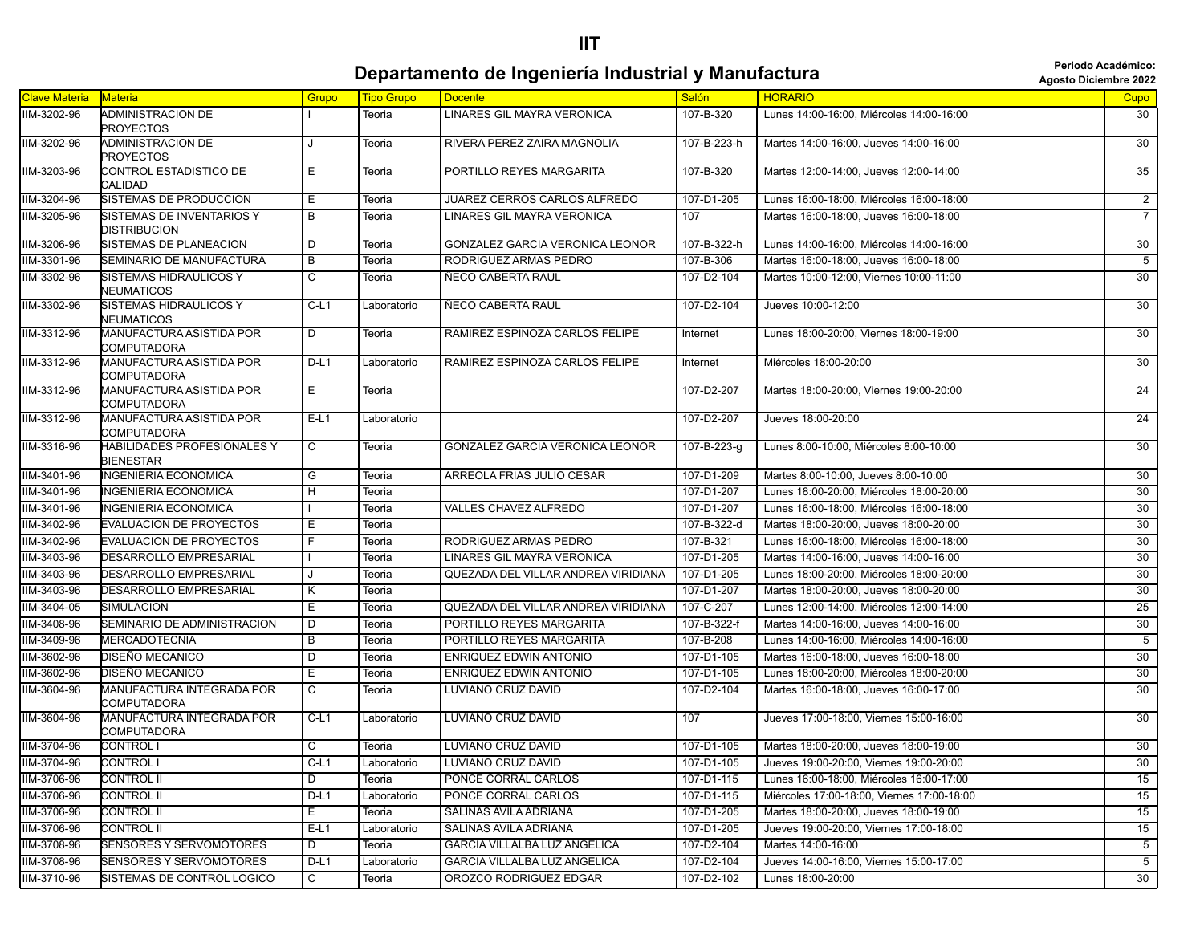## **Departamento de Ingeniería Industrial y Manufactura agosto Diciembre 2022 Periodo Académico:**

| Clave Materia | <b>Materia</b>                                  | Grupo          | <b>Tipo Grupo</b> | <b>Docente</b>                      | <b>Salón</b> | <b>HORARIO</b>                             | <b>Cupo</b>     |
|---------------|-------------------------------------------------|----------------|-------------------|-------------------------------------|--------------|--------------------------------------------|-----------------|
| IIM-3202-96   | ADMINISTRACION DE<br>PROYECTOS                  |                | Teoria            | <b>LINARES GIL MAYRA VERONICA</b>   | 107-B-320    | Lunes 14:00-16:00, Miércoles 14:00-16:00   | 30              |
| IIM-3202-96   | ADMINISTRACION DE<br>PROYECTOS                  |                | Teoria            | RIVERA PEREZ ZAIRA MAGNOLIA         | 107-B-223-h  | Martes 14:00-16:00, Jueves 14:00-16:00     | 30              |
| IIM-3203-96   | <b>CONTROL ESTADISTICO DE</b><br>CALIDAD        | Е              | Teoria            | PORTILLO REYES MARGARITA            | 107-B-320    | Martes 12:00-14:00, Jueves 12:00-14:00     | $\overline{35}$ |
| IIM-3204-96   | SISTEMAS DE PRODUCCION                          | Ε              | Teoria            | JUAREZ CERROS CARLOS ALFREDO        | 107-D1-205   | Lunes 16:00-18:00, Miércoles 16:00-18:00   | $\overline{2}$  |
| IIM-3205-96   | SISTEMAS DE INVENTARIOS Y<br>DISTRIBUCION       | B              | Teoria            | LINARES GIL MAYRA VERONICA          | 107          | Martes 16:00-18:00, Jueves 16:00-18:00     | $\overline{7}$  |
| IIM-3206-96   | SISTEMAS DE PLANEACION                          | D              | Teoria            | GONZALEZ GARCIA VERONICA LEONOR     | 107-B-322-h  | Lunes 14:00-16:00, Miércoles 14:00-16:00   | 30              |
| IIM-3301-96   | SEMINARIO DE MANUFACTURA                        | B              | Teoria            | RODRIGUEZ ARMAS PEDRO               | 107-B-306    | Martes 16:00-18:00, Jueves 16:00-18:00     | $\overline{5}$  |
| IIM-3302-96   | SISTEMAS HIDRAULICOS Y<br>NEUMATICOS            | C              | Teoria            | ÑECO CABERTA RAUL                   | 107-D2-104   | Martes 10:00-12:00, Viernes 10:00-11:00    | 30              |
| IIM-3302-96   | SISTEMAS HIDRAULICOS Y<br>NEUMATICOS            | $C-L1$         | Laboratorio       | ÑECO CABERTA RAUL                   | 107-D2-104   | Jueves 10:00-12:00                         | $\overline{30}$ |
| IIM-3312-96   | MANUFACTURA ASISTIDA POR<br>COMPUTADORA         | D              | Teoria            | RAMIREZ ESPINOZA CARLOS FELIPE      | Internet     | Lunes 18:00-20:00, Viernes 18:00-19:00     | 30              |
| IIM-3312-96   | <b>MANUFACTURA ASISTIDA POR</b><br>COMPUTADORA  | $D-L1$         | Laboratorio       | RAMIREZ ESPINOZA CARLOS FELIPE      | Internet     | Miércoles 18:00-20:00                      | $\overline{30}$ |
| IIM-3312-96   | MANUFACTURA ASISTIDA POR<br>COMPUTADORA         | E.             | Teoria            |                                     | 107-D2-207   | Martes 18:00-20:00, Viernes 19:00-20:00    | 24              |
| IIM-3312-96   | <b>MANUFACTURA ASISTIDA POR</b><br>COMPUTADORA  | $E-L1$         | Laboratorio       |                                     | 107-D2-207   | Jueves 18:00-20:00                         | $\overline{24}$ |
| IIM-3316-96   | HABILIDADES PROFESIONALES Y<br><b>BIENESTAR</b> | $\overline{C}$ | Teoria            | GONZALEZ GARCIA VERONICA LEONOR     | 107-B-223-g  | Lunes 8:00-10:00, Miércoles 8:00-10:00     | $\overline{30}$ |
| IIM-3401-96   | INGENIERIA ECONOMICA                            | G              | Teoria            | ARREOLA FRIAS JULIO CESAR           | 107-D1-209   | Martes 8:00-10:00, Jueves 8:00-10:00       | 30              |
| IIM-3401-96   | INGENIERIA ECONOMICA                            | H              | Teoria            |                                     | 107-D1-207   | Lunes 18:00-20:00, Miércoles 18:00-20:00   | 30              |
| IIM-3401-96   | <b>INGENIERIA ECONOMICA</b>                     |                | Teoria            | VALLES CHAVEZ ALFREDO               | 107-D1-207   | Lunes 16:00-18:00, Miércoles 16:00-18:00   | 30              |
| IIM-3402-96   | <b>EVALUACION DE PROYECTOS</b>                  | Е              | Teoria            |                                     | 107-B-322-d  | Martes 18:00-20:00, Jueves 18:00-20:00     | 30              |
| IIM-3402-96   | <b>EVALUACION DE PROYECTOS</b>                  | F.             | Teoria            | RODRIGUEZ ARMAS PEDRO               | 107-B-321    | Lunes 16:00-18:00, Miércoles 16:00-18:00   | 30              |
| IIM-3403-96   | DESARROLLO EMPRESARIAL                          |                | Teoria            | LINARES GIL MAYRA VERONICA          | 107-D1-205   | Martes 14:00-16:00, Jueves 14:00-16:00     | 30              |
| IIM-3403-96   | DESARROLLO EMPRESARIAL                          |                | Teoria            | QUEZADA DEL VILLAR ANDREA VIRIDIANA | 107-D1-205   | Lunes 18:00-20:00, Miércoles 18:00-20:00   | 30              |
| IIM-3403-96   | DESARROLLO EMPRESARIAL                          | K              | Teoria            |                                     | 107-D1-207   | Martes 18:00-20:00, Jueves 18:00-20:00     | 30              |
| IIM-3404-05   | SIMULACION                                      | Ε              | Teoria            | QUEZADA DEL VILLAR ANDREA VIRIDIANA | 107-C-207    | Lunes 12:00-14:00, Miércoles 12:00-14:00   | 25              |
| IIM-3408-96   | SEMINARIO DE ADMINISTRACION                     | D              | Teoria            | PORTILLO REYES MARGARITA            | 107-B-322-f  | Martes 14:00-16:00, Jueves 14:00-16:00     | 30              |
| IIM-3409-96   | <b>MERCADOTECNIA</b>                            | В              | Teoria            | PORTILLO REYES MARGARITA            | 107-B-208    | Lunes 14:00-16:00, Miércoles 14:00-16:00   | $5\overline{)}$ |
| IIM-3602-96   | DISEÑO MECANICO                                 | D              | Teoria            | ENRIQUEZ EDWIN ANTONIO              | 107-D1-105   | Martes 16:00-18:00, Jueves 16:00-18:00     | 30              |
| IIM-3602-96   | DISEÑO MECANICO                                 | Е              | Teoria            | ENRIQUEZ EDWIN ANTONIO              | 107-D1-105   | Lunes 18:00-20:00. Miércoles 18:00-20:00   | 30              |
| IIM-3604-96   | MANUFACTURA INTEGRADA POR<br>COMPUTADORA        | C              | Teoria            | LUVIANO CRUZ DAVID                  | 107-D2-104   | Martes 16:00-18:00, Jueves 16:00-17:00     | 30              |
| IIM-3604-96   | <b>MANUFACTURA INTEGRADA POR</b><br>COMPUTADORA | $C-L1$         | Laboratorio       | LUVIANO CRUZ DAVID                  | 107          | Jueves 17:00-18:00, Viernes 15:00-16:00    | 30              |
| IIM-3704-96   | CONTROL I                                       | C              | Teoria            | LUVIANO CRUZ DAVID                  | 107-D1-105   | Martes 18:00-20:00, Jueves 18:00-19:00     | 30              |
| IIM-3704-96   | <b>CONTROLI</b>                                 | $C-L1$         | Laboratorio       | LUVIANO CRUZ DAVID                  | 107-D1-105   | Jueves 19:00-20:00, Viernes 19:00-20:00    | 30              |
| IIM-3706-96   | CONTROL II                                      | D              | Teoria            | PONCE CORRAL CARLOS                 | 107-D1-115   | Lunes 16:00-18:00, Miércoles 16:00-17:00   | 15              |
| IIM-3706-96   | CONTROL II                                      | $D-L1$         | Laboratorio       | PONCE CORRAL CARLOS                 | 107-D1-115   | Miércoles 17:00-18:00, Viernes 17:00-18:00 | 15              |
| IIM-3706-96   | CONTROL II                                      | E.             | Teoria            | SALINAS AVILA ADRIANA               | 107-D1-205   | Martes 18:00-20:00, Jueves 18:00-19:00     | 15              |
| IIM-3706-96   | CONTROL II                                      | $E-L1$         | Laboratorio       | SALINAS AVILA ADRIANA               | 107-D1-205   | Jueves 19:00-20:00, Viernes 17:00-18:00    | 15              |
| IIM-3708-96   | SENSORES Y SERVOMOTORES                         | D              | Teoria            | <b>GARCIA VILLALBA LUZ ANGELICA</b> | 107-D2-104   | Martes 14:00-16:00                         | $5\overline{)}$ |
| IIM-3708-96   | <b>SENSORES Y SERVOMOTORES</b>                  | $D-L1$         | Laboratorio       | GARCIA VILLALBA LUZ ANGELICA        | 107-D2-104   | Jueves 14:00-16:00. Viernes 15:00-17:00    | 5               |
| IIM-3710-96   | SISTEMAS DE CONTROL LOGICO                      | С              | Teoria            | OROZCO RODRIGUEZ EDGAR              | 107-D2-102   | Lunes 18:00-20:00                          | 30              |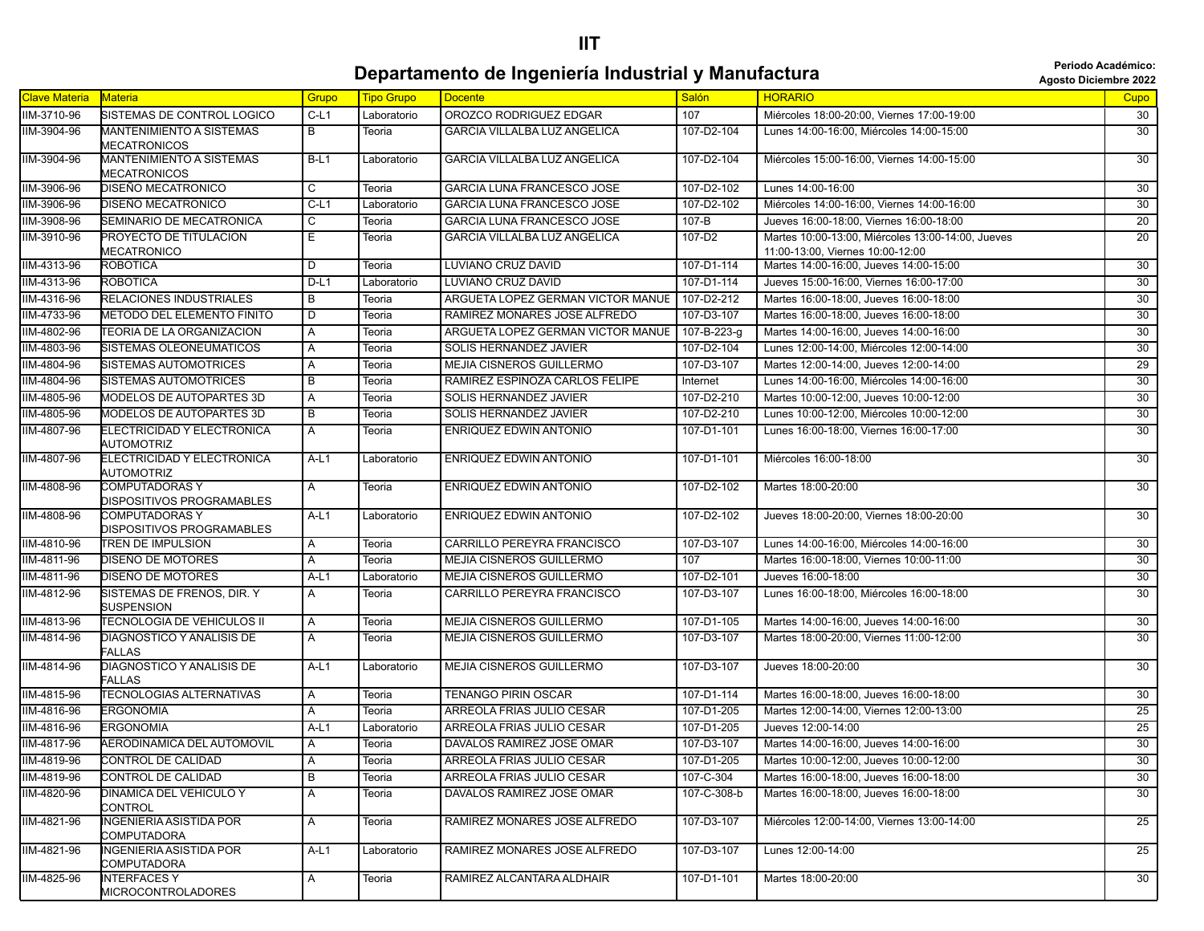#### **IIT**

## **Departamento de Ingeniería Industrial y Manufactura agosto Diciembre 2022 Periodo Académico:**

| <b>Clave Materia</b> | <b>Materia</b>                                       | Grupo  | <b>Tipo Grupo</b> | <b>Docente</b>                      | <b>Salón</b> | <b>HORARIO</b>                                                                        | Cupo            |
|----------------------|------------------------------------------------------|--------|-------------------|-------------------------------------|--------------|---------------------------------------------------------------------------------------|-----------------|
| IIM-3710-96          | SISTEMAS DE CONTROL LOGICO                           | $C-L1$ | Laboratorio       | OROZCO RODRIGUEZ EDGAR              | 107          | Miércoles 18:00-20:00, Viernes 17:00-19:00                                            | 30              |
| IIM-3904-96          | <b>MANTENIMIENTO A SISTEMAS</b><br>MECATRONICOS      | В      | Teoria            | GARCIA VILLALBA LUZ ANGELICA        | 107-D2-104   | Lunes 14:00-16:00, Miércoles 14:00-15:00                                              | 30              |
| IIM-3904-96          | <b>MANTENIMIENTO A SISTEMAS</b><br>MECATRONICOS      | $B-L1$ | Laboratorio       | <b>GARCIA VILLALBA LUZ ANGELICA</b> | 107-D2-104   | Miércoles 15:00-16:00, Viernes 14:00-15:00                                            | 30              |
| IIM-3906-96          | DISEÑO MECATRONICO                                   | С      | Teoria            | GARCIA LUNA FRANCESCO JOSE          | 107-D2-102   | Lunes 14:00-16:00                                                                     | 30              |
| IIM-3906-96          | DISEÑO MECATRONICO                                   | $C-L1$ | Laboratorio       | GARCIA LUNA FRANCESCO JOSE          | 107-D2-102   | Miércoles 14:00-16:00, Viernes 14:00-16:00                                            | $\overline{30}$ |
| IIM-3908-96          | SEMINARIO DE MECATRONICA                             | C      | Teoria            | GARCIA LUNA FRANCESCO JOSE          | 107-B        | Jueves 16:00-18:00, Viernes 16:00-18:00                                               | 20              |
| IIM-3910-96          | PROYECTO DE TITULACION<br>MECATRONICO                | Ε      | Teoria            | GARCIA VILLALBA LUZ ANGELICA        | 107-D2       | Martes 10:00-13:00, Miércoles 13:00-14:00, Jueves<br>11:00-13:00, Viernes 10:00-12:00 | $\overline{20}$ |
| IIM-4313-96          | ROBOTICA                                             | D      | Teoria            | LUVIANO CRUZ DAVID                  | 107-D1-114   | Martes 14:00-16:00, Jueves 14:00-15:00                                                | $\overline{30}$ |
| IIM-4313-96          | <b>ROBOTICA</b>                                      | $D-L1$ | Laboratorio       | LUVIANO CRUZ DAVID                  | 107-D1-114   | Jueves 15:00-16:00, Viernes 16:00-17:00                                               | 30              |
| IIM-4316-96          | RELACIONES INDUSTRIALES                              | В      | Teoria            | ARGUETA LOPEZ GERMAN VICTOR MANUE   | 107-D2-212   | Martes 16:00-18:00, Jueves 16:00-18:00                                                | 30              |
| IIM-4733-96          | METODO DEL ELEMENTO FINITO                           | D      | Teoria            | RAMIREZ MONARES JOSE ALFREDO        | 107-D3-107   | Martes 16:00-18:00, Jueves 16:00-18:00                                                | 30              |
| IIM-4802-96          | TEORIA DE LA ORGANIZACION                            | Α      | Teoria            | ARGUETA LOPEZ GERMAN VICTOR MANUE   | 107-B-223-g  | Martes 14:00-16:00, Jueves 14:00-16:00                                                | 30              |
| IIM-4803-96          | SISTEMAS OLEONEUMATICOS                              | A      | Teoria            | SOLIS HERNANDEZ JAVIER              | 107-D2-104   | Lunes 12:00-14:00, Miércoles 12:00-14:00                                              | 30              |
| IIM-4804-96          | SISTEMAS AUTOMOTRICES                                | Α      | Teoria            | MEJIA CISNEROS GUILLERMO            | 107-D3-107   | Martes 12:00-14:00, Jueves 12:00-14:00                                                | 29              |
| IIM-4804-96          | SISTEMAS AUTOMOTRICES                                | B      | Teoria            | RAMIREZ ESPINOZA CARLOS FELIPE      | Internet     | Lunes 14:00-16:00, Miércoles 14:00-16:00                                              | 30              |
| IIM-4805-96          | <b>MODELOS DE AUTOPARTES 3D</b>                      | Α      | Teoria            | SOLIS HERNANDEZ JAVIER              | 107-D2-210   | Martes 10:00-12:00, Jueves 10:00-12:00                                                | 30              |
| IIM-4805-96          | <b>MODELOS DE AUTOPARTES 3D</b>                      | в      | Teoria            | SOLIS HERNANDEZ JAVIER              | 107-D2-210   | Lunes 10:00-12:00, Miércoles 10:00-12:00                                              | 30              |
| IIM-4807-96          | ELECTRICIDAD Y ELECTRONICA<br>AUTOMOTRIZ             | Α      | Teoria            | <b>ENRIQUEZ EDWIN ANTONIO</b>       | 107-D1-101   | Lunes 16:00-18:00, Viernes 16:00-17:00                                                | 30              |
| IIM-4807-96          | ELECTRICIDAD Y ELECTRONICA<br>AUTOMOTRIZ             | A-L1   | Laboratorio       | ENRIQUEZ EDWIN ANTONIO              | 107-D1-101   | Miércoles 16:00-18:00                                                                 | 30              |
| IIM-4808-96          | COMPUTADORAS Y<br>DISPOSITIVOS PROGRAMABLES          | A      | Teoria            | ENRIQUEZ EDWIN ANTONIO              | 107-D2-102   | Martes 18:00-20:00                                                                    | 30              |
| IIM-4808-96          | COMPUTADORAS Y<br>DISPOSITIVOS PROGRAMABLES          | A-L1   | Laboratorio       | ENRIQUEZ EDWIN ANTONIO              | 107-D2-102   | Jueves 18:00-20:00, Viernes 18:00-20:00                                               | $\overline{30}$ |
| IIM-4810-96          | TREN DE IMPULSION                                    | Α      | Teoria            | CARRILLO PEREYRA FRANCISCO          | 107-D3-107   | Lunes 14:00-16:00, Miércoles 14:00-16:00                                              | 30              |
| IIM-4811-96          | DISEÑO DE MOTORES                                    | A      | Teoria            | MEJIA CISNEROS GUILLERMO            | 107          | Martes 16:00-18:00, Viernes 10:00-11:00                                               | 30              |
| IIM-4811-96          | DISEÑO DE MOTORES                                    | $A-L1$ | Laboratorio       | MEJIA CISNEROS GUILLERMO            | 107-D2-101   | Jueves 16:00-18:00                                                                    | 30              |
| IIM-4812-96          | SISTEMAS DE FRENOS, DIR. Y<br><b>SUSPENSION</b>      | Α      | Teoria            | CARRILLO PEREYRA FRANCISCO          | 107-D3-107   | Lunes 16:00-18:00, Miércoles 16:00-18:00                                              | 30              |
| IIM-4813-96          | TECNOLOGIA DE VEHICULOS II                           | Α      | Teoria            | MEJIA CISNEROS GUILLERMO            | 107-D1-105   | Martes 14:00-16:00, Jueves 14:00-16:00                                                | 30              |
| IIM-4814-96          | DIAGNOSTICO Y ANALISIS DE<br><b>FALLAS</b>           | Α      | Teoria            | <b>MEJIA CISNEROS GUILLERMO</b>     | 107-D3-107   | Martes 18:00-20:00, Viernes 11:00-12:00                                               | $\overline{30}$ |
| IIM-4814-96          | DIAGNOSTICO Y ANALISIS DE<br><b>FALLAS</b>           | A-L1   | Laboratorio       | MEJIA CISNEROS GUILLERMO            | 107-D3-107   | Jueves 18:00-20:00                                                                    | 30              |
| IIM-4815-96          | <b>TECNOLOGIAS ALTERNATIVAS</b>                      | A      | Teoria            | <b>TENANGO PIRIN OSCAR</b>          | 107-D1-114   | Martes 16:00-18:00, Jueves 16:00-18:00                                                | 30              |
| IIM-4816-96          | <b>ERGONOMIA</b>                                     | Α      | Teoria            | ARREOLA FRIAS JULIO CESAR           | 107-D1-205   | Martes 12:00-14:00, Viernes 12:00-13:00                                               | 25              |
| IIM-4816-96          | <b>ERGONOMIA</b>                                     | $A-L1$ | Laboratorio       | ARREOLA FRIAS JULIO CESAR           | 107-D1-205   | Jueves 12:00-14:00                                                                    | $\overline{25}$ |
| IIM-4817-96          | AERODINAMICA DEL AUTOMOVIL                           | Α      | Teoria            | DAVALOS RAMIREZ JOSE OMAR           | 107-D3-107   | Martes 14:00-16:00, Jueves 14:00-16:00                                                | $\overline{30}$ |
| IIM-4819-96          | CONTROL DE CALIDAD                                   | A      | Teoria            | ARREOLA FRIAS JULIO CESAR           | 107-D1-205   | Martes 10:00-12:00, Jueves 10:00-12:00                                                | $\overline{30}$ |
| IIM-4819-96          | <b>CONTROL DE CALIDAD</b>                            | В      | Teoria            | ARREOLA FRIAS JULIO CESAR           | 107-C-304    | Martes 16:00-18:00, Jueves 16:00-18:00                                                | 30              |
| IIM-4820-96          | DINAMICA DEL VEHICULO Y<br>CONTROL                   | A      | Teoria            | DAVALOS RAMIREZ JOSE OMAR           | 107-C-308-b  | Martes 16:00-18:00, Jueves 16:00-18:00                                                | 30              |
| IIM-4821-96          | <b>INGENIERIA ASISTIDA POR</b><br><b>COMPUTADORA</b> | Α      | Teoria            | RAMIREZ MONARES JOSE ALFREDO        | 107-D3-107   | Miércoles 12:00-14:00. Viernes 13:00-14:00                                            | 25              |
| IIM-4821-96          | <b>INGENIERIA ASISTIDA POR</b><br>COMPUTADORA        | $A-L1$ | Laboratorio       | RAMIREZ MONARES JOSE ALFREDO        | 107-D3-107   | Lunes 12:00-14:00                                                                     | 25              |
| IIM-4825-96          | <b>INTERFACESY</b><br>MICROCONTROLADORES             | A      | Teoria            | RAMIREZ ALCANTARA ALDHAIR           | 107-D1-101   | Martes 18:00-20:00                                                                    | 30              |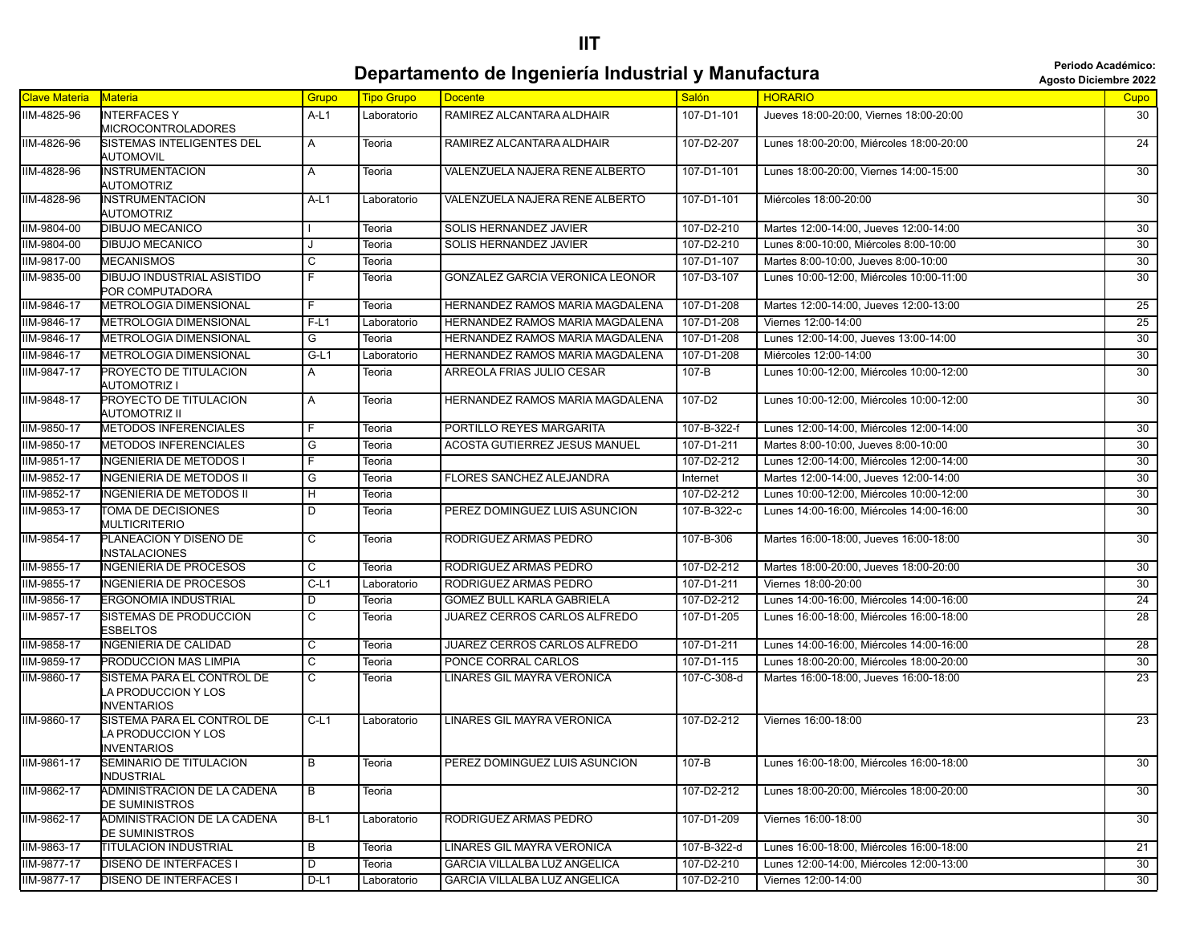#### **IIT**

#### **Departamento de Ingeniería Industrial y Manufactura adolescripa de la periode Académico: Departamento de Ingeniería Industrial y Manufactura**

|                      |                                                                         |                         |                   |                                      |              |                                          | AYUSIU DILICIIIDI E 4044 |
|----------------------|-------------------------------------------------------------------------|-------------------------|-------------------|--------------------------------------|--------------|------------------------------------------|--------------------------|
| <b>Clave Materia</b> | <b>Materia</b>                                                          | Grupo                   | <b>Tipo Grupo</b> | <b>Docente</b>                       | <b>Salón</b> | <b>HORARIO</b>                           | Cupo                     |
| IIM-4825-96          | <b>INTERFACES Y</b><br><b>MICROCONTROLADORES</b>                        | $A-L1$                  | Laboratorio       | RAMIREZ ALCANTARA ALDHAIR            | 107-D1-101   | Jueves 18:00-20:00, Viernes 18:00-20:00  | 30                       |
| IIM-4826-96          | SISTEMAS INTELIGENTES DEL<br>AUTOMOVIL                                  | A                       | Teoria            | RAMIREZ ALCANTARA ALDHAIR            | 107-D2-207   | Lunes 18:00-20:00, Miércoles 18:00-20:00 | $\overline{24}$          |
| IIM-4828-96          | <b>INSTRUMENTACION</b><br>AUTOMOTRIZ                                    | A                       | Teoria            | VALENZUELA NAJERA RENE ALBERTO       | 107-D1-101   | Lunes 18:00-20:00, Viernes 14:00-15:00   | 30                       |
| IIM-4828-96          | <b>INSTRUMENTACION</b><br>AUTOMOTRIZ                                    | A-L1                    | Laboratorio       | VALENZUELA NAJERA RENE ALBERTO       | 107-D1-101   | Miércoles 18:00-20:00                    | 30                       |
| IIM-9804-00          | DIBUJO MECANICO                                                         |                         | Teoria            | SOLIS HERNANDEZ JAVIER               | 107-D2-210   | Martes 12:00-14:00, Jueves 12:00-14:00   | 30                       |
| IIM-9804-00          | <b>DIBUJO MECANICO</b>                                                  |                         | Teoria            | SOLIS HERNANDEZ JAVIER               | 107-D2-210   | Lunes 8:00-10:00, Miércoles 8:00-10:00   | $\overline{30}$          |
| IIM-9817-00          | <b>MECANISMOS</b>                                                       | С                       | Teoria            |                                      | 107-D1-107   | Martes 8:00-10:00, Jueves 8:00-10:00     | 30                       |
| IIM-9835-00          | DIBUJO INDUSTRIAL ASISTIDO<br>POR COMPUTADORA                           | F                       | Teoria            | GONZALEZ GARCIA VERONICA LEONOR      | 107-D3-107   | Lunes 10:00-12:00, Miércoles 10:00-11:00 | $\overline{30}$          |
| IIM-9846-17          | <b>METROLOGIA DIMENSIONAL</b>                                           | F.                      | Teoria            | HERNANDEZ RAMOS MARIA MAGDALENA      | 107-D1-208   | Martes 12:00-14:00, Jueves 12:00-13:00   | 25                       |
| IIM-9846-17          | <b>METROLOGIA DIMENSIONAL</b>                                           | $F-L1$                  | Laboratorio       | HERNANDEZ RAMOS MARIA MAGDALENA      | 107-D1-208   | Viernes 12:00-14:00                      | $\overline{25}$          |
| IIM-9846-17          | <b>METROLOGIA DIMENSIONAL</b>                                           | G                       | Teoria            | HERNANDEZ RAMOS MARIA MAGDALENA      | 107-D1-208   | Lunes 12:00-14:00, Jueves 13:00-14:00    | 30                       |
| IIM-9846-17          | <b>METROLOGIA DIMENSIONAL</b>                                           | $G-L1$                  | Laboratorio       | HERNANDEZ RAMOS MARIA MAGDALENA      | 107-D1-208   | Miércoles 12:00-14:00                    | 30                       |
| IIM-9847-17          | PROYECTO DE TITULACION<br><b>AUTOMOTRIZ I</b>                           | A                       | Teoria            | ARREOLA FRIAS JULIO CESAR            | 107-B        | Lunes 10:00-12:00, Miércoles 10:00-12:00 | $\overline{30}$          |
| IIM-9848-17          | PROYECTO DE TITULACION<br><b>AUTOMOTRIZ II</b>                          | Α                       | Teoria            | HERNANDEZ RAMOS MARIA MAGDALENA      | 107-D2       | Lunes 10:00-12:00, Miércoles 10:00-12:00 | 30                       |
| IIM-9850-17          | <b>METODOS INFERENCIALES</b>                                            | F.                      | Teoria            | PORTILLO REYES MARGARITA             | 107-B-322-f  | Lunes 12:00-14:00, Miércoles 12:00-14:00 | 30                       |
| IIM-9850-17          | <b>METODOS INFERENCIALES</b>                                            | G                       | Teoria            | ACOSTA GUTIERREZ JESUS MANUEL        | 107-D1-211   | Martes 8:00-10:00, Jueves 8:00-10:00     | 30                       |
| IIM-9851-17          | <b>INGENIERIA DE METODOS I</b>                                          | F                       | Teoria            |                                      | 107-D2-212   | Lunes 12:00-14:00. Miércoles 12:00-14:00 | 30                       |
| IIM-9852-17          | <b>INGENIERIA DE METODOS II</b>                                         | G                       | Teoria            | FLORES SANCHEZ ALEJANDRA             | Internet     | Martes 12:00-14:00, Jueves 12:00-14:00   | 30                       |
| IIM-9852-17          | <b>INGENIERIA DE METODOS II</b>                                         | Η                       | Teoria            |                                      | 107-D2-212   | Lunes 10:00-12:00, Miércoles 10:00-12:00 | 30                       |
| IIM-9853-17          | TOMA DE DECISIONES<br><b>MULTICRITERIO</b>                              | D                       | Teoria            | PEREZ DOMINGUEZ LUIS ASUNCION        | 107-B-322-c  | Lunes 14:00-16:00, Miércoles 14:00-16:00 | 30                       |
| IIM-9854-17          | PLANEACION Y DISEÑO DE<br>INSTALACIONES                                 | С                       | Teoria            | RODRIGUEZ ARMAS PEDRO                | 107-B-306    | Martes 16:00-18:00, Jueves 16:00-18:00   | 30                       |
| IIM-9855-17          | <b>INGENIERIA DE PROCESOS</b>                                           | С                       | Teoria            | RODRIGUEZ ARMAS PEDRO                | 107-D2-212   | Martes 18:00-20:00, Jueves 18:00-20:00   | 30                       |
| IIM-9855-17          | INGENIERIA DE PROCESOS                                                  | $C-L1$                  | Laboratorio       | RODRIGUEZ ARMAS PEDRO                | 107-D1-211   | Viernes 18:00-20:00                      | 30                       |
| IIM-9856-17          | <b>ERGONOMIA INDUSTRIAL</b>                                             | D                       | Teoria            | <b>GOMEZ BULL KARLA GABRIELA</b>     | 107-D2-212   | Lunes 14:00-16:00, Miércoles 14:00-16:00 | 24                       |
| IIM-9857-17          | SISTEMAS DE PRODUCCION<br>ESBELTOS                                      | C                       | Teoria            | JUAREZ CERROS CARLOS ALFREDO         | 107-D1-205   | Lunes 16:00-18:00, Miércoles 16:00-18:00 | 28                       |
| IIM-9858-17          | INGENIERIA DE CALIDAD                                                   | C                       | Teoria            | JUAREZ CERROS CARLOS ALFREDO         | 107-D1-211   | Lunes 14:00-16:00, Miércoles 14:00-16:00 | $\overline{28}$          |
| IIM-9859-17          | PRODUCCION MAS LIMPIA                                                   | $\overline{\mathsf{c}}$ | Teoria            | PONCE CORRAL CARLOS                  | 107-D1-115   | Lunes 18:00-20:00, Miércoles 18:00-20:00 | 30                       |
| IIM-9860-17          | SISTEMA PARA EL CONTROL DE<br>LA PRODUCCION Y LOS<br><b>INVENTARIOS</b> | С                       | Teoria            | LINARES GIL MAYRA VERONICA           | 107-C-308-d  | Martes 16:00-18:00, Jueves 16:00-18:00   | 23                       |
| IIM-9860-17          | SISTEMA PARA EL CONTROL DE<br>LA PRODUCCION Y LOS<br><b>INVENTARIOS</b> | $C-L1$                  | Laboratorio       | <b>LINARES GIL MAYRA VERONICA</b>    | 107-D2-212   | Viernes 16:00-18:00                      | 23                       |
| IIM-9861-17          | <b>SEMINARIO DE TITULACION</b><br>INDUSTRIAL                            | l B                     | Teoria            | <b>PEREZ DOMINGUEZ LUIS ASUNCION</b> | $107-B$      | Lunes 16:00-18:00, Miércoles 16:00-18:00 | 30 <sup>7</sup>          |
| IIM-9862-17          | ADMINISTRACION DE LA CADENA<br>DE SUMINISTROS                           | B                       | Teoria            |                                      | 107-D2-212   | Lunes 18:00-20:00, Miércoles 18:00-20:00 | 30                       |
| IIM-9862-17          | ADMINISTRACION DE LA CADENA<br>DE SUMINISTROS                           | $B-L1$                  | Laboratorio       | RODRIGUEZ ARMAS PEDRO                | 107-D1-209   | Viernes 16:00-18:00                      | 30                       |
| IIM-9863-17          | <b>TITULACION INDUSTRIAL</b>                                            | B                       | Teoria            | LINARES GIL MAYRA VERONICA           | 107-B-322-d  | Lunes 16:00-18:00, Miércoles 16:00-18:00 | $\overline{21}$          |
| IIM-9877-17          | DISEÑO DE INTERFACES I                                                  | D                       | Teoria            | GARCIA VILLALBA LUZ ANGELICA         | 107-D2-210   | Lunes 12:00-14:00, Miércoles 12:00-13:00 | 30                       |
| IIM-9877-17          | DISEÑO DE INTERFACES I                                                  | $D-L1$                  | Laboratorio       | GARCIA VILLALBA LUZ ANGELICA         | 107-D2-210   | Viernes 12:00-14:00                      | 30                       |